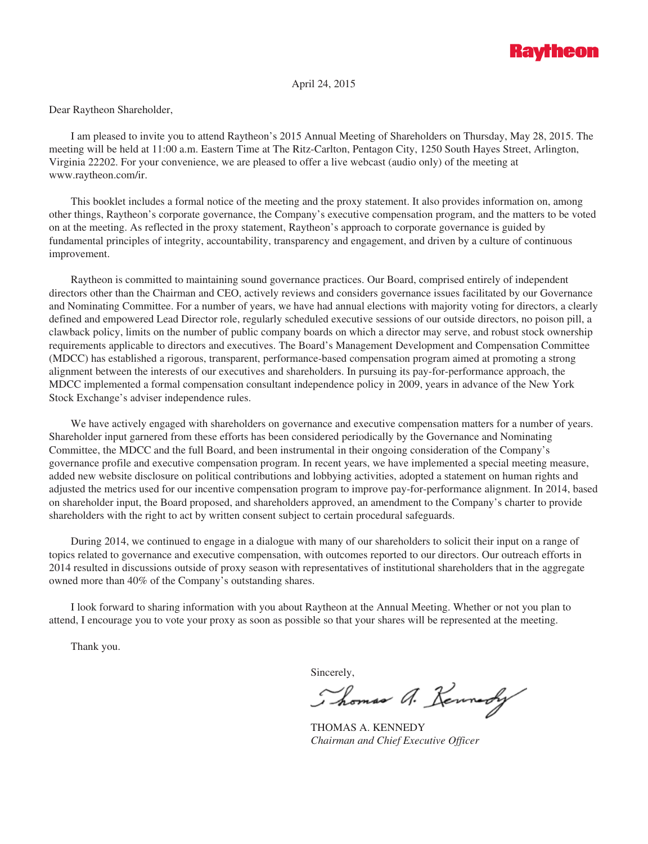

April 24, 2015

Dear Raytheon Shareholder,

I am pleased to invite you to attend Raytheon's 2015 Annual Meeting of Shareholders on Thursday, May 28, 2015. The meeting will be held at 11:00 a.m. Eastern Time at The Ritz-Carlton, Pentagon City, 1250 South Hayes Street, Arlington, Virginia 22202. For your convenience, we are pleased to offer a live webcast (audio only) of the meeting at www.raytheon.com/ir.

This booklet includes a formal notice of the meeting and the proxy statement. It also provides information on, among other things, Raytheon's corporate governance, the Company's executive compensation program, and the matters to be voted on at the meeting. As reflected in the proxy statement, Raytheon's approach to corporate governance is guided by fundamental principles of integrity, accountability, transparency and engagement, and driven by a culture of continuous improvement.

Raytheon is committed to maintaining sound governance practices. Our Board, comprised entirely of independent directors other than the Chairman and CEO, actively reviews and considers governance issues facilitated by our Governance and Nominating Committee. For a number of years, we have had annual elections with majority voting for directors, a clearly defined and empowered Lead Director role, regularly scheduled executive sessions of our outside directors, no poison pill, a clawback policy, limits on the number of public company boards on which a director may serve, and robust stock ownership requirements applicable to directors and executives. The Board's Management Development and Compensation Committee (MDCC) has established a rigorous, transparent, performance-based compensation program aimed at promoting a strong alignment between the interests of our executives and shareholders. In pursuing its pay-for-performance approach, the MDCC implemented a formal compensation consultant independence policy in 2009, years in advance of the New York Stock Exchange's adviser independence rules.

We have actively engaged with shareholders on governance and executive compensation matters for a number of years. Shareholder input garnered from these efforts has been considered periodically by the Governance and Nominating Committee, the MDCC and the full Board, and been instrumental in their ongoing consideration of the Company's governance profile and executive compensation program. In recent years, we have implemented a special meeting measure, added new website disclosure on political contributions and lobbying activities, adopted a statement on human rights and adjusted the metrics used for our incentive compensation program to improve pay-for-performance alignment. In 2014, based on shareholder input, the Board proposed, and shareholders approved, an amendment to the Company's charter to provide shareholders with the right to act by written consent subject to certain procedural safeguards.

During 2014, we continued to engage in a dialogue with many of our shareholders to solicit their input on a range of topics related to governance and executive compensation, with outcomes reported to our directors. Our outreach efforts in 2014 resulted in discussions outside of proxy season with representatives of institutional shareholders that in the aggregate owned more than 40% of the Company's outstanding shares.

I look forward to sharing information with you about Raytheon at the Annual Meeting. Whether or not you plan to attend, I encourage you to vote your proxy as soon as possible so that your shares will be represented at the meeting.

Thank you.

Sincerely,

Thomas A. Kennedy

THOMAS A. KENNEDY *Chairman and Chief Executive Officer*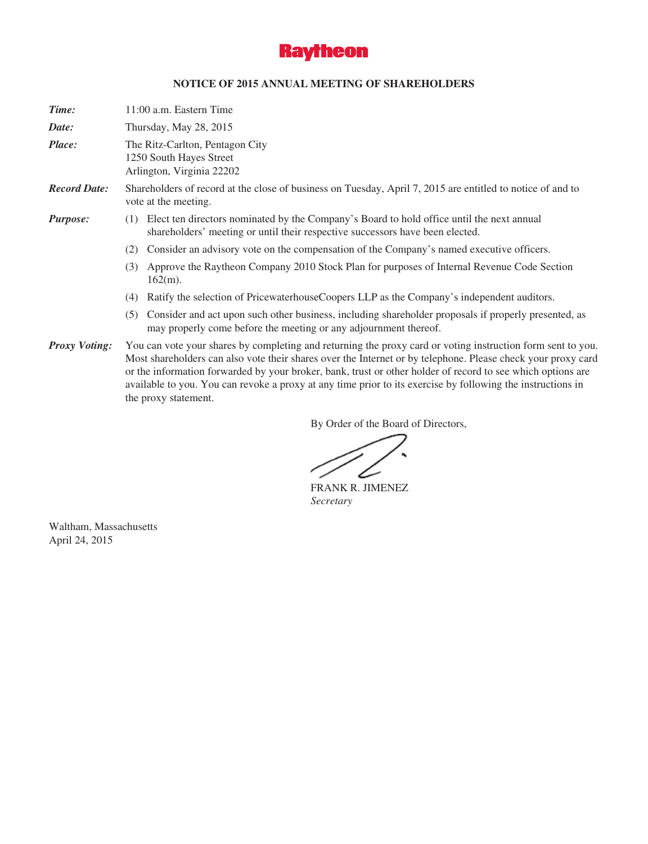

# **NOTICE OF 2015 ANNUAL MEETING OF SHAREHOLDERS**

| Time:                | 11:00 a.m. Eastern Time                                                                                                                                                                                                                                                                                                                                                                                                                                                           |
|----------------------|-----------------------------------------------------------------------------------------------------------------------------------------------------------------------------------------------------------------------------------------------------------------------------------------------------------------------------------------------------------------------------------------------------------------------------------------------------------------------------------|
| Date:                | Thursday, May 28, 2015                                                                                                                                                                                                                                                                                                                                                                                                                                                            |
| Place:               | The Ritz-Carlton, Pentagon City<br>1250 South Hayes Street<br>Arlington, Virginia 22202                                                                                                                                                                                                                                                                                                                                                                                           |
| <b>Record Date:</b>  | Shareholders of record at the close of business on Tuesday, April 7, 2015 are entitled to notice of and to<br>vote at the meeting.                                                                                                                                                                                                                                                                                                                                                |
| <b>Purpose:</b>      | Elect ten directors nominated by the Company's Board to hold office until the next annual<br>(1)<br>shareholders' meeting or until their respective successors have been elected.                                                                                                                                                                                                                                                                                                 |
|                      | Consider an advisory vote on the compensation of the Company's named executive officers.<br>(2)                                                                                                                                                                                                                                                                                                                                                                                   |
|                      | Approve the Raytheon Company 2010 Stock Plan for purposes of Internal Revenue Code Section<br>(3)<br>$162(m)$ .                                                                                                                                                                                                                                                                                                                                                                   |
|                      | Ratify the selection of PricewaterhouseCoopers LLP as the Company's independent auditors.<br>(4)                                                                                                                                                                                                                                                                                                                                                                                  |
|                      | Consider and act upon such other business, including shareholder proposals if properly presented, as<br>(5)<br>may properly come before the meeting or any adjournment thereof.                                                                                                                                                                                                                                                                                                   |
| <b>Proxy Voting:</b> | You can vote your shares by completing and returning the proxy card or voting instruction form sent to you.<br>Most shareholders can also vote their shares over the Internet or by telephone. Please check your proxy card<br>or the information forwarded by your broker, bank, trust or other holder of record to see which options are<br>available to you. You can revoke a proxy at any time prior to its exercise by following the instructions in<br>the proxy statement. |

By Order of the Board of Directors,

∠

FRANK R. JIMENEZ *Secretary*

Waltham, Massachusetts April 24, 2015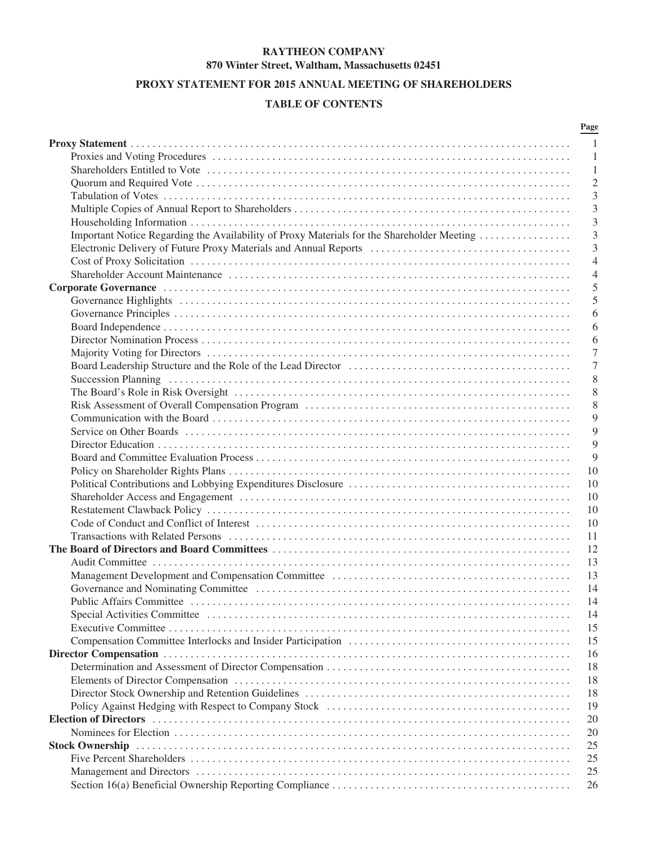# **RAYTHEON COMPANY 870 Winter Street, Waltham, Massachusetts 02451**

# **PROXY STATEMENT FOR 2015 ANNUAL MEETING OF SHAREHOLDERS**

# **TABLE OF CONTENTS**

|                                                                                            | Page           |
|--------------------------------------------------------------------------------------------|----------------|
|                                                                                            | $\mathbf{1}$   |
|                                                                                            | -1             |
|                                                                                            | 1              |
|                                                                                            | $\overline{2}$ |
|                                                                                            | 3              |
|                                                                                            | 3              |
|                                                                                            | 3              |
| Important Notice Regarding the Availability of Proxy Materials for the Shareholder Meeting | 3              |
|                                                                                            | 3              |
|                                                                                            | $\overline{4}$ |
|                                                                                            | $\overline{4}$ |
|                                                                                            | 5              |
|                                                                                            | 5              |
|                                                                                            |                |
|                                                                                            | 6              |
|                                                                                            | 6              |
|                                                                                            | 6              |
|                                                                                            | 7              |
|                                                                                            | 7              |
|                                                                                            | 8              |
|                                                                                            | 8              |
|                                                                                            | 8              |
|                                                                                            | 9              |
|                                                                                            | 9              |
|                                                                                            | 9              |
|                                                                                            | 9              |
|                                                                                            | 10             |
|                                                                                            | 10             |
|                                                                                            | 10             |
|                                                                                            | 10             |
|                                                                                            | 10             |
|                                                                                            | 11             |
|                                                                                            | 12             |
|                                                                                            | 13             |
|                                                                                            | 13             |
|                                                                                            | 14             |
|                                                                                            | 14             |
|                                                                                            | 14             |
|                                                                                            | 15             |
|                                                                                            | 15             |
|                                                                                            | 16             |
|                                                                                            | 18             |
|                                                                                            | 18             |
|                                                                                            | 18             |
|                                                                                            | 19             |
|                                                                                            | 20             |
|                                                                                            |                |
|                                                                                            | 20             |
|                                                                                            | 25             |
|                                                                                            | 25             |
|                                                                                            | 25             |
|                                                                                            | 26             |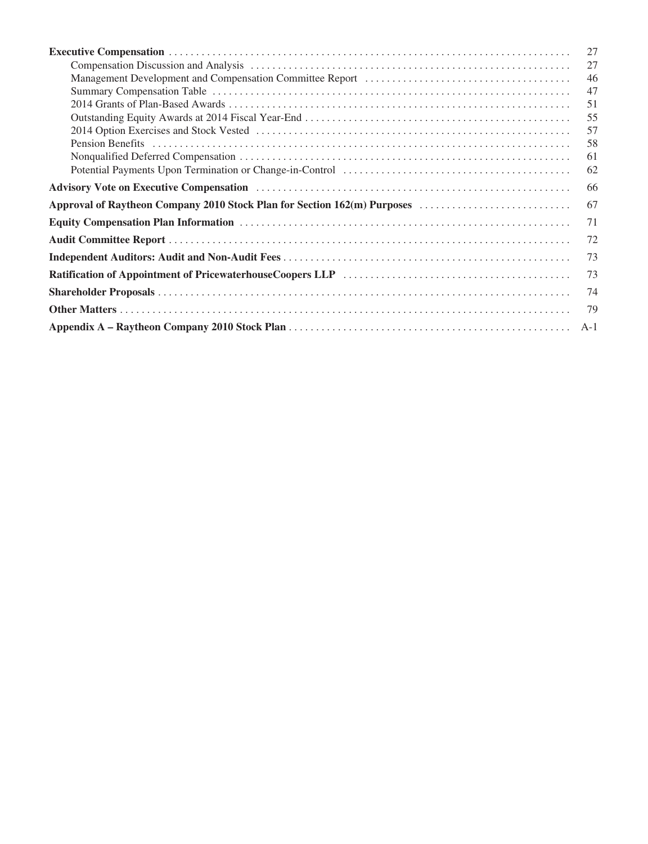|                                                                                                                                                                                                                                | 27    |
|--------------------------------------------------------------------------------------------------------------------------------------------------------------------------------------------------------------------------------|-------|
|                                                                                                                                                                                                                                | 27    |
| Management Development and Compensation Committee Report (and accordinate material or all the Management Development and Compensation Committee Report (and accordinate material or all the Management Development and Compens | 46    |
|                                                                                                                                                                                                                                | 47    |
|                                                                                                                                                                                                                                | 51    |
|                                                                                                                                                                                                                                | 55    |
|                                                                                                                                                                                                                                | 57    |
|                                                                                                                                                                                                                                | 58    |
|                                                                                                                                                                                                                                | 61    |
|                                                                                                                                                                                                                                | 62    |
|                                                                                                                                                                                                                                | 66    |
| Approval of Raytheon Company 2010 Stock Plan for Section 162(m) Purposes                                                                                                                                                       | 67    |
|                                                                                                                                                                                                                                | 71    |
|                                                                                                                                                                                                                                | 72    |
|                                                                                                                                                                                                                                | 73    |
|                                                                                                                                                                                                                                | 73    |
|                                                                                                                                                                                                                                | 74    |
|                                                                                                                                                                                                                                | 79    |
|                                                                                                                                                                                                                                | $A-1$ |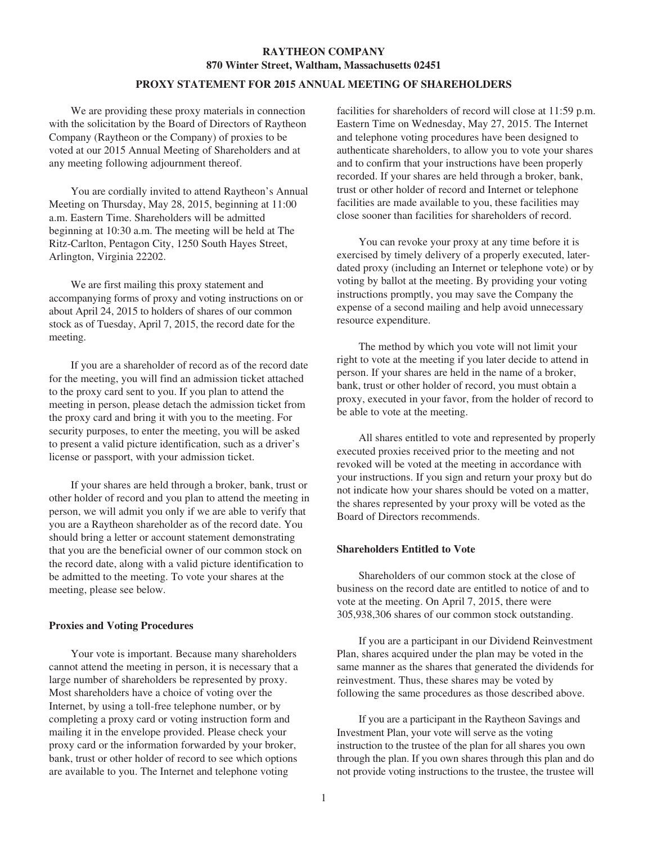# **RAYTHEON COMPANY 870 Winter Street, Waltham, Massachusetts 02451**

## **PROXY STATEMENT FOR 2015 ANNUAL MEETING OF SHAREHOLDERS**

We are providing these proxy materials in connection with the solicitation by the Board of Directors of Raytheon Company (Raytheon or the Company) of proxies to be voted at our 2015 Annual Meeting of Shareholders and at any meeting following adjournment thereof.

You are cordially invited to attend Raytheon's Annual Meeting on Thursday, May 28, 2015, beginning at 11:00 a.m. Eastern Time. Shareholders will be admitted beginning at 10:30 a.m. The meeting will be held at The Ritz-Carlton, Pentagon City, 1250 South Hayes Street, Arlington, Virginia 22202.

We are first mailing this proxy statement and accompanying forms of proxy and voting instructions on or about April 24, 2015 to holders of shares of our common stock as of Tuesday, April 7, 2015, the record date for the meeting.

If you are a shareholder of record as of the record date for the meeting, you will find an admission ticket attached to the proxy card sent to you. If you plan to attend the meeting in person, please detach the admission ticket from the proxy card and bring it with you to the meeting. For security purposes, to enter the meeting, you will be asked to present a valid picture identification, such as a driver's license or passport, with your admission ticket.

If your shares are held through a broker, bank, trust or other holder of record and you plan to attend the meeting in person, we will admit you only if we are able to verify that you are a Raytheon shareholder as of the record date. You should bring a letter or account statement demonstrating that you are the beneficial owner of our common stock on the record date, along with a valid picture identification to be admitted to the meeting. To vote your shares at the meeting, please see below.

### **Proxies and Voting Procedures**

Your vote is important. Because many shareholders cannot attend the meeting in person, it is necessary that a large number of shareholders be represented by proxy. Most shareholders have a choice of voting over the Internet, by using a toll-free telephone number, or by completing a proxy card or voting instruction form and mailing it in the envelope provided. Please check your proxy card or the information forwarded by your broker, bank, trust or other holder of record to see which options are available to you. The Internet and telephone voting

facilities for shareholders of record will close at 11:59 p.m. Eastern Time on Wednesday, May 27, 2015. The Internet and telephone voting procedures have been designed to authenticate shareholders, to allow you to vote your shares and to confirm that your instructions have been properly recorded. If your shares are held through a broker, bank, trust or other holder of record and Internet or telephone facilities are made available to you, these facilities may close sooner than facilities for shareholders of record.

You can revoke your proxy at any time before it is exercised by timely delivery of a properly executed, laterdated proxy (including an Internet or telephone vote) or by voting by ballot at the meeting. By providing your voting instructions promptly, you may save the Company the expense of a second mailing and help avoid unnecessary resource expenditure.

The method by which you vote will not limit your right to vote at the meeting if you later decide to attend in person. If your shares are held in the name of a broker, bank, trust or other holder of record, you must obtain a proxy, executed in your favor, from the holder of record to be able to vote at the meeting.

All shares entitled to vote and represented by properly executed proxies received prior to the meeting and not revoked will be voted at the meeting in accordance with your instructions. If you sign and return your proxy but do not indicate how your shares should be voted on a matter, the shares represented by your proxy will be voted as the Board of Directors recommends.

### **Shareholders Entitled to Vote**

Shareholders of our common stock at the close of business on the record date are entitled to notice of and to vote at the meeting. On April 7, 2015, there were 305,938,306 shares of our common stock outstanding.

If you are a participant in our Dividend Reinvestment Plan, shares acquired under the plan may be voted in the same manner as the shares that generated the dividends for reinvestment. Thus, these shares may be voted by following the same procedures as those described above.

If you are a participant in the Raytheon Savings and Investment Plan, your vote will serve as the voting instruction to the trustee of the plan for all shares you own through the plan. If you own shares through this plan and do not provide voting instructions to the trustee, the trustee will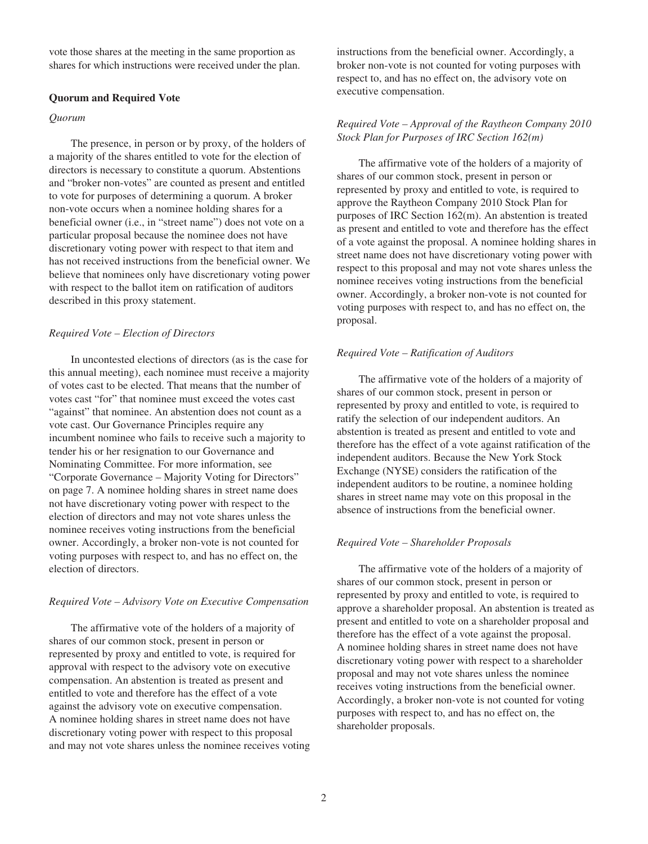vote those shares at the meeting in the same proportion as shares for which instructions were received under the plan.

### **Quorum and Required Vote**

### *Quorum*

The presence, in person or by proxy, of the holders of a majority of the shares entitled to vote for the election of directors is necessary to constitute a quorum. Abstentions and "broker non-votes" are counted as present and entitled to vote for purposes of determining a quorum. A broker non-vote occurs when a nominee holding shares for a beneficial owner (i.e., in "street name") does not vote on a particular proposal because the nominee does not have discretionary voting power with respect to that item and has not received instructions from the beneficial owner. We believe that nominees only have discretionary voting power with respect to the ballot item on ratification of auditors described in this proxy statement.

### *Required Vote – Election of Directors*

In uncontested elections of directors (as is the case for this annual meeting), each nominee must receive a majority of votes cast to be elected. That means that the number of votes cast "for" that nominee must exceed the votes cast "against" that nominee. An abstention does not count as a vote cast. Our Governance Principles require any incumbent nominee who fails to receive such a majority to tender his or her resignation to our Governance and Nominating Committee. For more information, see "Corporate Governance – Majority Voting for Directors" on page 7. A nominee holding shares in street name does not have discretionary voting power with respect to the election of directors and may not vote shares unless the nominee receives voting instructions from the beneficial owner. Accordingly, a broker non-vote is not counted for voting purposes with respect to, and has no effect on, the election of directors.

#### *Required Vote – Advisory Vote on Executive Compensation*

The affirmative vote of the holders of a majority of shares of our common stock, present in person or represented by proxy and entitled to vote, is required for approval with respect to the advisory vote on executive compensation. An abstention is treated as present and entitled to vote and therefore has the effect of a vote against the advisory vote on executive compensation. A nominee holding shares in street name does not have discretionary voting power with respect to this proposal and may not vote shares unless the nominee receives voting instructions from the beneficial owner. Accordingly, a broker non-vote is not counted for voting purposes with respect to, and has no effect on, the advisory vote on executive compensation.

# *Required Vote – Approval of the Raytheon Company 2010 Stock Plan for Purposes of IRC Section 162(m)*

The affirmative vote of the holders of a majority of shares of our common stock, present in person or represented by proxy and entitled to vote, is required to approve the Raytheon Company 2010 Stock Plan for purposes of IRC Section 162(m). An abstention is treated as present and entitled to vote and therefore has the effect of a vote against the proposal. A nominee holding shares in street name does not have discretionary voting power with respect to this proposal and may not vote shares unless the nominee receives voting instructions from the beneficial owner. Accordingly, a broker non-vote is not counted for voting purposes with respect to, and has no effect on, the proposal.

### *Required Vote – Ratification of Auditors*

The affirmative vote of the holders of a majority of shares of our common stock, present in person or represented by proxy and entitled to vote, is required to ratify the selection of our independent auditors. An abstention is treated as present and entitled to vote and therefore has the effect of a vote against ratification of the independent auditors. Because the New York Stock Exchange (NYSE) considers the ratification of the independent auditors to be routine, a nominee holding shares in street name may vote on this proposal in the absence of instructions from the beneficial owner.

### *Required Vote – Shareholder Proposals*

The affirmative vote of the holders of a majority of shares of our common stock, present in person or represented by proxy and entitled to vote, is required to approve a shareholder proposal. An abstention is treated as present and entitled to vote on a shareholder proposal and therefore has the effect of a vote against the proposal. A nominee holding shares in street name does not have discretionary voting power with respect to a shareholder proposal and may not vote shares unless the nominee receives voting instructions from the beneficial owner. Accordingly, a broker non-vote is not counted for voting purposes with respect to, and has no effect on, the shareholder proposals.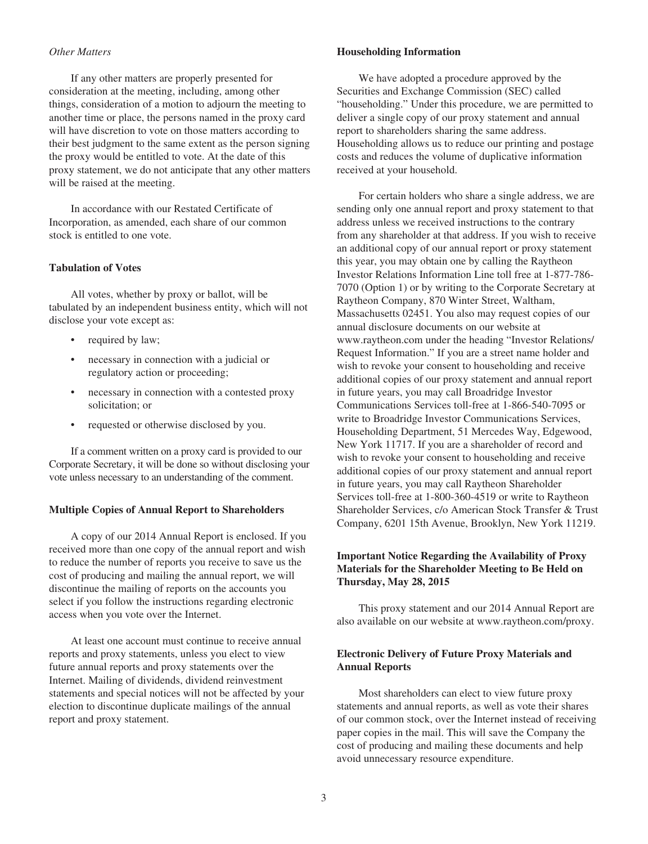# *Other Matters*

If any other matters are properly presented for consideration at the meeting, including, among other things, consideration of a motion to adjourn the meeting to another time or place, the persons named in the proxy card will have discretion to vote on those matters according to their best judgment to the same extent as the person signing the proxy would be entitled to vote. At the date of this proxy statement, we do not anticipate that any other matters will be raised at the meeting.

In accordance with our Restated Certificate of Incorporation, as amended, each share of our common stock is entitled to one vote.

## **Tabulation of Votes**

All votes, whether by proxy or ballot, will be tabulated by an independent business entity, which will not disclose your vote except as:

- required by law;
- necessary in connection with a judicial or regulatory action or proceeding;
- necessary in connection with a contested proxy solicitation; or
- requested or otherwise disclosed by you.

If a comment written on a proxy card is provided to our Corporate Secretary, it will be done so without disclosing your vote unless necessary to an understanding of the comment.

#### **Multiple Copies of Annual Report to Shareholders**

A copy of our 2014 Annual Report is enclosed. If you received more than one copy of the annual report and wish to reduce the number of reports you receive to save us the cost of producing and mailing the annual report, we will discontinue the mailing of reports on the accounts you select if you follow the instructions regarding electronic access when you vote over the Internet.

At least one account must continue to receive annual reports and proxy statements, unless you elect to view future annual reports and proxy statements over the Internet. Mailing of dividends, dividend reinvestment statements and special notices will not be affected by your election to discontinue duplicate mailings of the annual report and proxy statement.

#### **Householding Information**

We have adopted a procedure approved by the Securities and Exchange Commission (SEC) called "householding." Under this procedure, we are permitted to deliver a single copy of our proxy statement and annual report to shareholders sharing the same address. Householding allows us to reduce our printing and postage costs and reduces the volume of duplicative information received at your household.

For certain holders who share a single address, we are sending only one annual report and proxy statement to that address unless we received instructions to the contrary from any shareholder at that address. If you wish to receive an additional copy of our annual report or proxy statement this year, you may obtain one by calling the Raytheon Investor Relations Information Line toll free at 1-877-786- 7070 (Option 1) or by writing to the Corporate Secretary at Raytheon Company, 870 Winter Street, Waltham, Massachusetts 02451. You also may request copies of our annual disclosure documents on our website at www.raytheon.com under the heading "Investor Relations/ Request Information." If you are a street name holder and wish to revoke your consent to householding and receive additional copies of our proxy statement and annual report in future years, you may call Broadridge Investor Communications Services toll-free at 1-866-540-7095 or write to Broadridge Investor Communications Services, Householding Department, 51 Mercedes Way, Edgewood, New York 11717. If you are a shareholder of record and wish to revoke your consent to householding and receive additional copies of our proxy statement and annual report in future years, you may call Raytheon Shareholder Services toll-free at 1-800-360-4519 or write to Raytheon Shareholder Services, c/o American Stock Transfer & Trust Company, 6201 15th Avenue, Brooklyn, New York 11219.

# **Important Notice Regarding the Availability of Proxy Materials for the Shareholder Meeting to Be Held on Thursday, May 28, 2015**

This proxy statement and our 2014 Annual Report are also available on our website at www.raytheon.com/proxy.

# **Electronic Delivery of Future Proxy Materials and Annual Reports**

Most shareholders can elect to view future proxy statements and annual reports, as well as vote their shares of our common stock, over the Internet instead of receiving paper copies in the mail. This will save the Company the cost of producing and mailing these documents and help avoid unnecessary resource expenditure.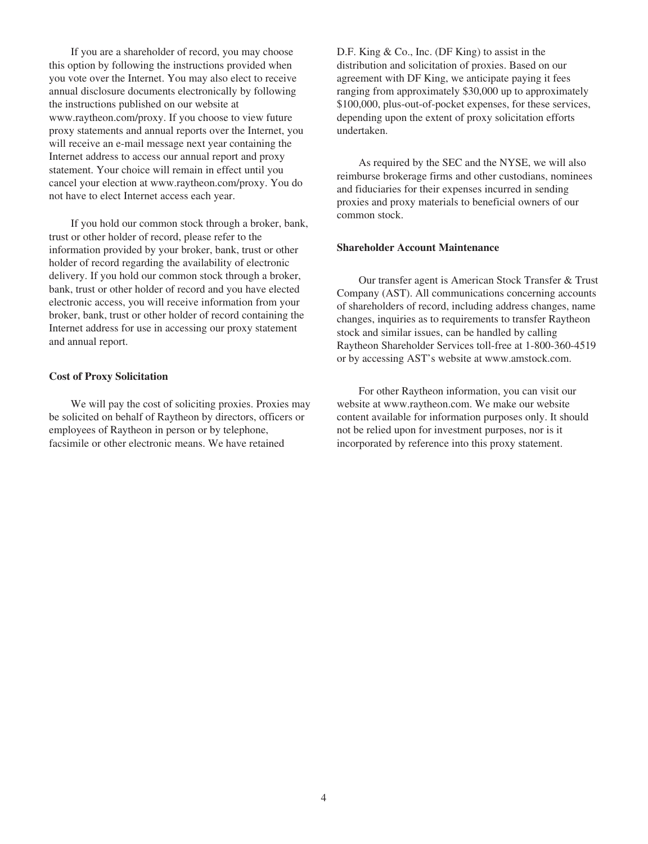If you are a shareholder of record, you may choose this option by following the instructions provided when you vote over the Internet. You may also elect to receive annual disclosure documents electronically by following the instructions published on our website at www.raytheon.com/proxy. If you choose to view future proxy statements and annual reports over the Internet, you will receive an e-mail message next year containing the Internet address to access our annual report and proxy statement. Your choice will remain in effect until you cancel your election at www.raytheon.com/proxy. You do not have to elect Internet access each year.

If you hold our common stock through a broker, bank, trust or other holder of record, please refer to the information provided by your broker, bank, trust or other holder of record regarding the availability of electronic delivery. If you hold our common stock through a broker, bank, trust or other holder of record and you have elected electronic access, you will receive information from your broker, bank, trust or other holder of record containing the Internet address for use in accessing our proxy statement and annual report.

#### **Cost of Proxy Solicitation**

We will pay the cost of soliciting proxies. Proxies may be solicited on behalf of Raytheon by directors, officers or employees of Raytheon in person or by telephone, facsimile or other electronic means. We have retained

D.F. King & Co., Inc. (DF King) to assist in the distribution and solicitation of proxies. Based on our agreement with DF King, we anticipate paying it fees ranging from approximately \$30,000 up to approximately \$100,000, plus-out-of-pocket expenses, for these services, depending upon the extent of proxy solicitation efforts undertaken.

As required by the SEC and the NYSE, we will also reimburse brokerage firms and other custodians, nominees and fiduciaries for their expenses incurred in sending proxies and proxy materials to beneficial owners of our common stock.

### **Shareholder Account Maintenance**

Our transfer agent is American Stock Transfer & Trust Company (AST). All communications concerning accounts of shareholders of record, including address changes, name changes, inquiries as to requirements to transfer Raytheon stock and similar issues, can be handled by calling Raytheon Shareholder Services toll-free at 1-800-360-4519 or by accessing AST's website at www.amstock.com.

For other Raytheon information, you can visit our website at www.raytheon.com. We make our website content available for information purposes only. It should not be relied upon for investment purposes, nor is it incorporated by reference into this proxy statement.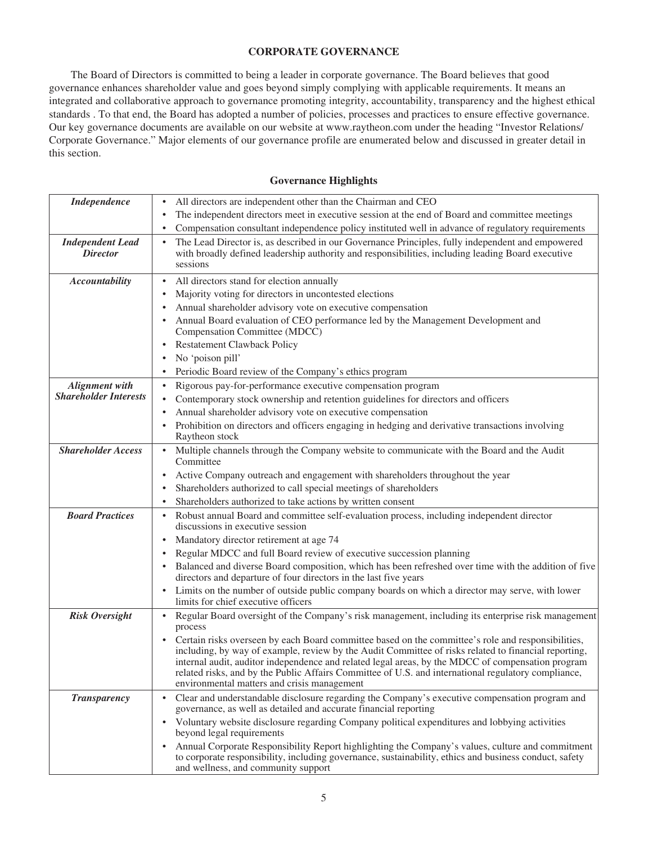# **CORPORATE GOVERNANCE**

The Board of Directors is committed to being a leader in corporate governance. The Board believes that good governance enhances shareholder value and goes beyond simply complying with applicable requirements. It means an integrated and collaborative approach to governance promoting integrity, accountability, transparency and the highest ethical standards . To that end, the Board has adopted a number of policies, processes and practices to ensure effective governance. Our key governance documents are available on our website at www.raytheon.com under the heading "Investor Relations/ Corporate Governance." Major elements of our governance profile are enumerated below and discussed in greater detail in this section.

# **Governance Highlights**

| <b>Independence</b>                        | All directors are independent other than the Chairman and CEO                                                                                                                                                                                                                                                                                                                                                                                                         |
|--------------------------------------------|-----------------------------------------------------------------------------------------------------------------------------------------------------------------------------------------------------------------------------------------------------------------------------------------------------------------------------------------------------------------------------------------------------------------------------------------------------------------------|
|                                            | The independent directors meet in executive session at the end of Board and committee meetings                                                                                                                                                                                                                                                                                                                                                                        |
|                                            | Compensation consultant independence policy instituted well in advance of regulatory requirements                                                                                                                                                                                                                                                                                                                                                                     |
| <b>Independent Lead</b><br><b>Director</b> | The Lead Director is, as described in our Governance Principles, fully independent and empowered<br>with broadly defined leadership authority and responsibilities, including leading Board executive<br>sessions                                                                                                                                                                                                                                                     |
| <b>Accountability</b>                      | All directors stand for election annually                                                                                                                                                                                                                                                                                                                                                                                                                             |
|                                            | Majority voting for directors in uncontested elections                                                                                                                                                                                                                                                                                                                                                                                                                |
|                                            | Annual shareholder advisory vote on executive compensation                                                                                                                                                                                                                                                                                                                                                                                                            |
|                                            | Annual Board evaluation of CEO performance led by the Management Development and<br>Compensation Committee (MDCC)                                                                                                                                                                                                                                                                                                                                                     |
|                                            | <b>Restatement Clawback Policy</b>                                                                                                                                                                                                                                                                                                                                                                                                                                    |
|                                            | No 'poison pill'                                                                                                                                                                                                                                                                                                                                                                                                                                                      |
|                                            | Periodic Board review of the Company's ethics program                                                                                                                                                                                                                                                                                                                                                                                                                 |
| <b>Alignment</b> with                      | Rigorous pay-for-performance executive compensation program                                                                                                                                                                                                                                                                                                                                                                                                           |
| <b>Shareholder Interests</b>               | Contemporary stock ownership and retention guidelines for directors and officers                                                                                                                                                                                                                                                                                                                                                                                      |
|                                            | Annual shareholder advisory vote on executive compensation                                                                                                                                                                                                                                                                                                                                                                                                            |
|                                            | Prohibition on directors and officers engaging in hedging and derivative transactions involving<br>Raytheon stock                                                                                                                                                                                                                                                                                                                                                     |
| <b>Shareholder Access</b>                  | Multiple channels through the Company website to communicate with the Board and the Audit<br>Committee                                                                                                                                                                                                                                                                                                                                                                |
|                                            | Active Company outreach and engagement with shareholders throughout the year                                                                                                                                                                                                                                                                                                                                                                                          |
|                                            | Shareholders authorized to call special meetings of shareholders                                                                                                                                                                                                                                                                                                                                                                                                      |
|                                            | Shareholders authorized to take actions by written consent                                                                                                                                                                                                                                                                                                                                                                                                            |
| <b>Board Practices</b>                     | Robust annual Board and committee self-evaluation process, including independent director<br>discussions in executive session                                                                                                                                                                                                                                                                                                                                         |
|                                            | Mandatory director retirement at age 74                                                                                                                                                                                                                                                                                                                                                                                                                               |
|                                            | Regular MDCC and full Board review of executive succession planning                                                                                                                                                                                                                                                                                                                                                                                                   |
|                                            | Balanced and diverse Board composition, which has been refreshed over time with the addition of five<br>directors and departure of four directors in the last five years                                                                                                                                                                                                                                                                                              |
|                                            | Limits on the number of outside public company boards on which a director may serve, with lower<br>limits for chief executive officers                                                                                                                                                                                                                                                                                                                                |
| <b>Risk Oversight</b>                      | Regular Board oversight of the Company's risk management, including its enterprise risk management<br>$\bullet$<br>process                                                                                                                                                                                                                                                                                                                                            |
|                                            | Certain risks overseen by each Board committee based on the committee's role and responsibilities,<br>including, by way of example, review by the Audit Committee of risks related to financial reporting,<br>internal audit, auditor independence and related legal areas, by the MDCC of compensation program<br>related risks, and by the Public Affairs Committee of U.S. and international regulatory compliance,<br>environmental matters and crisis management |
| <b>Transparency</b>                        | Clear and understandable disclosure regarding the Company's executive compensation program and<br>governance, as well as detailed and accurate financial reporting                                                                                                                                                                                                                                                                                                    |
|                                            | Voluntary website disclosure regarding Company political expenditures and lobbying activities<br>$\bullet$<br>beyond legal requirements                                                                                                                                                                                                                                                                                                                               |
|                                            | Annual Corporate Responsibility Report highlighting the Company's values, culture and commitment<br>to corporate responsibility, including governance, sustainability, ethics and business conduct, safety<br>and wellness, and community support                                                                                                                                                                                                                     |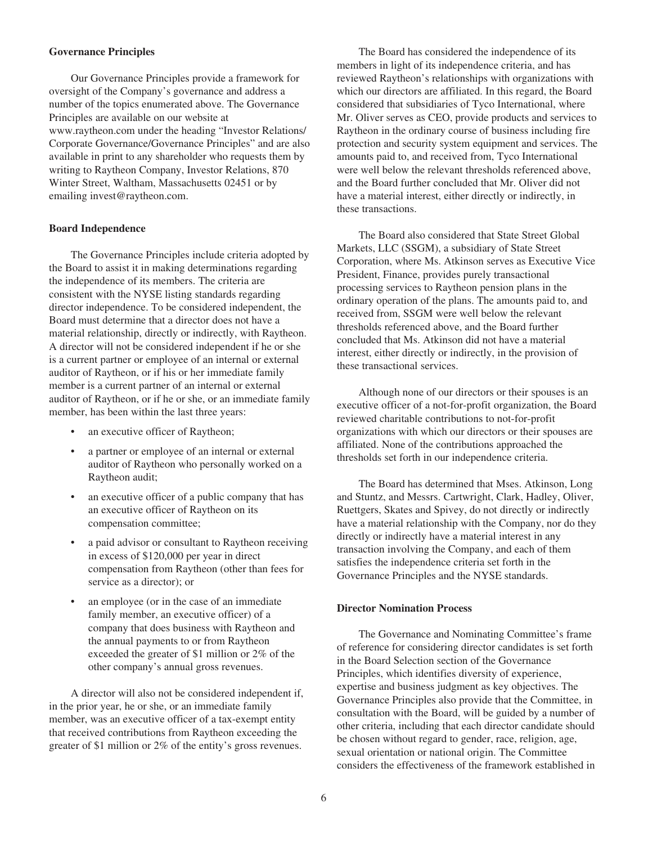## **Governance Principles**

Our Governance Principles provide a framework for oversight of the Company's governance and address a number of the topics enumerated above. The Governance Principles are available on our website at www.raytheon.com under the heading "Investor Relations/ Corporate Governance/Governance Principles" and are also available in print to any shareholder who requests them by writing to Raytheon Company, Investor Relations, 870 Winter Street, Waltham, Massachusetts 02451 or by emailing invest@raytheon.com.

## **Board Independence**

The Governance Principles include criteria adopted by the Board to assist it in making determinations regarding the independence of its members. The criteria are consistent with the NYSE listing standards regarding director independence. To be considered independent, the Board must determine that a director does not have a material relationship, directly or indirectly, with Raytheon. A director will not be considered independent if he or she is a current partner or employee of an internal or external auditor of Raytheon, or if his or her immediate family member is a current partner of an internal or external auditor of Raytheon, or if he or she, or an immediate family member, has been within the last three years:

- an executive officer of Raytheon;
- a partner or employee of an internal or external auditor of Raytheon who personally worked on a Raytheon audit;
- an executive officer of a public company that has an executive officer of Raytheon on its compensation committee;
- a paid advisor or consultant to Raytheon receiving in excess of \$120,000 per year in direct compensation from Raytheon (other than fees for service as a director); or
- an employee (or in the case of an immediate family member, an executive officer) of a company that does business with Raytheon and the annual payments to or from Raytheon exceeded the greater of \$1 million or 2% of the other company's annual gross revenues.

A director will also not be considered independent if, in the prior year, he or she, or an immediate family member, was an executive officer of a tax-exempt entity that received contributions from Raytheon exceeding the greater of \$1 million or 2% of the entity's gross revenues.

The Board has considered the independence of its members in light of its independence criteria, and has reviewed Raytheon's relationships with organizations with which our directors are affiliated. In this regard, the Board considered that subsidiaries of Tyco International, where Mr. Oliver serves as CEO, provide products and services to Raytheon in the ordinary course of business including fire protection and security system equipment and services. The amounts paid to, and received from, Tyco International were well below the relevant thresholds referenced above, and the Board further concluded that Mr. Oliver did not have a material interest, either directly or indirectly, in these transactions.

The Board also considered that State Street Global Markets, LLC (SSGM), a subsidiary of State Street Corporation, where Ms. Atkinson serves as Executive Vice President, Finance, provides purely transactional processing services to Raytheon pension plans in the ordinary operation of the plans. The amounts paid to, and received from, SSGM were well below the relevant thresholds referenced above, and the Board further concluded that Ms. Atkinson did not have a material interest, either directly or indirectly, in the provision of these transactional services.

Although none of our directors or their spouses is an executive officer of a not-for-profit organization, the Board reviewed charitable contributions to not-for-profit organizations with which our directors or their spouses are affiliated. None of the contributions approached the thresholds set forth in our independence criteria.

The Board has determined that Mses. Atkinson, Long and Stuntz, and Messrs. Cartwright, Clark, Hadley, Oliver, Ruettgers, Skates and Spivey, do not directly or indirectly have a material relationship with the Company, nor do they directly or indirectly have a material interest in any transaction involving the Company, and each of them satisfies the independence criteria set forth in the Governance Principles and the NYSE standards.

### **Director Nomination Process**

The Governance and Nominating Committee's frame of reference for considering director candidates is set forth in the Board Selection section of the Governance Principles, which identifies diversity of experience, expertise and business judgment as key objectives. The Governance Principles also provide that the Committee, in consultation with the Board, will be guided by a number of other criteria, including that each director candidate should be chosen without regard to gender, race, religion, age, sexual orientation or national origin. The Committee considers the effectiveness of the framework established in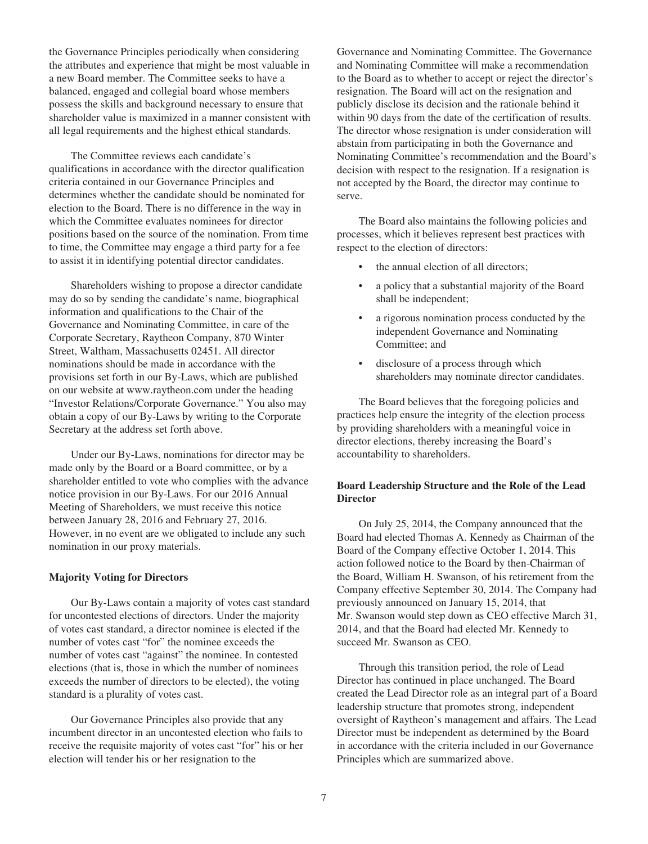the Governance Principles periodically when considering the attributes and experience that might be most valuable in a new Board member. The Committee seeks to have a balanced, engaged and collegial board whose members possess the skills and background necessary to ensure that shareholder value is maximized in a manner consistent with all legal requirements and the highest ethical standards.

The Committee reviews each candidate's qualifications in accordance with the director qualification criteria contained in our Governance Principles and determines whether the candidate should be nominated for election to the Board. There is no difference in the way in which the Committee evaluates nominees for director positions based on the source of the nomination. From time to time, the Committee may engage a third party for a fee to assist it in identifying potential director candidates.

Shareholders wishing to propose a director candidate may do so by sending the candidate's name, biographical information and qualifications to the Chair of the Governance and Nominating Committee, in care of the Corporate Secretary, Raytheon Company, 870 Winter Street, Waltham, Massachusetts 02451. All director nominations should be made in accordance with the provisions set forth in our By-Laws, which are published on our website at www.raytheon.com under the heading "Investor Relations/Corporate Governance." You also may obtain a copy of our By-Laws by writing to the Corporate Secretary at the address set forth above.

Under our By-Laws, nominations for director may be made only by the Board or a Board committee, or by a shareholder entitled to vote who complies with the advance notice provision in our By-Laws. For our 2016 Annual Meeting of Shareholders, we must receive this notice between January 28, 2016 and February 27, 2016. However, in no event are we obligated to include any such nomination in our proxy materials.

## **Majority Voting for Directors**

Our By-Laws contain a majority of votes cast standard for uncontested elections of directors. Under the majority of votes cast standard, a director nominee is elected if the number of votes cast "for" the nominee exceeds the number of votes cast "against" the nominee. In contested elections (that is, those in which the number of nominees exceeds the number of directors to be elected), the voting standard is a plurality of votes cast.

Our Governance Principles also provide that any incumbent director in an uncontested election who fails to receive the requisite majority of votes cast "for" his or her election will tender his or her resignation to the

Governance and Nominating Committee. The Governance and Nominating Committee will make a recommendation to the Board as to whether to accept or reject the director's resignation. The Board will act on the resignation and publicly disclose its decision and the rationale behind it within 90 days from the date of the certification of results. The director whose resignation is under consideration will abstain from participating in both the Governance and Nominating Committee's recommendation and the Board's decision with respect to the resignation. If a resignation is not accepted by the Board, the director may continue to serve.

The Board also maintains the following policies and processes, which it believes represent best practices with respect to the election of directors:

- the annual election of all directors;
- a policy that a substantial majority of the Board shall be independent;
- a rigorous nomination process conducted by the independent Governance and Nominating Committee; and
- disclosure of a process through which shareholders may nominate director candidates.

The Board believes that the foregoing policies and practices help ensure the integrity of the election process by providing shareholders with a meaningful voice in director elections, thereby increasing the Board's accountability to shareholders.

## **Board Leadership Structure and the Role of the Lead Director**

On July 25, 2014, the Company announced that the Board had elected Thomas A. Kennedy as Chairman of the Board of the Company effective October 1, 2014. This action followed notice to the Board by then-Chairman of the Board, William H. Swanson, of his retirement from the Company effective September 30, 2014. The Company had previously announced on January 15, 2014, that Mr. Swanson would step down as CEO effective March 31, 2014, and that the Board had elected Mr. Kennedy to succeed Mr. Swanson as CEO.

Through this transition period, the role of Lead Director has continued in place unchanged. The Board created the Lead Director role as an integral part of a Board leadership structure that promotes strong, independent oversight of Raytheon's management and affairs. The Lead Director must be independent as determined by the Board in accordance with the criteria included in our Governance Principles which are summarized above.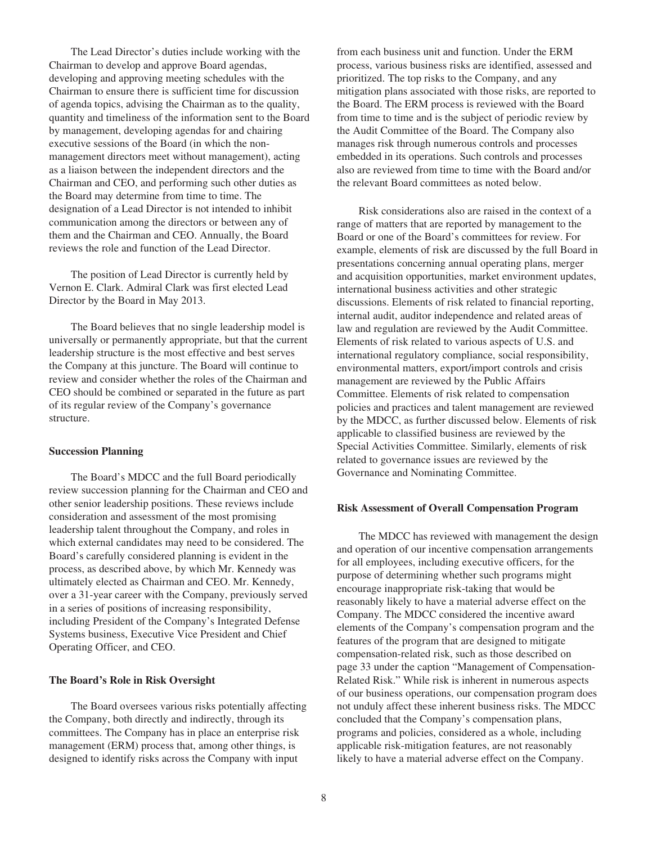The Lead Director's duties include working with the Chairman to develop and approve Board agendas, developing and approving meeting schedules with the Chairman to ensure there is sufficient time for discussion of agenda topics, advising the Chairman as to the quality, quantity and timeliness of the information sent to the Board by management, developing agendas for and chairing executive sessions of the Board (in which the nonmanagement directors meet without management), acting as a liaison between the independent directors and the Chairman and CEO, and performing such other duties as the Board may determine from time to time. The designation of a Lead Director is not intended to inhibit communication among the directors or between any of them and the Chairman and CEO. Annually, the Board reviews the role and function of the Lead Director.

The position of Lead Director is currently held by Vernon E. Clark. Admiral Clark was first elected Lead Director by the Board in May 2013.

The Board believes that no single leadership model is universally or permanently appropriate, but that the current leadership structure is the most effective and best serves the Company at this juncture. The Board will continue to review and consider whether the roles of the Chairman and CEO should be combined or separated in the future as part of its regular review of the Company's governance structure.

#### **Succession Planning**

The Board's MDCC and the full Board periodically review succession planning for the Chairman and CEO and other senior leadership positions. These reviews include consideration and assessment of the most promising leadership talent throughout the Company, and roles in which external candidates may need to be considered. The Board's carefully considered planning is evident in the process, as described above, by which Mr. Kennedy was ultimately elected as Chairman and CEO. Mr. Kennedy, over a 31-year career with the Company, previously served in a series of positions of increasing responsibility, including President of the Company's Integrated Defense Systems business, Executive Vice President and Chief Operating Officer, and CEO.

#### **The Board's Role in Risk Oversight**

The Board oversees various risks potentially affecting the Company, both directly and indirectly, through its committees. The Company has in place an enterprise risk management (ERM) process that, among other things, is designed to identify risks across the Company with input

from each business unit and function. Under the ERM process, various business risks are identified, assessed and prioritized. The top risks to the Company, and any mitigation plans associated with those risks, are reported to the Board. The ERM process is reviewed with the Board from time to time and is the subject of periodic review by the Audit Committee of the Board. The Company also manages risk through numerous controls and processes embedded in its operations. Such controls and processes also are reviewed from time to time with the Board and/or the relevant Board committees as noted below.

Risk considerations also are raised in the context of a range of matters that are reported by management to the Board or one of the Board's committees for review. For example, elements of risk are discussed by the full Board in presentations concerning annual operating plans, merger and acquisition opportunities, market environment updates, international business activities and other strategic discussions. Elements of risk related to financial reporting, internal audit, auditor independence and related areas of law and regulation are reviewed by the Audit Committee. Elements of risk related to various aspects of U.S. and international regulatory compliance, social responsibility, environmental matters, export/import controls and crisis management are reviewed by the Public Affairs Committee. Elements of risk related to compensation policies and practices and talent management are reviewed by the MDCC, as further discussed below. Elements of risk applicable to classified business are reviewed by the Special Activities Committee. Similarly, elements of risk related to governance issues are reviewed by the Governance and Nominating Committee.

### **Risk Assessment of Overall Compensation Program**

The MDCC has reviewed with management the design and operation of our incentive compensation arrangements for all employees, including executive officers, for the purpose of determining whether such programs might encourage inappropriate risk-taking that would be reasonably likely to have a material adverse effect on the Company. The MDCC considered the incentive award elements of the Company's compensation program and the features of the program that are designed to mitigate compensation-related risk, such as those described on page 33 under the caption "Management of Compensation-Related Risk." While risk is inherent in numerous aspects of our business operations, our compensation program does not unduly affect these inherent business risks. The MDCC concluded that the Company's compensation plans, programs and policies, considered as a whole, including applicable risk-mitigation features, are not reasonably likely to have a material adverse effect on the Company.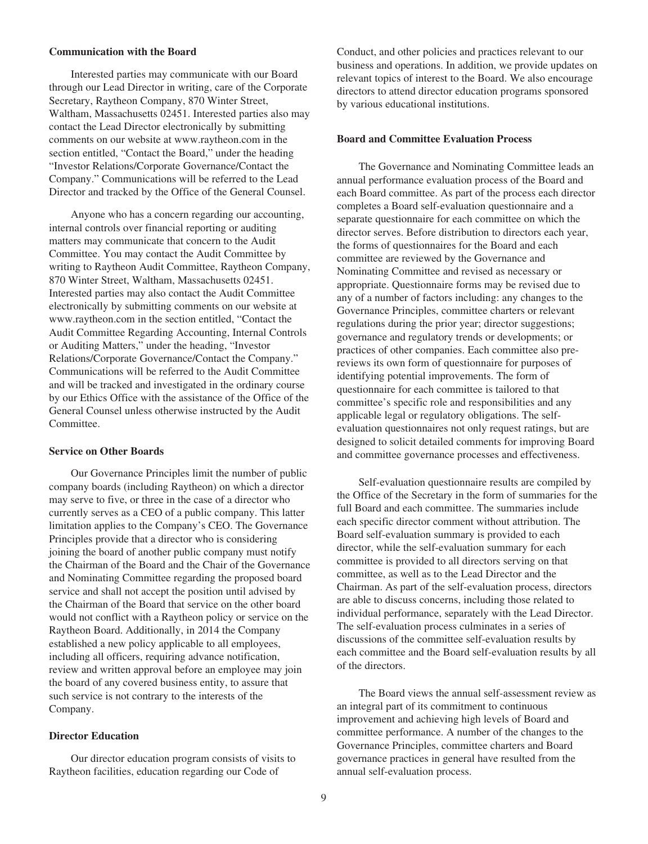### **Communication with the Board**

Interested parties may communicate with our Board through our Lead Director in writing, care of the Corporate Secretary, Raytheon Company, 870 Winter Street, Waltham, Massachusetts 02451. Interested parties also may contact the Lead Director electronically by submitting comments on our website at www.raytheon.com in the section entitled, "Contact the Board," under the heading "Investor Relations/Corporate Governance/Contact the Company." Communications will be referred to the Lead Director and tracked by the Office of the General Counsel.

Anyone who has a concern regarding our accounting, internal controls over financial reporting or auditing matters may communicate that concern to the Audit Committee. You may contact the Audit Committee by writing to Raytheon Audit Committee, Raytheon Company, 870 Winter Street, Waltham, Massachusetts 02451. Interested parties may also contact the Audit Committee electronically by submitting comments on our website at www.raytheon.com in the section entitled, "Contact the Audit Committee Regarding Accounting, Internal Controls or Auditing Matters," under the heading, "Investor Relations/Corporate Governance/Contact the Company." Communications will be referred to the Audit Committee and will be tracked and investigated in the ordinary course by our Ethics Office with the assistance of the Office of the General Counsel unless otherwise instructed by the Audit Committee.

#### **Service on Other Boards**

Our Governance Principles limit the number of public company boards (including Raytheon) on which a director may serve to five, or three in the case of a director who currently serves as a CEO of a public company. This latter limitation applies to the Company's CEO. The Governance Principles provide that a director who is considering joining the board of another public company must notify the Chairman of the Board and the Chair of the Governance and Nominating Committee regarding the proposed board service and shall not accept the position until advised by the Chairman of the Board that service on the other board would not conflict with a Raytheon policy or service on the Raytheon Board. Additionally, in 2014 the Company established a new policy applicable to all employees, including all officers, requiring advance notification, review and written approval before an employee may join the board of any covered business entity, to assure that such service is not contrary to the interests of the Company.

### **Director Education**

Our director education program consists of visits to Raytheon facilities, education regarding our Code of

Conduct, and other policies and practices relevant to our business and operations. In addition, we provide updates on relevant topics of interest to the Board. We also encourage directors to attend director education programs sponsored by various educational institutions.

#### **Board and Committee Evaluation Process**

The Governance and Nominating Committee leads an annual performance evaluation process of the Board and each Board committee. As part of the process each director completes a Board self-evaluation questionnaire and a separate questionnaire for each committee on which the director serves. Before distribution to directors each year, the forms of questionnaires for the Board and each committee are reviewed by the Governance and Nominating Committee and revised as necessary or appropriate. Questionnaire forms may be revised due to any of a number of factors including: any changes to the Governance Principles, committee charters or relevant regulations during the prior year; director suggestions; governance and regulatory trends or developments; or practices of other companies. Each committee also prereviews its own form of questionnaire for purposes of identifying potential improvements. The form of questionnaire for each committee is tailored to that committee's specific role and responsibilities and any applicable legal or regulatory obligations. The selfevaluation questionnaires not only request ratings, but are designed to solicit detailed comments for improving Board and committee governance processes and effectiveness.

Self-evaluation questionnaire results are compiled by the Office of the Secretary in the form of summaries for the full Board and each committee. The summaries include each specific director comment without attribution. The Board self-evaluation summary is provided to each director, while the self-evaluation summary for each committee is provided to all directors serving on that committee, as well as to the Lead Director and the Chairman. As part of the self-evaluation process, directors are able to discuss concerns, including those related to individual performance, separately with the Lead Director. The self-evaluation process culminates in a series of discussions of the committee self-evaluation results by each committee and the Board self-evaluation results by all of the directors.

The Board views the annual self-assessment review as an integral part of its commitment to continuous improvement and achieving high levels of Board and committee performance. A number of the changes to the Governance Principles, committee charters and Board governance practices in general have resulted from the annual self-evaluation process.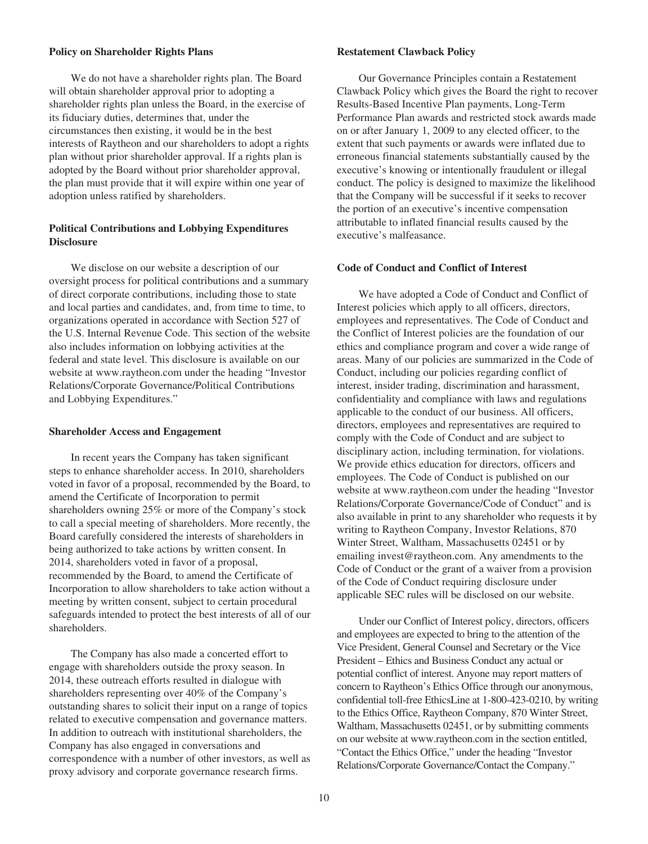### **Policy on Shareholder Rights Plans**

We do not have a shareholder rights plan. The Board will obtain shareholder approval prior to adopting a shareholder rights plan unless the Board, in the exercise of its fiduciary duties, determines that, under the circumstances then existing, it would be in the best interests of Raytheon and our shareholders to adopt a rights plan without prior shareholder approval. If a rights plan is adopted by the Board without prior shareholder approval, the plan must provide that it will expire within one year of adoption unless ratified by shareholders.

# **Political Contributions and Lobbying Expenditures Disclosure**

We disclose on our website a description of our oversight process for political contributions and a summary of direct corporate contributions, including those to state and local parties and candidates, and, from time to time, to organizations operated in accordance with Section 527 of the U.S. Internal Revenue Code. This section of the website also includes information on lobbying activities at the federal and state level. This disclosure is available on our website at www.raytheon.com under the heading "Investor Relations/Corporate Governance/Political Contributions and Lobbying Expenditures."

#### **Shareholder Access and Engagement**

In recent years the Company has taken significant steps to enhance shareholder access. In 2010, shareholders voted in favor of a proposal, recommended by the Board, to amend the Certificate of Incorporation to permit shareholders owning 25% or more of the Company's stock to call a special meeting of shareholders. More recently, the Board carefully considered the interests of shareholders in being authorized to take actions by written consent. In 2014, shareholders voted in favor of a proposal, recommended by the Board, to amend the Certificate of Incorporation to allow shareholders to take action without a meeting by written consent, subject to certain procedural safeguards intended to protect the best interests of all of our shareholders.

The Company has also made a concerted effort to engage with shareholders outside the proxy season. In 2014, these outreach efforts resulted in dialogue with shareholders representing over 40% of the Company's outstanding shares to solicit their input on a range of topics related to executive compensation and governance matters. In addition to outreach with institutional shareholders, the Company has also engaged in conversations and correspondence with a number of other investors, as well as proxy advisory and corporate governance research firms.

### **Restatement Clawback Policy**

Our Governance Principles contain a Restatement Clawback Policy which gives the Board the right to recover Results-Based Incentive Plan payments, Long-Term Performance Plan awards and restricted stock awards made on or after January 1, 2009 to any elected officer, to the extent that such payments or awards were inflated due to erroneous financial statements substantially caused by the executive's knowing or intentionally fraudulent or illegal conduct. The policy is designed to maximize the likelihood that the Company will be successful if it seeks to recover the portion of an executive's incentive compensation attributable to inflated financial results caused by the executive's malfeasance.

## **Code of Conduct and Conflict of Interest**

We have adopted a Code of Conduct and Conflict of Interest policies which apply to all officers, directors, employees and representatives. The Code of Conduct and the Conflict of Interest policies are the foundation of our ethics and compliance program and cover a wide range of areas. Many of our policies are summarized in the Code of Conduct, including our policies regarding conflict of interest, insider trading, discrimination and harassment, confidentiality and compliance with laws and regulations applicable to the conduct of our business. All officers, directors, employees and representatives are required to comply with the Code of Conduct and are subject to disciplinary action, including termination, for violations. We provide ethics education for directors, officers and employees. The Code of Conduct is published on our website at www.raytheon.com under the heading "Investor Relations/Corporate Governance/Code of Conduct" and is also available in print to any shareholder who requests it by writing to Raytheon Company, Investor Relations, 870 Winter Street, Waltham, Massachusetts 02451 or by emailing invest@raytheon.com. Any amendments to the Code of Conduct or the grant of a waiver from a provision of the Code of Conduct requiring disclosure under applicable SEC rules will be disclosed on our website.

Under our Conflict of Interest policy, directors, officers and employees are expected to bring to the attention of the Vice President, General Counsel and Secretary or the Vice President – Ethics and Business Conduct any actual or potential conflict of interest. Anyone may report matters of concern to Raytheon's Ethics Office through our anonymous, confidential toll-free EthicsLine at 1-800-423-0210, by writing to the Ethics Office, Raytheon Company, 870 Winter Street, Waltham, Massachusetts 02451, or by submitting comments on our website at www.raytheon.com in the section entitled, "Contact the Ethics Office," under the heading "Investor Relations/Corporate Governance/Contact the Company."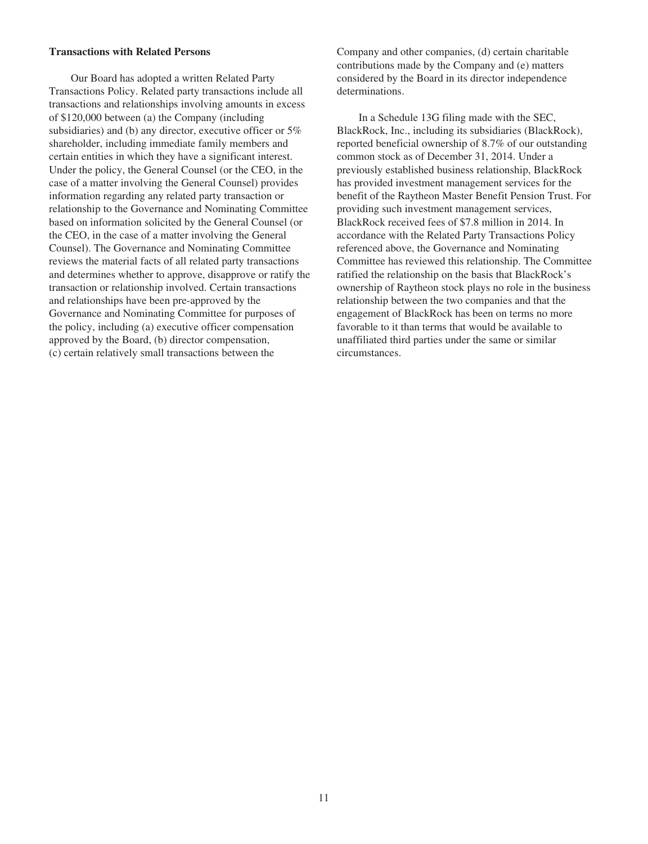### **Transactions with Related Persons**

Our Board has adopted a written Related Party Transactions Policy. Related party transactions include all transactions and relationships involving amounts in excess of \$120,000 between (a) the Company (including subsidiaries) and (b) any director, executive officer or  $5\%$ shareholder, including immediate family members and certain entities in which they have a significant interest. Under the policy, the General Counsel (or the CEO, in the case of a matter involving the General Counsel) provides information regarding any related party transaction or relationship to the Governance and Nominating Committee based on information solicited by the General Counsel (or the CEO, in the case of a matter involving the General Counsel). The Governance and Nominating Committee reviews the material facts of all related party transactions and determines whether to approve, disapprove or ratify the transaction or relationship involved. Certain transactions and relationships have been pre-approved by the Governance and Nominating Committee for purposes of the policy, including (a) executive officer compensation approved by the Board, (b) director compensation, (c) certain relatively small transactions between the

Company and other companies, (d) certain charitable contributions made by the Company and (e) matters considered by the Board in its director independence determinations.

In a Schedule 13G filing made with the SEC, BlackRock, Inc., including its subsidiaries (BlackRock), reported beneficial ownership of 8.7% of our outstanding common stock as of December 31, 2014. Under a previously established business relationship, BlackRock has provided investment management services for the benefit of the Raytheon Master Benefit Pension Trust. For providing such investment management services, BlackRock received fees of \$7.8 million in 2014. In accordance with the Related Party Transactions Policy referenced above, the Governance and Nominating Committee has reviewed this relationship. The Committee ratified the relationship on the basis that BlackRock's ownership of Raytheon stock plays no role in the business relationship between the two companies and that the engagement of BlackRock has been on terms no more favorable to it than terms that would be available to unaffiliated third parties under the same or similar circumstances.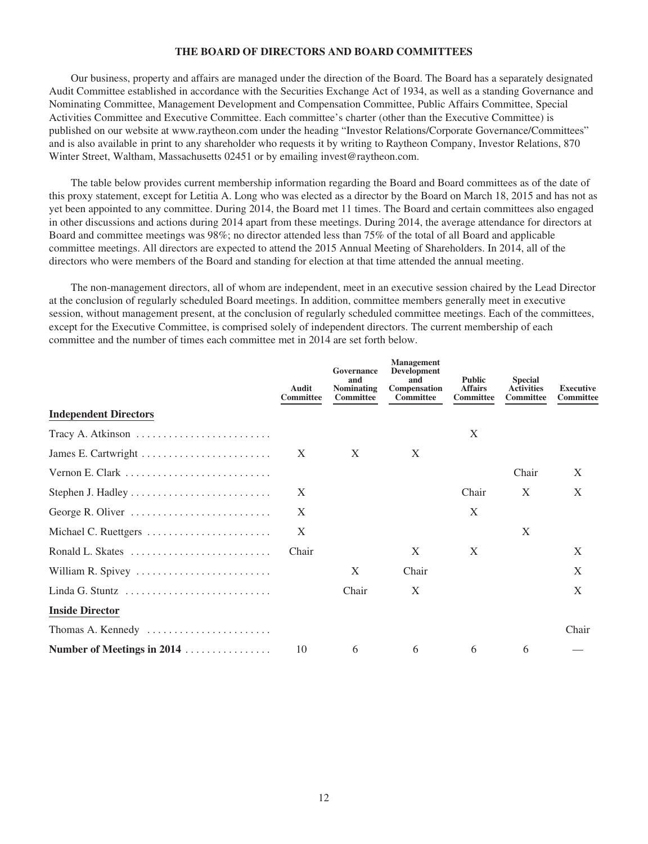## **THE BOARD OF DIRECTORS AND BOARD COMMITTEES**

Our business, property and affairs are managed under the direction of the Board. The Board has a separately designated Audit Committee established in accordance with the Securities Exchange Act of 1934, as well as a standing Governance and Nominating Committee, Management Development and Compensation Committee, Public Affairs Committee, Special Activities Committee and Executive Committee. Each committee's charter (other than the Executive Committee) is published on our website at www.raytheon.com under the heading "Investor Relations/Corporate Governance/Committees" and is also available in print to any shareholder who requests it by writing to Raytheon Company, Investor Relations, 870 Winter Street, Waltham, Massachusetts 02451 or by emailing invest@raytheon.com.

The table below provides current membership information regarding the Board and Board committees as of the date of this proxy statement, except for Letitia A. Long who was elected as a director by the Board on March 18, 2015 and has not as yet been appointed to any committee. During 2014, the Board met 11 times. The Board and certain committees also engaged in other discussions and actions during 2014 apart from these meetings. During 2014, the average attendance for directors at Board and committee meetings was 98%; no director attended less than 75% of the total of all Board and applicable committee meetings. All directors are expected to attend the 2015 Annual Meeting of Shareholders. In 2014, all of the directors who were members of the Board and standing for election at that time attended the annual meeting.

The non-management directors, all of whom are independent, meet in an executive session chaired by the Lead Director at the conclusion of regularly scheduled Board meetings. In addition, committee members generally meet in executive session, without management present, at the conclusion of regularly scheduled committee meetings. Each of the committees, except for the Executive Committee, is comprised solely of independent directors. The current membership of each committee and the number of times each committee met in 2014 are set forth below.

|                              | Audit<br><b>Committee</b> | Governance<br>and<br><b>Nominating</b><br><b>Committee</b> | <b>Management</b><br>Development<br>and<br>Compensation<br><b>Committee</b> | <b>Public</b><br><b>Affairs</b><br><b>Committee</b> | <b>Special</b><br><b>Activities</b><br><b>Committee</b> | Executive<br>Committee |
|------------------------------|---------------------------|------------------------------------------------------------|-----------------------------------------------------------------------------|-----------------------------------------------------|---------------------------------------------------------|------------------------|
| <b>Independent Directors</b> |                           |                                                            |                                                                             |                                                     |                                                         |                        |
| Tracy A. Atkinson            |                           |                                                            |                                                                             | X                                                   |                                                         |                        |
|                              | X                         | X                                                          | X                                                                           |                                                     |                                                         |                        |
|                              |                           |                                                            |                                                                             |                                                     | Chair                                                   | X                      |
|                              | X                         |                                                            |                                                                             | Chair                                               | X                                                       | X                      |
| George R. Oliver             | X                         |                                                            |                                                                             | X                                                   |                                                         |                        |
| Michael C. Ruettgers         | X                         |                                                            |                                                                             |                                                     | X                                                       |                        |
|                              | Chair                     |                                                            | X                                                                           | X                                                   |                                                         | X                      |
| William R. Spivey            |                           | X                                                          | Chair                                                                       |                                                     |                                                         | X                      |
|                              |                           | Chair                                                      | X                                                                           |                                                     |                                                         | X                      |
| <b>Inside Director</b>       |                           |                                                            |                                                                             |                                                     |                                                         |                        |
| Thomas A. Kennedy            |                           |                                                            |                                                                             |                                                     |                                                         | Chair                  |
| Number of Meetings in 2014   | 10                        | 6                                                          | 6                                                                           | 6                                                   | 6                                                       |                        |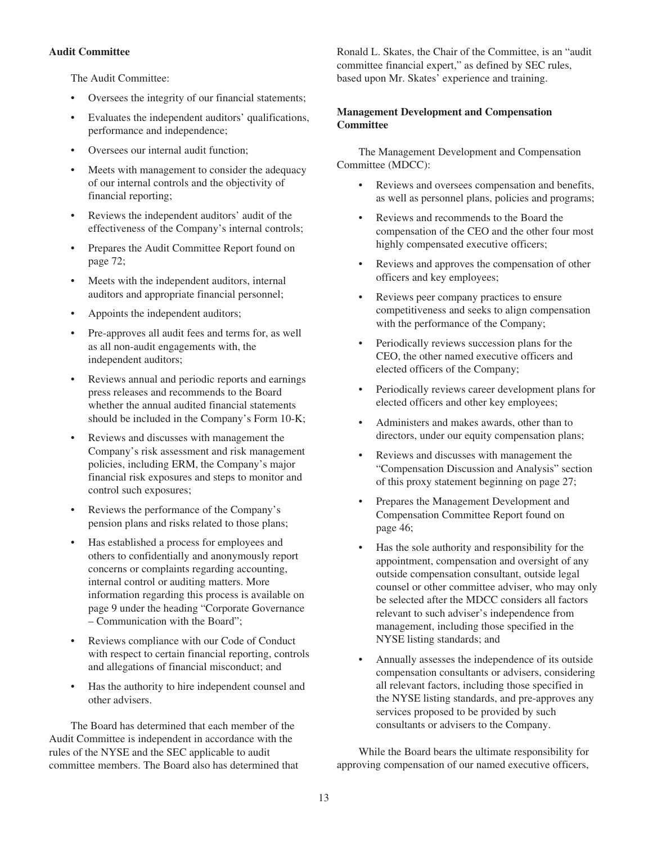# **Audit Committee**

The Audit Committee:

- Oversees the integrity of our financial statements;
- Evaluates the independent auditors' qualifications, performance and independence;
- Oversees our internal audit function;
- Meets with management to consider the adequacy of our internal controls and the objectivity of financial reporting;
- Reviews the independent auditors' audit of the effectiveness of the Company's internal controls;
- Prepares the Audit Committee Report found on page 72;
- Meets with the independent auditors, internal auditors and appropriate financial personnel;
- Appoints the independent auditors;
- Pre-approves all audit fees and terms for, as well as all non-audit engagements with, the independent auditors;
- Reviews annual and periodic reports and earnings press releases and recommends to the Board whether the annual audited financial statements should be included in the Company's Form 10-K;
- Reviews and discusses with management the Company's risk assessment and risk management policies, including ERM, the Company's major financial risk exposures and steps to monitor and control such exposures;
- Reviews the performance of the Company's pension plans and risks related to those plans;
- Has established a process for employees and others to confidentially and anonymously report concerns or complaints regarding accounting, internal control or auditing matters. More information regarding this process is available on page 9 under the heading "Corporate Governance – Communication with the Board";
- Reviews compliance with our Code of Conduct with respect to certain financial reporting, controls and allegations of financial misconduct; and
- Has the authority to hire independent counsel and other advisers.

The Board has determined that each member of the Audit Committee is independent in accordance with the rules of the NYSE and the SEC applicable to audit committee members. The Board also has determined that Ronald L. Skates, the Chair of the Committee, is an "audit committee financial expert," as defined by SEC rules, based upon Mr. Skates' experience and training.

# **Management Development and Compensation Committee**

The Management Development and Compensation Committee (MDCC):

- Reviews and oversees compensation and benefits, as well as personnel plans, policies and programs;
- Reviews and recommends to the Board the compensation of the CEO and the other four most highly compensated executive officers;
- Reviews and approves the compensation of other officers and key employees;
- Reviews peer company practices to ensure competitiveness and seeks to align compensation with the performance of the Company;
- Periodically reviews succession plans for the CEO, the other named executive officers and elected officers of the Company;
- Periodically reviews career development plans for elected officers and other key employees;
- Administers and makes awards, other than to directors, under our equity compensation plans;
- Reviews and discusses with management the "Compensation Discussion and Analysis" section of this proxy statement beginning on page 27;
- Prepares the Management Development and Compensation Committee Report found on page 46;
- Has the sole authority and responsibility for the appointment, compensation and oversight of any outside compensation consultant, outside legal counsel or other committee adviser, who may only be selected after the MDCC considers all factors relevant to such adviser's independence from management, including those specified in the NYSE listing standards; and
- Annually assesses the independence of its outside compensation consultants or advisers, considering all relevant factors, including those specified in the NYSE listing standards, and pre-approves any services proposed to be provided by such consultants or advisers to the Company.

While the Board bears the ultimate responsibility for approving compensation of our named executive officers,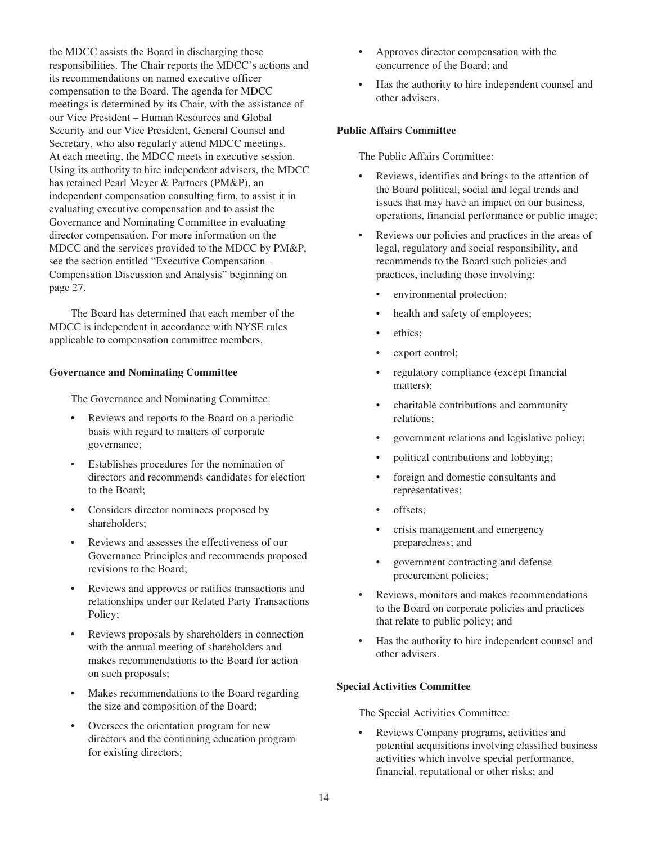the MDCC assists the Board in discharging these responsibilities. The Chair reports the MDCC's actions and its recommendations on named executive officer compensation to the Board. The agenda for MDCC meetings is determined by its Chair, with the assistance of our Vice President – Human Resources and Global Security and our Vice President, General Counsel and Secretary, who also regularly attend MDCC meetings. At each meeting, the MDCC meets in executive session. Using its authority to hire independent advisers, the MDCC has retained Pearl Meyer & Partners (PM&P), an independent compensation consulting firm, to assist it in evaluating executive compensation and to assist the Governance and Nominating Committee in evaluating director compensation. For more information on the MDCC and the services provided to the MDCC by PM&P, see the section entitled "Executive Compensation – Compensation Discussion and Analysis" beginning on page 27.

The Board has determined that each member of the MDCC is independent in accordance with NYSE rules applicable to compensation committee members.

# **Governance and Nominating Committee**

The Governance and Nominating Committee:

- Reviews and reports to the Board on a periodic basis with regard to matters of corporate governance;
- Establishes procedures for the nomination of directors and recommends candidates for election to the Board;
- Considers director nominees proposed by shareholders;
- Reviews and assesses the effectiveness of our Governance Principles and recommends proposed revisions to the Board;
- Reviews and approves or ratifies transactions and relationships under our Related Party Transactions Policy;
- Reviews proposals by shareholders in connection with the annual meeting of shareholders and makes recommendations to the Board for action on such proposals;
- Makes recommendations to the Board regarding the size and composition of the Board;
- Oversees the orientation program for new directors and the continuing education program for existing directors;
- Approves director compensation with the concurrence of the Board; and
- Has the authority to hire independent counsel and other advisers.

## **Public Affairs Committee**

The Public Affairs Committee:

- Reviews, identifies and brings to the attention of the Board political, social and legal trends and issues that may have an impact on our business, operations, financial performance or public image;
- Reviews our policies and practices in the areas of legal, regulatory and social responsibility, and recommends to the Board such policies and practices, including those involving:
	- environmental protection;
	- health and safety of employees;
	- ethics:
	- export control;
	- regulatory compliance (except financial matters);
	- charitable contributions and community relations;
	- government relations and legislative policy;
	- political contributions and lobbying;
	- foreign and domestic consultants and representatives;
	- offsets:
	- crisis management and emergency preparedness; and
	- government contracting and defense procurement policies;
- Reviews, monitors and makes recommendations to the Board on corporate policies and practices that relate to public policy; and
- Has the authority to hire independent counsel and other advisers.

### **Special Activities Committee**

The Special Activities Committee:

• Reviews Company programs, activities and potential acquisitions involving classified business activities which involve special performance, financial, reputational or other risks; and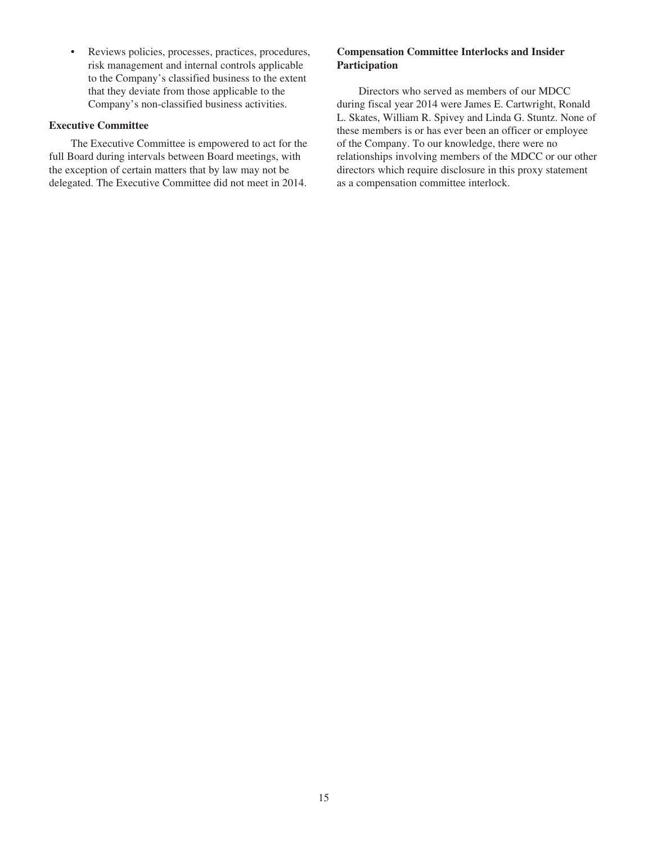• Reviews policies, processes, practices, procedures, risk management and internal controls applicable to the Company's classified business to the extent that they deviate from those applicable to the Company's non-classified business activities.

## **Executive Committee**

The Executive Committee is empowered to act for the full Board during intervals between Board meetings, with the exception of certain matters that by law may not be delegated. The Executive Committee did not meet in 2014.

# **Compensation Committee Interlocks and Insider Participation**

Directors who served as members of our MDCC during fiscal year 2014 were James E. Cartwright, Ronald L. Skates, William R. Spivey and Linda G. Stuntz. None of these members is or has ever been an officer or employee of the Company. To our knowledge, there were no relationships involving members of the MDCC or our other directors which require disclosure in this proxy statement as a compensation committee interlock.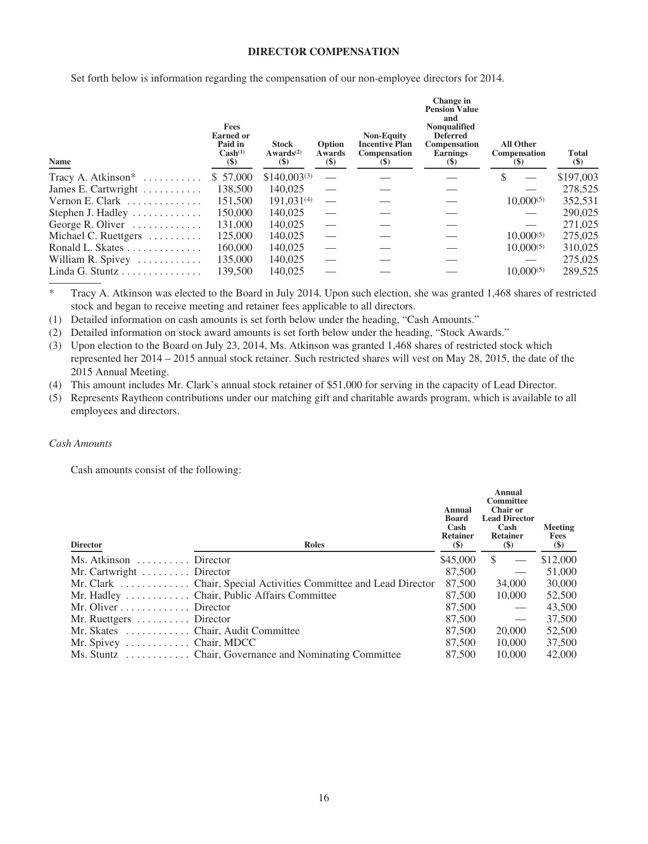## **DIRECTOR COMPENSATION**

Set forth below is information regarding the compensation of our non-employee directors for 2014.

| Name                                          | Fees<br><b>Earned or</b><br>Paid in<br>Cash <sup>(1)</sup><br>$(\$)$ | <b>Stock</b><br>Awards <sup>(2)</sup><br>$(\$)$ | Option<br>Awards<br>$(\$)$ | <b>Non-Equity</b><br><b>Incentive Plan</b><br><b>Compensation</b><br>$\left( \mathbf{S} \right)$ | <b>Change</b> in<br><b>Pension Value</b><br>and<br><b>Nonqualified</b><br><b>Deferred</b><br>Compensation<br><b>Earnings</b><br>(5) | <b>All Other</b><br><b>Compensation</b><br>$\left( \mathcal{S} \right)$ | <b>Total</b><br>$(\$)$ |
|-----------------------------------------------|----------------------------------------------------------------------|-------------------------------------------------|----------------------------|--------------------------------------------------------------------------------------------------|-------------------------------------------------------------------------------------------------------------------------------------|-------------------------------------------------------------------------|------------------------|
| Tracy A. Atkinson* $\dots \dots \dots$        | \$ 57,000                                                            | $$140,003^{(3)}$                                |                            |                                                                                                  |                                                                                                                                     | \$                                                                      | \$197,003              |
| James E. Cartwright $\dots\dots\dots$         | 138,500                                                              | 140,025                                         |                            |                                                                                                  |                                                                                                                                     |                                                                         | 278,525                |
| Vernon E. Clark $\ldots \ldots \ldots \ldots$ | 151,500                                                              | $191,031^{(4)}$                                 |                            |                                                                                                  |                                                                                                                                     | $10,000^{(5)}$                                                          | 352,531                |
| Stephen J. Hadley                             | 150,000                                                              | 140,025                                         |                            |                                                                                                  |                                                                                                                                     |                                                                         | 290,025                |
| George R. Oliver                              | 131,000                                                              | 140,025                                         |                            |                                                                                                  |                                                                                                                                     |                                                                         | 271,025                |
| Michael C. Ruettgers                          | 125,000                                                              | 140,025                                         |                            |                                                                                                  |                                                                                                                                     | $10,000^{(5)}$                                                          | 275,025                |
| Ronald L. Skates                              | 160,000                                                              | 140,025                                         |                            |                                                                                                  |                                                                                                                                     | $10,000^{(5)}$                                                          | 310,025                |
| William R. Spivey $\dots\dots\dots\dots$      | 135,000                                                              | 140,025                                         |                            |                                                                                                  |                                                                                                                                     |                                                                         | 275,025                |
| Linda G. Stuntz                               | 139,500                                                              | 140,025                                         |                            |                                                                                                  |                                                                                                                                     | $10,000^{(5)}$                                                          | 289,525                |

\* Tracy A. Atkinson was elected to the Board in July 2014. Upon such election, she was granted 1,468 shares of restricted stock and began to receive meeting and retainer fees applicable to all directors.

(1) Detailed information on cash amounts is set forth below under the heading, "Cash Amounts."

(2) Detailed information on stock award amounts is set forth below under the heading, "Stock Awards."

(3) Upon election to the Board on July 23, 2014, Ms. Atkinson was granted 1,468 shares of restricted stock which represented her 2014 – 2015 annual stock retainer. Such restricted shares will vest on May 28, 2015, the date of the 2015 Annual Meeting.

(4) This amount includes Mr. Clark's annual stock retainer of \$51,000 for serving in the capacity of Lead Director.

(5) Represents Raytheon contributions under our matching gift and charitable awards program, which is available to all employees and directors.

# *Cash Amounts*

Cash amounts consist of the following:

| <b>Director</b>                              | <b>Roles</b>                                           | Annual<br>Board<br>Cash<br><b>Retainer</b><br>$\left( \mathbb{S}\right)$ | Annual<br><b>Committee</b><br><b>Chair or</b><br><b>Lead Director</b><br>Cash<br><b>Retainer</b><br>$(\$)$ | Meeting<br>Fees<br>$(\$)$ |
|----------------------------------------------|--------------------------------------------------------|--------------------------------------------------------------------------|------------------------------------------------------------------------------------------------------------|---------------------------|
| Ms. Atkinson $\dots \dots$ Director          |                                                        | \$45,000                                                                 | <sup>\$</sup>                                                                                              | \$12,000                  |
| Mr. Cartwright $\dots \dots$ . Director      |                                                        | 87,500                                                                   | $\overbrace{\phantom{12333}}$                                                                              | 51,000                    |
|                                              |                                                        | 87,500                                                                   | 34,000                                                                                                     | 30,000                    |
|                                              | Mr. Hadley  Chair, Public Affairs Committee            | 87,500                                                                   | 10,000                                                                                                     | 52,500                    |
| Mr. Oliver $\dots \dots \dots$ Director      |                                                        | 87,500                                                                   | $\hspace{0.05cm}$                                                                                          | 43,500                    |
| Mr. Ruettgers $\dots \dots \dots$ . Director |                                                        | 87,500                                                                   |                                                                                                            | 37,500                    |
| Mr. Skates  Chair, Audit Committee           |                                                        | 87,500                                                                   | 20,000                                                                                                     | 52,500                    |
| Mr. Spivey $\dots \dots \dots$ . Chair, MDCC |                                                        | 87,500                                                                   | 10,000                                                                                                     | 37,500                    |
|                                              | Ms. Stuntz  Chair, Governance and Nominating Committee | 87,500                                                                   | 10,000                                                                                                     | 42,000                    |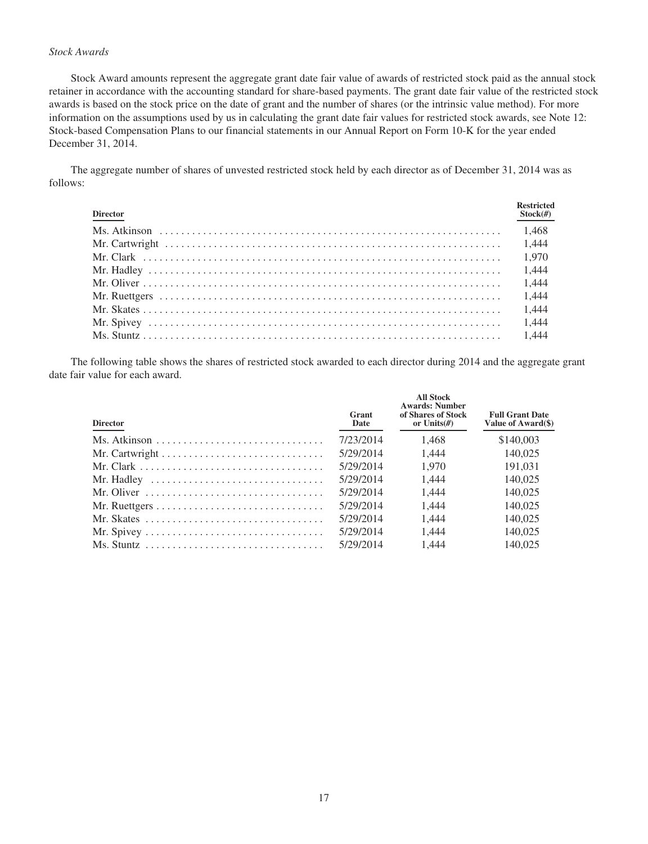# *Stock Awards*

Stock Award amounts represent the aggregate grant date fair value of awards of restricted stock paid as the annual stock retainer in accordance with the accounting standard for share-based payments. The grant date fair value of the restricted stock awards is based on the stock price on the date of grant and the number of shares (or the intrinsic value method). For more information on the assumptions used by us in calculating the grant date fair values for restricted stock awards, see Note 12: Stock-based Compensation Plans to our financial statements in our Annual Report on Form 10-K for the year ended December 31, 2014.

The aggregate number of shares of unvested restricted stock held by each director as of December 31, 2014 was as follows:

| <b>Director</b> | <b>Restricted</b><br>$Stock(\#)$ |
|-----------------|----------------------------------|
|                 |                                  |
|                 |                                  |
|                 |                                  |
|                 |                                  |
|                 |                                  |
|                 |                                  |
|                 |                                  |
|                 |                                  |
|                 |                                  |

The following table shows the shares of restricted stock awarded to each director during 2014 and the aggregate grant date fair value for each award.

| <b>Director</b>                                                                      | Grant<br>Date | <b>All Stock</b><br><b>Awards: Number</b><br>of Shares of Stock<br>or Units $(H)$ | <b>Full Grant Date</b><br>Value of Award(\$) |
|--------------------------------------------------------------------------------------|---------------|-----------------------------------------------------------------------------------|----------------------------------------------|
| Ms. Atkinson $\ldots \ldots \ldots \ldots \ldots \ldots \ldots \ldots \ldots$        | 7/23/2014     | 1.468                                                                             | \$140,003                                    |
|                                                                                      | 5/29/2014     | 1.444                                                                             | 140,025                                      |
|                                                                                      | 5/29/2014     | 1.970                                                                             | 191,031                                      |
| Mr. Hadley $\dots \dots \dots \dots \dots \dots \dots \dots \dots \dots$             | 5/29/2014     | 1.444                                                                             | 140,025                                      |
| Mr. Oliver $\dots \dots \dots \dots \dots \dots \dots \dots \dots \dots \dots$       | 5/29/2014     | 1.444                                                                             | 140,025                                      |
|                                                                                      | 5/29/2014     | 1.444                                                                             | 140,025                                      |
| Mr. Skates $\dots \dots \dots \dots \dots \dots \dots \dots \dots \dots \dots \dots$ | 5/29/2014     | 1.444                                                                             | 140,025                                      |
|                                                                                      | 5/29/2014     | 1.444                                                                             | 140,025                                      |
|                                                                                      | 5/29/2014     | 1.444                                                                             | 140.025                                      |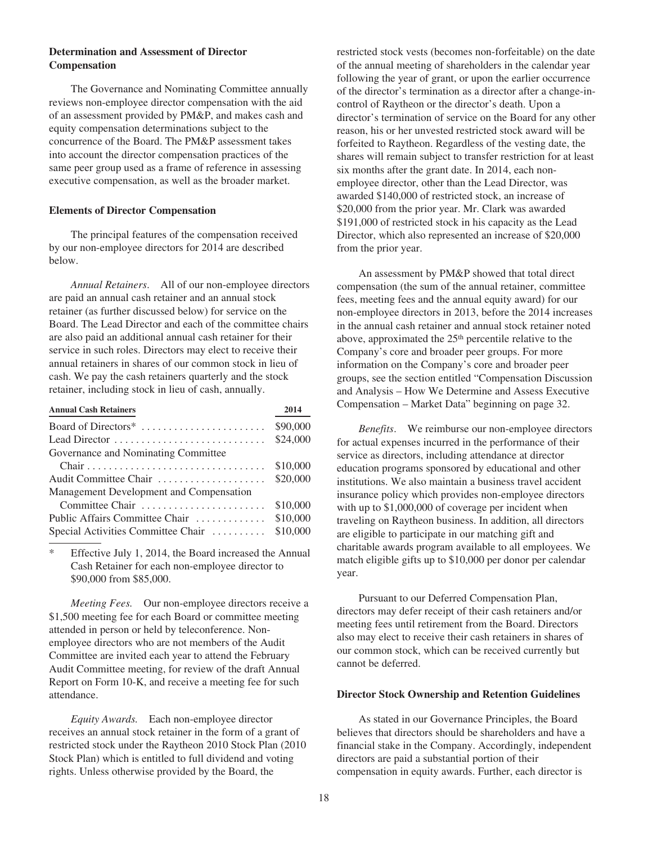# **Determination and Assessment of Director Compensation**

The Governance and Nominating Committee annually reviews non-employee director compensation with the aid of an assessment provided by PM&P, and makes cash and equity compensation determinations subject to the concurrence of the Board. The PM&P assessment takes into account the director compensation practices of the same peer group used as a frame of reference in assessing executive compensation, as well as the broader market.

### **Elements of Director Compensation**

The principal features of the compensation received by our non-employee directors for 2014 are described below.

*Annual Retainers*. All of our non-employee directors are paid an annual cash retainer and an annual stock retainer (as further discussed below) for service on the Board. The Lead Director and each of the committee chairs are also paid an additional annual cash retainer for their service in such roles. Directors may elect to receive their annual retainers in shares of our common stock in lieu of cash. We pay the cash retainers quarterly and the stock retainer, including stock in lieu of cash, annually.

| <b>Annual Cash Retainers</b>            | 2014     |
|-----------------------------------------|----------|
| Board of Directors <sup>*</sup>         | \$90,000 |
| Lead Director                           | \$24,000 |
| Governance and Nominating Committee     |          |
|                                         | \$10,000 |
| Audit Committee Chair                   | \$20,000 |
| Management Development and Compensation |          |
| Committee Chair                         | \$10,000 |
| Public Affairs Committee Chair          | \$10,000 |
| Special Activities Committee Chair      | \$10,000 |

\* Effective July 1, 2014, the Board increased the Annual Cash Retainer for each non-employee director to \$90,000 from \$85,000.

*Meeting Fees.* Our non-employee directors receive a \$1,500 meeting fee for each Board or committee meeting attended in person or held by teleconference. Nonemployee directors who are not members of the Audit Committee are invited each year to attend the February Audit Committee meeting, for review of the draft Annual Report on Form 10-K, and receive a meeting fee for such attendance.

*Equity Awards.* Each non-employee director receives an annual stock retainer in the form of a grant of restricted stock under the Raytheon 2010 Stock Plan (2010 Stock Plan) which is entitled to full dividend and voting rights. Unless otherwise provided by the Board, the

restricted stock vests (becomes non-forfeitable) on the date of the annual meeting of shareholders in the calendar year following the year of grant, or upon the earlier occurrence of the director's termination as a director after a change-incontrol of Raytheon or the director's death. Upon a director's termination of service on the Board for any other reason, his or her unvested restricted stock award will be forfeited to Raytheon. Regardless of the vesting date, the shares will remain subject to transfer restriction for at least six months after the grant date. In 2014, each nonemployee director, other than the Lead Director, was awarded \$140,000 of restricted stock, an increase of \$20,000 from the prior year. Mr. Clark was awarded \$191,000 of restricted stock in his capacity as the Lead Director, which also represented an increase of \$20,000 from the prior year.

An assessment by PM&P showed that total direct compensation (the sum of the annual retainer, committee fees, meeting fees and the annual equity award) for our non-employee directors in 2013, before the 2014 increases in the annual cash retainer and annual stock retainer noted above, approximated the 25<sup>th</sup> percentile relative to the Company's core and broader peer groups. For more information on the Company's core and broader peer groups, see the section entitled "Compensation Discussion and Analysis – How We Determine and Assess Executive Compensation – Market Data" beginning on page 32.

*Benefits*. We reimburse our non-employee directors for actual expenses incurred in the performance of their service as directors, including attendance at director education programs sponsored by educational and other institutions. We also maintain a business travel accident insurance policy which provides non-employee directors with up to \$1,000,000 of coverage per incident when traveling on Raytheon business. In addition, all directors are eligible to participate in our matching gift and charitable awards program available to all employees. We match eligible gifts up to \$10,000 per donor per calendar year.

Pursuant to our Deferred Compensation Plan, directors may defer receipt of their cash retainers and/or meeting fees until retirement from the Board. Directors also may elect to receive their cash retainers in shares of our common stock, which can be received currently but cannot be deferred.

### **Director Stock Ownership and Retention Guidelines**

As stated in our Governance Principles, the Board believes that directors should be shareholders and have a financial stake in the Company. Accordingly, independent directors are paid a substantial portion of their compensation in equity awards. Further, each director is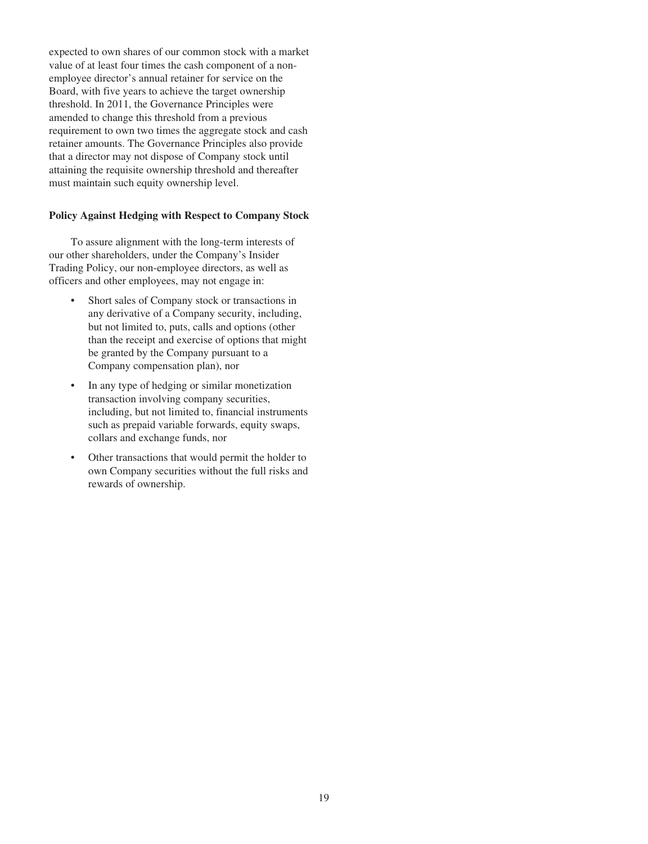expected to own shares of our common stock with a market value of at least four times the cash component of a nonemployee director's annual retainer for service on the Board, with five years to achieve the target ownership threshold. In 2011, the Governance Principles were amended to change this threshold from a previous requirement to own two times the aggregate stock and cash retainer amounts. The Governance Principles also provide that a director may not dispose of Company stock until attaining the requisite ownership threshold and thereafter must maintain such equity ownership level.

## **Policy Against Hedging with Respect to Company Stock**

To assure alignment with the long-term interests of our other shareholders, under the Company's Insider Trading Policy, our non-employee directors, as well as officers and other employees, may not engage in:

- Short sales of Company stock or transactions in any derivative of a Company security, including, but not limited to, puts, calls and options (other than the receipt and exercise of options that might be granted by the Company pursuant to a Company compensation plan), nor
- In any type of hedging or similar monetization transaction involving company securities, including, but not limited to, financial instruments such as prepaid variable forwards, equity swaps, collars and exchange funds, nor
- Other transactions that would permit the holder to own Company securities without the full risks and rewards of ownership.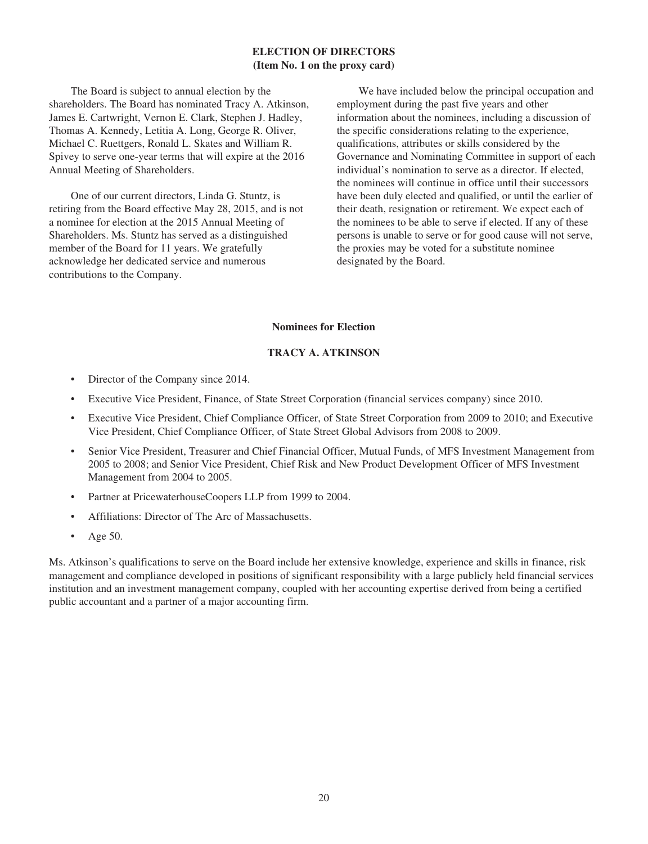# **ELECTION OF DIRECTORS (Item No. 1 on the proxy card)**

The Board is subject to annual election by the shareholders. The Board has nominated Tracy A. Atkinson, James E. Cartwright, Vernon E. Clark, Stephen J. Hadley, Thomas A. Kennedy, Letitia A. Long, George R. Oliver, Michael C. Ruettgers, Ronald L. Skates and William R. Spivey to serve one-year terms that will expire at the 2016 Annual Meeting of Shareholders.

One of our current directors, Linda G. Stuntz, is retiring from the Board effective May 28, 2015, and is not a nominee for election at the 2015 Annual Meeting of Shareholders. Ms. Stuntz has served as a distinguished member of the Board for 11 years. We gratefully acknowledge her dedicated service and numerous contributions to the Company.

We have included below the principal occupation and employment during the past five years and other information about the nominees, including a discussion of the specific considerations relating to the experience, qualifications, attributes or skills considered by the Governance and Nominating Committee in support of each individual's nomination to serve as a director. If elected, the nominees will continue in office until their successors have been duly elected and qualified, or until the earlier of their death, resignation or retirement. We expect each of the nominees to be able to serve if elected. If any of these persons is unable to serve or for good cause will not serve, the proxies may be voted for a substitute nominee designated by the Board.

## **Nominees for Election**

# **TRACY A. ATKINSON**

- Director of the Company since 2014.
- Executive Vice President, Finance, of State Street Corporation (financial services company) since 2010.
- Executive Vice President, Chief Compliance Officer, of State Street Corporation from 2009 to 2010; and Executive Vice President, Chief Compliance Officer, of State Street Global Advisors from 2008 to 2009.
- Senior Vice President, Treasurer and Chief Financial Officer, Mutual Funds, of MFS Investment Management from 2005 to 2008; and Senior Vice President, Chief Risk and New Product Development Officer of MFS Investment Management from 2004 to 2005.
- Partner at PricewaterhouseCoopers LLP from 1999 to 2004.
- Affiliations: Director of The Arc of Massachusetts.
- Age 50.

Ms. Atkinson's qualifications to serve on the Board include her extensive knowledge, experience and skills in finance, risk management and compliance developed in positions of significant responsibility with a large publicly held financial services institution and an investment management company, coupled with her accounting expertise derived from being a certified public accountant and a partner of a major accounting firm.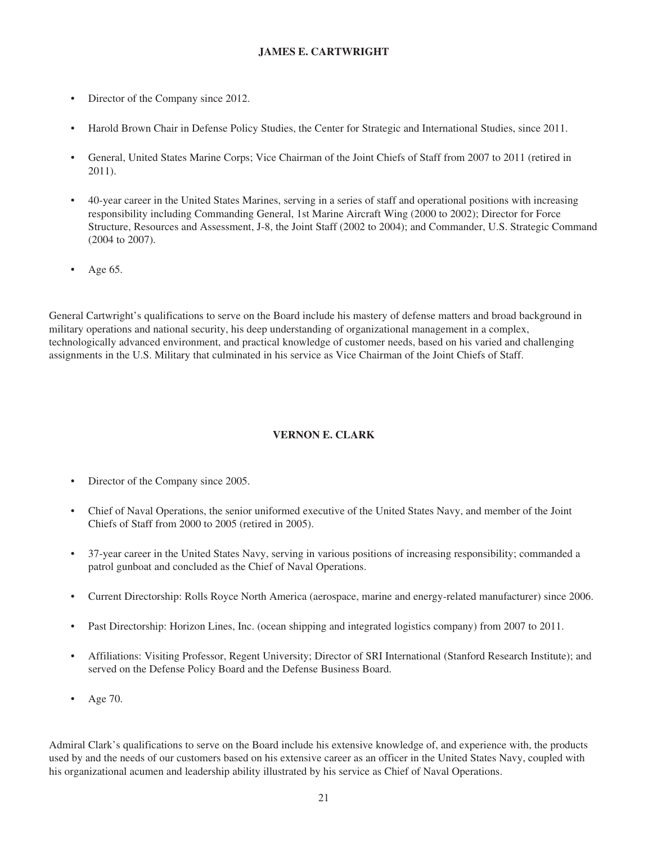# **JAMES E. CARTWRIGHT**

- Director of the Company since 2012.
- Harold Brown Chair in Defense Policy Studies, the Center for Strategic and International Studies, since 2011.
- General, United States Marine Corps; Vice Chairman of the Joint Chiefs of Staff from 2007 to 2011 (retired in 2011).
- 40-year career in the United States Marines, serving in a series of staff and operational positions with increasing responsibility including Commanding General, 1st Marine Aircraft Wing (2000 to 2002); Director for Force Structure, Resources and Assessment, J-8, the Joint Staff (2002 to 2004); and Commander, U.S. Strategic Command (2004 to 2007).
- Age 65.

General Cartwright's qualifications to serve on the Board include his mastery of defense matters and broad background in military operations and national security, his deep understanding of organizational management in a complex, technologically advanced environment, and practical knowledge of customer needs, based on his varied and challenging assignments in the U.S. Military that culminated in his service as Vice Chairman of the Joint Chiefs of Staff.

# **VERNON E. CLARK**

- Director of the Company since 2005.
- Chief of Naval Operations, the senior uniformed executive of the United States Navy, and member of the Joint Chiefs of Staff from 2000 to 2005 (retired in 2005).
- 37-year career in the United States Navy, serving in various positions of increasing responsibility; commanded a patrol gunboat and concluded as the Chief of Naval Operations.
- Current Directorship: Rolls Royce North America (aerospace, marine and energy-related manufacturer) since 2006.
- Past Directorship: Horizon Lines, Inc. (ocean shipping and integrated logistics company) from 2007 to 2011.
- Affiliations: Visiting Professor, Regent University; Director of SRI International (Stanford Research Institute); and served on the Defense Policy Board and the Defense Business Board.
- Age 70.

Admiral Clark's qualifications to serve on the Board include his extensive knowledge of, and experience with, the products used by and the needs of our customers based on his extensive career as an officer in the United States Navy, coupled with his organizational acumen and leadership ability illustrated by his service as Chief of Naval Operations.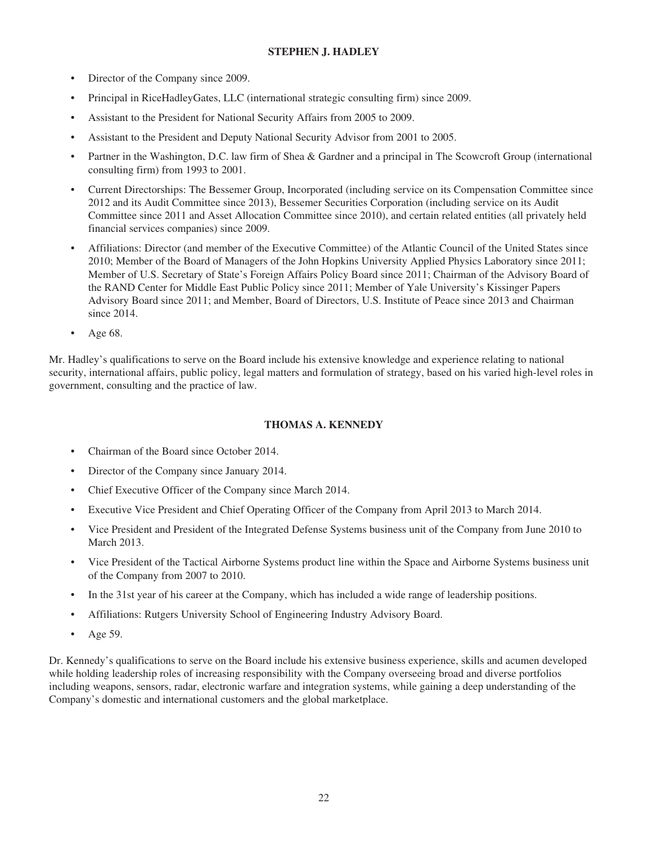# **STEPHEN J. HADLEY**

- Director of the Company since 2009.
- Principal in RiceHadleyGates, LLC (international strategic consulting firm) since 2009.
- Assistant to the President for National Security Affairs from 2005 to 2009.
- Assistant to the President and Deputy National Security Advisor from 2001 to 2005.
- Partner in the Washington, D.C. law firm of Shea & Gardner and a principal in The Scowcroft Group (international consulting firm) from 1993 to 2001.
- Current Directorships: The Bessemer Group, Incorporated (including service on its Compensation Committee since 2012 and its Audit Committee since 2013), Bessemer Securities Corporation (including service on its Audit Committee since 2011 and Asset Allocation Committee since 2010), and certain related entities (all privately held financial services companies) since 2009.
- Affiliations: Director (and member of the Executive Committee) of the Atlantic Council of the United States since 2010; Member of the Board of Managers of the John Hopkins University Applied Physics Laboratory since 2011; Member of U.S. Secretary of State's Foreign Affairs Policy Board since 2011; Chairman of the Advisory Board of the RAND Center for Middle East Public Policy since 2011; Member of Yale University's Kissinger Papers Advisory Board since 2011; and Member, Board of Directors, U.S. Institute of Peace since 2013 and Chairman since 2014.
- Age 68.

Mr. Hadley's qualifications to serve on the Board include his extensive knowledge and experience relating to national security, international affairs, public policy, legal matters and formulation of strategy, based on his varied high-level roles in government, consulting and the practice of law.

# **THOMAS A. KENNEDY**

- Chairman of the Board since October 2014.
- Director of the Company since January 2014.
- Chief Executive Officer of the Company since March 2014.
- Executive Vice President and Chief Operating Officer of the Company from April 2013 to March 2014.
- Vice President and President of the Integrated Defense Systems business unit of the Company from June 2010 to March 2013.
- Vice President of the Tactical Airborne Systems product line within the Space and Airborne Systems business unit of the Company from 2007 to 2010.
- In the 31st year of his career at the Company, which has included a wide range of leadership positions.
- Affiliations: Rutgers University School of Engineering Industry Advisory Board.
- Age 59.

Dr. Kennedy's qualifications to serve on the Board include his extensive business experience, skills and acumen developed while holding leadership roles of increasing responsibility with the Company overseeing broad and diverse portfolios including weapons, sensors, radar, electronic warfare and integration systems, while gaining a deep understanding of the Company's domestic and international customers and the global marketplace.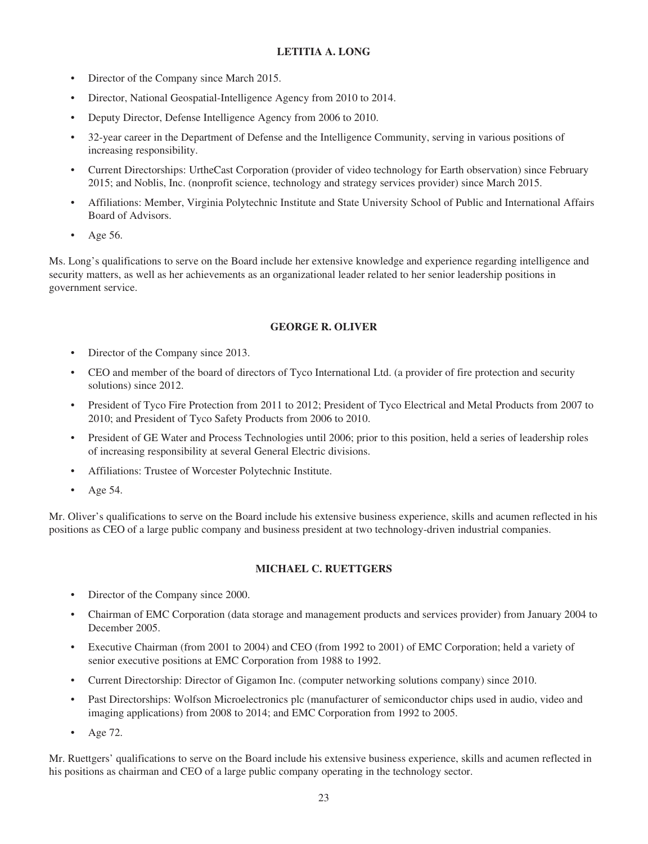# **LETITIA A. LONG**

- Director of the Company since March 2015.
- Director, National Geospatial-Intelligence Agency from 2010 to 2014.
- Deputy Director, Defense Intelligence Agency from 2006 to 2010.
- 32-year career in the Department of Defense and the Intelligence Community, serving in various positions of increasing responsibility.
- Current Directorships: UrtheCast Corporation (provider of video technology for Earth observation) since February 2015; and Noblis, Inc. (nonprofit science, technology and strategy services provider) since March 2015.
- Affiliations: Member, Virginia Polytechnic Institute and State University School of Public and International Affairs Board of Advisors.
- Age 56.

Ms. Long's qualifications to serve on the Board include her extensive knowledge and experience regarding intelligence and security matters, as well as her achievements as an organizational leader related to her senior leadership positions in government service.

# **GEORGE R. OLIVER**

- Director of the Company since 2013.
- CEO and member of the board of directors of Tyco International Ltd. (a provider of fire protection and security solutions) since 2012.
- President of Tyco Fire Protection from 2011 to 2012; President of Tyco Electrical and Metal Products from 2007 to 2010; and President of Tyco Safety Products from 2006 to 2010.
- President of GE Water and Process Technologies until 2006; prior to this position, held a series of leadership roles of increasing responsibility at several General Electric divisions.
- Affiliations: Trustee of Worcester Polytechnic Institute.
- Age 54.

Mr. Oliver's qualifications to serve on the Board include his extensive business experience, skills and acumen reflected in his positions as CEO of a large public company and business president at two technology-driven industrial companies.

# **MICHAEL C. RUETTGERS**

- Director of the Company since 2000.
- Chairman of EMC Corporation (data storage and management products and services provider) from January 2004 to December 2005.
- Executive Chairman (from 2001 to 2004) and CEO (from 1992 to 2001) of EMC Corporation; held a variety of senior executive positions at EMC Corporation from 1988 to 1992.
- Current Directorship: Director of Gigamon Inc. (computer networking solutions company) since 2010.
- Past Directorships: Wolfson Microelectronics plc (manufacturer of semiconductor chips used in audio, video and imaging applications) from 2008 to 2014; and EMC Corporation from 1992 to 2005.
- Age 72.

Mr. Ruettgers' qualifications to serve on the Board include his extensive business experience, skills and acumen reflected in his positions as chairman and CEO of a large public company operating in the technology sector.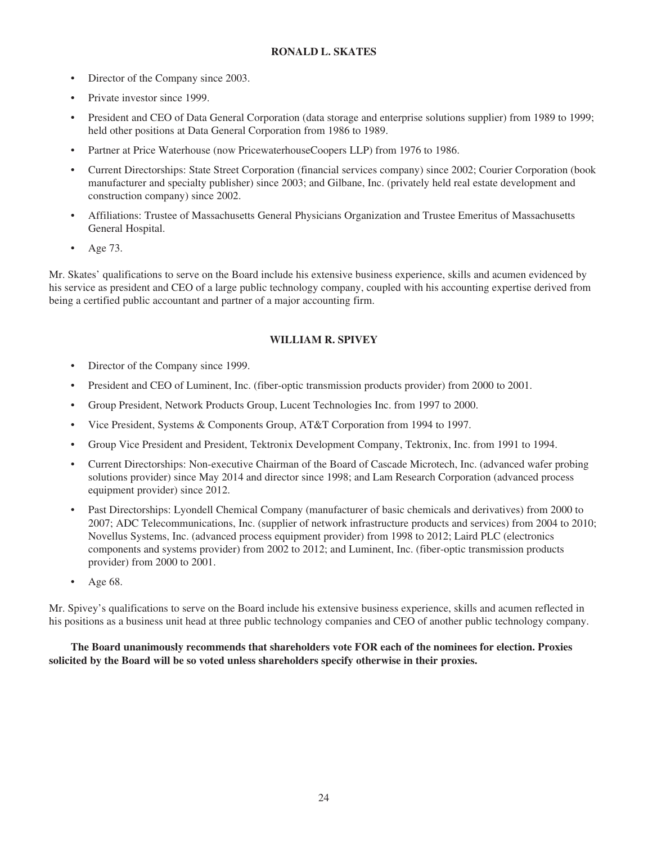# **RONALD L. SKATES**

- Director of the Company since 2003.
- Private investor since 1999.
- President and CEO of Data General Corporation (data storage and enterprise solutions supplier) from 1989 to 1999; held other positions at Data General Corporation from 1986 to 1989.
- Partner at Price Waterhouse (now PricewaterhouseCoopers LLP) from 1976 to 1986.
- Current Directorships: State Street Corporation (financial services company) since 2002; Courier Corporation (book manufacturer and specialty publisher) since 2003; and Gilbane, Inc. (privately held real estate development and construction company) since 2002.
- Affiliations: Trustee of Massachusetts General Physicians Organization and Trustee Emeritus of Massachusetts General Hospital.
- Age 73.

Mr. Skates' qualifications to serve on the Board include his extensive business experience, skills and acumen evidenced by his service as president and CEO of a large public technology company, coupled with his accounting expertise derived from being a certified public accountant and partner of a major accounting firm.

# **WILLIAM R. SPIVEY**

- Director of the Company since 1999.
- President and CEO of Luminent, Inc. (fiber-optic transmission products provider) from 2000 to 2001.
- Group President, Network Products Group, Lucent Technologies Inc. from 1997 to 2000.
- Vice President, Systems & Components Group, AT&T Corporation from 1994 to 1997.
- Group Vice President and President, Tektronix Development Company, Tektronix, Inc. from 1991 to 1994.
- Current Directorships: Non-executive Chairman of the Board of Cascade Microtech, Inc. (advanced wafer probing solutions provider) since May 2014 and director since 1998; and Lam Research Corporation (advanced process equipment provider) since 2012.
- Past Directorships: Lyondell Chemical Company (manufacturer of basic chemicals and derivatives) from 2000 to 2007; ADC Telecommunications, Inc. (supplier of network infrastructure products and services) from 2004 to 2010; Novellus Systems, Inc. (advanced process equipment provider) from 1998 to 2012; Laird PLC (electronics components and systems provider) from 2002 to 2012; and Luminent, Inc. (fiber-optic transmission products provider) from 2000 to 2001.
- Age 68.

Mr. Spivey's qualifications to serve on the Board include his extensive business experience, skills and acumen reflected in his positions as a business unit head at three public technology companies and CEO of another public technology company.

# **The Board unanimously recommends that shareholders vote FOR each of the nominees for election. Proxies solicited by the Board will be so voted unless shareholders specify otherwise in their proxies.**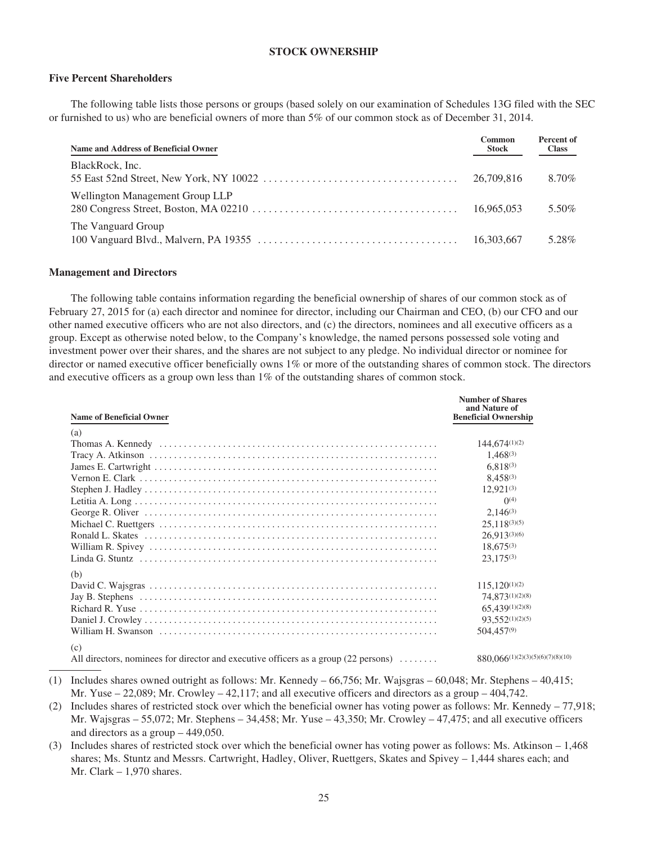## **STOCK OWNERSHIP**

### **Five Percent Shareholders**

The following table lists those persons or groups (based solely on our examination of Schedules 13G filed with the SEC or furnished to us) who are beneficial owners of more than 5% of our common stock as of December 31, 2014.

| Name and Address of Beneficial Owner | Common<br><b>Stock</b> | Percent of<br><b>Class</b> |
|--------------------------------------|------------------------|----------------------------|
| BlackRock, Inc.                      | 26,709,816             | 8.70%                      |
| Wellington Management Group LLP      | 16.965.053             | 5.50%                      |
| The Vanguard Group                   | 16,303,667             | 5.28%                      |

#### **Management and Directors**

The following table contains information regarding the beneficial ownership of shares of our common stock as of February 27, 2015 for (a) each director and nominee for director, including our Chairman and CEO, (b) our CFO and our other named executive officers who are not also directors, and (c) the directors, nominees and all executive officers as a group. Except as otherwise noted below, to the Company's knowledge, the named persons possessed sole voting and investment power over their shares, and the shares are not subject to any pledge. No individual director or nominee for director or named executive officer beneficially owns 1% or more of the outstanding shares of common stock. The directors and executive officers as a group own less than  $1\%$  of the outstanding shares of common stock.

| <b>Name of Beneficial Owner</b>                                                            | and Nature of<br><b>Beneficial Ownership</b>    |
|--------------------------------------------------------------------------------------------|-------------------------------------------------|
| (a)                                                                                        |                                                 |
|                                                                                            | $144.674^{(1)(2)}$                              |
|                                                                                            | $1.468^{(3)}$                                   |
|                                                                                            | $6.818^{(3)}$                                   |
|                                                                                            | $8,458^{(3)}$                                   |
|                                                                                            | $12,921^{(3)}$                                  |
|                                                                                            | $\Omega$ <sup>(4)</sup>                         |
|                                                                                            | $2.146^{(3)}$                                   |
|                                                                                            | $25.118^{(3)(5)}$                               |
|                                                                                            | $26.913^{(3)(6)}$                               |
|                                                                                            | $18,675^{(3)}$                                  |
|                                                                                            | $23,175^{(3)}$                                  |
| (b)                                                                                        |                                                 |
|                                                                                            | $115,120^{(1)(2)}$                              |
|                                                                                            | 74,873(1)(2)(8)                                 |
|                                                                                            | $65,439^{(1)(2)(8)}$                            |
|                                                                                            | 93,552(1)(2)(5)                                 |
|                                                                                            | 504,457(9)                                      |
| (c)<br>All directors, nominees for director and executive officers as a group (22 persons) | $880,066$ <sup>(1)</sup> (2)(3)(5)(6)(7)(8)(10) |

(1) Includes shares owned outright as follows: Mr. Kennedy – 66,756; Mr. Wajsgras – 60,048; Mr. Stephens – 40,415; Mr. Yuse – 22,089; Mr. Crowley – 42,117; and all executive officers and directors as a group – 404,742.

- (2) Includes shares of restricted stock over which the beneficial owner has voting power as follows: Mr. Kennedy 77,918; Mr. Wajsgras – 55,072; Mr. Stephens – 34,458; Mr. Yuse – 43,350; Mr. Crowley – 47,475; and all executive officers and directors as a group – 449,050.
- (3) Includes shares of restricted stock over which the beneficial owner has voting power as follows: Ms. Atkinson 1,468 shares; Ms. Stuntz and Messrs. Cartwright, Hadley, Oliver, Ruettgers, Skates and Spivey – 1,444 shares each; and Mr. Clark  $-1,970$  shares.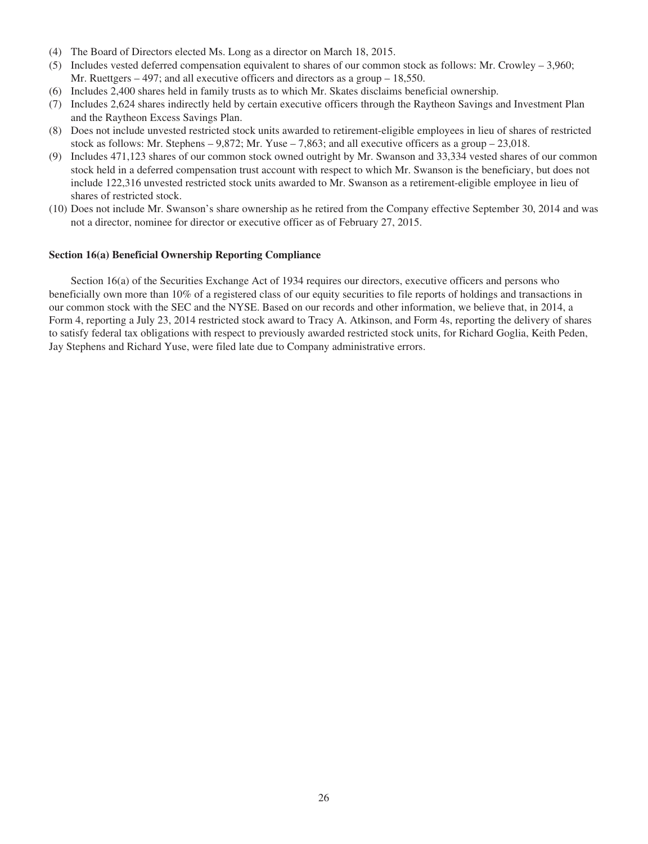- (4) The Board of Directors elected Ms. Long as a director on March 18, 2015.
- (5) Includes vested deferred compensation equivalent to shares of our common stock as follows: Mr. Crowley 3,960; Mr. Ruettgers  $-497$ ; and all executive officers and directors as a group  $-18,550$ .
- (6) Includes 2,400 shares held in family trusts as to which Mr. Skates disclaims beneficial ownership.
- (7) Includes 2,624 shares indirectly held by certain executive officers through the Raytheon Savings and Investment Plan and the Raytheon Excess Savings Plan.
- (8) Does not include unvested restricted stock units awarded to retirement-eligible employees in lieu of shares of restricted stock as follows: Mr. Stephens –  $9,872$ ; Mr. Yuse – 7,863; and all executive officers as a group – 23,018.
- (9) Includes 471,123 shares of our common stock owned outright by Mr. Swanson and 33,334 vested shares of our common stock held in a deferred compensation trust account with respect to which Mr. Swanson is the beneficiary, but does not include 122,316 unvested restricted stock units awarded to Mr. Swanson as a retirement-eligible employee in lieu of shares of restricted stock.
- (10) Does not include Mr. Swanson's share ownership as he retired from the Company effective September 30, 2014 and was not a director, nominee for director or executive officer as of February 27, 2015.

### **Section 16(a) Beneficial Ownership Reporting Compliance**

Section 16(a) of the Securities Exchange Act of 1934 requires our directors, executive officers and persons who beneficially own more than 10% of a registered class of our equity securities to file reports of holdings and transactions in our common stock with the SEC and the NYSE. Based on our records and other information, we believe that, in 2014, a Form 4, reporting a July 23, 2014 restricted stock award to Tracy A. Atkinson, and Form 4s, reporting the delivery of shares to satisfy federal tax obligations with respect to previously awarded restricted stock units, for Richard Goglia, Keith Peden, Jay Stephens and Richard Yuse, were filed late due to Company administrative errors.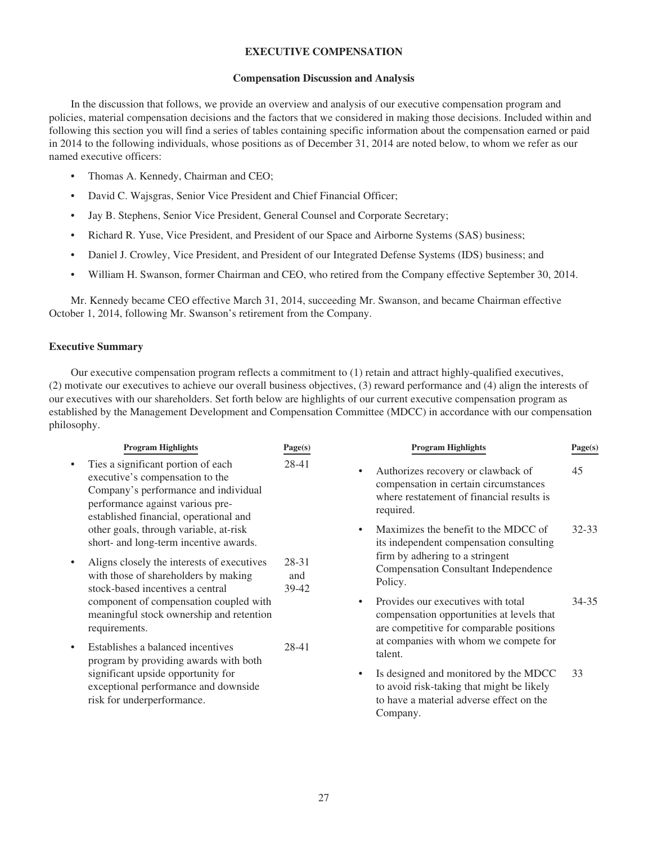## **EXECUTIVE COMPENSATION**

### **Compensation Discussion and Analysis**

In the discussion that follows, we provide an overview and analysis of our executive compensation program and policies, material compensation decisions and the factors that we considered in making those decisions. Included within and following this section you will find a series of tables containing specific information about the compensation earned or paid in 2014 to the following individuals, whose positions as of December 31, 2014 are noted below, to whom we refer as our named executive officers:

- Thomas A. Kennedy, Chairman and CEO;
- David C. Wajsgras, Senior Vice President and Chief Financial Officer;
- Jay B. Stephens, Senior Vice President, General Counsel and Corporate Secretary;
- Richard R. Yuse, Vice President, and President of our Space and Airborne Systems (SAS) business;
- Daniel J. Crowley, Vice President, and President of our Integrated Defense Systems (IDS) business; and
- William H. Swanson, former Chairman and CEO, who retired from the Company effective September 30, 2014.

Mr. Kennedy became CEO effective March 31, 2014, succeeding Mr. Swanson, and became Chairman effective October 1, 2014, following Mr. Swanson's retirement from the Company.

## **Executive Summary**

Our executive compensation program reflects a commitment to (1) retain and attract highly-qualified executives, (2) motivate our executives to achieve our overall business objectives, (3) reward performance and (4) align the interests of our executives with our shareholders. Set forth below are highlights of our current executive compensation program as established by the Management Development and Compensation Committee (MDCC) in accordance with our compensation philosophy.

|           | <b>Program Highlights</b>                                                                                                                                                                   | Page(s)               | <b>Program Highlights</b>                                                                                                                          | Page(s) |
|-----------|---------------------------------------------------------------------------------------------------------------------------------------------------------------------------------------------|-----------------------|----------------------------------------------------------------------------------------------------------------------------------------------------|---------|
| $\bullet$ | Ties a significant portion of each<br>executive's compensation to the<br>Company's performance and individual<br>performance against various pre-<br>established financial, operational and | 28-41                 | Authorizes recovery or clawback of<br>$\bullet$<br>compensation in certain circumstances<br>where restatement of financial results is<br>required. | 45      |
|           | other goals, through variable, at-risk<br>short- and long-term incentive awards.                                                                                                            |                       | Maximizes the benefit to the MDCC of<br>its independent compensation consulting                                                                    | 32-33   |
| $\bullet$ | Aligns closely the interests of executives<br>with those of shareholders by making<br>stock-based incentives a central                                                                      | 28-31<br>and<br>39-42 | firm by adhering to a stringent<br><b>Compensation Consultant Independence</b><br>Policy.                                                          |         |
|           | component of compensation coupled with<br>meaningful stock ownership and retention<br>requirements.                                                                                         |                       | Provides our executives with total<br>$\bullet$<br>compensation opportunities at levels that<br>are competitive for comparable positions           | 34-35   |
| $\bullet$ | Establishes a balanced incentives<br>program by providing awards with both<br>significant upside opportunity for<br>exceptional performance and downside<br>risk for underperformance.      | 28-41                 | at companies with whom we compete for<br>talent.                                                                                                   |         |
|           |                                                                                                                                                                                             |                       | Is designed and monitored by the MDCC<br>to avoid risk-taking that might be likely<br>to have a material adverse effect on the<br>Company.         | 33      |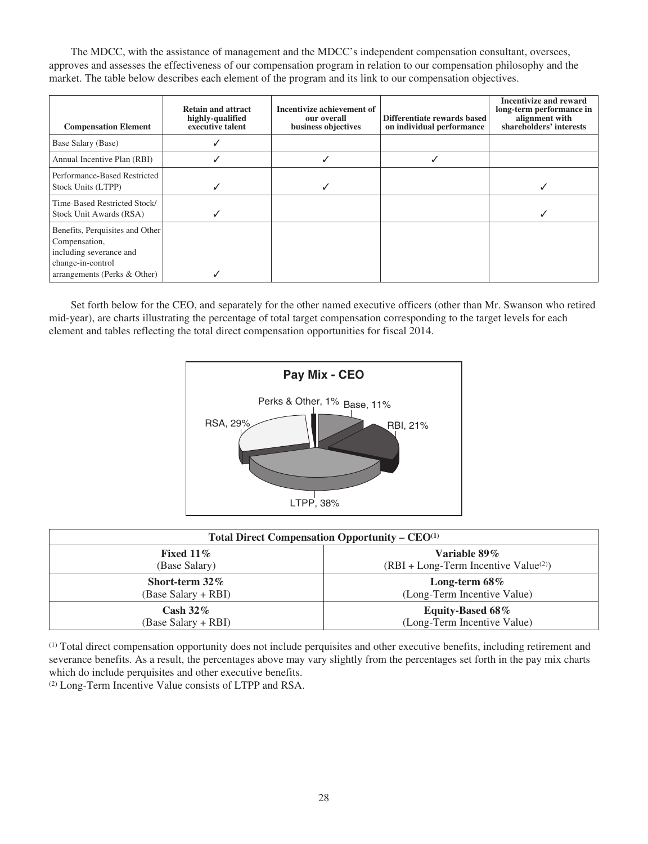The MDCC, with the assistance of management and the MDCC's independent compensation consultant, oversees, approves and assesses the effectiveness of our compensation program in relation to our compensation philosophy and the market. The table below describes each element of the program and its link to our compensation objectives.

| <b>Compensation Element</b>                                                                                                      | <b>Retain and attract</b><br>highly-qualified<br>executive talent | Incentivize achievement of<br>our overall<br>business objectives | Differentiate rewards based<br>on individual performance | <b>Incentivize and reward</b><br>long-term performance in<br>alignment with<br>shareholders' interests |
|----------------------------------------------------------------------------------------------------------------------------------|-------------------------------------------------------------------|------------------------------------------------------------------|----------------------------------------------------------|--------------------------------------------------------------------------------------------------------|
| Base Salary (Base)                                                                                                               |                                                                   |                                                                  |                                                          |                                                                                                        |
| Annual Incentive Plan (RBI)                                                                                                      |                                                                   |                                                                  |                                                          |                                                                                                        |
| Performance-Based Restricted<br>Stock Units (LTPP)                                                                               |                                                                   |                                                                  |                                                          |                                                                                                        |
| Time-Based Restricted Stock/<br>Stock Unit Awards (RSA)                                                                          |                                                                   |                                                                  |                                                          |                                                                                                        |
| Benefits, Perquisites and Other<br>Compensation,<br>including severance and<br>change-in-control<br>arrangements (Perks & Other) |                                                                   |                                                                  |                                                          |                                                                                                        |

Set forth below for the CEO, and separately for the other named executive officers (other than Mr. Swanson who retired mid-year), are charts illustrating the percentage of total target compensation corresponding to the target levels for each element and tables reflecting the total direct compensation opportunities for fiscal 2014.



| Total Direct Compensation Opportunity – $CEO(1)$ |                                        |  |  |  |
|--------------------------------------------------|----------------------------------------|--|--|--|
| Fixed 11 $\%$                                    | Variable $89\%$                        |  |  |  |
| (Base Salary)                                    | $(RBI + Long-Term Incentive Value(2))$ |  |  |  |
| Short-term $32\%$                                | Long-term $68\%$                       |  |  |  |
| (Base Salary + RBI)                              | (Long-Term Incentive Value)            |  |  |  |
| Cash $32\%$                                      | Equity-Based 68%                       |  |  |  |
| (Base Salary + RBI)                              | (Long-Term Incentive Value)            |  |  |  |

(1) Total direct compensation opportunity does not include perquisites and other executive benefits, including retirement and severance benefits. As a result, the percentages above may vary slightly from the percentages set forth in the pay mix charts which do include perquisites and other executive benefits.

(2) Long-Term Incentive Value consists of LTPP and RSA.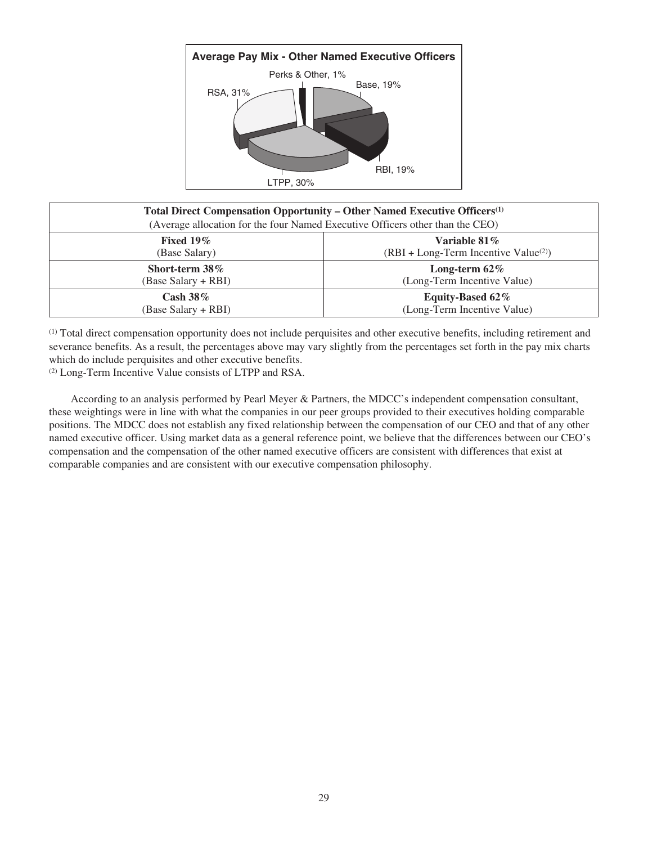

| Total Direct Compensation Opportunity – Other Named Executive Officers <sup>(1)</sup><br>(Average allocation for the four Named Executive Officers other than the CEO) |                                        |  |  |
|------------------------------------------------------------------------------------------------------------------------------------------------------------------------|----------------------------------------|--|--|
| Fixed $19\%$                                                                                                                                                           | Variable 81 $\%$                       |  |  |
| (Base Salary)                                                                                                                                                          | $(RBI + Long-Term Incentive Value(2))$ |  |  |
| Short-term 38%                                                                                                                                                         | Long-term $62\%$                       |  |  |
| (Base Salary + RBI)                                                                                                                                                    | (Long-Term Incentive Value)            |  |  |
| Cash $38\%$                                                                                                                                                            | Equity-Based 62%                       |  |  |
| (Base Salary + RBI)                                                                                                                                                    | (Long-Term Incentive Value)            |  |  |

(1) Total direct compensation opportunity does not include perquisites and other executive benefits, including retirement and severance benefits. As a result, the percentages above may vary slightly from the percentages set forth in the pay mix charts which do include perquisites and other executive benefits.

(2) Long-Term Incentive Value consists of LTPP and RSA.

According to an analysis performed by Pearl Meyer & Partners, the MDCC's independent compensation consultant, these weightings were in line with what the companies in our peer groups provided to their executives holding comparable positions. The MDCC does not establish any fixed relationship between the compensation of our CEO and that of any other named executive officer. Using market data as a general reference point, we believe that the differences between our CEO's compensation and the compensation of the other named executive officers are consistent with differences that exist at comparable companies and are consistent with our executive compensation philosophy.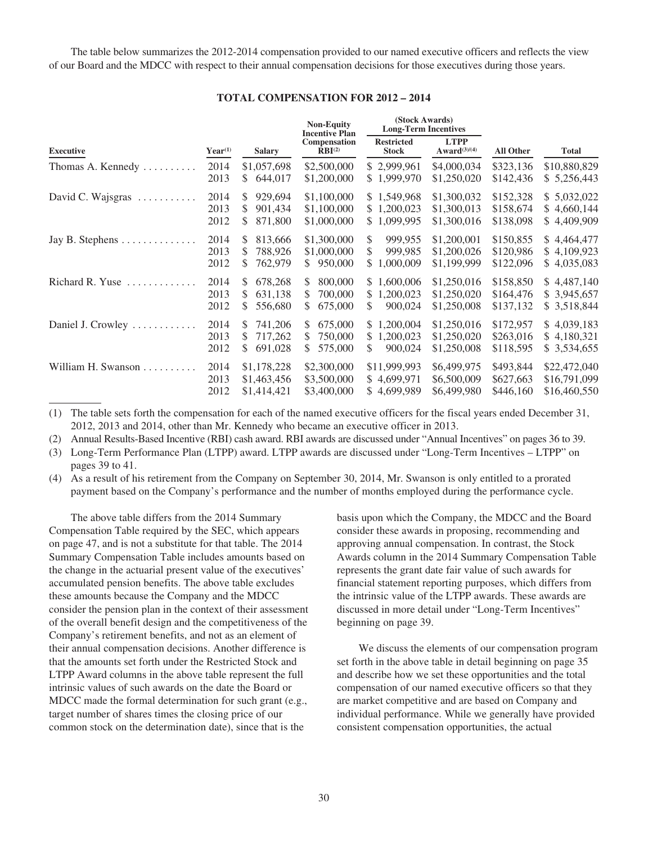The table below summarizes the 2012-2014 compensation provided to our named executive officers and reflects the view of our Board and the MDCC with respect to their annual compensation decisions for those executives during those years.

| <b>TOTAL COMPENSATION FOR 2012 - 2014</b> |  |  |
|-------------------------------------------|--|--|
|-------------------------------------------|--|--|

|                                           |                               |                                                 | <b>Non-Equity</b><br><b>Incentive Plan</b>      | (Stock Awards)<br><b>Long-Term Incentives</b>   |                                           |                                     |                                              |
|-------------------------------------------|-------------------------------|-------------------------------------------------|-------------------------------------------------|-------------------------------------------------|-------------------------------------------|-------------------------------------|----------------------------------------------|
| <b>Executive</b>                          | $Year^{(1)}$<br><b>Salary</b> | Compensation<br>$\overline{\text{RBI}}^{(2)}$   | <b>Restricted</b><br><b>Stock</b>               | <b>LTPP</b><br>$Award^{(3)/(4)}$                | <b>All Other</b>                          | <b>Total</b>                        |                                              |
| Thomas A. Kennedy                         | 2014<br>2013                  | \$1,057,698<br>\$<br>644,017                    | \$2,500,000<br>\$1,200,000                      | \$2,999,961<br>\$1,999,970                      | \$4,000,034<br>\$1,250,020                | \$323,136<br>\$142,436              | \$10,880,829<br>\$5,256,443                  |
| David C. Wajsgras $\dots \dots$           | 2014<br>2013<br>2012          | 929,694<br>\$<br>\$<br>901,434<br>\$<br>871,800 | \$1,100,000<br>\$1,100,000<br>\$1,000,000       | \$1,549,968<br>\$1,200,023<br>\$1,099,995       | \$1,300,032<br>\$1,300,013<br>\$1,300,016 | \$152,328<br>\$158,674<br>\$138,098 | \$5,032,022<br>\$4,660,144<br>\$4,409,909    |
| Jay B. Stephens $\dots \dots \dots \dots$ | 2014<br>2013<br>2012          | S<br>813,666<br>\$<br>788,926<br>\$<br>762,979  | \$1,300,000<br>\$1,000,000<br>950,000<br>S.     | \$<br>999,955<br>\$<br>999,985<br>1,000,009     | \$1,200,001<br>\$1,200,026<br>\$1,199,999 | \$150,855<br>\$120,986<br>\$122,096 | \$4,464,477<br>\$4,109,923<br>\$4,035,083    |
| Richard R. Yuse<br>.                      | 2014<br>2013<br>2012          | \$<br>678,268<br>\$<br>631,138<br>556,680<br>S  | 800,000<br>S.<br>700,000<br>S.<br>S.<br>675,000 | \$1,600,006<br>\$<br>1,200,023<br>\$<br>900,024 | \$1,250,016<br>\$1,250,020<br>\$1,250,008 | \$158,850<br>\$164,476<br>\$137,132 | \$4,487,140<br>\$3,945,657<br>\$3,518,844    |
| Daniel J. Crowley $\dots\dots\dots\dots$  | 2014<br>2013<br>2012          | \$<br>741,206<br>717,262<br>S<br>691,028<br>\$  | 675,000<br>S.<br>750,000<br>S.<br>575,000<br>S. | \$1,200,004<br>1,200,023<br>\$.<br>900,024<br>S | \$1,250,016<br>\$1,250,020<br>\$1,250,008 | \$172,957<br>\$263,016<br>\$118,595 | \$4,039,183<br>\$4,180,321<br>\$ 3,534,655   |
| William H. Swanson                        | 2014<br>2013<br>2012          | \$1,178,228<br>\$1,463,456<br>\$1,414,421       | \$2,300,000<br>\$3,500,000<br>\$3,400,000       | \$11,999,993<br>\$4,699,971<br>\$4,699,989      | \$6,499,975<br>\$6,500,009<br>\$6,499,980 | \$493,844<br>\$627,663<br>\$446,160 | \$22,472,040<br>\$16,791,099<br>\$16,460,550 |

(1) The table sets forth the compensation for each of the named executive officers for the fiscal years ended December 31, 2012, 2013 and 2014, other than Mr. Kennedy who became an executive officer in 2013.

(2) Annual Results-Based Incentive (RBI) cash award. RBI awards are discussed under "Annual Incentives" on pages 36 to 39.

(3) Long-Term Performance Plan (LTPP) award. LTPP awards are discussed under "Long-Term Incentives – LTPP" on pages 39 to 41.

(4) As a result of his retirement from the Company on September 30, 2014, Mr. Swanson is only entitled to a prorated payment based on the Company's performance and the number of months employed during the performance cycle.

The above table differs from the 2014 Summary Compensation Table required by the SEC, which appears on page 47, and is not a substitute for that table. The 2014 Summary Compensation Table includes amounts based on the change in the actuarial present value of the executives' accumulated pension benefits. The above table excludes these amounts because the Company and the MDCC consider the pension plan in the context of their assessment of the overall benefit design and the competitiveness of the Company's retirement benefits, and not as an element of their annual compensation decisions. Another difference is that the amounts set forth under the Restricted Stock and LTPP Award columns in the above table represent the full intrinsic values of such awards on the date the Board or MDCC made the formal determination for such grant (e.g., target number of shares times the closing price of our common stock on the determination date), since that is the

basis upon which the Company, the MDCC and the Board consider these awards in proposing, recommending and approving annual compensation. In contrast, the Stock Awards column in the 2014 Summary Compensation Table represents the grant date fair value of such awards for financial statement reporting purposes, which differs from the intrinsic value of the LTPP awards. These awards are discussed in more detail under "Long-Term Incentives" beginning on page 39.

We discuss the elements of our compensation program set forth in the above table in detail beginning on page 35 and describe how we set these opportunities and the total compensation of our named executive officers so that they are market competitive and are based on Company and individual performance. While we generally have provided consistent compensation opportunities, the actual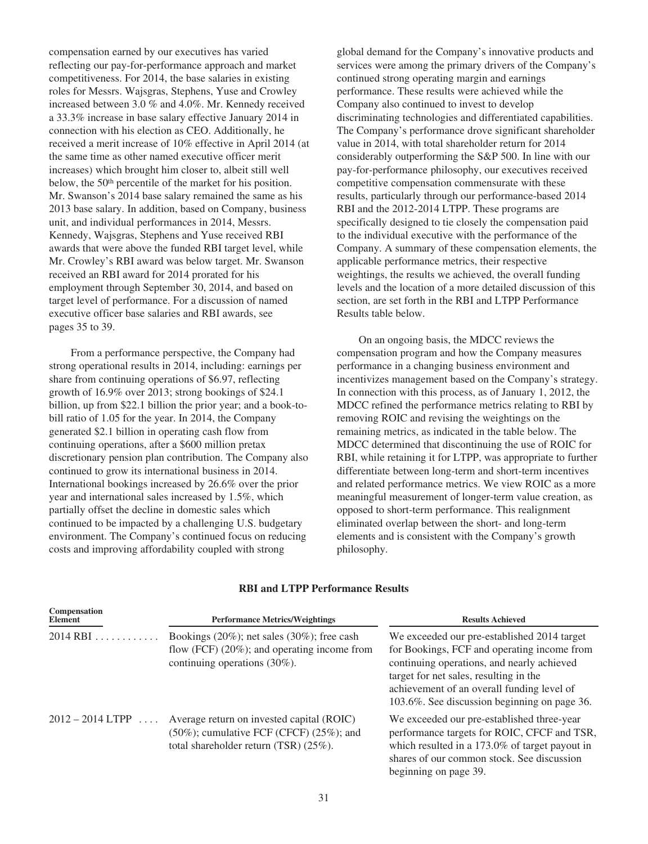compensation earned by our executives has varied reflecting our pay-for-performance approach and market competitiveness. For 2014, the base salaries in existing roles for Messrs. Wajsgras, Stephens, Yuse and Crowley increased between 3.0 % and 4.0%. Mr. Kennedy received a 33.3% increase in base salary effective January 2014 in connection with his election as CEO. Additionally, he received a merit increase of 10% effective in April 2014 (at the same time as other named executive officer merit increases) which brought him closer to, albeit still well below, the 50<sup>th</sup> percentile of the market for his position. Mr. Swanson's 2014 base salary remained the same as his 2013 base salary. In addition, based on Company, business unit, and individual performances in 2014, Messrs. Kennedy, Wajsgras, Stephens and Yuse received RBI awards that were above the funded RBI target level, while Mr. Crowley's RBI award was below target. Mr. Swanson received an RBI award for 2014 prorated for his employment through September 30, 2014, and based on target level of performance. For a discussion of named executive officer base salaries and RBI awards, see pages 35 to 39.

From a performance perspective, the Company had strong operational results in 2014, including: earnings per share from continuing operations of \$6.97, reflecting growth of 16.9% over 2013; strong bookings of \$24.1 billion, up from \$22.1 billion the prior year; and a book-tobill ratio of 1.05 for the year. In 2014, the Company generated \$2.1 billion in operating cash flow from continuing operations, after a \$600 million pretax discretionary pension plan contribution. The Company also continued to grow its international business in 2014. International bookings increased by 26.6% over the prior year and international sales increased by 1.5%, which partially offset the decline in domestic sales which continued to be impacted by a challenging U.S. budgetary environment. The Company's continued focus on reducing costs and improving affordability coupled with strong

global demand for the Company's innovative products and services were among the primary drivers of the Company's continued strong operating margin and earnings performance. These results were achieved while the Company also continued to invest to develop discriminating technologies and differentiated capabilities. The Company's performance drove significant shareholder value in 2014, with total shareholder return for 2014 considerably outperforming the S&P 500. In line with our pay-for-performance philosophy, our executives received competitive compensation commensurate with these results, particularly through our performance-based 2014 RBI and the 2012-2014 LTPP. These programs are specifically designed to tie closely the compensation paid to the individual executive with the performance of the Company. A summary of these compensation elements, the applicable performance metrics, their respective weightings, the results we achieved, the overall funding levels and the location of a more detailed discussion of this section, are set forth in the RBI and LTPP Performance Results table below.

On an ongoing basis, the MDCC reviews the compensation program and how the Company measures performance in a changing business environment and incentivizes management based on the Company's strategy. In connection with this process, as of January 1, 2012, the MDCC refined the performance metrics relating to RBI by removing ROIC and revising the weightings on the remaining metrics, as indicated in the table below. The MDCC determined that discontinuing the use of ROIC for RBI, while retaining it for LTPP, was appropriate to further differentiate between long-term and short-term incentives and related performance metrics. We view ROIC as a more meaningful measurement of longer-term value creation, as opposed to short-term performance. This realignment eliminated overlap between the short- and long-term elements and is consistent with the Company's growth philosophy.

| Compensation<br>Element | <b>Performance Metrics/Weightings</b>                                                                                                     | <b>Results Achieved</b>                                                                                                                                                                                                                                                          |  |  |
|-------------------------|-------------------------------------------------------------------------------------------------------------------------------------------|----------------------------------------------------------------------------------------------------------------------------------------------------------------------------------------------------------------------------------------------------------------------------------|--|--|
| $2014$ RBI              | Bookings $(20\%)$ ; net sales $(30\%)$ ; free cash<br>flow (FCF) $(20\%)$ ; and operating income from<br>continuing operations $(30\%)$ . | We exceeded our pre-established 2014 target<br>for Bookings, FCF and operating income from<br>continuing operations, and nearly achieved<br>target for net sales, resulting in the<br>achievement of an overall funding level of<br>103.6%. See discussion beginning on page 36. |  |  |
| $2012 - 2014$ LTPP      | Average return on invested capital (ROIC)<br>$(50\%)$ ; cumulative FCF (CFCF) $(25\%)$ ; and<br>total shareholder return $(TSR)$ (25%).   | We exceeded our pre-established three-year<br>performance targets for ROIC, CFCF and TSR,<br>which resulted in a 173.0% of target payout in<br>shares of our common stock. See discussion<br>beginning on page 39.                                                               |  |  |

# **RBI and LTPP Performance Results**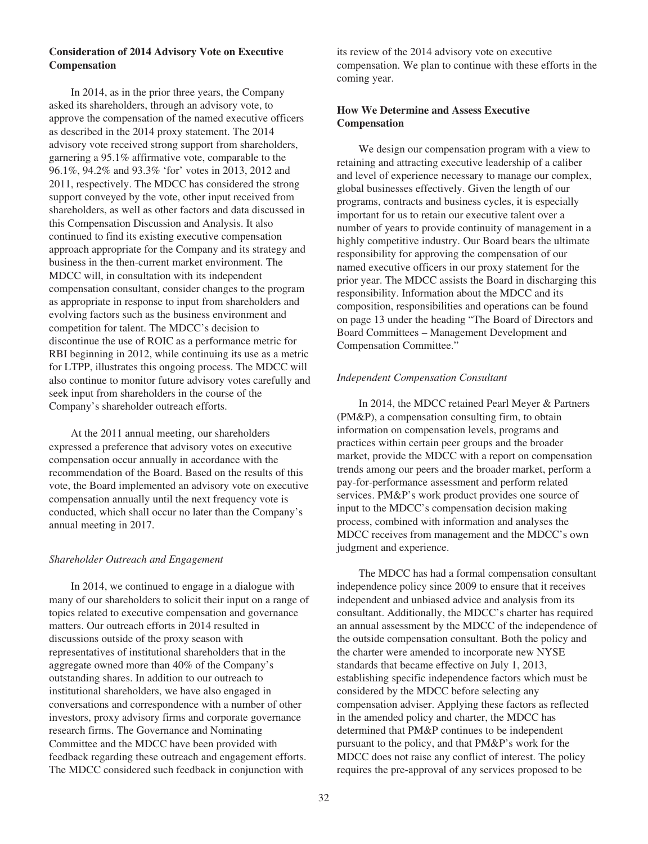# **Consideration of 2014 Advisory Vote on Executive Compensation**

In 2014, as in the prior three years, the Company asked its shareholders, through an advisory vote, to approve the compensation of the named executive officers as described in the 2014 proxy statement. The 2014 advisory vote received strong support from shareholders, garnering a 95.1% affirmative vote, comparable to the 96.1%, 94.2% and 93.3% 'for' votes in 2013, 2012 and 2011, respectively. The MDCC has considered the strong support conveyed by the vote, other input received from shareholders, as well as other factors and data discussed in this Compensation Discussion and Analysis. It also continued to find its existing executive compensation approach appropriate for the Company and its strategy and business in the then-current market environment. The MDCC will, in consultation with its independent compensation consultant, consider changes to the program as appropriate in response to input from shareholders and evolving factors such as the business environment and competition for talent. The MDCC's decision to discontinue the use of ROIC as a performance metric for RBI beginning in 2012, while continuing its use as a metric for LTPP, illustrates this ongoing process. The MDCC will also continue to monitor future advisory votes carefully and seek input from shareholders in the course of the Company's shareholder outreach efforts.

At the 2011 annual meeting, our shareholders expressed a preference that advisory votes on executive compensation occur annually in accordance with the recommendation of the Board. Based on the results of this vote, the Board implemented an advisory vote on executive compensation annually until the next frequency vote is conducted, which shall occur no later than the Company's annual meeting in 2017.

### *Shareholder Outreach and Engagement*

In 2014, we continued to engage in a dialogue with many of our shareholders to solicit their input on a range of topics related to executive compensation and governance matters. Our outreach efforts in 2014 resulted in discussions outside of the proxy season with representatives of institutional shareholders that in the aggregate owned more than 40% of the Company's outstanding shares. In addition to our outreach to institutional shareholders, we have also engaged in conversations and correspondence with a number of other investors, proxy advisory firms and corporate governance research firms. The Governance and Nominating Committee and the MDCC have been provided with feedback regarding these outreach and engagement efforts. The MDCC considered such feedback in conjunction with

its review of the 2014 advisory vote on executive compensation. We plan to continue with these efforts in the coming year.

# **How We Determine and Assess Executive Compensation**

We design our compensation program with a view to retaining and attracting executive leadership of a caliber and level of experience necessary to manage our complex, global businesses effectively. Given the length of our programs, contracts and business cycles, it is especially important for us to retain our executive talent over a number of years to provide continuity of management in a highly competitive industry. Our Board bears the ultimate responsibility for approving the compensation of our named executive officers in our proxy statement for the prior year. The MDCC assists the Board in discharging this responsibility. Information about the MDCC and its composition, responsibilities and operations can be found on page 13 under the heading "The Board of Directors and Board Committees – Management Development and Compensation Committee."

## *Independent Compensation Consultant*

In 2014, the MDCC retained Pearl Meyer & Partners (PM&P), a compensation consulting firm, to obtain information on compensation levels, programs and practices within certain peer groups and the broader market, provide the MDCC with a report on compensation trends among our peers and the broader market, perform a pay-for-performance assessment and perform related services. PM&P's work product provides one source of input to the MDCC's compensation decision making process, combined with information and analyses the MDCC receives from management and the MDCC's own judgment and experience.

The MDCC has had a formal compensation consultant independence policy since 2009 to ensure that it receives independent and unbiased advice and analysis from its consultant. Additionally, the MDCC's charter has required an annual assessment by the MDCC of the independence of the outside compensation consultant. Both the policy and the charter were amended to incorporate new NYSE standards that became effective on July 1, 2013, establishing specific independence factors which must be considered by the MDCC before selecting any compensation adviser. Applying these factors as reflected in the amended policy and charter, the MDCC has determined that PM&P continues to be independent pursuant to the policy, and that PM&P's work for the MDCC does not raise any conflict of interest. The policy requires the pre-approval of any services proposed to be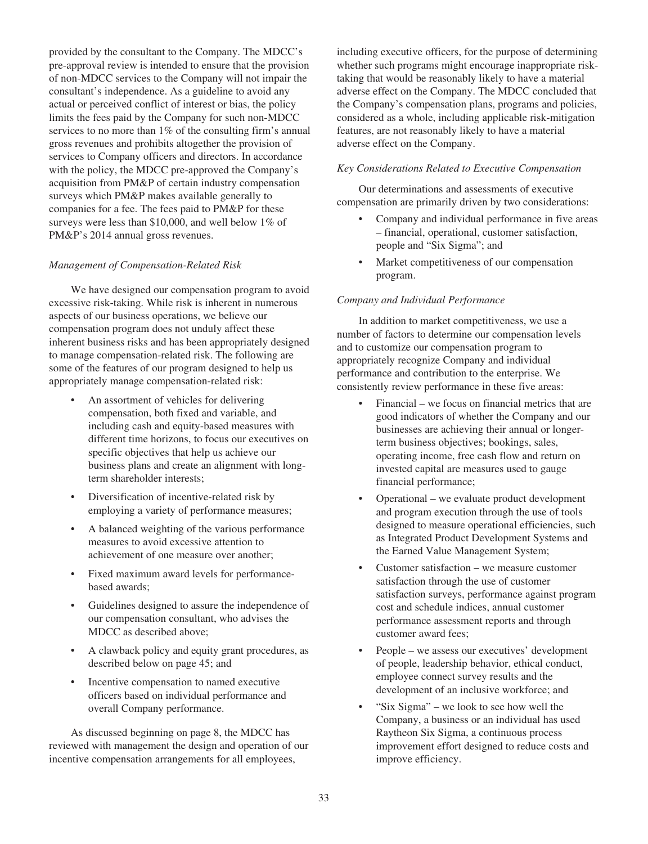provided by the consultant to the Company. The MDCC's pre-approval review is intended to ensure that the provision of non-MDCC services to the Company will not impair the consultant's independence. As a guideline to avoid any actual or perceived conflict of interest or bias, the policy limits the fees paid by the Company for such non-MDCC services to no more than 1% of the consulting firm's annual gross revenues and prohibits altogether the provision of services to Company officers and directors. In accordance with the policy, the MDCC pre-approved the Company's acquisition from PM&P of certain industry compensation surveys which PM&P makes available generally to companies for a fee. The fees paid to PM&P for these surveys were less than \$10,000, and well below  $1\%$  of PM&P's 2014 annual gross revenues.

# *Management of Compensation-Related Risk*

We have designed our compensation program to avoid excessive risk-taking. While risk is inherent in numerous aspects of our business operations, we believe our compensation program does not unduly affect these inherent business risks and has been appropriately designed to manage compensation-related risk. The following are some of the features of our program designed to help us appropriately manage compensation-related risk:

- An assortment of vehicles for delivering compensation, both fixed and variable, and including cash and equity-based measures with different time horizons, to focus our executives on specific objectives that help us achieve our business plans and create an alignment with longterm shareholder interests;
- Diversification of incentive-related risk by employing a variety of performance measures;
- A balanced weighting of the various performance measures to avoid excessive attention to achievement of one measure over another;
- Fixed maximum award levels for performancebased awards;
- Guidelines designed to assure the independence of our compensation consultant, who advises the MDCC as described above;
- A clawback policy and equity grant procedures, as described below on page 45; and
- Incentive compensation to named executive officers based on individual performance and overall Company performance.

As discussed beginning on page 8, the MDCC has reviewed with management the design and operation of our incentive compensation arrangements for all employees,

including executive officers, for the purpose of determining whether such programs might encourage inappropriate risktaking that would be reasonably likely to have a material adverse effect on the Company. The MDCC concluded that the Company's compensation plans, programs and policies, considered as a whole, including applicable risk-mitigation features, are not reasonably likely to have a material adverse effect on the Company.

### *Key Considerations Related to Executive Compensation*

Our determinations and assessments of executive compensation are primarily driven by two considerations:

- Company and individual performance in five areas – financial, operational, customer satisfaction, people and "Six Sigma"; and
- Market competitiveness of our compensation program.

## *Company and Individual Performance*

In addition to market competitiveness, we use a number of factors to determine our compensation levels and to customize our compensation program to appropriately recognize Company and individual performance and contribution to the enterprise. We consistently review performance in these five areas:

- Financial we focus on financial metrics that are good indicators of whether the Company and our businesses are achieving their annual or longerterm business objectives; bookings, sales, operating income, free cash flow and return on invested capital are measures used to gauge financial performance;
- Operational we evaluate product development and program execution through the use of tools designed to measure operational efficiencies, such as Integrated Product Development Systems and the Earned Value Management System;
- Customer satisfaction we measure customer satisfaction through the use of customer satisfaction surveys, performance against program cost and schedule indices, annual customer performance assessment reports and through customer award fees;
- People we assess our executives' development of people, leadership behavior, ethical conduct, employee connect survey results and the development of an inclusive workforce; and
- "Six Sigma" we look to see how well the Company, a business or an individual has used Raytheon Six Sigma, a continuous process improvement effort designed to reduce costs and improve efficiency.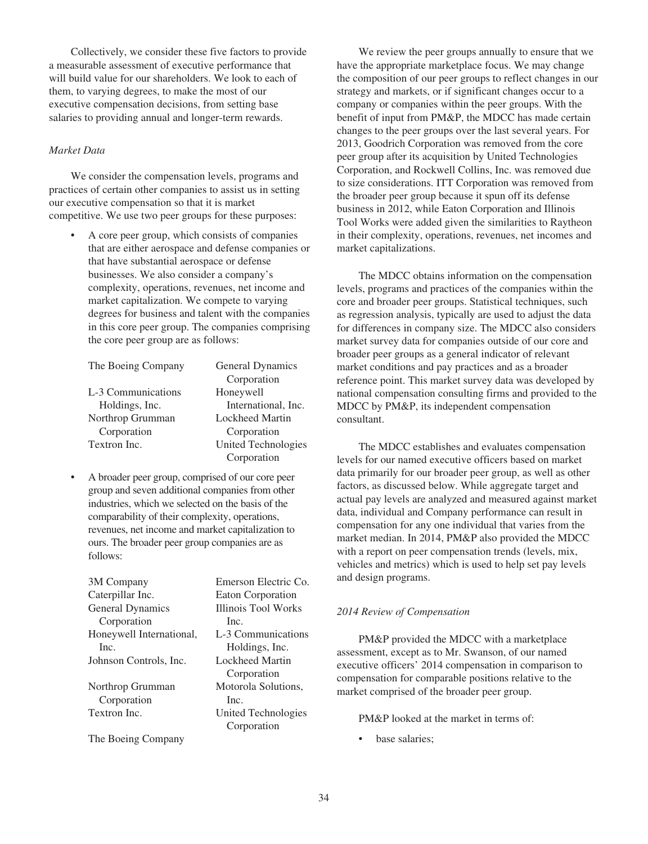Collectively, we consider these five factors to provide a measurable assessment of executive performance that will build value for our shareholders. We look to each of them, to varying degrees, to make the most of our executive compensation decisions, from setting base salaries to providing annual and longer-term rewards.

## *Market Data*

We consider the compensation levels, programs and practices of certain other companies to assist us in setting our executive compensation so that it is market competitive. We use two peer groups for these purposes:

> • A core peer group, which consists of companies that are either aerospace and defense companies or that have substantial aerospace or defense businesses. We also consider a company's complexity, operations, revenues, net income and market capitalization. We compete to varying degrees for business and talent with the companies in this core peer group. The companies comprising the core peer group are as follows:

| The Boeing Company | General Dynamics       |
|--------------------|------------------------|
|                    | Corporation            |
| L-3 Communications | Honeywell              |
| Holdings, Inc.     | International, Inc.    |
| Northrop Grumman   | <b>Lockheed Martin</b> |
| Corporation        | Corporation            |
| Textron Inc.       | United Technologies    |
|                    | Corporation            |

• A broader peer group, comprised of our core peer group and seven additional companies from other industries, which we selected on the basis of the comparability of their complexity, operations, revenues, net income and market capitalization to ours. The broader peer group companies are as follows:

| 3M Company               | Emerson Electric Co. |
|--------------------------|----------------------|
| Caterpillar Inc.         | Eaton Corporation    |
| General Dynamics         | Illinois Tool Works  |
| Corporation              | Inc.                 |
| Honeywell International, | L-3 Communications   |
| Inc.                     | Holdings, Inc.       |
| Johnson Controls, Inc.   | Lockheed Martin      |
|                          | Corporation          |
| Northrop Grumman         | Motorola Solutions,  |
| Corporation              | Inc.                 |
| Textron Inc.             | United Technologies  |
|                          | Corporation          |
| The Boeing Company       |                      |

We review the peer groups annually to ensure that we have the appropriate marketplace focus. We may change the composition of our peer groups to reflect changes in our strategy and markets, or if significant changes occur to a company or companies within the peer groups. With the benefit of input from PM&P, the MDCC has made certain changes to the peer groups over the last several years. For 2013, Goodrich Corporation was removed from the core peer group after its acquisition by United Technologies Corporation, and Rockwell Collins, Inc. was removed due to size considerations. ITT Corporation was removed from the broader peer group because it spun off its defense business in 2012, while Eaton Corporation and Illinois Tool Works were added given the similarities to Raytheon in their complexity, operations, revenues, net incomes and market capitalizations.

The MDCC obtains information on the compensation levels, programs and practices of the companies within the core and broader peer groups. Statistical techniques, such as regression analysis, typically are used to adjust the data for differences in company size. The MDCC also considers market survey data for companies outside of our core and broader peer groups as a general indicator of relevant market conditions and pay practices and as a broader reference point. This market survey data was developed by national compensation consulting firms and provided to the MDCC by PM&P, its independent compensation consultant.

The MDCC establishes and evaluates compensation levels for our named executive officers based on market data primarily for our broader peer group, as well as other factors, as discussed below. While aggregate target and actual pay levels are analyzed and measured against market data, individual and Company performance can result in compensation for any one individual that varies from the market median. In 2014, PM&P also provided the MDCC with a report on peer compensation trends (levels, mix, vehicles and metrics) which is used to help set pay levels and design programs.

### *2014 Review of Compensation*

PM&P provided the MDCC with a marketplace assessment, except as to Mr. Swanson, of our named executive officers' 2014 compensation in comparison to compensation for comparable positions relative to the market comprised of the broader peer group.

### PM&P looked at the market in terms of:

base salaries;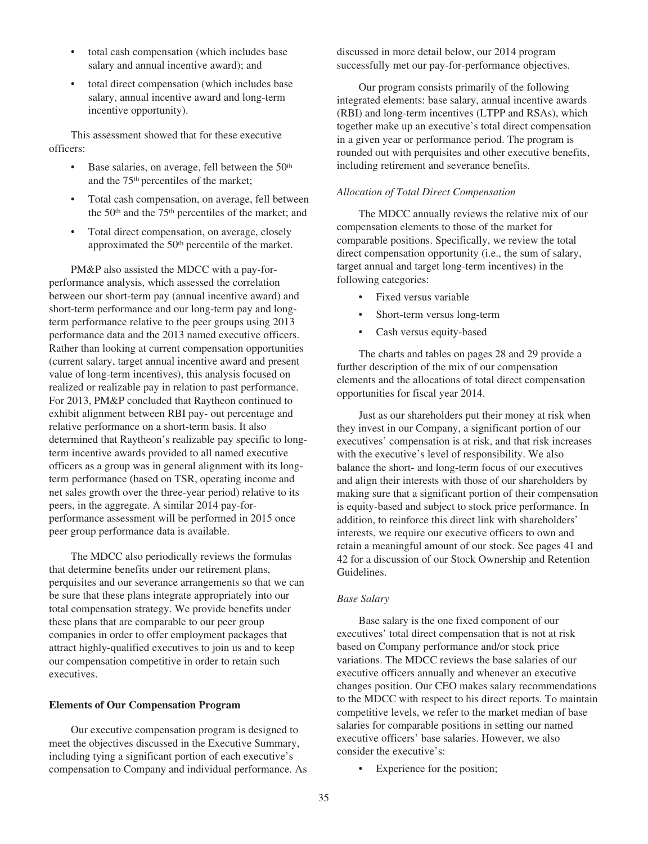- total cash compensation (which includes base salary and annual incentive award); and
- total direct compensation (which includes base salary, annual incentive award and long-term incentive opportunity).

This assessment showed that for these executive officers:

- Base salaries, on average, fell between the  $50<sup>th</sup>$ and the 75th percentiles of the market;
- Total cash compensation, on average, fell between the 50th and the 75th percentiles of the market; and
- Total direct compensation, on average, closely approximated the 50th percentile of the market.

PM&P also assisted the MDCC with a pay-forperformance analysis, which assessed the correlation between our short-term pay (annual incentive award) and short-term performance and our long-term pay and longterm performance relative to the peer groups using 2013 performance data and the 2013 named executive officers. Rather than looking at current compensation opportunities (current salary, target annual incentive award and present value of long-term incentives), this analysis focused on realized or realizable pay in relation to past performance. For 2013, PM&P concluded that Raytheon continued to exhibit alignment between RBI pay- out percentage and relative performance on a short-term basis. It also determined that Raytheon's realizable pay specific to longterm incentive awards provided to all named executive officers as a group was in general alignment with its longterm performance (based on TSR, operating income and net sales growth over the three-year period) relative to its peers, in the aggregate. A similar 2014 pay-forperformance assessment will be performed in 2015 once peer group performance data is available.

The MDCC also periodically reviews the formulas that determine benefits under our retirement plans, perquisites and our severance arrangements so that we can be sure that these plans integrate appropriately into our total compensation strategy. We provide benefits under these plans that are comparable to our peer group companies in order to offer employment packages that attract highly-qualified executives to join us and to keep our compensation competitive in order to retain such executives.

### **Elements of Our Compensation Program**

Our executive compensation program is designed to meet the objectives discussed in the Executive Summary, including tying a significant portion of each executive's compensation to Company and individual performance. As discussed in more detail below, our 2014 program successfully met our pay-for-performance objectives.

Our program consists primarily of the following integrated elements: base salary, annual incentive awards (RBI) and long-term incentives (LTPP and RSAs), which together make up an executive's total direct compensation in a given year or performance period. The program is rounded out with perquisites and other executive benefits, including retirement and severance benefits.

# *Allocation of Total Direct Compensation*

The MDCC annually reviews the relative mix of our compensation elements to those of the market for comparable positions. Specifically, we review the total direct compensation opportunity (i.e., the sum of salary, target annual and target long-term incentives) in the following categories:

- Fixed versus variable
- Short-term versus long-term
- Cash versus equity-based

The charts and tables on pages 28 and 29 provide a further description of the mix of our compensation elements and the allocations of total direct compensation opportunities for fiscal year 2014.

Just as our shareholders put their money at risk when they invest in our Company, a significant portion of our executives' compensation is at risk, and that risk increases with the executive's level of responsibility. We also balance the short- and long-term focus of our executives and align their interests with those of our shareholders by making sure that a significant portion of their compensation is equity-based and subject to stock price performance. In addition, to reinforce this direct link with shareholders' interests, we require our executive officers to own and retain a meaningful amount of our stock. See pages 41 and 42 for a discussion of our Stock Ownership and Retention Guidelines.

### *Base Salary*

Base salary is the one fixed component of our executives' total direct compensation that is not at risk based on Company performance and/or stock price variations. The MDCC reviews the base salaries of our executive officers annually and whenever an executive changes position. Our CEO makes salary recommendations to the MDCC with respect to his direct reports. To maintain competitive levels, we refer to the market median of base salaries for comparable positions in setting our named executive officers' base salaries. However, we also consider the executive's:

• Experience for the position;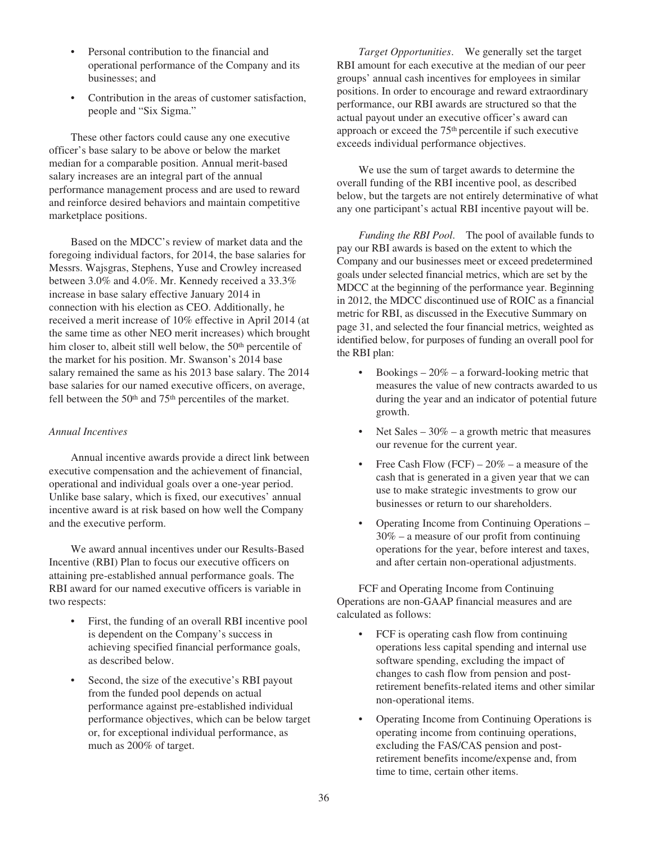- Personal contribution to the financial and operational performance of the Company and its businesses; and
- Contribution in the areas of customer satisfaction, people and "Six Sigma."

These other factors could cause any one executive officer's base salary to be above or below the market median for a comparable position. Annual merit-based salary increases are an integral part of the annual performance management process and are used to reward and reinforce desired behaviors and maintain competitive marketplace positions.

Based on the MDCC's review of market data and the foregoing individual factors, for 2014, the base salaries for Messrs. Wajsgras, Stephens, Yuse and Crowley increased between 3.0% and 4.0%. Mr. Kennedy received a 33.3% increase in base salary effective January 2014 in connection with his election as CEO. Additionally, he received a merit increase of 10% effective in April 2014 (at the same time as other NEO merit increases) which brought him closer to, albeit still well below, the 50<sup>th</sup> percentile of the market for his position. Mr. Swanson's 2014 base salary remained the same as his 2013 base salary. The 2014 base salaries for our named executive officers, on average, fell between the  $50<sup>th</sup>$  and  $75<sup>th</sup>$  percentiles of the market.

# *Annual Incentives*

Annual incentive awards provide a direct link between executive compensation and the achievement of financial, operational and individual goals over a one-year period. Unlike base salary, which is fixed, our executives' annual incentive award is at risk based on how well the Company and the executive perform.

We award annual incentives under our Results-Based Incentive (RBI) Plan to focus our executive officers on attaining pre-established annual performance goals. The RBI award for our named executive officers is variable in two respects:

- First, the funding of an overall RBI incentive pool is dependent on the Company's success in achieving specified financial performance goals, as described below.
- Second, the size of the executive's RBI payout from the funded pool depends on actual performance against pre-established individual performance objectives, which can be below target or, for exceptional individual performance, as much as 200% of target.

*Target Opportunities*. We generally set the target RBI amount for each executive at the median of our peer groups' annual cash incentives for employees in similar positions. In order to encourage and reward extraordinary performance, our RBI awards are structured so that the actual payout under an executive officer's award can approach or exceed the 75th percentile if such executive exceeds individual performance objectives.

We use the sum of target awards to determine the overall funding of the RBI incentive pool, as described below, but the targets are not entirely determinative of what any one participant's actual RBI incentive payout will be.

*Funding the RBI Pool*. The pool of available funds to pay our RBI awards is based on the extent to which the Company and our businesses meet or exceed predetermined goals under selected financial metrics, which are set by the MDCC at the beginning of the performance year. Beginning in 2012, the MDCC discontinued use of ROIC as a financial metric for RBI, as discussed in the Executive Summary on page 31, and selected the four financial metrics, weighted as identified below, for purposes of funding an overall pool for the RBI plan:

- Bookings  $-20\%$  a forward-looking metric that measures the value of new contracts awarded to us during the year and an indicator of potential future growth.
- Net Sales  $-30\%$  a growth metric that measures our revenue for the current year.
- Free Cash Flow (FCF)  $20\%$  a measure of the cash that is generated in a given year that we can use to make strategic investments to grow our businesses or return to our shareholders.
- Operating Income from Continuing Operations 30% – a measure of our profit from continuing operations for the year, before interest and taxes, and after certain non-operational adjustments.

FCF and Operating Income from Continuing Operations are non-GAAP financial measures and are calculated as follows:

- FCF is operating cash flow from continuing operations less capital spending and internal use software spending, excluding the impact of changes to cash flow from pension and postretirement benefits-related items and other similar non-operational items.
- Operating Income from Continuing Operations is operating income from continuing operations, excluding the FAS/CAS pension and postretirement benefits income/expense and, from time to time, certain other items.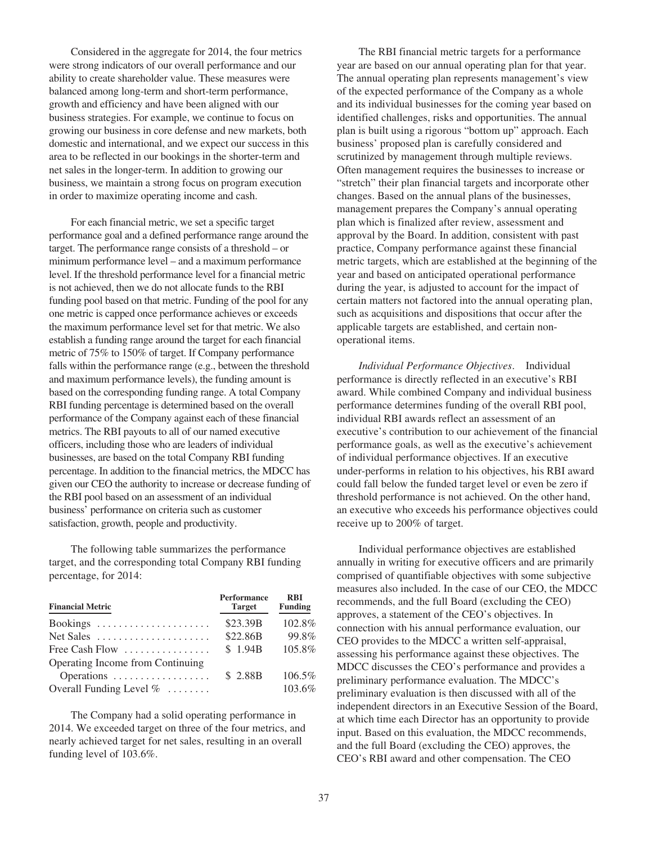Considered in the aggregate for 2014, the four metrics were strong indicators of our overall performance and our ability to create shareholder value. These measures were balanced among long-term and short-term performance, growth and efficiency and have been aligned with our business strategies. For example, we continue to focus on growing our business in core defense and new markets, both domestic and international, and we expect our success in this area to be reflected in our bookings in the shorter-term and net sales in the longer-term. In addition to growing our business, we maintain a strong focus on program execution in order to maximize operating income and cash.

For each financial metric, we set a specific target performance goal and a defined performance range around the target. The performance range consists of a threshold – or minimum performance level – and a maximum performance level. If the threshold performance level for a financial metric is not achieved, then we do not allocate funds to the RBI funding pool based on that metric. Funding of the pool for any one metric is capped once performance achieves or exceeds the maximum performance level set for that metric. We also establish a funding range around the target for each financial metric of 75% to 150% of target. If Company performance falls within the performance range (e.g., between the threshold and maximum performance levels), the funding amount is based on the corresponding funding range. A total Company RBI funding percentage is determined based on the overall performance of the Company against each of these financial metrics. The RBI payouts to all of our named executive officers, including those who are leaders of individual businesses, are based on the total Company RBI funding percentage. In addition to the financial metrics, the MDCC has given our CEO the authority to increase or decrease funding of the RBI pool based on an assessment of an individual business' performance on criteria such as customer satisfaction, growth, people and productivity.

The following table summarizes the performance target, and the corresponding total Company RBI funding percentage, for 2014:

| <b>Financial Metric</b>                               | <b>Performance</b><br><b>Target</b> | <b>RBI</b><br><b>Funding</b> |
|-------------------------------------------------------|-------------------------------------|------------------------------|
| Bookings                                              | \$23.39B                            | 102.8%                       |
| Net Sales $\dots \dots \dots \dots \dots \dots \dots$ | \$22.86B                            | 99.8%                        |
| Free Cash Flow $\dots\dots\dots\dots\dots\dots$       | \$1.94B                             | 105.8%                       |
| Operating Income from Continuing                      |                                     |                              |
| Operations                                            | \$2.88B                             | 106.5%                       |
| Overall Funding Level $\%$                            |                                     | 103.6%                       |

The Company had a solid operating performance in 2014. We exceeded target on three of the four metrics, and nearly achieved target for net sales, resulting in an overall funding level of 103.6%.

The RBI financial metric targets for a performance year are based on our annual operating plan for that year. The annual operating plan represents management's view of the expected performance of the Company as a whole and its individual businesses for the coming year based on identified challenges, risks and opportunities. The annual plan is built using a rigorous "bottom up" approach. Each business' proposed plan is carefully considered and scrutinized by management through multiple reviews. Often management requires the businesses to increase or "stretch" their plan financial targets and incorporate other changes. Based on the annual plans of the businesses, management prepares the Company's annual operating plan which is finalized after review, assessment and approval by the Board. In addition, consistent with past practice, Company performance against these financial metric targets, which are established at the beginning of the year and based on anticipated operational performance during the year, is adjusted to account for the impact of certain matters not factored into the annual operating plan, such as acquisitions and dispositions that occur after the applicable targets are established, and certain nonoperational items.

*Individual Performance Objectives*. Individual performance is directly reflected in an executive's RBI award. While combined Company and individual business performance determines funding of the overall RBI pool, individual RBI awards reflect an assessment of an executive's contribution to our achievement of the financial performance goals, as well as the executive's achievement of individual performance objectives. If an executive under-performs in relation to his objectives, his RBI award could fall below the funded target level or even be zero if threshold performance is not achieved. On the other hand, an executive who exceeds his performance objectives could receive up to 200% of target.

Individual performance objectives are established annually in writing for executive officers and are primarily comprised of quantifiable objectives with some subjective measures also included. In the case of our CEO, the MDCC recommends, and the full Board (excluding the CEO) approves, a statement of the CEO's objectives. In connection with his annual performance evaluation, our CEO provides to the MDCC a written self-appraisal, assessing his performance against these objectives. The MDCC discusses the CEO's performance and provides a preliminary performance evaluation. The MDCC's preliminary evaluation is then discussed with all of the independent directors in an Executive Session of the Board, at which time each Director has an opportunity to provide input. Based on this evaluation, the MDCC recommends, and the full Board (excluding the CEO) approves, the CEO's RBI award and other compensation. The CEO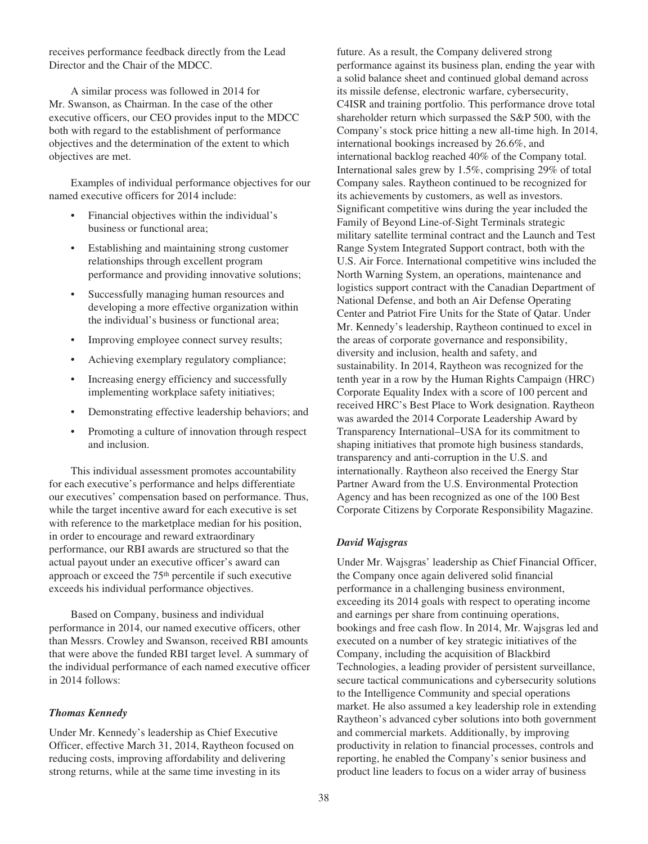receives performance feedback directly from the Lead Director and the Chair of the MDCC.

A similar process was followed in 2014 for Mr. Swanson, as Chairman. In the case of the other executive officers, our CEO provides input to the MDCC both with regard to the establishment of performance objectives and the determination of the extent to which objectives are met.

Examples of individual performance objectives for our named executive officers for 2014 include:

- Financial objectives within the individual's business or functional area;
- Establishing and maintaining strong customer relationships through excellent program performance and providing innovative solutions;
- Successfully managing human resources and developing a more effective organization within the individual's business or functional area;
- Improving employee connect survey results;
- Achieving exemplary regulatory compliance;
- Increasing energy efficiency and successfully implementing workplace safety initiatives;
- Demonstrating effective leadership behaviors; and
- Promoting a culture of innovation through respect and inclusion.

This individual assessment promotes accountability for each executive's performance and helps differentiate our executives' compensation based on performance. Thus, while the target incentive award for each executive is set with reference to the marketplace median for his position, in order to encourage and reward extraordinary performance, our RBI awards are structured so that the actual payout under an executive officer's award can approach or exceed the 75th percentile if such executive exceeds his individual performance objectives.

Based on Company, business and individual performance in 2014, our named executive officers, other than Messrs. Crowley and Swanson, received RBI amounts that were above the funded RBI target level. A summary of the individual performance of each named executive officer in 2014 follows:

# *Thomas Kennedy*

Under Mr. Kennedy's leadership as Chief Executive Officer, effective March 31, 2014, Raytheon focused on reducing costs, improving affordability and delivering strong returns, while at the same time investing in its

future. As a result, the Company delivered strong performance against its business plan, ending the year with a solid balance sheet and continued global demand across its missile defense, electronic warfare, cybersecurity, C4ISR and training portfolio. This performance drove total shareholder return which surpassed the S&P 500, with the Company's stock price hitting a new all-time high. In 2014, international bookings increased by 26.6%, and international backlog reached 40% of the Company total. International sales grew by 1.5%, comprising 29% of total Company sales. Raytheon continued to be recognized for its achievements by customers, as well as investors. Significant competitive wins during the year included the Family of Beyond Line-of-Sight Terminals strategic military satellite terminal contract and the Launch and Test Range System Integrated Support contract, both with the U.S. Air Force. International competitive wins included the North Warning System, an operations, maintenance and logistics support contract with the Canadian Department of National Defense, and both an Air Defense Operating Center and Patriot Fire Units for the State of Qatar. Under Mr. Kennedy's leadership, Raytheon continued to excel in the areas of corporate governance and responsibility, diversity and inclusion, health and safety, and sustainability. In 2014, Raytheon was recognized for the tenth year in a row by the Human Rights Campaign (HRC) Corporate Equality Index with a score of 100 percent and received HRC's Best Place to Work designation. Raytheon was awarded the 2014 Corporate Leadership Award by Transparency International–USA for its commitment to shaping initiatives that promote high business standards, transparency and anti-corruption in the U.S. and internationally. Raytheon also received the Energy Star Partner Award from the U.S. Environmental Protection Agency and has been recognized as one of the 100 Best Corporate Citizens by Corporate Responsibility Magazine.

### *David Wajsgras*

Under Mr. Wajsgras' leadership as Chief Financial Officer, the Company once again delivered solid financial performance in a challenging business environment, exceeding its 2014 goals with respect to operating income and earnings per share from continuing operations, bookings and free cash flow. In 2014, Mr. Wajsgras led and executed on a number of key strategic initiatives of the Company, including the acquisition of Blackbird Technologies, a leading provider of persistent surveillance, secure tactical communications and cybersecurity solutions to the Intelligence Community and special operations market. He also assumed a key leadership role in extending Raytheon's advanced cyber solutions into both government and commercial markets. Additionally, by improving productivity in relation to financial processes, controls and reporting, he enabled the Company's senior business and product line leaders to focus on a wider array of business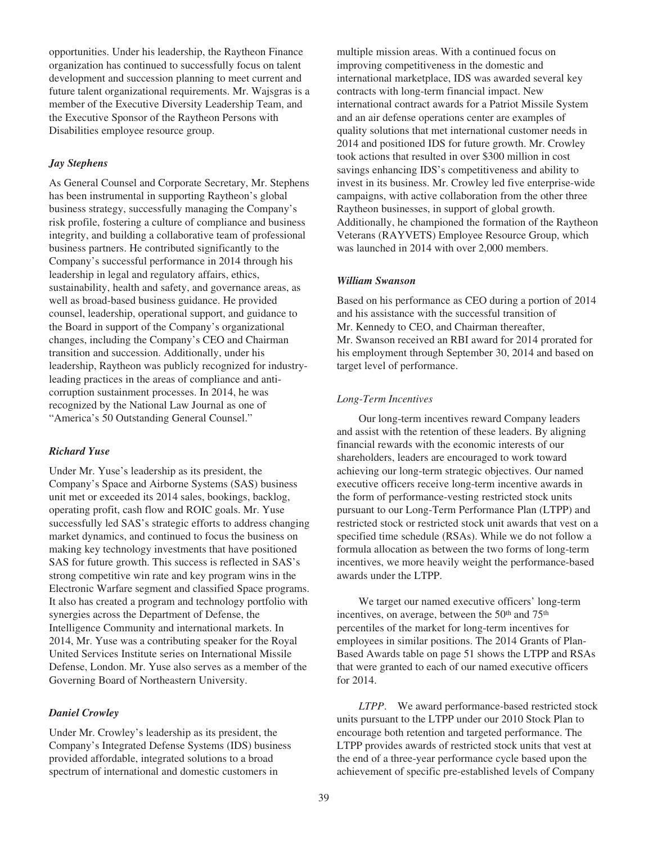opportunities. Under his leadership, the Raytheon Finance organization has continued to successfully focus on talent development and succession planning to meet current and future talent organizational requirements. Mr. Wajsgras is a member of the Executive Diversity Leadership Team, and the Executive Sponsor of the Raytheon Persons with Disabilities employee resource group.

# *Jay Stephens*

As General Counsel and Corporate Secretary, Mr. Stephens has been instrumental in supporting Raytheon's global business strategy, successfully managing the Company's risk profile, fostering a culture of compliance and business integrity, and building a collaborative team of professional business partners. He contributed significantly to the Company's successful performance in 2014 through his leadership in legal and regulatory affairs, ethics, sustainability, health and safety, and governance areas, as well as broad-based business guidance. He provided counsel, leadership, operational support, and guidance to the Board in support of the Company's organizational changes, including the Company's CEO and Chairman transition and succession. Additionally, under his leadership, Raytheon was publicly recognized for industryleading practices in the areas of compliance and anticorruption sustainment processes. In 2014, he was recognized by the National Law Journal as one of "America's 50 Outstanding General Counsel."

### *Richard Yuse*

Under Mr. Yuse's leadership as its president, the Company's Space and Airborne Systems (SAS) business unit met or exceeded its 2014 sales, bookings, backlog, operating profit, cash flow and ROIC goals. Mr. Yuse successfully led SAS's strategic efforts to address changing market dynamics, and continued to focus the business on making key technology investments that have positioned SAS for future growth. This success is reflected in SAS's strong competitive win rate and key program wins in the Electronic Warfare segment and classified Space programs. It also has created a program and technology portfolio with synergies across the Department of Defense, the Intelligence Community and international markets. In 2014, Mr. Yuse was a contributing speaker for the Royal United Services Institute series on International Missile Defense, London. Mr. Yuse also serves as a member of the Governing Board of Northeastern University.

### *Daniel Crowley*

Under Mr. Crowley's leadership as its president, the Company's Integrated Defense Systems (IDS) business provided affordable, integrated solutions to a broad spectrum of international and domestic customers in

multiple mission areas. With a continued focus on improving competitiveness in the domestic and international marketplace, IDS was awarded several key contracts with long-term financial impact. New international contract awards for a Patriot Missile System and an air defense operations center are examples of quality solutions that met international customer needs in 2014 and positioned IDS for future growth. Mr. Crowley took actions that resulted in over \$300 million in cost savings enhancing IDS's competitiveness and ability to invest in its business. Mr. Crowley led five enterprise-wide campaigns, with active collaboration from the other three Raytheon businesses, in support of global growth. Additionally, he championed the formation of the Raytheon Veterans (RAYVETS) Employee Resource Group, which was launched in 2014 with over 2,000 members.

### *William Swanson*

Based on his performance as CEO during a portion of 2014 and his assistance with the successful transition of Mr. Kennedy to CEO, and Chairman thereafter, Mr. Swanson received an RBI award for 2014 prorated for his employment through September 30, 2014 and based on target level of performance.

### *Long-Term Incentives*

Our long-term incentives reward Company leaders and assist with the retention of these leaders. By aligning financial rewards with the economic interests of our shareholders, leaders are encouraged to work toward achieving our long-term strategic objectives. Our named executive officers receive long-term incentive awards in the form of performance-vesting restricted stock units pursuant to our Long-Term Performance Plan (LTPP) and restricted stock or restricted stock unit awards that vest on a specified time schedule (RSAs). While we do not follow a formula allocation as between the two forms of long-term incentives, we more heavily weight the performance-based awards under the LTPP.

We target our named executive officers' long-term incentives, on average, between the 50<sup>th</sup> and 75<sup>th</sup> percentiles of the market for long-term incentives for employees in similar positions. The 2014 Grants of Plan-Based Awards table on page 51 shows the LTPP and RSAs that were granted to each of our named executive officers for 2014.

*LTPP*. We award performance-based restricted stock units pursuant to the LTPP under our 2010 Stock Plan to encourage both retention and targeted performance. The LTPP provides awards of restricted stock units that vest at the end of a three-year performance cycle based upon the achievement of specific pre-established levels of Company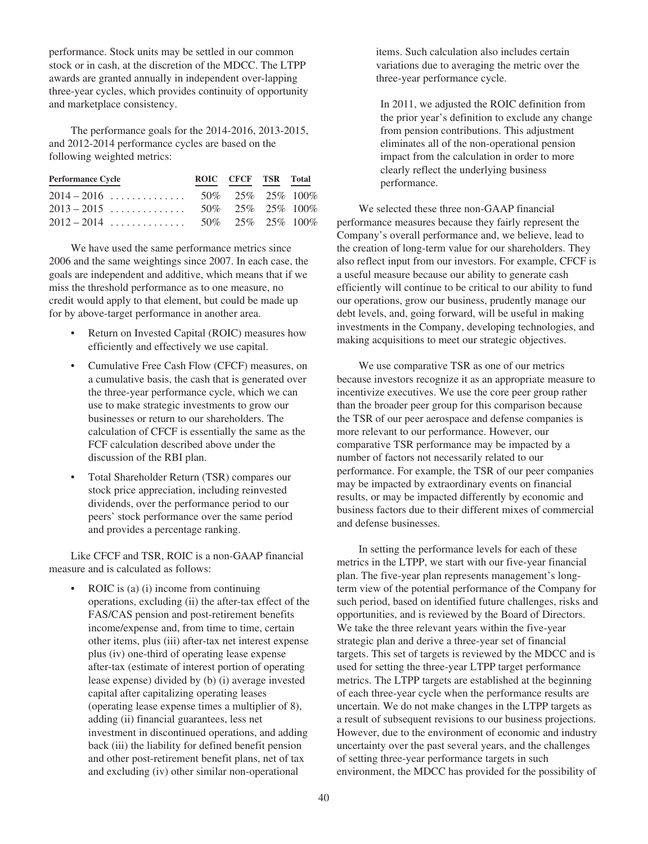performance. Stock units may be settled in our common stock or in cash, at the discretion of the MDCC. The LTPP awards are granted annually in independent over-lapping three-year cycles, which provides continuity of opportunity and marketplace consistency.

The performance goals for the 2014-2016, 2013-2015, and 2012-2014 performance cycles are based on the following weighted metrics:

| <b>Performance Cycle</b> | ROIC CFCF TSR Total |  |
|--------------------------|---------------------|--|
|                          |                     |  |
|                          |                     |  |
|                          |                     |  |

We have used the same performance metrics since 2006 and the same weightings since 2007. In each case, the goals are independent and additive, which means that if we miss the threshold performance as to one measure, no credit would apply to that element, but could be made up for by above-target performance in another area.

- Return on Invested Capital (ROIC) measures how efficiently and effectively we use capital.
- Cumulative Free Cash Flow (CFCF) measures, on a cumulative basis, the cash that is generated over the three-year performance cycle, which we can use to make strategic investments to grow our businesses or return to our shareholders. The calculation of CFCF is essentially the same as the FCF calculation described above under the discussion of the RBI plan.
- Total Shareholder Return (TSR) compares our stock price appreciation, including reinvested dividends, over the performance period to our peers' stock performance over the same period and provides a percentage ranking.

Like CFCF and TSR, ROIC is a non-GAAP financial measure and is calculated as follows:

ROIC is (a) (i) income from continuing operations, excluding (ii) the after-tax effect of the FAS/CAS pension and post-retirement benefits income/expense and, from time to time, certain other items, plus (iii) after-tax net interest expense plus (iv) one-third of operating lease expense after-tax (estimate of interest portion of operating lease expense) divided by (b) (i) average invested capital after capitalizing operating leases (operating lease expense times a multiplier of 8), adding (ii) financial guarantees, less net investment in discontinued operations, and adding back (iii) the liability for defined benefit pension and other post-retirement benefit plans, net of tax and excluding (iv) other similar non-operational

items. Such calculation also includes certain variations due to averaging the metric over the three-year performance cycle.

In 2011, we adjusted the ROIC definition from the prior year's definition to exclude any change from pension contributions. This adjustment eliminates all of the non-operational pension impact from the calculation in order to more clearly reflect the underlying business performance.

We selected these three non-GAAP financial performance measures because they fairly represent the Company's overall performance and, we believe, lead to the creation of long-term value for our shareholders. They also reflect input from our investors. For example, CFCF is a useful measure because our ability to generate cash efficiently will continue to be critical to our ability to fund our operations, grow our business, prudently manage our debt levels, and, going forward, will be useful in making investments in the Company, developing technologies, and making acquisitions to meet our strategic objectives.

We use comparative TSR as one of our metrics because investors recognize it as an appropriate measure to incentivize executives. We use the core peer group rather than the broader peer group for this comparison because the TSR of our peer aerospace and defense companies is more relevant to our performance. However, our comparative TSR performance may be impacted by a number of factors not necessarily related to our performance. For example, the TSR of our peer companies may be impacted by extraordinary events on financial results, or may be impacted differently by economic and business factors due to their different mixes of commercial and defense businesses.

In setting the performance levels for each of these metrics in the LTPP, we start with our five-year financial plan. The five-year plan represents management's longterm view of the potential performance of the Company for such period, based on identified future challenges, risks and opportunities, and is reviewed by the Board of Directors. We take the three relevant years within the five-year strategic plan and derive a three-year set of financial targets. This set of targets is reviewed by the MDCC and is used for setting the three-year LTPP target performance metrics. The LTPP targets are established at the beginning of each three-year cycle when the performance results are uncertain. We do not make changes in the LTPP targets as a result of subsequent revisions to our business projections. However, due to the environment of economic and industry uncertainty over the past several years, and the challenges of setting three-year performance targets in such environment, the MDCC has provided for the possibility of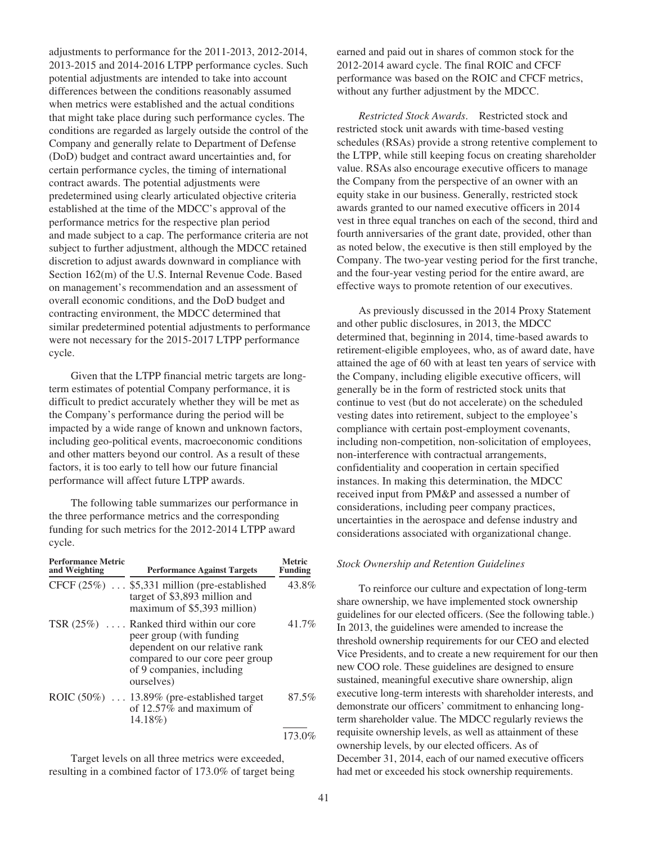adjustments to performance for the 2011-2013, 2012-2014, 2013-2015 and 2014-2016 LTPP performance cycles. Such potential adjustments are intended to take into account differences between the conditions reasonably assumed when metrics were established and the actual conditions that might take place during such performance cycles. The conditions are regarded as largely outside the control of the Company and generally relate to Department of Defense (DoD) budget and contract award uncertainties and, for certain performance cycles, the timing of international contract awards. The potential adjustments were predetermined using clearly articulated objective criteria established at the time of the MDCC's approval of the performance metrics for the respective plan period and made subject to a cap. The performance criteria are not subject to further adjustment, although the MDCC retained discretion to adjust awards downward in compliance with Section 162(m) of the U.S. Internal Revenue Code. Based on management's recommendation and an assessment of overall economic conditions, and the DoD budget and contracting environment, the MDCC determined that similar predetermined potential adjustments to performance were not necessary for the 2015-2017 LTPP performance cycle.

Given that the LTPP financial metric targets are longterm estimates of potential Company performance, it is difficult to predict accurately whether they will be met as the Company's performance during the period will be impacted by a wide range of known and unknown factors, including geo-political events, macroeconomic conditions and other matters beyond our control. As a result of these factors, it is too early to tell how our future financial performance will affect future LTPP awards.

The following table summarizes our performance in the three performance metrics and the corresponding funding for such metrics for the 2012-2014 LTPP award cycle.

| <b>Performance Metric</b><br>and Weighting | <b>Performance Against Targets</b>                                                                                                                                                    | <b>Metric</b><br><b>Funding</b> |
|--------------------------------------------|---------------------------------------------------------------------------------------------------------------------------------------------------------------------------------------|---------------------------------|
|                                            | CFCF $(25\%)$ \$5,331 million (pre-established<br>target of \$3,893 million and<br>maximum of \$5,393 million)                                                                        | 43.8%                           |
|                                            | TSR $(25\%)$ Ranked third within our core<br>peer group (with funding<br>dependent on our relative rank<br>compared to our core peer group<br>of 9 companies, including<br>ourselves) | 41.7%                           |
|                                            | ROIC $(50\%)$ 13.89% (pre-established target<br>of $12.57\%$ and maximum of<br>14.18%                                                                                                 | 87.5%                           |
|                                            |                                                                                                                                                                                       | 173.0%                          |

Target levels on all three metrics were exceeded, resulting in a combined factor of 173.0% of target being earned and paid out in shares of common stock for the 2012-2014 award cycle. The final ROIC and CFCF performance was based on the ROIC and CFCF metrics, without any further adjustment by the MDCC.

*Restricted Stock Awards*. Restricted stock and restricted stock unit awards with time-based vesting schedules (RSAs) provide a strong retentive complement to the LTPP, while still keeping focus on creating shareholder value. RSAs also encourage executive officers to manage the Company from the perspective of an owner with an equity stake in our business. Generally, restricted stock awards granted to our named executive officers in 2014 vest in three equal tranches on each of the second, third and fourth anniversaries of the grant date, provided, other than as noted below, the executive is then still employed by the Company. The two-year vesting period for the first tranche, and the four-year vesting period for the entire award, are effective ways to promote retention of our executives.

As previously discussed in the 2014 Proxy Statement and other public disclosures, in 2013, the MDCC determined that, beginning in 2014, time-based awards to retirement-eligible employees, who, as of award date, have attained the age of 60 with at least ten years of service with the Company, including eligible executive officers, will generally be in the form of restricted stock units that continue to vest (but do not accelerate) on the scheduled vesting dates into retirement, subject to the employee's compliance with certain post-employment covenants, including non-competition, non-solicitation of employees, non-interference with contractual arrangements, confidentiality and cooperation in certain specified instances. In making this determination, the MDCC received input from PM&P and assessed a number of considerations, including peer company practices, uncertainties in the aerospace and defense industry and considerations associated with organizational change.

#### *Stock Ownership and Retention Guidelines*

To reinforce our culture and expectation of long-term share ownership, we have implemented stock ownership guidelines for our elected officers. (See the following table.) In 2013, the guidelines were amended to increase the threshold ownership requirements for our CEO and elected Vice Presidents, and to create a new requirement for our then new COO role. These guidelines are designed to ensure sustained, meaningful executive share ownership, align executive long-term interests with shareholder interests, and demonstrate our officers' commitment to enhancing longterm shareholder value. The MDCC regularly reviews the requisite ownership levels, as well as attainment of these ownership levels, by our elected officers. As of December 31, 2014, each of our named executive officers had met or exceeded his stock ownership requirements.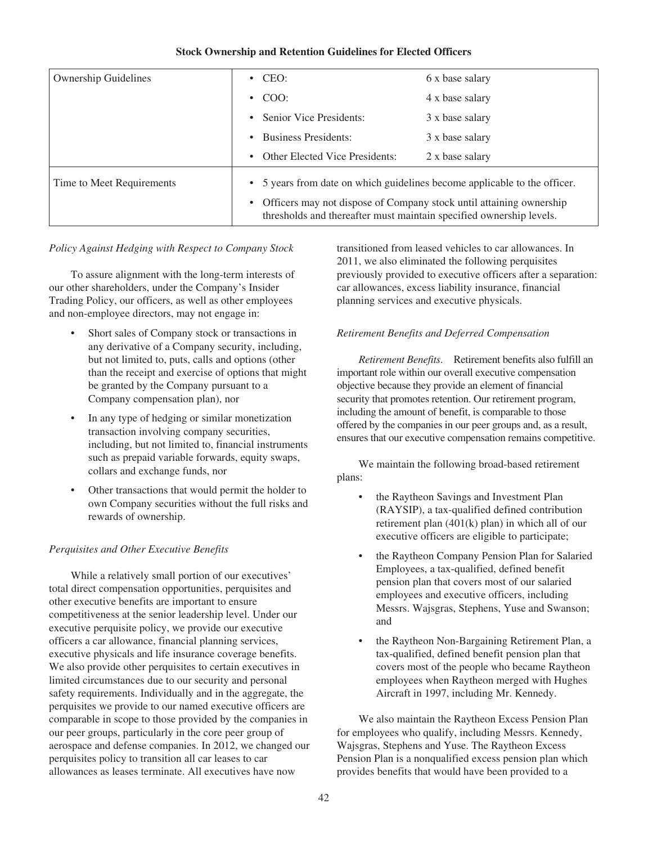# **Stock Ownership and Retention Guidelines for Elected Officers**

|                             | $\cdot$ CEO:                                                                                                                                 |                 |  |  |  |  |
|-----------------------------|----------------------------------------------------------------------------------------------------------------------------------------------|-----------------|--|--|--|--|
| <b>Ownership Guidelines</b> |                                                                                                                                              | 6 x base salary |  |  |  |  |
|                             | $\cdot$ COO:                                                                                                                                 | 4 x base salary |  |  |  |  |
|                             | Senior Vice Presidents:<br>$\bullet$                                                                                                         | 3 x base salary |  |  |  |  |
|                             | <b>Business Presidents:</b><br>$\bullet$                                                                                                     | 3 x base salary |  |  |  |  |
|                             | <b>Other Elected Vice Presidents:</b><br>$\bullet$                                                                                           | 2 x base salary |  |  |  |  |
| Time to Meet Requirements   | • 5 years from date on which guidelines become applicable to the officer.                                                                    |                 |  |  |  |  |
|                             | • Officers may not dispose of Company stock until attaining ownership<br>thresholds and thereafter must maintain specified ownership levels. |                 |  |  |  |  |

### *Policy Against Hedging with Respect to Company Stock*

To assure alignment with the long-term interests of our other shareholders, under the Company's Insider Trading Policy, our officers, as well as other employees and non-employee directors, may not engage in:

- Short sales of Company stock or transactions in any derivative of a Company security, including, but not limited to, puts, calls and options (other than the receipt and exercise of options that might be granted by the Company pursuant to a Company compensation plan), nor
- In any type of hedging or similar monetization transaction involving company securities, including, but not limited to, financial instruments such as prepaid variable forwards, equity swaps, collars and exchange funds, nor
- Other transactions that would permit the holder to own Company securities without the full risks and rewards of ownership.

# *Perquisites and Other Executive Benefits*

While a relatively small portion of our executives' total direct compensation opportunities, perquisites and other executive benefits are important to ensure competitiveness at the senior leadership level. Under our executive perquisite policy, we provide our executive officers a car allowance, financial planning services, executive physicals and life insurance coverage benefits. We also provide other perquisites to certain executives in limited circumstances due to our security and personal safety requirements. Individually and in the aggregate, the perquisites we provide to our named executive officers are comparable in scope to those provided by the companies in our peer groups, particularly in the core peer group of aerospace and defense companies. In 2012, we changed our perquisites policy to transition all car leases to car allowances as leases terminate. All executives have now

transitioned from leased vehicles to car allowances. In 2011, we also eliminated the following perquisites previously provided to executive officers after a separation: car allowances, excess liability insurance, financial planning services and executive physicals.

# *Retirement Benefits and Deferred Compensation*

*Retirement Benefits*. Retirement benefits also fulfill an important role within our overall executive compensation objective because they provide an element of financial security that promotes retention. Our retirement program, including the amount of benefit, is comparable to those offered by the companies in our peer groups and, as a result, ensures that our executive compensation remains competitive.

We maintain the following broad-based retirement plans:

- the Raytheon Savings and Investment Plan (RAYSIP), a tax-qualified defined contribution retirement plan (401(k) plan) in which all of our executive officers are eligible to participate;
- the Raytheon Company Pension Plan for Salaried Employees, a tax-qualified, defined benefit pension plan that covers most of our salaried employees and executive officers, including Messrs. Wajsgras, Stephens, Yuse and Swanson; and
- the Raytheon Non-Bargaining Retirement Plan, a tax-qualified, defined benefit pension plan that covers most of the people who became Raytheon employees when Raytheon merged with Hughes Aircraft in 1997, including Mr. Kennedy.

We also maintain the Raytheon Excess Pension Plan for employees who qualify, including Messrs. Kennedy, Wajsgras, Stephens and Yuse. The Raytheon Excess Pension Plan is a nonqualified excess pension plan which provides benefits that would have been provided to a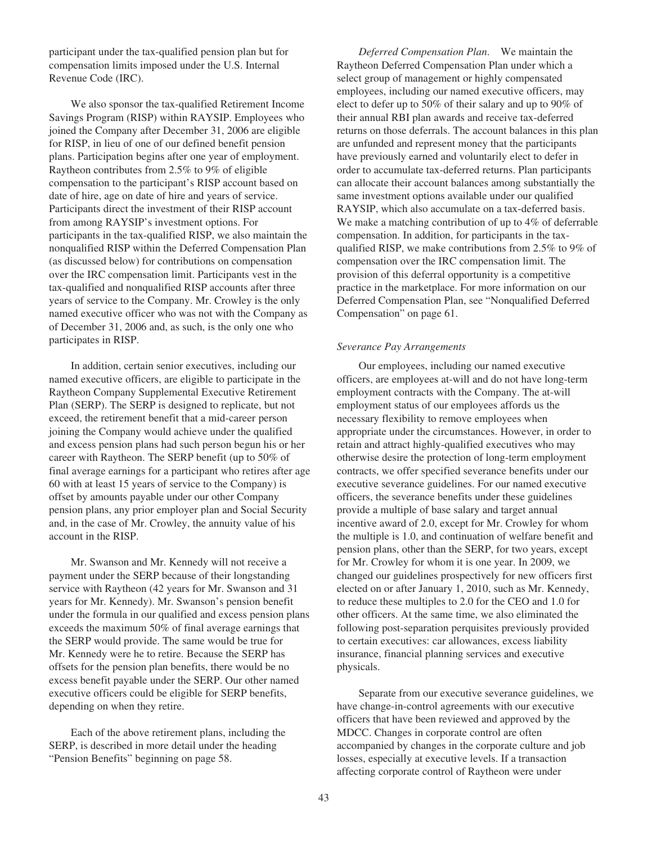participant under the tax-qualified pension plan but for compensation limits imposed under the U.S. Internal Revenue Code (IRC).

We also sponsor the tax-qualified Retirement Income Savings Program (RISP) within RAYSIP. Employees who joined the Company after December 31, 2006 are eligible for RISP, in lieu of one of our defined benefit pension plans. Participation begins after one year of employment. Raytheon contributes from 2.5% to 9% of eligible compensation to the participant's RISP account based on date of hire, age on date of hire and years of service. Participants direct the investment of their RISP account from among RAYSIP's investment options. For participants in the tax-qualified RISP, we also maintain the nonqualified RISP within the Deferred Compensation Plan (as discussed below) for contributions on compensation over the IRC compensation limit. Participants vest in the tax-qualified and nonqualified RISP accounts after three years of service to the Company. Mr. Crowley is the only named executive officer who was not with the Company as of December 31, 2006 and, as such, is the only one who participates in RISP.

In addition, certain senior executives, including our named executive officers, are eligible to participate in the Raytheon Company Supplemental Executive Retirement Plan (SERP). The SERP is designed to replicate, but not exceed, the retirement benefit that a mid-career person joining the Company would achieve under the qualified and excess pension plans had such person begun his or her career with Raytheon. The SERP benefit (up to 50% of final average earnings for a participant who retires after age 60 with at least 15 years of service to the Company) is offset by amounts payable under our other Company pension plans, any prior employer plan and Social Security and, in the case of Mr. Crowley, the annuity value of his account in the RISP.

Mr. Swanson and Mr. Kennedy will not receive a payment under the SERP because of their longstanding service with Raytheon (42 years for Mr. Swanson and 31 years for Mr. Kennedy). Mr. Swanson's pension benefit under the formula in our qualified and excess pension plans exceeds the maximum 50% of final average earnings that the SERP would provide. The same would be true for Mr. Kennedy were he to retire. Because the SERP has offsets for the pension plan benefits, there would be no excess benefit payable under the SERP. Our other named executive officers could be eligible for SERP benefits, depending on when they retire.

Each of the above retirement plans, including the SERP, is described in more detail under the heading "Pension Benefits" beginning on page 58.

*Deferred Compensation Plan*. We maintain the Raytheon Deferred Compensation Plan under which a select group of management or highly compensated employees, including our named executive officers, may elect to defer up to 50% of their salary and up to 90% of their annual RBI plan awards and receive tax-deferred returns on those deferrals. The account balances in this plan are unfunded and represent money that the participants have previously earned and voluntarily elect to defer in order to accumulate tax-deferred returns. Plan participants can allocate their account balances among substantially the same investment options available under our qualified RAYSIP, which also accumulate on a tax-deferred basis. We make a matching contribution of up to 4% of deferrable compensation. In addition, for participants in the taxqualified RISP, we make contributions from 2.5% to 9% of compensation over the IRC compensation limit. The provision of this deferral opportunity is a competitive practice in the marketplace. For more information on our Deferred Compensation Plan, see "Nonqualified Deferred Compensation" on page 61.

### *Severance Pay Arrangements*

Our employees, including our named executive officers, are employees at-will and do not have long-term employment contracts with the Company. The at-will employment status of our employees affords us the necessary flexibility to remove employees when appropriate under the circumstances. However, in order to retain and attract highly-qualified executives who may otherwise desire the protection of long-term employment contracts, we offer specified severance benefits under our executive severance guidelines. For our named executive officers, the severance benefits under these guidelines provide a multiple of base salary and target annual incentive award of 2.0, except for Mr. Crowley for whom the multiple is 1.0, and continuation of welfare benefit and pension plans, other than the SERP, for two years, except for Mr. Crowley for whom it is one year. In 2009, we changed our guidelines prospectively for new officers first elected on or after January 1, 2010, such as Mr. Kennedy, to reduce these multiples to 2.0 for the CEO and 1.0 for other officers. At the same time, we also eliminated the following post-separation perquisites previously provided to certain executives: car allowances, excess liability insurance, financial planning services and executive physicals.

Separate from our executive severance guidelines, we have change-in-control agreements with our executive officers that have been reviewed and approved by the MDCC. Changes in corporate control are often accompanied by changes in the corporate culture and job losses, especially at executive levels. If a transaction affecting corporate control of Raytheon were under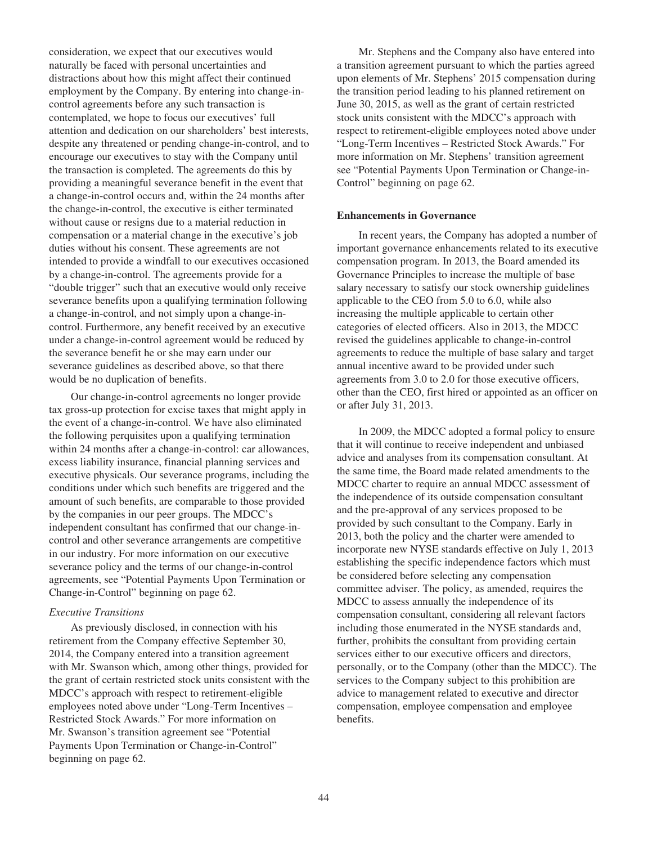consideration, we expect that our executives would naturally be faced with personal uncertainties and distractions about how this might affect their continued employment by the Company. By entering into change-incontrol agreements before any such transaction is contemplated, we hope to focus our executives' full attention and dedication on our shareholders' best interests, despite any threatened or pending change-in-control, and to encourage our executives to stay with the Company until the transaction is completed. The agreements do this by providing a meaningful severance benefit in the event that a change-in-control occurs and, within the 24 months after the change-in-control, the executive is either terminated without cause or resigns due to a material reduction in compensation or a material change in the executive's job duties without his consent. These agreements are not intended to provide a windfall to our executives occasioned by a change-in-control. The agreements provide for a "double trigger" such that an executive would only receive severance benefits upon a qualifying termination following a change-in-control, and not simply upon a change-incontrol. Furthermore, any benefit received by an executive under a change-in-control agreement would be reduced by the severance benefit he or she may earn under our severance guidelines as described above, so that there would be no duplication of benefits.

Our change-in-control agreements no longer provide tax gross-up protection for excise taxes that might apply in the event of a change-in-control. We have also eliminated the following perquisites upon a qualifying termination within 24 months after a change-in-control: car allowances, excess liability insurance, financial planning services and executive physicals. Our severance programs, including the conditions under which such benefits are triggered and the amount of such benefits, are comparable to those provided by the companies in our peer groups. The MDCC's independent consultant has confirmed that our change-incontrol and other severance arrangements are competitive in our industry. For more information on our executive severance policy and the terms of our change-in-control agreements, see "Potential Payments Upon Termination or Change-in-Control" beginning on page 62.

### *Executive Transitions*

As previously disclosed, in connection with his retirement from the Company effective September 30, 2014, the Company entered into a transition agreement with Mr. Swanson which, among other things, provided for the grant of certain restricted stock units consistent with the MDCC's approach with respect to retirement-eligible employees noted above under "Long-Term Incentives – Restricted Stock Awards." For more information on Mr. Swanson's transition agreement see "Potential Payments Upon Termination or Change-in-Control" beginning on page 62.

Mr. Stephens and the Company also have entered into a transition agreement pursuant to which the parties agreed upon elements of Mr. Stephens' 2015 compensation during the transition period leading to his planned retirement on June 30, 2015, as well as the grant of certain restricted stock units consistent with the MDCC's approach with respect to retirement-eligible employees noted above under "Long-Term Incentives – Restricted Stock Awards." For more information on Mr. Stephens' transition agreement see "Potential Payments Upon Termination or Change-in-Control" beginning on page 62.

### **Enhancements in Governance**

In recent years, the Company has adopted a number of important governance enhancements related to its executive compensation program. In 2013, the Board amended its Governance Principles to increase the multiple of base salary necessary to satisfy our stock ownership guidelines applicable to the CEO from 5.0 to 6.0, while also increasing the multiple applicable to certain other categories of elected officers. Also in 2013, the MDCC revised the guidelines applicable to change-in-control agreements to reduce the multiple of base salary and target annual incentive award to be provided under such agreements from 3.0 to 2.0 for those executive officers, other than the CEO, first hired or appointed as an officer on or after July 31, 2013.

In 2009, the MDCC adopted a formal policy to ensure that it will continue to receive independent and unbiased advice and analyses from its compensation consultant. At the same time, the Board made related amendments to the MDCC charter to require an annual MDCC assessment of the independence of its outside compensation consultant and the pre-approval of any services proposed to be provided by such consultant to the Company. Early in 2013, both the policy and the charter were amended to incorporate new NYSE standards effective on July 1, 2013 establishing the specific independence factors which must be considered before selecting any compensation committee adviser. The policy, as amended, requires the MDCC to assess annually the independence of its compensation consultant, considering all relevant factors including those enumerated in the NYSE standards and, further, prohibits the consultant from providing certain services either to our executive officers and directors, personally, or to the Company (other than the MDCC). The services to the Company subject to this prohibition are advice to management related to executive and director compensation, employee compensation and employee benefits.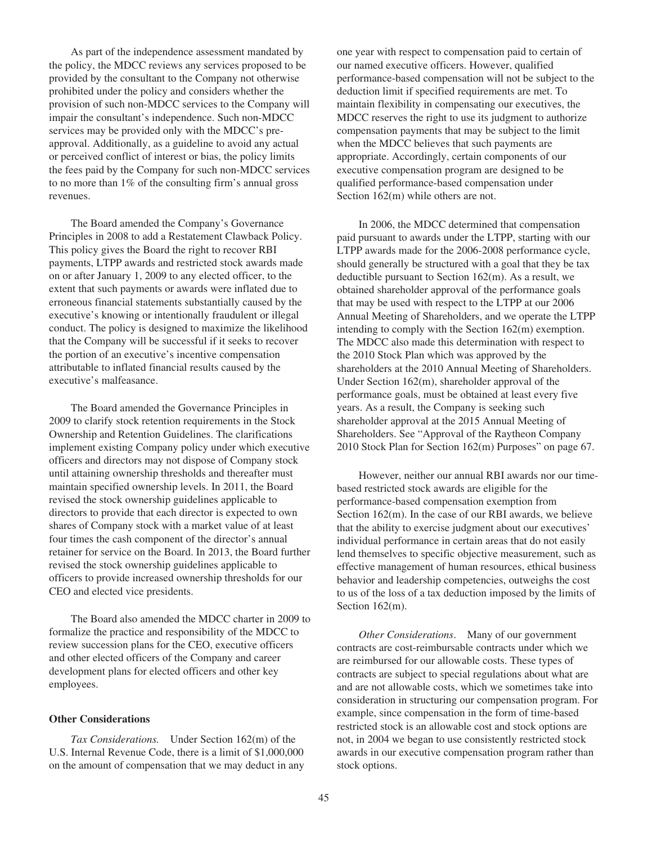As part of the independence assessment mandated by the policy, the MDCC reviews any services proposed to be provided by the consultant to the Company not otherwise prohibited under the policy and considers whether the provision of such non-MDCC services to the Company will impair the consultant's independence. Such non-MDCC services may be provided only with the MDCC's preapproval. Additionally, as a guideline to avoid any actual or perceived conflict of interest or bias, the policy limits the fees paid by the Company for such non-MDCC services to no more than 1% of the consulting firm's annual gross revenues.

The Board amended the Company's Governance Principles in 2008 to add a Restatement Clawback Policy. This policy gives the Board the right to recover RBI payments, LTPP awards and restricted stock awards made on or after January 1, 2009 to any elected officer, to the extent that such payments or awards were inflated due to erroneous financial statements substantially caused by the executive's knowing or intentionally fraudulent or illegal conduct. The policy is designed to maximize the likelihood that the Company will be successful if it seeks to recover the portion of an executive's incentive compensation attributable to inflated financial results caused by the executive's malfeasance.

The Board amended the Governance Principles in 2009 to clarify stock retention requirements in the Stock Ownership and Retention Guidelines. The clarifications implement existing Company policy under which executive officers and directors may not dispose of Company stock until attaining ownership thresholds and thereafter must maintain specified ownership levels. In 2011, the Board revised the stock ownership guidelines applicable to directors to provide that each director is expected to own shares of Company stock with a market value of at least four times the cash component of the director's annual retainer for service on the Board. In 2013, the Board further revised the stock ownership guidelines applicable to officers to provide increased ownership thresholds for our CEO and elected vice presidents.

The Board also amended the MDCC charter in 2009 to formalize the practice and responsibility of the MDCC to review succession plans for the CEO, executive officers and other elected officers of the Company and career development plans for elected officers and other key employees.

## **Other Considerations**

*Tax Considerations.* Under Section 162(m) of the U.S. Internal Revenue Code, there is a limit of \$1,000,000 on the amount of compensation that we may deduct in any one year with respect to compensation paid to certain of our named executive officers. However, qualified performance-based compensation will not be subject to the deduction limit if specified requirements are met. To maintain flexibility in compensating our executives, the MDCC reserves the right to use its judgment to authorize compensation payments that may be subject to the limit when the MDCC believes that such payments are appropriate. Accordingly, certain components of our executive compensation program are designed to be qualified performance-based compensation under Section  $162(m)$  while others are not.

In 2006, the MDCC determined that compensation paid pursuant to awards under the LTPP, starting with our LTPP awards made for the 2006-2008 performance cycle, should generally be structured with a goal that they be tax deductible pursuant to Section 162(m). As a result, we obtained shareholder approval of the performance goals that may be used with respect to the LTPP at our 2006 Annual Meeting of Shareholders, and we operate the LTPP intending to comply with the Section 162(m) exemption. The MDCC also made this determination with respect to the 2010 Stock Plan which was approved by the shareholders at the 2010 Annual Meeting of Shareholders. Under Section 162(m), shareholder approval of the performance goals, must be obtained at least every five years. As a result, the Company is seeking such shareholder approval at the 2015 Annual Meeting of Shareholders. See "Approval of the Raytheon Company 2010 Stock Plan for Section 162(m) Purposes" on page 67.

However, neither our annual RBI awards nor our timebased restricted stock awards are eligible for the performance-based compensation exemption from Section 162(m). In the case of our RBI awards, we believe that the ability to exercise judgment about our executives' individual performance in certain areas that do not easily lend themselves to specific objective measurement, such as effective management of human resources, ethical business behavior and leadership competencies, outweighs the cost to us of the loss of a tax deduction imposed by the limits of Section 162(m).

*Other Considerations*. Many of our government contracts are cost-reimbursable contracts under which we are reimbursed for our allowable costs. These types of contracts are subject to special regulations about what are and are not allowable costs, which we sometimes take into consideration in structuring our compensation program. For example, since compensation in the form of time-based restricted stock is an allowable cost and stock options are not, in 2004 we began to use consistently restricted stock awards in our executive compensation program rather than stock options.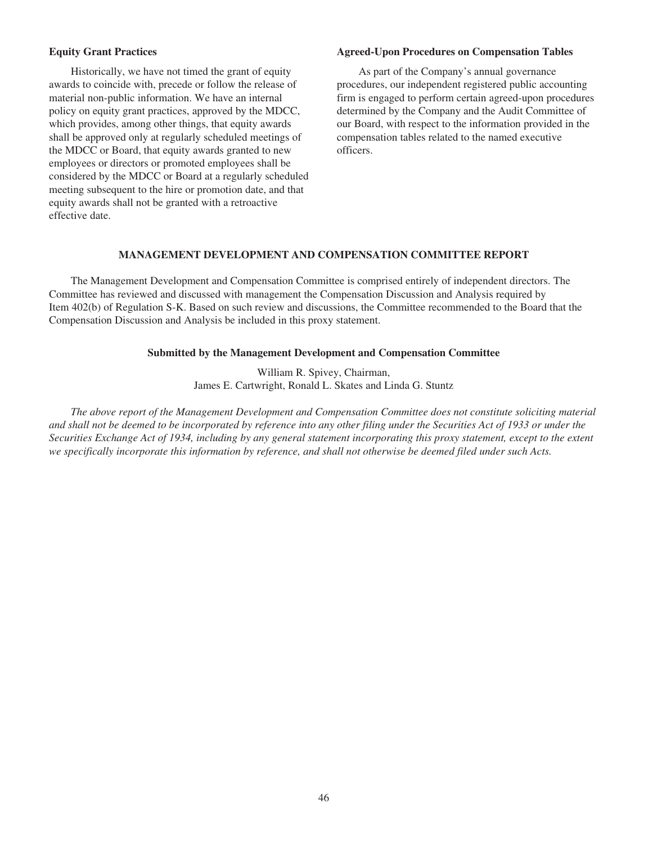## **Equity Grant Practices**

Historically, we have not timed the grant of equity awards to coincide with, precede or follow the release of material non-public information. We have an internal policy on equity grant practices, approved by the MDCC, which provides, among other things, that equity awards shall be approved only at regularly scheduled meetings of the MDCC or Board, that equity awards granted to new employees or directors or promoted employees shall be considered by the MDCC or Board at a regularly scheduled meeting subsequent to the hire or promotion date, and that equity awards shall not be granted with a retroactive effective date.

### **Agreed-Upon Procedures on Compensation Tables**

As part of the Company's annual governance procedures, our independent registered public accounting firm is engaged to perform certain agreed-upon procedures determined by the Company and the Audit Committee of our Board, with respect to the information provided in the compensation tables related to the named executive officers.

# **MANAGEMENT DEVELOPMENT AND COMPENSATION COMMITTEE REPORT**

The Management Development and Compensation Committee is comprised entirely of independent directors. The Committee has reviewed and discussed with management the Compensation Discussion and Analysis required by Item 402(b) of Regulation S-K. Based on such review and discussions, the Committee recommended to the Board that the Compensation Discussion and Analysis be included in this proxy statement.

## **Submitted by the Management Development and Compensation Committee**

William R. Spivey, Chairman, James E. Cartwright, Ronald L. Skates and Linda G. Stuntz

*The above report of the Management Development and Compensation Committee does not constitute soliciting material and shall not be deemed to be incorporated by reference into any other filing under the Securities Act of 1933 or under the Securities Exchange Act of 1934, including by any general statement incorporating this proxy statement, except to the extent we specifically incorporate this information by reference, and shall not otherwise be deemed filed under such Acts.*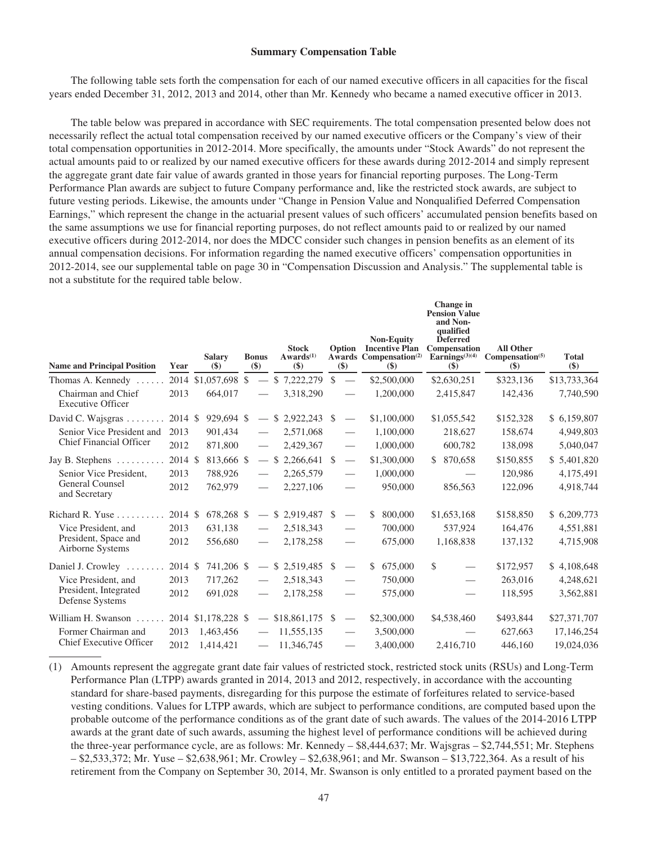### **Summary Compensation Table**

The following table sets forth the compensation for each of our named executive officers in all capacities for the fiscal years ended December 31, 2012, 2013 and 2014, other than Mr. Kennedy who became a named executive officer in 2013.

The table below was prepared in accordance with SEC requirements. The total compensation presented below does not necessarily reflect the actual total compensation received by our named executive officers or the Company's view of their total compensation opportunities in 2012-2014. More specifically, the amounts under "Stock Awards" do not represent the actual amounts paid to or realized by our named executive officers for these awards during 2012-2014 and simply represent the aggregate grant date fair value of awards granted in those years for financial reporting purposes. The Long-Term Performance Plan awards are subject to future Company performance and, like the restricted stock awards, are subject to future vesting periods. Likewise, the amounts under "Change in Pension Value and Nonqualified Deferred Compensation Earnings," which represent the change in the actuarial present values of such officers' accumulated pension benefits based on the same assumptions we use for financial reporting purposes, do not reflect amounts paid to or realized by our named executive officers during 2012-2014, nor does the MDCC consider such changes in pension benefits as an element of its annual compensation decisions. For information regarding the named executive officers' compensation opportunities in 2012-2014, see our supplemental table on page 30 in "Compensation Discussion and Analysis." The supplemental table is not a substitute for the required table below.

| <b>Name and Principal Position</b>             | Year    | <b>Salary</b><br>$($ \$) | <b>Bonus</b><br>$\left( \text{\$}\right)$ | <b>Stock</b><br>Awards <sup>(1)</sup><br>$($)$ | Option<br>$(\$)$         | <b>Non-Equity</b><br><b>Incentive Plan</b><br>Awards Compensation <sup>(2)</sup><br>$\left( \mathbf{\$}\right)$ | Change in<br><b>Pension Value</b><br>and Non-<br>qualified<br><b>Deferred</b><br>Compensation<br>Earnings $(3)(4)$<br>$($)$ | <b>All Other</b><br>Compensation <sup>(5)</sup><br>$(\$)$ | <b>Total</b><br>$(\$)$ |
|------------------------------------------------|---------|--------------------------|-------------------------------------------|------------------------------------------------|--------------------------|-----------------------------------------------------------------------------------------------------------------|-----------------------------------------------------------------------------------------------------------------------------|-----------------------------------------------------------|------------------------|
| Thomas A. Kennedy                              |         | 2014 \$1,057,698 \$      |                                           | $-$ \$ 7,222,279 \$                            | $\overline{\phantom{0}}$ | \$2,500,000                                                                                                     | \$2,630,251                                                                                                                 | \$323,136                                                 | \$13,733,364           |
| Chairman and Chief<br><b>Executive Officer</b> | 2013    | 664,017                  |                                           | 3,318,290                                      |                          | 1,200,000                                                                                                       | 2,415,847                                                                                                                   | 142,436                                                   | 7,740,590              |
| David C. Wajsgras                              | 2014 \$ | 929,694 \$               |                                           | $-$ \$ 2,922,243 \$                            | $\overline{\phantom{m}}$ | \$1,100,000                                                                                                     | \$1,055,542                                                                                                                 | \$152,328                                                 | \$6,159,807            |
| Senior Vice President and                      | 2013    | 901,434                  |                                           | 2,571,068                                      |                          | 1,100,000                                                                                                       | 218,627                                                                                                                     | 158,674                                                   | 4,949,803              |
| <b>Chief Financial Officer</b>                 | 2012    | 871,800                  |                                           | 2,429,367                                      |                          | 1,000,000                                                                                                       | 600,782                                                                                                                     | 138,098                                                   | 5,040,047              |
| Jay B. Stephens $\dots \dots$                  | 2014 \$ | 813,666 \$               |                                           | $-$ \$ 2,266,641 \$                            | $\overline{\phantom{m}}$ | \$1,300,000                                                                                                     | \$ 870,658                                                                                                                  | \$150,855                                                 | \$5,401,820            |
| Senior Vice President.                         | 2013    | 788,926                  |                                           | 2,265,579                                      | $\qquad \qquad$          | 1,000,000                                                                                                       |                                                                                                                             | 120,986                                                   | 4,175,491              |
| General Counsel<br>and Secretary               | 2012    | 762,979                  |                                           | 2,227,106                                      |                          | 950,000                                                                                                         | 856,563                                                                                                                     | 122,096                                                   | 4,918,744              |
| Richard R. Yuse                                | 2014 \$ | 678,268 \$               |                                           | $-$ \$ 2,919,487 \$                            |                          | 800,000<br>\$                                                                                                   | \$1,653,168                                                                                                                 | \$158,850                                                 | \$6,209,773            |
| Vice President, and                            | 2013    | 631,138                  |                                           | 2,518,343                                      | $\qquad \qquad$          | 700,000                                                                                                         | 537,924                                                                                                                     | 164,476                                                   | 4,551,881              |
| President, Space and<br>Airborne Systems       | 2012    | 556,680                  | $\overline{\phantom{a}}$                  | 2,178,258                                      |                          | 675,000                                                                                                         | 1,168,838                                                                                                                   | 137,132                                                   | 4,715,908              |
| Daniel J. Crowley                              | 2014 \$ | 741,206 \$               |                                           | $-$ \$ 2,519,485 \$                            |                          | 675,000<br>\$.                                                                                                  | \$                                                                                                                          | \$172,957                                                 | \$4,108,648            |
| Vice President, and                            | 2013    | 717,262                  |                                           | 2,518,343                                      |                          | 750,000                                                                                                         | $\overline{\phantom{0}}$                                                                                                    | 263,016                                                   | 4,248,621              |
| President, Integrated<br>Defense Systems       | 2012    | 691,028                  |                                           | 2,178,258                                      |                          | 575,000                                                                                                         | $\overline{\phantom{0}}$                                                                                                    | 118,595                                                   | 3,562,881              |
| William H. Swanson                             |         | 2014 \$1,178,228 \$      |                                           | $-$ \$18,861,175 \$                            |                          | \$2,300,000                                                                                                     | \$4,538,460                                                                                                                 | \$493,844                                                 | \$27,371,707           |
| Former Chairman and                            | 2013    | 1,463,456                | $\hspace{0.05cm}$                         | 11,555,135                                     |                          | 3,500,000                                                                                                       |                                                                                                                             | 627,663                                                   | 17,146,254             |
| <b>Chief Executive Officer</b>                 | 2012    | 1,414,421                |                                           | $-11,346,745$                                  | $\qquad \qquad \qquad$   | 3,400,000                                                                                                       | 2,416,710                                                                                                                   | 446,160                                                   | 19,024,036             |

(1) Amounts represent the aggregate grant date fair values of restricted stock, restricted stock units (RSUs) and Long-Term Performance Plan (LTPP) awards granted in 2014, 2013 and 2012, respectively, in accordance with the accounting standard for share-based payments, disregarding for this purpose the estimate of forfeitures related to service-based vesting conditions. Values for LTPP awards, which are subject to performance conditions, are computed based upon the probable outcome of the performance conditions as of the grant date of such awards. The values of the 2014-2016 LTPP awards at the grant date of such awards, assuming the highest level of performance conditions will be achieved during the three-year performance cycle, are as follows: Mr. Kennedy – \$8,444,637; Mr. Wajsgras – \$2,744,551; Mr. Stephens – \$2,533,372; Mr. Yuse – \$2,638,961; Mr. Crowley – \$2,638,961; and Mr. Swanson – \$13,722,364. As a result of his retirement from the Company on September 30, 2014, Mr. Swanson is only entitled to a prorated payment based on the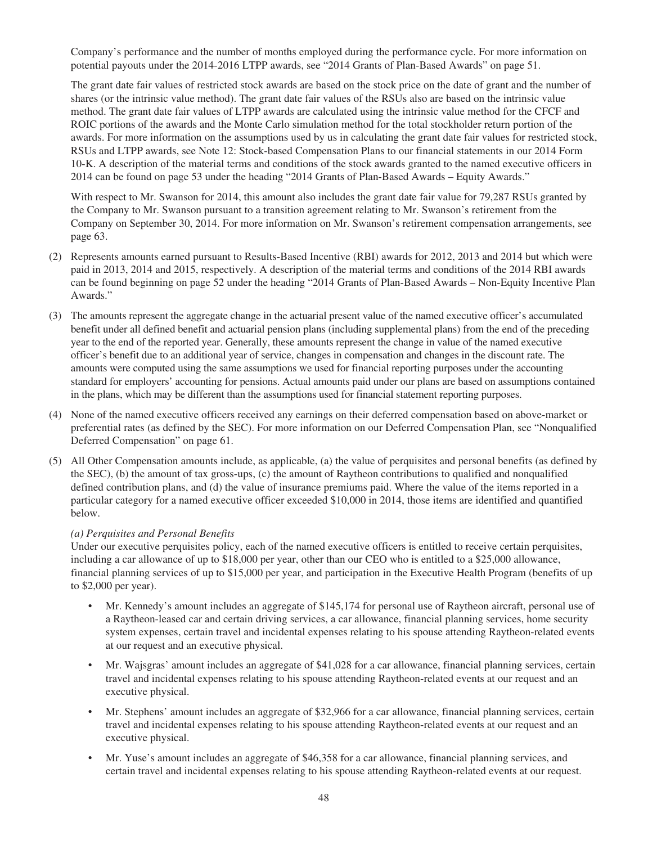Company's performance and the number of months employed during the performance cycle. For more information on potential payouts under the 2014-2016 LTPP awards, see "2014 Grants of Plan-Based Awards" on page 51.

The grant date fair values of restricted stock awards are based on the stock price on the date of grant and the number of shares (or the intrinsic value method). The grant date fair values of the RSUs also are based on the intrinsic value method. The grant date fair values of LTPP awards are calculated using the intrinsic value method for the CFCF and ROIC portions of the awards and the Monte Carlo simulation method for the total stockholder return portion of the awards. For more information on the assumptions used by us in calculating the grant date fair values for restricted stock, RSUs and LTPP awards, see Note 12: Stock-based Compensation Plans to our financial statements in our 2014 Form 10-K. A description of the material terms and conditions of the stock awards granted to the named executive officers in 2014 can be found on page 53 under the heading "2014 Grants of Plan-Based Awards – Equity Awards."

With respect to Mr. Swanson for 2014, this amount also includes the grant date fair value for 79,287 RSUs granted by the Company to Mr. Swanson pursuant to a transition agreement relating to Mr. Swanson's retirement from the Company on September 30, 2014. For more information on Mr. Swanson's retirement compensation arrangements, see page 63.

- (2) Represents amounts earned pursuant to Results-Based Incentive (RBI) awards for 2012, 2013 and 2014 but which were paid in 2013, 2014 and 2015, respectively. A description of the material terms and conditions of the 2014 RBI awards can be found beginning on page 52 under the heading "2014 Grants of Plan-Based Awards – Non-Equity Incentive Plan Awards."
- (3) The amounts represent the aggregate change in the actuarial present value of the named executive officer's accumulated benefit under all defined benefit and actuarial pension plans (including supplemental plans) from the end of the preceding year to the end of the reported year. Generally, these amounts represent the change in value of the named executive officer's benefit due to an additional year of service, changes in compensation and changes in the discount rate. The amounts were computed using the same assumptions we used for financial reporting purposes under the accounting standard for employers' accounting for pensions. Actual amounts paid under our plans are based on assumptions contained in the plans, which may be different than the assumptions used for financial statement reporting purposes.
- (4) None of the named executive officers received any earnings on their deferred compensation based on above-market or preferential rates (as defined by the SEC). For more information on our Deferred Compensation Plan, see "Nonqualified Deferred Compensation" on page 61.
- (5) All Other Compensation amounts include, as applicable, (a) the value of perquisites and personal benefits (as defined by the SEC), (b) the amount of tax gross-ups, (c) the amount of Raytheon contributions to qualified and nonqualified defined contribution plans, and (d) the value of insurance premiums paid. Where the value of the items reported in a particular category for a named executive officer exceeded \$10,000 in 2014, those items are identified and quantified below.

# *(a) Perquisites and Personal Benefits*

Under our executive perquisites policy, each of the named executive officers is entitled to receive certain perquisites, including a car allowance of up to \$18,000 per year, other than our CEO who is entitled to a \$25,000 allowance, financial planning services of up to \$15,000 per year, and participation in the Executive Health Program (benefits of up to \$2,000 per year).

- Mr. Kennedy's amount includes an aggregate of \$145,174 for personal use of Raytheon aircraft, personal use of a Raytheon-leased car and certain driving services, a car allowance, financial planning services, home security system expenses, certain travel and incidental expenses relating to his spouse attending Raytheon-related events at our request and an executive physical.
- Mr. Wajsgras' amount includes an aggregate of \$41,028 for a car allowance, financial planning services, certain travel and incidental expenses relating to his spouse attending Raytheon-related events at our request and an executive physical.
- Mr. Stephens' amount includes an aggregate of \$32,966 for a car allowance, financial planning services, certain travel and incidental expenses relating to his spouse attending Raytheon-related events at our request and an executive physical.
- Mr. Yuse's amount includes an aggregate of \$46,358 for a car allowance, financial planning services, and certain travel and incidental expenses relating to his spouse attending Raytheon-related events at our request.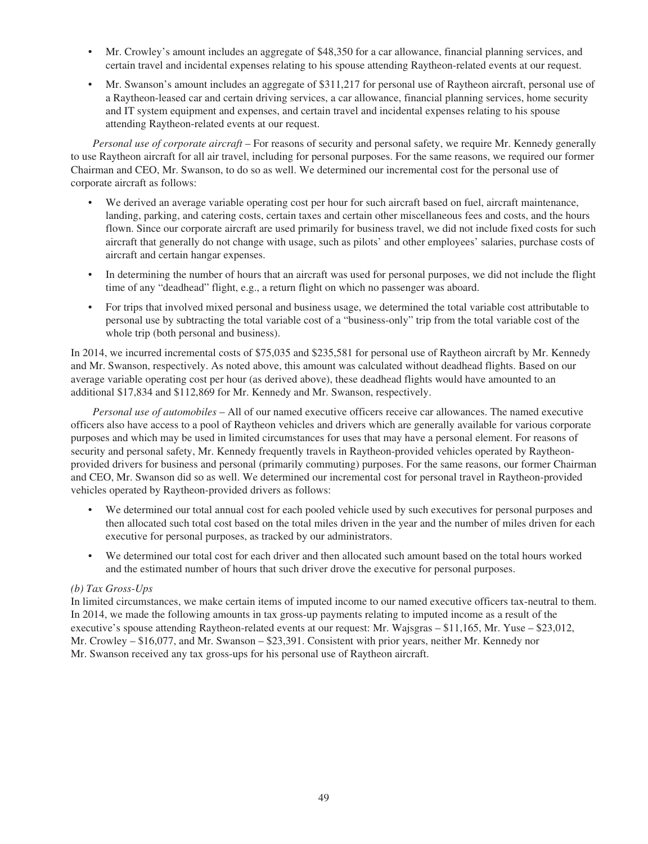- Mr. Crowley's amount includes an aggregate of \$48,350 for a car allowance, financial planning services, and certain travel and incidental expenses relating to his spouse attending Raytheon-related events at our request.
- Mr. Swanson's amount includes an aggregate of \$311,217 for personal use of Raytheon aircraft, personal use of a Raytheon-leased car and certain driving services, a car allowance, financial planning services, home security and IT system equipment and expenses, and certain travel and incidental expenses relating to his spouse attending Raytheon-related events at our request.

*Personal use of corporate aircraft* – For reasons of security and personal safety, we require Mr. Kennedy generally to use Raytheon aircraft for all air travel, including for personal purposes. For the same reasons, we required our former Chairman and CEO, Mr. Swanson, to do so as well. We determined our incremental cost for the personal use of corporate aircraft as follows:

- We derived an average variable operating cost per hour for such aircraft based on fuel, aircraft maintenance, landing, parking, and catering costs, certain taxes and certain other miscellaneous fees and costs, and the hours flown. Since our corporate aircraft are used primarily for business travel, we did not include fixed costs for such aircraft that generally do not change with usage, such as pilots' and other employees' salaries, purchase costs of aircraft and certain hangar expenses.
- In determining the number of hours that an aircraft was used for personal purposes, we did not include the flight time of any "deadhead" flight, e.g., a return flight on which no passenger was aboard.
- For trips that involved mixed personal and business usage, we determined the total variable cost attributable to personal use by subtracting the total variable cost of a "business-only" trip from the total variable cost of the whole trip (both personal and business).

In 2014, we incurred incremental costs of \$75,035 and \$235,581 for personal use of Raytheon aircraft by Mr. Kennedy and Mr. Swanson, respectively. As noted above, this amount was calculated without deadhead flights. Based on our average variable operating cost per hour (as derived above), these deadhead flights would have amounted to an additional \$17,834 and \$112,869 for Mr. Kennedy and Mr. Swanson, respectively.

*Personal use of automobiles* – All of our named executive officers receive car allowances. The named executive officers also have access to a pool of Raytheon vehicles and drivers which are generally available for various corporate purposes and which may be used in limited circumstances for uses that may have a personal element. For reasons of security and personal safety, Mr. Kennedy frequently travels in Raytheon-provided vehicles operated by Raytheonprovided drivers for business and personal (primarily commuting) purposes. For the same reasons, our former Chairman and CEO, Mr. Swanson did so as well. We determined our incremental cost for personal travel in Raytheon-provided vehicles operated by Raytheon-provided drivers as follows:

- We determined our total annual cost for each pooled vehicle used by such executives for personal purposes and then allocated such total cost based on the total miles driven in the year and the number of miles driven for each executive for personal purposes, as tracked by our administrators.
- We determined our total cost for each driver and then allocated such amount based on the total hours worked and the estimated number of hours that such driver drove the executive for personal purposes.

# *(b) Tax Gross-Ups*

In limited circumstances, we make certain items of imputed income to our named executive officers tax-neutral to them. In 2014, we made the following amounts in tax gross-up payments relating to imputed income as a result of the executive's spouse attending Raytheon-related events at our request: Mr. Wajsgras – \$11,165, Mr. Yuse – \$23,012, Mr. Crowley – \$16,077, and Mr. Swanson – \$23,391. Consistent with prior years, neither Mr. Kennedy nor Mr. Swanson received any tax gross-ups for his personal use of Raytheon aircraft.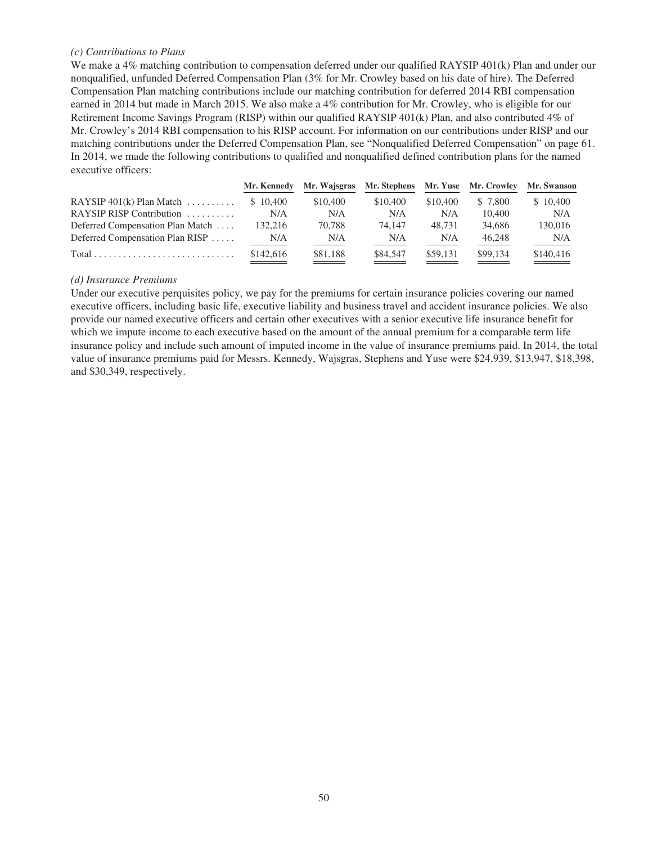## *(c) Contributions to Plans*

We make a 4% matching contribution to compensation deferred under our qualified RAYSIP 401(k) Plan and under our nonqualified, unfunded Deferred Compensation Plan (3% for Mr. Crowley based on his date of hire). The Deferred Compensation Plan matching contributions include our matching contribution for deferred 2014 RBI compensation earned in 2014 but made in March 2015. We also make a 4% contribution for Mr. Crowley, who is eligible for our Retirement Income Savings Program (RISP) within our qualified RAYSIP 401(k) Plan, and also contributed 4% of Mr. Crowley's 2014 RBI compensation to his RISP account. For information on our contributions under RISP and our matching contributions under the Deferred Compensation Plan, see "Nonqualified Deferred Compensation" on page 61. In 2014, we made the following contributions to qualified and nonqualified defined contribution plans for the named executive officers:

|                                                                           | Mr. Kennedy |          | Mr. Wajsgras Mr. Stephens Mr. Yuse Mr. Crowley |          |          | Mr. Swanson |
|---------------------------------------------------------------------------|-------------|----------|------------------------------------------------|----------|----------|-------------|
| RAYSIP $401(k)$ Plan Match $\ldots \ldots \ldots$                         | \$10.400    | \$10,400 | \$10,400                                       | \$10,400 | \$ 7,800 | \$10,400    |
| RAYSIP RISP Contribution $\ldots \ldots$                                  | N/A         | N/A      | N/A                                            | N/A      | 10.400   | N/A         |
| Deferred Compensation Plan Match                                          | 132,216     | 70.788   | 74.147                                         | 48.731   | 34,686   | 130,016     |
| Deferred Compensation Plan RISP                                           | N/A         | N/A      | N/A                                            | N/A      | 46.248   | N/A         |
| $Total \dots \dots \dots \dots \dots \dots \dots \dots \dots \dots \dots$ | \$142,616   | \$81,188 | \$84,547                                       | \$59,131 | \$99,134 | \$140,416   |

### *(d) Insurance Premiums*

Under our executive perquisites policy, we pay for the premiums for certain insurance policies covering our named executive officers, including basic life, executive liability and business travel and accident insurance policies. We also provide our named executive officers and certain other executives with a senior executive life insurance benefit for which we impute income to each executive based on the amount of the annual premium for a comparable term life insurance policy and include such amount of imputed income in the value of insurance premiums paid. In 2014, the total value of insurance premiums paid for Messrs. Kennedy, Wajsgras, Stephens and Yuse were \$24,939, \$13,947, \$18,398, and \$30,349, respectively.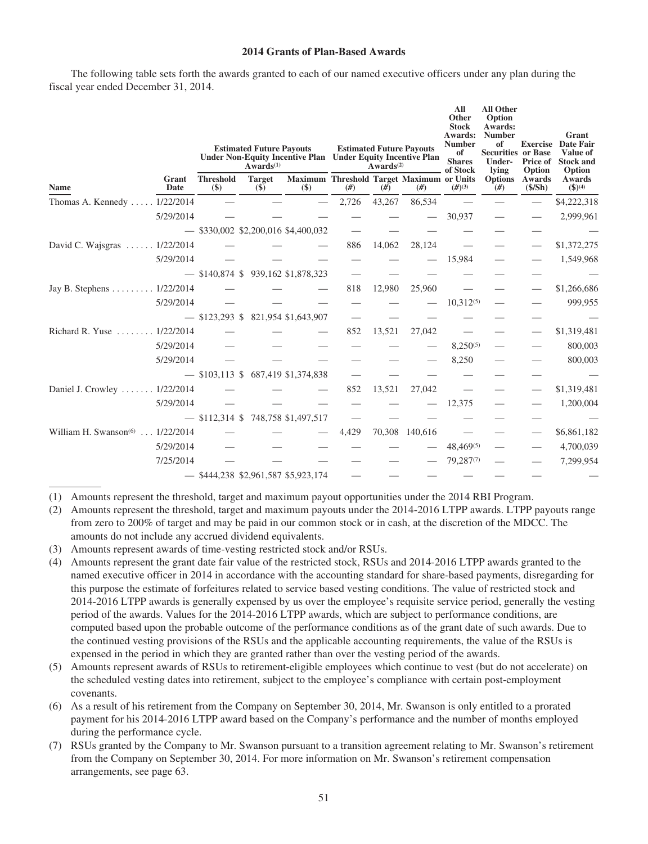## **2014 Grants of Plan-Based Awards**

The following table sets forth the awards granted to each of our named executive officers under any plan during the fiscal year ended December 31, 2014.

|                                             |               | <b>Estimated Future Payouts</b><br><b>Estimated Future Payouts</b><br>Under Non-Equity Incentive Plan Under Equity Incentive Plan<br>$Awards^{(1)}$<br>Awards <sup>(2)</sup> |                                       |                                                  |       |        | All<br>Other<br><b>Stock</b><br>Awards:<br><b>Number</b><br>of<br><b>Shares</b><br>of Stock | <b>All Other</b><br>Option<br>Awards:<br><b>Number</b><br>of<br><b>Securities or Base</b><br>Under-<br>lving | Price of<br>Option  | Grant<br><b>Exercise</b> Date Fair<br>Value of<br><b>Stock and</b><br>Option |                      |
|---------------------------------------------|---------------|------------------------------------------------------------------------------------------------------------------------------------------------------------------------------|---------------------------------------|--------------------------------------------------|-------|--------|---------------------------------------------------------------------------------------------|--------------------------------------------------------------------------------------------------------------|---------------------|------------------------------------------------------------------------------|----------------------|
| <b>Name</b>                                 | Grant<br>Date | <b>Threshold</b><br>$(\$)$                                                                                                                                                   | <b>Target</b><br>$(\$)$               | Maximum Threshold Target Maximum or Units<br>$($ | #)    | #)     | (f#)                                                                                        | $(#)^{(3)}$                                                                                                  | Options Awards<br># | (S/Sh)                                                                       | Awards<br>$$^{(4)}$$ |
| Thomas A. Kennedy  1/22/2014                |               |                                                                                                                                                                              |                                       |                                                  | 2,726 | 43,267 | 86,534                                                                                      |                                                                                                              |                     |                                                                              | \$4,222,318          |
|                                             | 5/29/2014     |                                                                                                                                                                              |                                       |                                                  |       |        |                                                                                             | 30,937                                                                                                       |                     |                                                                              | 2,999,961            |
|                                             |               |                                                                                                                                                                              | $-$ \$330,002 \$2,200,016 \$4,400,032 |                                                  |       |        |                                                                                             |                                                                                                              |                     |                                                                              |                      |
| David C. Wajsgras  1/22/2014                |               |                                                                                                                                                                              |                                       |                                                  | 886   | 14,062 | 28,124                                                                                      |                                                                                                              |                     |                                                                              | \$1,372,275          |
|                                             | 5/29/2014     |                                                                                                                                                                              |                                       |                                                  |       |        |                                                                                             | 15,984                                                                                                       |                     |                                                                              | 1,549,968            |
|                                             |               |                                                                                                                                                                              | $-$ \$140,874 \$ 939,162 \$1,878,323  |                                                  |       |        |                                                                                             |                                                                                                              |                     |                                                                              |                      |
| Jay B. Stephens 1/22/2014                   |               |                                                                                                                                                                              |                                       |                                                  | 818   | 12,980 | 25,960                                                                                      |                                                                                                              |                     |                                                                              | \$1,266,686          |
|                                             | 5/29/2014     |                                                                                                                                                                              |                                       |                                                  |       |        |                                                                                             | $10,312^{(5)}$                                                                                               |                     |                                                                              | 999,955              |
|                                             |               |                                                                                                                                                                              | $-$ \$123,293 \$ 821,954 \$1,643,907  |                                                  |       |        |                                                                                             |                                                                                                              |                     |                                                                              |                      |
| Richard R. Yuse  1/22/2014                  |               |                                                                                                                                                                              |                                       |                                                  | 852   | 13,521 | 27,042                                                                                      |                                                                                                              |                     |                                                                              | \$1,319,481          |
|                                             | 5/29/2014     |                                                                                                                                                                              |                                       |                                                  |       |        |                                                                                             | $8,250^{(5)}$                                                                                                |                     |                                                                              | 800,003              |
|                                             | 5/29/2014     |                                                                                                                                                                              |                                       |                                                  |       |        |                                                                                             | 8,250                                                                                                        |                     |                                                                              | 800,003              |
|                                             |               |                                                                                                                                                                              | $-$ \$103,113 \$ 687,419 \$1,374,838  |                                                  |       |        |                                                                                             |                                                                                                              |                     |                                                                              |                      |
| Daniel J. Crowley 1/22/2014                 |               |                                                                                                                                                                              |                                       |                                                  | 852   | 13,521 | 27,042                                                                                      |                                                                                                              |                     |                                                                              | \$1,319,481          |
|                                             | 5/29/2014     |                                                                                                                                                                              |                                       |                                                  |       |        |                                                                                             | 12,375                                                                                                       |                     |                                                                              | 1,200,004            |
|                                             |               |                                                                                                                                                                              | $-$ \$112,314 \$ 748,758 \$1,497,517  |                                                  |       |        |                                                                                             |                                                                                                              |                     |                                                                              |                      |
| William H. Swanson <sup>(6)</sup> 1/22/2014 |               |                                                                                                                                                                              |                                       |                                                  | 4,429 |        | 70,308 140,616                                                                              |                                                                                                              |                     |                                                                              | \$6,861,182          |
|                                             | 5/29/2014     |                                                                                                                                                                              |                                       |                                                  |       |        |                                                                                             | 48,469(5)                                                                                                    |                     |                                                                              | 4,700,039            |
|                                             | 7/25/2014     |                                                                                                                                                                              |                                       |                                                  |       |        |                                                                                             | 79,287(7)                                                                                                    |                     |                                                                              | 7,299,954            |
|                                             |               |                                                                                                                                                                              | $-$ \$444,238 \$2,961,587 \$5,923,174 |                                                  |       |        |                                                                                             |                                                                                                              |                     |                                                                              |                      |

(1) Amounts represent the threshold, target and maximum payout opportunities under the 2014 RBI Program.

- (2) Amounts represent the threshold, target and maximum payouts under the 2014-2016 LTPP awards. LTPP payouts range from zero to 200% of target and may be paid in our common stock or in cash, at the discretion of the MDCC. The amounts do not include any accrued dividend equivalents.
- (3) Amounts represent awards of time-vesting restricted stock and/or RSUs.
- (4) Amounts represent the grant date fair value of the restricted stock, RSUs and 2014-2016 LTPP awards granted to the named executive officer in 2014 in accordance with the accounting standard for share-based payments, disregarding for this purpose the estimate of forfeitures related to service based vesting conditions. The value of restricted stock and 2014-2016 LTPP awards is generally expensed by us over the employee's requisite service period, generally the vesting period of the awards. Values for the 2014-2016 LTPP awards, which are subject to performance conditions, are computed based upon the probable outcome of the performance conditions as of the grant date of such awards. Due to the continued vesting provisions of the RSUs and the applicable accounting requirements, the value of the RSUs is expensed in the period in which they are granted rather than over the vesting period of the awards.
- (5) Amounts represent awards of RSUs to retirement-eligible employees which continue to vest (but do not accelerate) on the scheduled vesting dates into retirement, subject to the employee's compliance with certain post-employment covenants.
- (6) As a result of his retirement from the Company on September 30, 2014, Mr. Swanson is only entitled to a prorated payment for his 2014-2016 LTPP award based on the Company's performance and the number of months employed during the performance cycle.
- (7) RSUs granted by the Company to Mr. Swanson pursuant to a transition agreement relating to Mr. Swanson's retirement from the Company on September 30, 2014. For more information on Mr. Swanson's retirement compensation arrangements, see page 63.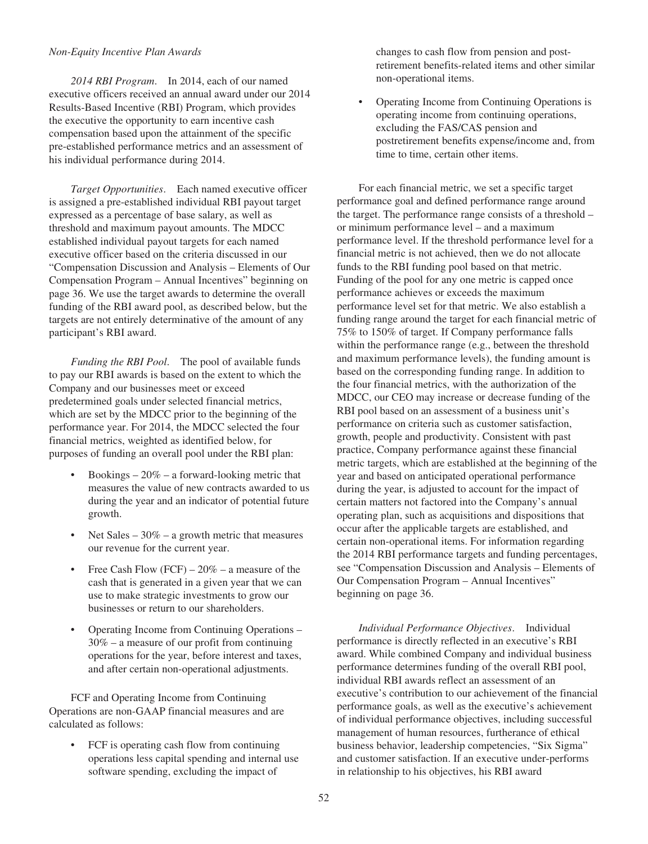### *Non-Equity Incentive Plan Awards*

*2014 RBI Program*. In 2014, each of our named executive officers received an annual award under our 2014 Results-Based Incentive (RBI) Program, which provides the executive the opportunity to earn incentive cash compensation based upon the attainment of the specific pre-established performance metrics and an assessment of his individual performance during 2014.

*Target Opportunities*. Each named executive officer is assigned a pre-established individual RBI payout target expressed as a percentage of base salary, as well as threshold and maximum payout amounts. The MDCC established individual payout targets for each named executive officer based on the criteria discussed in our "Compensation Discussion and Analysis – Elements of Our Compensation Program – Annual Incentives" beginning on page 36. We use the target awards to determine the overall funding of the RBI award pool, as described below, but the targets are not entirely determinative of the amount of any participant's RBI award.

*Funding the RBI Pool*. The pool of available funds to pay our RBI awards is based on the extent to which the Company and our businesses meet or exceed predetermined goals under selected financial metrics, which are set by the MDCC prior to the beginning of the performance year. For 2014, the MDCC selected the four financial metrics, weighted as identified below, for purposes of funding an overall pool under the RBI plan:

- Bookings  $-20\%$  a forward-looking metric that measures the value of new contracts awarded to us during the year and an indicator of potential future growth.
- Net Sales  $-30\%$  a growth metric that measures our revenue for the current year.
- Free Cash Flow  $(FCF) 20\% a$  measure of the cash that is generated in a given year that we can use to make strategic investments to grow our businesses or return to our shareholders.
- Operating Income from Continuing Operations 30% – a measure of our profit from continuing operations for the year, before interest and taxes, and after certain non-operational adjustments.

FCF and Operating Income from Continuing Operations are non-GAAP financial measures and are calculated as follows:

• FCF is operating cash flow from continuing operations less capital spending and internal use software spending, excluding the impact of

changes to cash flow from pension and postretirement benefits-related items and other similar non-operational items.

• Operating Income from Continuing Operations is operating income from continuing operations, excluding the FAS/CAS pension and postretirement benefits expense/income and, from time to time, certain other items.

For each financial metric, we set a specific target performance goal and defined performance range around the target. The performance range consists of a threshold – or minimum performance level – and a maximum performance level. If the threshold performance level for a financial metric is not achieved, then we do not allocate funds to the RBI funding pool based on that metric. Funding of the pool for any one metric is capped once performance achieves or exceeds the maximum performance level set for that metric. We also establish a funding range around the target for each financial metric of 75% to 150% of target. If Company performance falls within the performance range (e.g., between the threshold and maximum performance levels), the funding amount is based on the corresponding funding range. In addition to the four financial metrics, with the authorization of the MDCC, our CEO may increase or decrease funding of the RBI pool based on an assessment of a business unit's performance on criteria such as customer satisfaction, growth, people and productivity. Consistent with past practice, Company performance against these financial metric targets, which are established at the beginning of the year and based on anticipated operational performance during the year, is adjusted to account for the impact of certain matters not factored into the Company's annual operating plan, such as acquisitions and dispositions that occur after the applicable targets are established, and certain non-operational items. For information regarding the 2014 RBI performance targets and funding percentages, see "Compensation Discussion and Analysis – Elements of Our Compensation Program – Annual Incentives" beginning on page 36.

*Individual Performance Objectives*. Individual performance is directly reflected in an executive's RBI award. While combined Company and individual business performance determines funding of the overall RBI pool, individual RBI awards reflect an assessment of an executive's contribution to our achievement of the financial performance goals, as well as the executive's achievement of individual performance objectives, including successful management of human resources, furtherance of ethical business behavior, leadership competencies, "Six Sigma" and customer satisfaction. If an executive under-performs in relationship to his objectives, his RBI award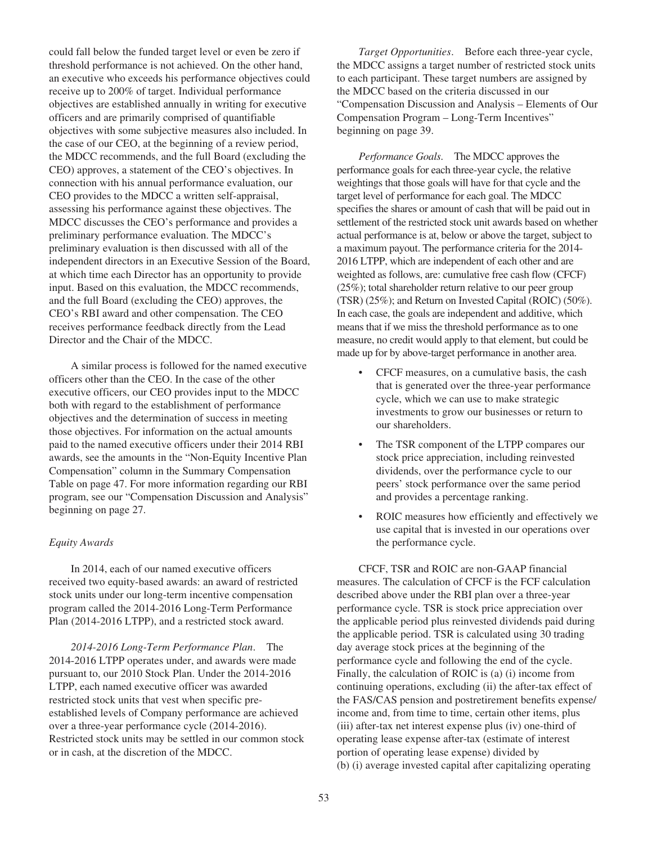could fall below the funded target level or even be zero if threshold performance is not achieved. On the other hand, an executive who exceeds his performance objectives could receive up to 200% of target. Individual performance objectives are established annually in writing for executive officers and are primarily comprised of quantifiable objectives with some subjective measures also included. In the case of our CEO, at the beginning of a review period, the MDCC recommends, and the full Board (excluding the CEO) approves, a statement of the CEO's objectives. In connection with his annual performance evaluation, our CEO provides to the MDCC a written self-appraisal, assessing his performance against these objectives. The MDCC discusses the CEO's performance and provides a preliminary performance evaluation. The MDCC's preliminary evaluation is then discussed with all of the independent directors in an Executive Session of the Board, at which time each Director has an opportunity to provide input. Based on this evaluation, the MDCC recommends, and the full Board (excluding the CEO) approves, the CEO's RBI award and other compensation. The CEO receives performance feedback directly from the Lead Director and the Chair of the MDCC.

A similar process is followed for the named executive officers other than the CEO. In the case of the other executive officers, our CEO provides input to the MDCC both with regard to the establishment of performance objectives and the determination of success in meeting those objectives. For information on the actual amounts paid to the named executive officers under their 2014 RBI awards, see the amounts in the "Non-Equity Incentive Plan Compensation" column in the Summary Compensation Table on page 47. For more information regarding our RBI program, see our "Compensation Discussion and Analysis" beginning on page 27.

### *Equity Awards*

In 2014, each of our named executive officers received two equity-based awards: an award of restricted stock units under our long-term incentive compensation program called the 2014-2016 Long-Term Performance Plan (2014-2016 LTPP), and a restricted stock award.

*2014-2016 Long-Term Performance Plan*. The 2014-2016 LTPP operates under, and awards were made pursuant to, our 2010 Stock Plan. Under the 2014-2016 LTPP, each named executive officer was awarded restricted stock units that vest when specific preestablished levels of Company performance are achieved over a three-year performance cycle (2014-2016). Restricted stock units may be settled in our common stock or in cash, at the discretion of the MDCC.

*Target Opportunities*. Before each three-year cycle, the MDCC assigns a target number of restricted stock units to each participant. These target numbers are assigned by the MDCC based on the criteria discussed in our "Compensation Discussion and Analysis – Elements of Our Compensation Program – Long-Term Incentives" beginning on page 39.

*Performance Goals*. The MDCC approves the performance goals for each three-year cycle, the relative weightings that those goals will have for that cycle and the target level of performance for each goal. The MDCC specifies the shares or amount of cash that will be paid out in settlement of the restricted stock unit awards based on whether actual performance is at, below or above the target, subject to a maximum payout. The performance criteria for the 2014- 2016 LTPP, which are independent of each other and are weighted as follows, are: cumulative free cash flow (CFCF) (25%); total shareholder return relative to our peer group (TSR) (25%); and Return on Invested Capital (ROIC) (50%). In each case, the goals are independent and additive, which means that if we miss the threshold performance as to one measure, no credit would apply to that element, but could be made up for by above-target performance in another area.

- CFCF measures, on a cumulative basis, the cash that is generated over the three-year performance cycle, which we can use to make strategic investments to grow our businesses or return to our shareholders.
- The TSR component of the LTPP compares our stock price appreciation, including reinvested dividends, over the performance cycle to our peers' stock performance over the same period and provides a percentage ranking.
- ROIC measures how efficiently and effectively we use capital that is invested in our operations over the performance cycle.

CFCF, TSR and ROIC are non-GAAP financial measures. The calculation of CFCF is the FCF calculation described above under the RBI plan over a three-year performance cycle. TSR is stock price appreciation over the applicable period plus reinvested dividends paid during the applicable period. TSR is calculated using 30 trading day average stock prices at the beginning of the performance cycle and following the end of the cycle. Finally, the calculation of ROIC is (a) (i) income from continuing operations, excluding (ii) the after-tax effect of the FAS/CAS pension and postretirement benefits expense/ income and, from time to time, certain other items, plus (iii) after-tax net interest expense plus (iv) one-third of operating lease expense after-tax (estimate of interest portion of operating lease expense) divided by (b) (i) average invested capital after capitalizing operating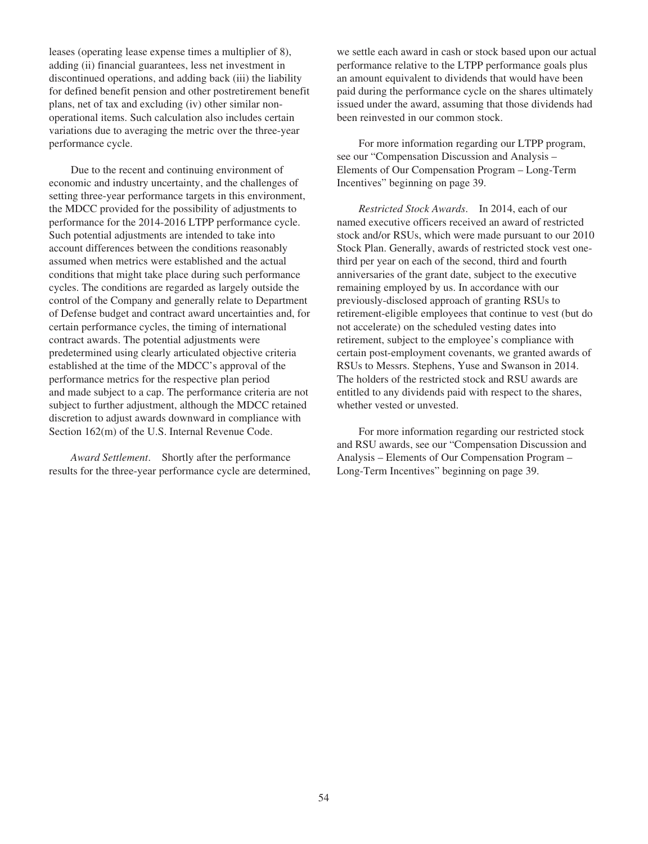leases (operating lease expense times a multiplier of 8), adding (ii) financial guarantees, less net investment in discontinued operations, and adding back (iii) the liability for defined benefit pension and other postretirement benefit plans, net of tax and excluding (iv) other similar nonoperational items. Such calculation also includes certain variations due to averaging the metric over the three-year performance cycle.

Due to the recent and continuing environment of economic and industry uncertainty, and the challenges of setting three-year performance targets in this environment, the MDCC provided for the possibility of adjustments to performance for the 2014-2016 LTPP performance cycle. Such potential adjustments are intended to take into account differences between the conditions reasonably assumed when metrics were established and the actual conditions that might take place during such performance cycles. The conditions are regarded as largely outside the control of the Company and generally relate to Department of Defense budget and contract award uncertainties and, for certain performance cycles, the timing of international contract awards. The potential adjustments were predetermined using clearly articulated objective criteria established at the time of the MDCC's approval of the performance metrics for the respective plan period and made subject to a cap. The performance criteria are not subject to further adjustment, although the MDCC retained discretion to adjust awards downward in compliance with Section 162(m) of the U.S. Internal Revenue Code.

*Award Settlement*. Shortly after the performance results for the three-year performance cycle are determined, we settle each award in cash or stock based upon our actual performance relative to the LTPP performance goals plus an amount equivalent to dividends that would have been paid during the performance cycle on the shares ultimately issued under the award, assuming that those dividends had been reinvested in our common stock.

For more information regarding our LTPP program, see our "Compensation Discussion and Analysis – Elements of Our Compensation Program – Long-Term Incentives" beginning on page 39.

*Restricted Stock Awards*. In 2014, each of our named executive officers received an award of restricted stock and/or RSUs, which were made pursuant to our 2010 Stock Plan. Generally, awards of restricted stock vest onethird per year on each of the second, third and fourth anniversaries of the grant date, subject to the executive remaining employed by us. In accordance with our previously-disclosed approach of granting RSUs to retirement-eligible employees that continue to vest (but do not accelerate) on the scheduled vesting dates into retirement, subject to the employee's compliance with certain post-employment covenants, we granted awards of RSUs to Messrs. Stephens, Yuse and Swanson in 2014. The holders of the restricted stock and RSU awards are entitled to any dividends paid with respect to the shares, whether vested or unvested.

For more information regarding our restricted stock and RSU awards, see our "Compensation Discussion and Analysis – Elements of Our Compensation Program – Long-Term Incentives" beginning on page 39.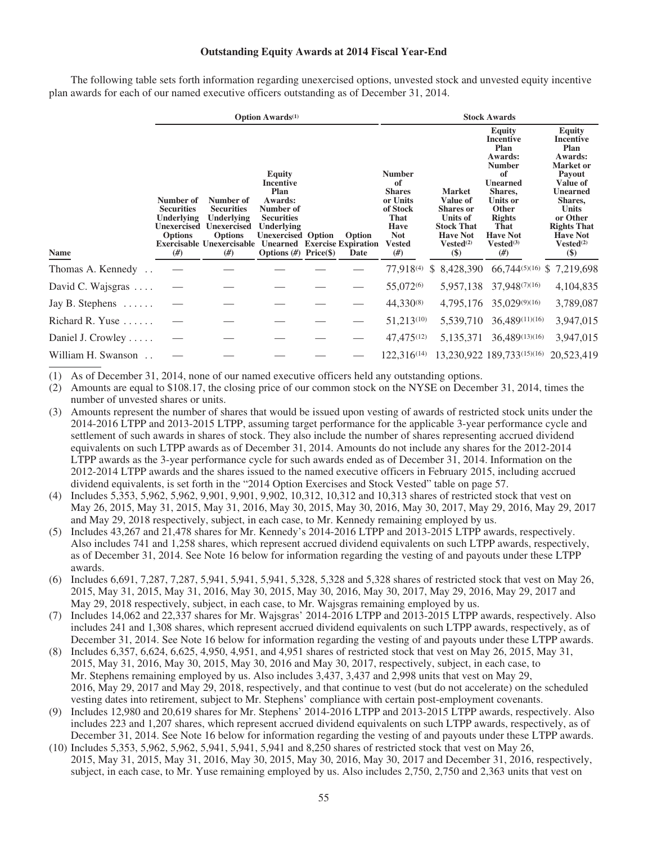## **Outstanding Equity Awards at 2014 Fiscal Year-End**

The following table sets forth information regarding unexercised options, unvested stock and unvested equity incentive plan awards for each of our named executive officers outstanding as of December 31, 2014.

|                         | <b>Option Awards</b> <sup>(1)</sup>                                                        |                                                                                                                                |                                                                                                                                                                                                     |  |                |                                                                                                                          | <b>Stock Awards</b>                                                                                                                  |                                                                                                                                                                                                                  |                                                                                                                                                                                                                                      |  |  |
|-------------------------|--------------------------------------------------------------------------------------------|--------------------------------------------------------------------------------------------------------------------------------|-----------------------------------------------------------------------------------------------------------------------------------------------------------------------------------------------------|--|----------------|--------------------------------------------------------------------------------------------------------------------------|--------------------------------------------------------------------------------------------------------------------------------------|------------------------------------------------------------------------------------------------------------------------------------------------------------------------------------------------------------------|--------------------------------------------------------------------------------------------------------------------------------------------------------------------------------------------------------------------------------------|--|--|
| <b>Name</b>             | Number of<br><b>Securities</b><br><b>Underlying</b><br>Unexercised<br><b>Options</b><br>#) | Number of<br><b>Securities</b><br>Underlying<br><b>Unexercised</b><br><b>Options</b><br><b>Exercisable Unexercisable</b><br>#) | <b>Equity</b><br><b>Incentive</b><br>Plan<br>Awards:<br>Number of<br><b>Securities</b><br>Underlying<br><b>Unexercised Option</b><br><b>Unearned</b> Exercise Expiration<br>Options $(H)$ Price(\$) |  | Option<br>Date | <b>Number</b><br>of<br><b>Shares</b><br>or Units<br>of Stock<br>That<br><b>Have</b><br><b>Not</b><br><b>Vested</b><br>#) | <b>Market</b><br>Value of<br><b>Shares</b> or<br>Units of<br><b>Stock That</b><br><b>Have Not</b><br>Vested <sup>(2)</sup><br>$(\$)$ | <b>Equity</b><br><b>Incentive</b><br>Plan<br>Awards:<br><b>Number</b><br>of<br><b>Unearned</b><br>Shares,<br><b>Units or</b><br><b>Other</b><br><b>Rights</b><br>That<br><b>Have Not</b><br>$Vested^{(3)}$<br>#) | <b>Equity</b><br><b>Incentive</b><br>Plan<br>Awards:<br><b>Market</b> or<br>Payout<br>Value of<br><b>Unearned</b><br>Shares,<br><b>Units</b><br>or Other<br><b>Rights That</b><br><b>Have Not</b><br>Vested <sup>(2)</sup><br>$(\$)$ |  |  |
| Thomas A. Kennedy       |                                                                                            |                                                                                                                                |                                                                                                                                                                                                     |  |                | 77,918 <sup>(4)</sup>                                                                                                    | \$ 8,428,390                                                                                                                         | $66,744^{(5)(16)}$                                                                                                                                                                                               | \$7,219,698                                                                                                                                                                                                                          |  |  |
|                         |                                                                                            |                                                                                                                                |                                                                                                                                                                                                     |  |                |                                                                                                                          |                                                                                                                                      |                                                                                                                                                                                                                  |                                                                                                                                                                                                                                      |  |  |
| David C. Wajsgras       |                                                                                            |                                                                                                                                |                                                                                                                                                                                                     |  |                | 55,072 <sup>(6)</sup>                                                                                                    | 5,957,138                                                                                                                            | 37,948(7)(16)                                                                                                                                                                                                    | 4,104,835                                                                                                                                                                                                                            |  |  |
| Jay B. Stephens $\dots$ |                                                                                            |                                                                                                                                |                                                                                                                                                                                                     |  |                | 44,330(8)                                                                                                                |                                                                                                                                      | 4,795,176 35,029(9)(16)                                                                                                                                                                                          | 3,789,087                                                                                                                                                                                                                            |  |  |
| Richard R. Yuse         |                                                                                            |                                                                                                                                |                                                                                                                                                                                                     |  |                | 51,213(10)                                                                                                               | 5,539,710                                                                                                                            | 36,489(11)(16)                                                                                                                                                                                                   | 3,947,015                                                                                                                                                                                                                            |  |  |
| Daniel J. Crowley       |                                                                                            |                                                                                                                                |                                                                                                                                                                                                     |  |                | 47,475(12)                                                                                                               | 5,135,371                                                                                                                            | 36,489(13)(16)                                                                                                                                                                                                   | 3,947,015                                                                                                                                                                                                                            |  |  |
| William H. Swanson      |                                                                                            |                                                                                                                                |                                                                                                                                                                                                     |  |                | 122,316 <sup>(14)</sup>                                                                                                  |                                                                                                                                      | 13,230,922 189,733(15)(16)                                                                                                                                                                                       | 20,523,419                                                                                                                                                                                                                           |  |  |

(1) As of December 31, 2014, none of our named executive officers held any outstanding options.

(2) Amounts are equal to \$108.17, the closing price of our common stock on the NYSE on December 31, 2014, times the number of unvested shares or units.

(3) Amounts represent the number of shares that would be issued upon vesting of awards of restricted stock units under the 2014-2016 LTPP and 2013-2015 LTPP, assuming target performance for the applicable 3-year performance cycle and settlement of such awards in shares of stock. They also include the number of shares representing accrued dividend equivalents on such LTPP awards as of December 31, 2014. Amounts do not include any shares for the 2012-2014 LTPP awards as the 3-year performance cycle for such awards ended as of December 31, 2014. Information on the 2012-2014 LTPP awards and the shares issued to the named executive officers in February 2015, including accrued dividend equivalents, is set forth in the "2014 Option Exercises and Stock Vested" table on page 57.

(4) Includes 5,353, 5,962, 5,962, 9,901, 9,901, 9,902, 10,312, 10,312 and 10,313 shares of restricted stock that vest on May 26, 2015, May 31, 2015, May 31, 2016, May 30, 2015, May 30, 2016, May 30, 2017, May 29, 2016, May 29, 2017 and May 29, 2018 respectively, subject, in each case, to Mr. Kennedy remaining employed by us.

(5) Includes 43,267 and 21,478 shares for Mr. Kennedy's 2014-2016 LTPP and 2013-2015 LTPP awards, respectively. Also includes 741 and 1,258 shares, which represent accrued dividend equivalents on such LTPP awards, respectively, as of December 31, 2014. See Note 16 below for information regarding the vesting of and payouts under these LTPP awards.

- (6) Includes 6,691, 7,287, 7,287, 5,941, 5,941, 5,941, 5,328, 5,328 and 5,328 shares of restricted stock that vest on May 26, 2015, May 31, 2015, May 31, 2016, May 30, 2015, May 30, 2016, May 30, 2017, May 29, 2016, May 29, 2017 and May 29, 2018 respectively, subject, in each case, to Mr. Wajsgras remaining employed by us.
- (7) Includes 14,062 and 22,337 shares for Mr. Wajsgras' 2014-2016 LTPP and 2013-2015 LTPP awards, respectively. Also includes 241 and 1,308 shares, which represent accrued dividend equivalents on such LTPP awards, respectively, as of December 31, 2014. See Note 16 below for information regarding the vesting of and payouts under these LTPP awards.
- (8) Includes 6,357, 6,624, 6,625, 4,950, 4,951, and 4,951 shares of restricted stock that vest on May 26, 2015, May 31, 2015, May 31, 2016, May 30, 2015, May 30, 2016 and May 30, 2017, respectively, subject, in each case, to Mr. Stephens remaining employed by us. Also includes 3,437, 3,437 and 2,998 units that vest on May 29, 2016, May 29, 2017 and May 29, 2018, respectively, and that continue to vest (but do not accelerate) on the scheduled vesting dates into retirement, subject to Mr. Stephens' compliance with certain post-employment covenants.
- (9) Includes 12,980 and 20,619 shares for Mr. Stephens' 2014-2016 LTPP and 2013-2015 LTPP awards, respectively. Also includes 223 and 1,207 shares, which represent accrued dividend equivalents on such LTPP awards, respectively, as of December 31, 2014. See Note 16 below for information regarding the vesting of and payouts under these LTPP awards.
- (10) Includes 5,353, 5,962, 5,962, 5,941, 5,941, 5,941 and 8,250 shares of restricted stock that vest on May 26, 2015, May 31, 2015, May 31, 2016, May 30, 2015, May 30, 2016, May 30, 2017 and December 31, 2016, respectively, subject, in each case, to Mr. Yuse remaining employed by us. Also includes 2,750, 2,750 and 2,363 units that vest on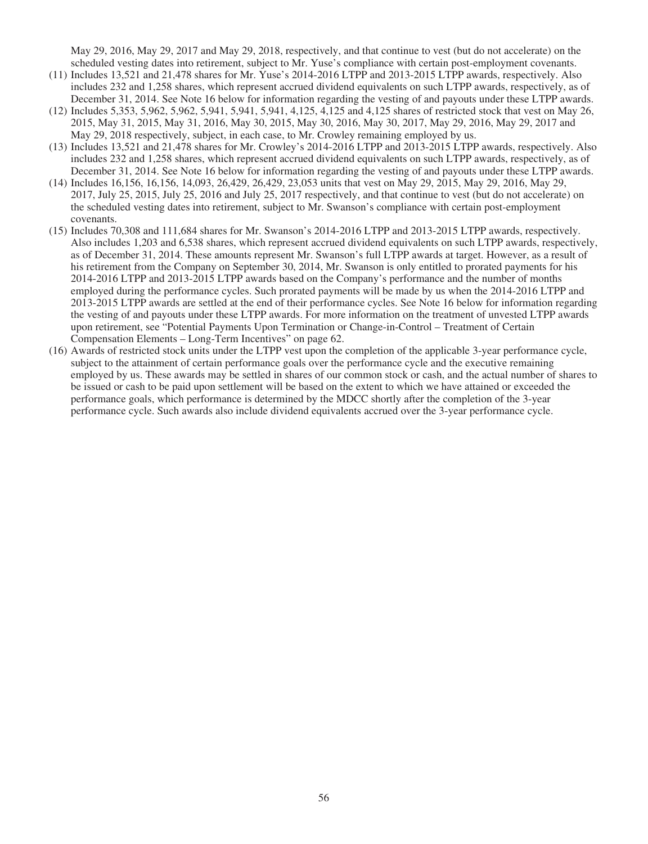May 29, 2016, May 29, 2017 and May 29, 2018, respectively, and that continue to vest (but do not accelerate) on the scheduled vesting dates into retirement, subject to Mr. Yuse's compliance with certain post-employment covenants.

- (11) Includes 13,521 and 21,478 shares for Mr. Yuse's 2014-2016 LTPP and 2013-2015 LTPP awards, respectively. Also includes 232 and 1,258 shares, which represent accrued dividend equivalents on such LTPP awards, respectively, as of December 31, 2014. See Note 16 below for information regarding the vesting of and payouts under these LTPP awards.
- (12) Includes 5,353, 5,962, 5,962, 5,941, 5,941, 5,941, 4,125, 4,125 and 4,125 shares of restricted stock that vest on May 26, 2015, May 31, 2015, May 31, 2016, May 30, 2015, May 30, 2016, May 30, 2017, May 29, 2016, May 29, 2017 and May 29, 2018 respectively, subject, in each case, to Mr. Crowley remaining employed by us.
- (13) Includes 13,521 and 21,478 shares for Mr. Crowley's 2014-2016 LTPP and 2013-2015 LTPP awards, respectively. Also includes 232 and 1,258 shares, which represent accrued dividend equivalents on such LTPP awards, respectively, as of December 31, 2014. See Note 16 below for information regarding the vesting of and payouts under these LTPP awards.
- (14) Includes 16,156, 16,156, 14,093, 26,429, 26,429, 23,053 units that vest on May 29, 2015, May 29, 2016, May 29, 2017, July 25, 2015, July 25, 2016 and July 25, 2017 respectively, and that continue to vest (but do not accelerate) on the scheduled vesting dates into retirement, subject to Mr. Swanson's compliance with certain post-employment covenants.
- (15) Includes 70,308 and 111,684 shares for Mr. Swanson's 2014-2016 LTPP and 2013-2015 LTPP awards, respectively. Also includes 1,203 and 6,538 shares, which represent accrued dividend equivalents on such LTPP awards, respectively, as of December 31, 2014. These amounts represent Mr. Swanson's full LTPP awards at target. However, as a result of his retirement from the Company on September 30, 2014, Mr. Swanson is only entitled to prorated payments for his 2014-2016 LTPP and 2013-2015 LTPP awards based on the Company's performance and the number of months employed during the performance cycles. Such prorated payments will be made by us when the 2014-2016 LTPP and 2013-2015 LTPP awards are settled at the end of their performance cycles. See Note 16 below for information regarding the vesting of and payouts under these LTPP awards. For more information on the treatment of unvested LTPP awards upon retirement, see "Potential Payments Upon Termination or Change-in-Control – Treatment of Certain Compensation Elements – Long-Term Incentives" on page 62.
- (16) Awards of restricted stock units under the LTPP vest upon the completion of the applicable 3-year performance cycle, subject to the attainment of certain performance goals over the performance cycle and the executive remaining employed by us. These awards may be settled in shares of our common stock or cash, and the actual number of shares to be issued or cash to be paid upon settlement will be based on the extent to which we have attained or exceeded the performance goals, which performance is determined by the MDCC shortly after the completion of the 3-year performance cycle. Such awards also include dividend equivalents accrued over the 3-year performance cycle.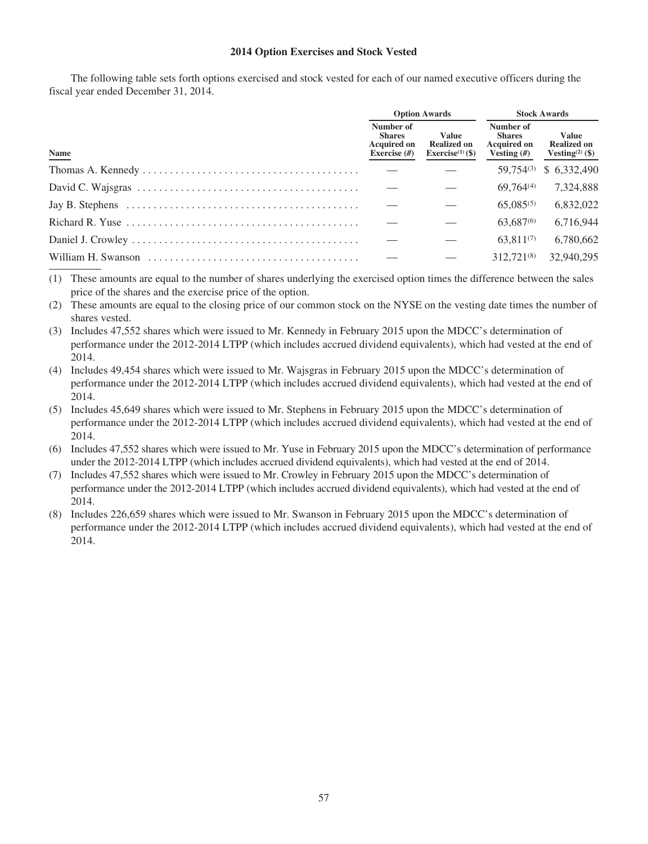## **2014 Option Exercises and Stock Vested**

The following table sets forth options exercised and stock vested for each of our named executive officers during the fiscal year ended December 31, 2014.

|                                                                                                       |                                                                   | <b>Option Awards</b>                                        | <b>Stock Awards</b>                                               |                                                                   |  |
|-------------------------------------------------------------------------------------------------------|-------------------------------------------------------------------|-------------------------------------------------------------|-------------------------------------------------------------------|-------------------------------------------------------------------|--|
| Name                                                                                                  | Number of<br><b>Shares</b><br><b>Acquired on</b><br>Exercise $#)$ | Value<br><b>Realized on</b><br>Exercise <sup>(1)</sup> (\$) | Number of<br><b>Shares</b><br><b>Acquired on</b><br>Vesting $(H)$ | <b>Value</b><br><b>Realized on</b><br>Vesting <sup>(2)</sup> (\$) |  |
|                                                                                                       |                                                                   |                                                             | $59.754^{(3)}$                                                    | \$6,332,490                                                       |  |
|                                                                                                       |                                                                   |                                                             | 69.764 <sup>(4)</sup>                                             | 7,324,888                                                         |  |
| Jay B. Stephens $\dots \dots \dots \dots \dots \dots \dots \dots \dots \dots \dots \dots \dots \dots$ |                                                                   |                                                             | $65.085^{(5)}$                                                    | 6,832,022                                                         |  |
| Richard R. Yuse $\dots \dots \dots \dots \dots \dots \dots \dots \dots \dots \dots \dots \dots \dots$ |                                                                   |                                                             | 63,687 <sup>(6)</sup>                                             | 6,716,944                                                         |  |
|                                                                                                       |                                                                   |                                                             | $63.811^{(7)}$                                                    | 6.780.662                                                         |  |
|                                                                                                       |                                                                   |                                                             | 312.721 <sup>(8)</sup>                                            | 32,940,295                                                        |  |

(1) These amounts are equal to the number of shares underlying the exercised option times the difference between the sales price of the shares and the exercise price of the option.

(2) These amounts are equal to the closing price of our common stock on the NYSE on the vesting date times the number of shares vested.

(3) Includes 47,552 shares which were issued to Mr. Kennedy in February 2015 upon the MDCC's determination of performance under the 2012-2014 LTPP (which includes accrued dividend equivalents), which had vested at the end of 2014.

(4) Includes 49,454 shares which were issued to Mr. Wajsgras in February 2015 upon the MDCC's determination of performance under the 2012-2014 LTPP (which includes accrued dividend equivalents), which had vested at the end of 2014.

(5) Includes 45,649 shares which were issued to Mr. Stephens in February 2015 upon the MDCC's determination of performance under the 2012-2014 LTPP (which includes accrued dividend equivalents), which had vested at the end of 2014.

(6) Includes 47,552 shares which were issued to Mr. Yuse in February 2015 upon the MDCC's determination of performance under the 2012-2014 LTPP (which includes accrued dividend equivalents), which had vested at the end of 2014.

(7) Includes 47,552 shares which were issued to Mr. Crowley in February 2015 upon the MDCC's determination of performance under the 2012-2014 LTPP (which includes accrued dividend equivalents), which had vested at the end of 2014.

(8) Includes 226,659 shares which were issued to Mr. Swanson in February 2015 upon the MDCC's determination of performance under the 2012-2014 LTPP (which includes accrued dividend equivalents), which had vested at the end of 2014.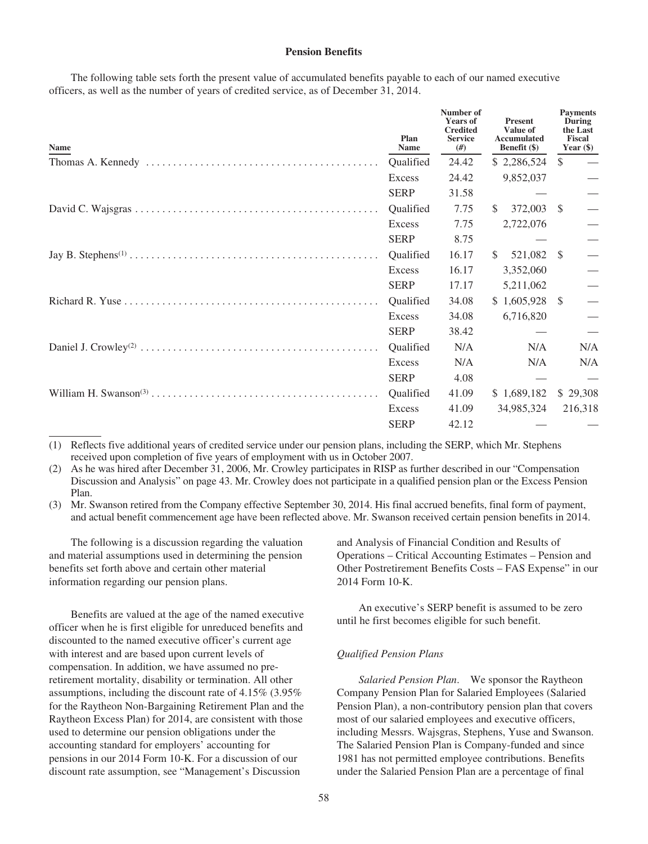## **Pension Benefits**

The following table sets forth the present value of accumulated benefits payable to each of our named executive officers, as well as the number of years of credited service, as of December 31, 2014.

| Name | Plan<br>Name     | Number of<br><b>Years of</b><br><b>Credited</b><br><b>Service</b><br>#) | <b>Present</b><br>Value of<br>Accumulated<br>Benefit (\$) | <b>Payments</b><br>During<br>the Last<br>Fiscal<br>Year $(\$)$ |
|------|------------------|-------------------------------------------------------------------------|-----------------------------------------------------------|----------------------------------------------------------------|
|      | <b>Oualified</b> | 24.42                                                                   | \$2,286,524                                               | <sup>\$</sup>                                                  |
|      | Excess           | 24.42                                                                   | 9,852,037                                                 |                                                                |
|      | <b>SERP</b>      | 31.58                                                                   |                                                           |                                                                |
|      | Qualified        | 7.75                                                                    | 372,003<br><sup>\$</sup>                                  | -S                                                             |
|      | Excess           | 7.75                                                                    | 2,722,076                                                 |                                                                |
|      | <b>SERP</b>      | 8.75                                                                    |                                                           |                                                                |
|      | <b>Oualified</b> | 16.17                                                                   | 521,082<br><sup>\$</sup>                                  | - \$                                                           |
|      | Excess           | 16.17                                                                   | 3,352,060                                                 |                                                                |
|      | <b>SERP</b>      | 17.17                                                                   | 5,211,062                                                 |                                                                |
|      | Qualified        | 34.08                                                                   | $$1,605,928$ \\$                                          | — — — — — — — — —                                              |
|      | Excess           | 34.08                                                                   | 6,716,820                                                 |                                                                |
|      | <b>SERP</b>      | 38.42                                                                   |                                                           | $\equiv$                                                       |
|      | Qualified        | N/A                                                                     | N/A                                                       | N/A                                                            |
|      | Excess           | N/A                                                                     | N/A                                                       | N/A                                                            |
|      | <b>SERP</b>      | 4.08                                                                    |                                                           |                                                                |
|      | Qualified        | 41.09                                                                   | \$1,689,182                                               | \$29,308                                                       |
|      | Excess           | 41.09                                                                   | 34,985,324                                                | 216,318                                                        |
|      | <b>SERP</b>      | 42.12                                                                   |                                                           |                                                                |

(1) Reflects five additional years of credited service under our pension plans, including the SERP, which Mr. Stephens received upon completion of five years of employment with us in October 2007.

(2) As he was hired after December 31, 2006, Mr. Crowley participates in RISP as further described in our "Compensation Discussion and Analysis" on page 43. Mr. Crowley does not participate in a qualified pension plan or the Excess Pension Plan.

(3) Mr. Swanson retired from the Company effective September 30, 2014. His final accrued benefits, final form of payment, and actual benefit commencement age have been reflected above. Mr. Swanson received certain pension benefits in 2014.

The following is a discussion regarding the valuation and material assumptions used in determining the pension benefits set forth above and certain other material information regarding our pension plans.

Benefits are valued at the age of the named executive officer when he is first eligible for unreduced benefits and discounted to the named executive officer's current age with interest and are based upon current levels of compensation. In addition, we have assumed no preretirement mortality, disability or termination. All other assumptions, including the discount rate of 4.15% (3.95% for the Raytheon Non-Bargaining Retirement Plan and the Raytheon Excess Plan) for 2014, are consistent with those used to determine our pension obligations under the accounting standard for employers' accounting for pensions in our 2014 Form 10-K. For a discussion of our discount rate assumption, see "Management's Discussion

and Analysis of Financial Condition and Results of Operations – Critical Accounting Estimates – Pension and Other Postretirement Benefits Costs – FAS Expense" in our 2014 Form 10-K.

An executive's SERP benefit is assumed to be zero until he first becomes eligible for such benefit.

### *Qualified Pension Plans*

*Salaried Pension Plan*. We sponsor the Raytheon Company Pension Plan for Salaried Employees (Salaried Pension Plan), a non-contributory pension plan that covers most of our salaried employees and executive officers, including Messrs. Wajsgras, Stephens, Yuse and Swanson. The Salaried Pension Plan is Company-funded and since 1981 has not permitted employee contributions. Benefits under the Salaried Pension Plan are a percentage of final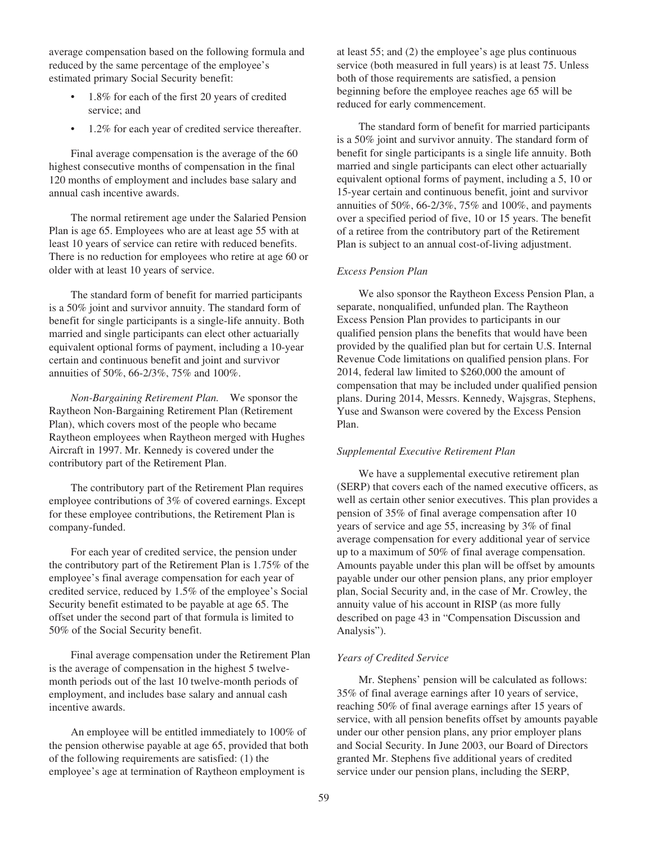average compensation based on the following formula and reduced by the same percentage of the employee's estimated primary Social Security benefit:

- 1.8% for each of the first 20 years of credited service; and
- 1.2% for each year of credited service thereafter.

Final average compensation is the average of the 60 highest consecutive months of compensation in the final 120 months of employment and includes base salary and annual cash incentive awards.

The normal retirement age under the Salaried Pension Plan is age 65. Employees who are at least age 55 with at least 10 years of service can retire with reduced benefits. There is no reduction for employees who retire at age 60 or older with at least 10 years of service.

The standard form of benefit for married participants is a 50% joint and survivor annuity. The standard form of benefit for single participants is a single-life annuity. Both married and single participants can elect other actuarially equivalent optional forms of payment, including a 10-year certain and continuous benefit and joint and survivor annuities of 50%, 66-2/3%, 75% and 100%.

*Non-Bargaining Retirement Plan.* We sponsor the Raytheon Non-Bargaining Retirement Plan (Retirement Plan), which covers most of the people who became Raytheon employees when Raytheon merged with Hughes Aircraft in 1997. Mr. Kennedy is covered under the contributory part of the Retirement Plan.

The contributory part of the Retirement Plan requires employee contributions of 3% of covered earnings. Except for these employee contributions, the Retirement Plan is company-funded.

For each year of credited service, the pension under the contributory part of the Retirement Plan is 1.75% of the employee's final average compensation for each year of credited service, reduced by 1.5% of the employee's Social Security benefit estimated to be payable at age 65. The offset under the second part of that formula is limited to 50% of the Social Security benefit.

Final average compensation under the Retirement Plan is the average of compensation in the highest 5 twelvemonth periods out of the last 10 twelve-month periods of employment, and includes base salary and annual cash incentive awards.

An employee will be entitled immediately to 100% of the pension otherwise payable at age 65, provided that both of the following requirements are satisfied: (1) the employee's age at termination of Raytheon employment is

at least 55; and (2) the employee's age plus continuous service (both measured in full years) is at least 75. Unless both of those requirements are satisfied, a pension beginning before the employee reaches age 65 will be reduced for early commencement.

The standard form of benefit for married participants is a 50% joint and survivor annuity. The standard form of benefit for single participants is a single life annuity. Both married and single participants can elect other actuarially equivalent optional forms of payment, including a 5, 10 or 15-year certain and continuous benefit, joint and survivor annuities of 50%, 66-2/3%, 75% and 100%, and payments over a specified period of five, 10 or 15 years. The benefit of a retiree from the contributory part of the Retirement Plan is subject to an annual cost-of-living adjustment.

## *Excess Pension Plan*

We also sponsor the Raytheon Excess Pension Plan, a separate, nonqualified, unfunded plan. The Raytheon Excess Pension Plan provides to participants in our qualified pension plans the benefits that would have been provided by the qualified plan but for certain U.S. Internal Revenue Code limitations on qualified pension plans. For 2014, federal law limited to \$260,000 the amount of compensation that may be included under qualified pension plans. During 2014, Messrs. Kennedy, Wajsgras, Stephens, Yuse and Swanson were covered by the Excess Pension Plan.

### *Supplemental Executive Retirement Plan*

We have a supplemental executive retirement plan (SERP) that covers each of the named executive officers, as well as certain other senior executives. This plan provides a pension of 35% of final average compensation after 10 years of service and age 55, increasing by 3% of final average compensation for every additional year of service up to a maximum of 50% of final average compensation. Amounts payable under this plan will be offset by amounts payable under our other pension plans, any prior employer plan, Social Security and, in the case of Mr. Crowley, the annuity value of his account in RISP (as more fully described on page 43 in "Compensation Discussion and Analysis").

### *Years of Credited Service*

Mr. Stephens' pension will be calculated as follows: 35% of final average earnings after 10 years of service, reaching 50% of final average earnings after 15 years of service, with all pension benefits offset by amounts payable under our other pension plans, any prior employer plans and Social Security. In June 2003, our Board of Directors granted Mr. Stephens five additional years of credited service under our pension plans, including the SERP,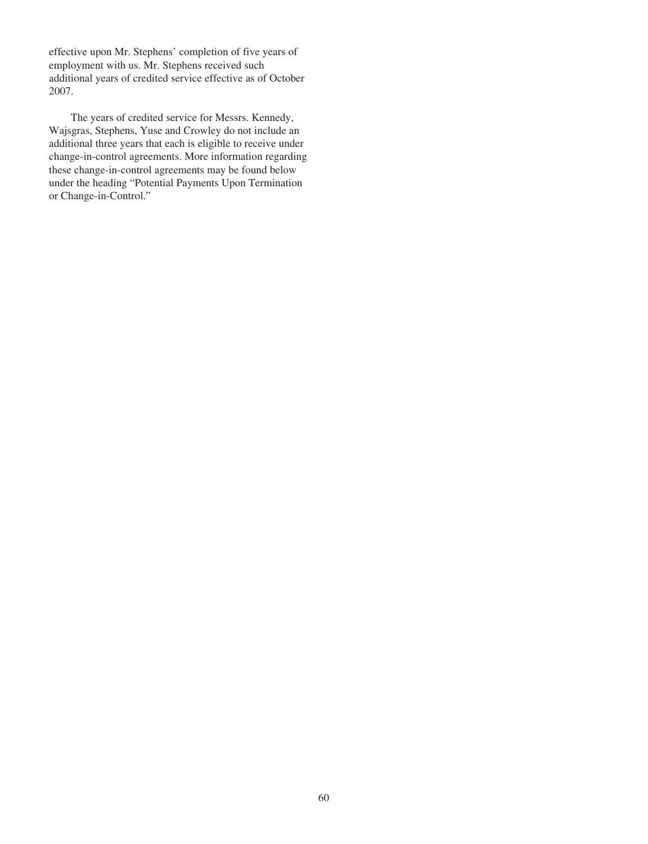effective upon Mr. Stephens' completion of five years of employment with us. Mr. Stephens received such additional years of credited service effective as of October 2007.

The years of credited service for Messrs. Kennedy, Wajsgras, Stephens, Yuse and Crowley do not include an additional three years that each is eligible to receive under change-in-control agreements. More information regarding these change-in-control agreements may be found below under the heading "Potential Payments Upon Termination or Change-in-Control."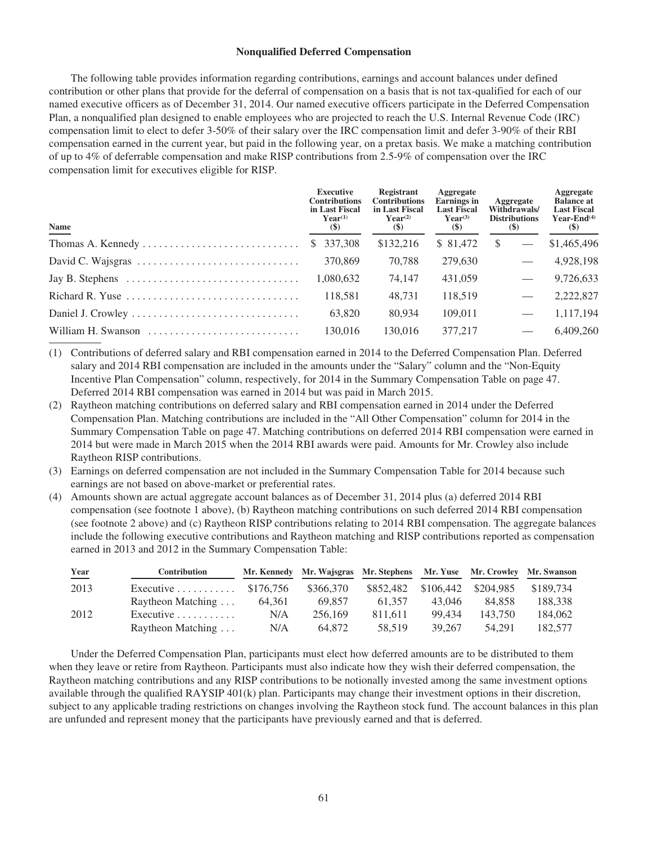### **Nonqualified Deferred Compensation**

The following table provides information regarding contributions, earnings and account balances under defined contribution or other plans that provide for the deferral of compensation on a basis that is not tax-qualified for each of our named executive officers as of December 31, 2014. Our named executive officers participate in the Deferred Compensation Plan, a nonqualified plan designed to enable employees who are projected to reach the U.S. Internal Revenue Code (IRC) compensation limit to elect to defer 3-50% of their salary over the IRC compensation limit and defer 3-90% of their RBI compensation earned in the current year, but paid in the following year, on a pretax basis. We make a matching contribution of up to 4% of deferrable compensation and make RISP contributions from 2.5-9% of compensation over the IRC compensation limit for executives eligible for RISP.

| <b>Name</b>                                                                         | <b>Executive</b><br><b>Contributions</b><br>in Last Fiscal<br>$Year^{(1)}$<br>$(\$)$ | Registrant<br><b>Contributions</b><br>in Last Fiscal<br>$Year^{(2)}$<br>$(\$)$ | Aggregate<br><b>Earnings</b> in<br><b>Last Fiscal</b><br>$Year^{(3)}$<br>$(\$)$ | Aggregate<br>Withdrawals/<br><b>Distributions</b><br><b>(\$)</b> | Aggregate<br><b>Balance at</b><br><b>Last Fiscal</b><br>Year-End $(4)$<br>$(\$)$ |
|-------------------------------------------------------------------------------------|--------------------------------------------------------------------------------------|--------------------------------------------------------------------------------|---------------------------------------------------------------------------------|------------------------------------------------------------------|----------------------------------------------------------------------------------|
|                                                                                     | \$ 337,308                                                                           | \$132,216                                                                      | \$ 81.472                                                                       | <sup>\$</sup>                                                    | \$1,465,496                                                                      |
|                                                                                     | 370,869                                                                              | 70.788                                                                         | 279,630                                                                         |                                                                  | 4,928,198                                                                        |
| Jay B. Stephens $\dots \dots \dots \dots \dots \dots \dots \dots \dots \dots$       | 1,080,632                                                                            | 74.147                                                                         | 431,059                                                                         |                                                                  | 9,726,633                                                                        |
| Richard R. Yuse $\dots \dots \dots \dots \dots \dots \dots \dots \dots \dots \dots$ | 118.581                                                                              | 48.731                                                                         | 118,519                                                                         |                                                                  | 2,222,827                                                                        |
|                                                                                     | 63,820                                                                               | 80,934                                                                         | 109.011                                                                         |                                                                  | 1,117,194                                                                        |
| William H. Swanson                                                                  | 130.016                                                                              | 130.016                                                                        | 377,217                                                                         |                                                                  | 6.409.260                                                                        |

- (1) Contributions of deferred salary and RBI compensation earned in 2014 to the Deferred Compensation Plan. Deferred salary and 2014 RBI compensation are included in the amounts under the "Salary" column and the "Non-Equity Incentive Plan Compensation" column, respectively, for 2014 in the Summary Compensation Table on page 47. Deferred 2014 RBI compensation was earned in 2014 but was paid in March 2015.
- (2) Raytheon matching contributions on deferred salary and RBI compensation earned in 2014 under the Deferred Compensation Plan. Matching contributions are included in the "All Other Compensation" column for 2014 in the Summary Compensation Table on page 47. Matching contributions on deferred 2014 RBI compensation were earned in 2014 but were made in March 2015 when the 2014 RBI awards were paid. Amounts for Mr. Crowley also include Raytheon RISP contributions.
- (3) Earnings on deferred compensation are not included in the Summary Compensation Table for 2014 because such earnings are not based on above-market or preferential rates.
- (4) Amounts shown are actual aggregate account balances as of December 31, 2014 plus (a) deferred 2014 RBI compensation (see footnote 1 above), (b) Raytheon matching contributions on such deferred 2014 RBI compensation (see footnote 2 above) and (c) Raytheon RISP contributions relating to 2014 RBI compensation. The aggregate balances include the following executive contributions and Raytheon matching and RISP contributions reported as compensation earned in 2013 and 2012 in the Summary Compensation Table:

| Year | <b>Contribution</b>              |           | Mr. Kennedy Mr. Wajsgras Mr. Stephens Mr. Yuse Mr. Crowley Mr. Swanson |           |           |           |           |
|------|----------------------------------|-----------|------------------------------------------------------------------------|-----------|-----------|-----------|-----------|
| 2013 | Executive $\ldots \ldots \ldots$ | \$176.756 | \$366,370                                                              | \$852,482 | \$106,442 | \$204,985 | \$189,734 |
|      | Raytheon Matching                | 64.361    | 69.857                                                                 | 61.357    | 43,046    | 84.858    | 188.338   |
| 2012 | Executive $\dots\dots\dots\dots$ | N/A       | 256,169                                                                | 811.611   | 99.434    | 143.750   | 184,062   |
|      | Raytheon Matching                | N/A       | 64.872                                                                 | 58.519    | 39.267    | 54.291    | 182.577   |

Under the Deferred Compensation Plan, participants must elect how deferred amounts are to be distributed to them when they leave or retire from Raytheon. Participants must also indicate how they wish their deferred compensation, the Raytheon matching contributions and any RISP contributions to be notionally invested among the same investment options available through the qualified RAYSIP 401(k) plan. Participants may change their investment options in their discretion, subject to any applicable trading restrictions on changes involving the Raytheon stock fund. The account balances in this plan are unfunded and represent money that the participants have previously earned and that is deferred.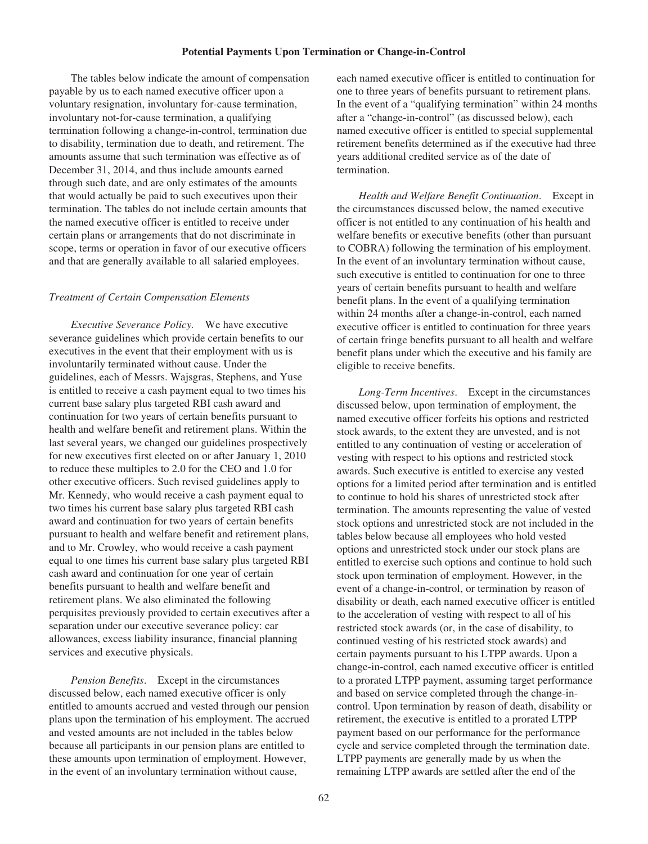### **Potential Payments Upon Termination or Change-in-Control**

The tables below indicate the amount of compensation payable by us to each named executive officer upon a voluntary resignation, involuntary for-cause termination, involuntary not-for-cause termination, a qualifying termination following a change-in-control, termination due to disability, termination due to death, and retirement. The amounts assume that such termination was effective as of December 31, 2014, and thus include amounts earned through such date, and are only estimates of the amounts that would actually be paid to such executives upon their termination. The tables do not include certain amounts that the named executive officer is entitled to receive under certain plans or arrangements that do not discriminate in scope, terms or operation in favor of our executive officers and that are generally available to all salaried employees.

## *Treatment of Certain Compensation Elements*

*Executive Severance Policy.* We have executive severance guidelines which provide certain benefits to our executives in the event that their employment with us is involuntarily terminated without cause. Under the guidelines, each of Messrs. Wajsgras, Stephens, and Yuse is entitled to receive a cash payment equal to two times his current base salary plus targeted RBI cash award and continuation for two years of certain benefits pursuant to health and welfare benefit and retirement plans. Within the last several years, we changed our guidelines prospectively for new executives first elected on or after January 1, 2010 to reduce these multiples to 2.0 for the CEO and 1.0 for other executive officers. Such revised guidelines apply to Mr. Kennedy, who would receive a cash payment equal to two times his current base salary plus targeted RBI cash award and continuation for two years of certain benefits pursuant to health and welfare benefit and retirement plans, and to Mr. Crowley, who would receive a cash payment equal to one times his current base salary plus targeted RBI cash award and continuation for one year of certain benefits pursuant to health and welfare benefit and retirement plans. We also eliminated the following perquisites previously provided to certain executives after a separation under our executive severance policy: car allowances, excess liability insurance, financial planning services and executive physicals.

*Pension Benefits*. Except in the circumstances discussed below, each named executive officer is only entitled to amounts accrued and vested through our pension plans upon the termination of his employment. The accrued and vested amounts are not included in the tables below because all participants in our pension plans are entitled to these amounts upon termination of employment. However, in the event of an involuntary termination without cause,

each named executive officer is entitled to continuation for one to three years of benefits pursuant to retirement plans. In the event of a "qualifying termination" within 24 months after a "change-in-control" (as discussed below), each named executive officer is entitled to special supplemental retirement benefits determined as if the executive had three years additional credited service as of the date of termination.

*Health and Welfare Benefit Continuation*. Except in the circumstances discussed below, the named executive officer is not entitled to any continuation of his health and welfare benefits or executive benefits (other than pursuant to COBRA) following the termination of his employment. In the event of an involuntary termination without cause, such executive is entitled to continuation for one to three years of certain benefits pursuant to health and welfare benefit plans. In the event of a qualifying termination within 24 months after a change-in-control, each named executive officer is entitled to continuation for three years of certain fringe benefits pursuant to all health and welfare benefit plans under which the executive and his family are eligible to receive benefits.

*Long-Term Incentives*. Except in the circumstances discussed below, upon termination of employment, the named executive officer forfeits his options and restricted stock awards, to the extent they are unvested, and is not entitled to any continuation of vesting or acceleration of vesting with respect to his options and restricted stock awards. Such executive is entitled to exercise any vested options for a limited period after termination and is entitled to continue to hold his shares of unrestricted stock after termination. The amounts representing the value of vested stock options and unrestricted stock are not included in the tables below because all employees who hold vested options and unrestricted stock under our stock plans are entitled to exercise such options and continue to hold such stock upon termination of employment. However, in the event of a change-in-control, or termination by reason of disability or death, each named executive officer is entitled to the acceleration of vesting with respect to all of his restricted stock awards (or, in the case of disability, to continued vesting of his restricted stock awards) and certain payments pursuant to his LTPP awards. Upon a change-in-control, each named executive officer is entitled to a prorated LTPP payment, assuming target performance and based on service completed through the change-incontrol. Upon termination by reason of death, disability or retirement, the executive is entitled to a prorated LTPP payment based on our performance for the performance cycle and service completed through the termination date. LTPP payments are generally made by us when the remaining LTPP awards are settled after the end of the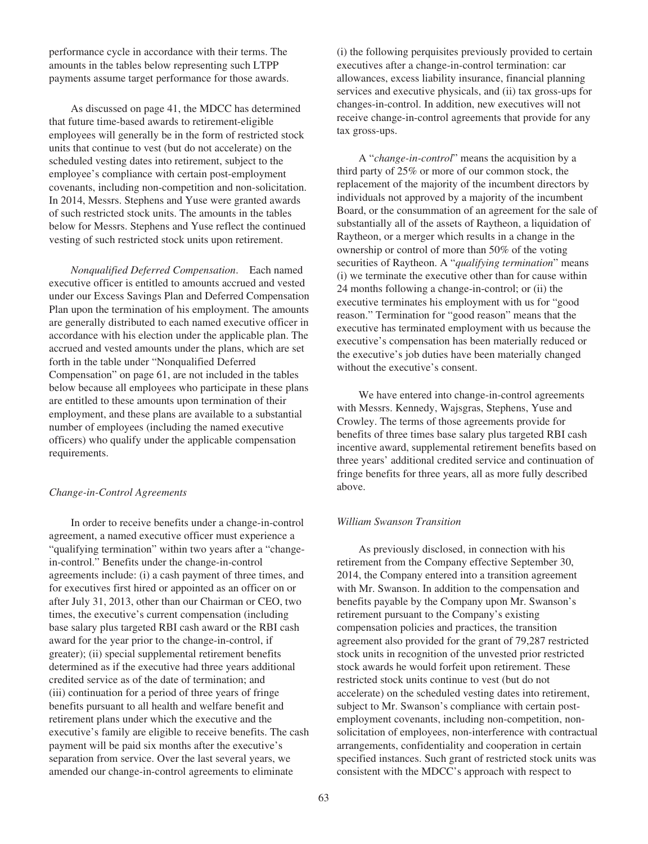performance cycle in accordance with their terms. The amounts in the tables below representing such LTPP payments assume target performance for those awards.

As discussed on page 41, the MDCC has determined that future time-based awards to retirement-eligible employees will generally be in the form of restricted stock units that continue to vest (but do not accelerate) on the scheduled vesting dates into retirement, subject to the employee's compliance with certain post-employment covenants, including non-competition and non-solicitation. In 2014, Messrs. Stephens and Yuse were granted awards of such restricted stock units. The amounts in the tables below for Messrs. Stephens and Yuse reflect the continued vesting of such restricted stock units upon retirement.

*Nonqualified Deferred Compensation*. Each named executive officer is entitled to amounts accrued and vested under our Excess Savings Plan and Deferred Compensation Plan upon the termination of his employment. The amounts are generally distributed to each named executive officer in accordance with his election under the applicable plan. The accrued and vested amounts under the plans, which are set forth in the table under "Nonqualified Deferred Compensation" on page 61, are not included in the tables below because all employees who participate in these plans are entitled to these amounts upon termination of their employment, and these plans are available to a substantial number of employees (including the named executive officers) who qualify under the applicable compensation requirements.

### *Change-in-Control Agreements*

In order to receive benefits under a change-in-control agreement, a named executive officer must experience a "qualifying termination" within two years after a "changein-control." Benefits under the change-in-control agreements include: (i) a cash payment of three times, and for executives first hired or appointed as an officer on or after July 31, 2013, other than our Chairman or CEO, two times, the executive's current compensation (including base salary plus targeted RBI cash award or the RBI cash award for the year prior to the change-in-control, if greater); (ii) special supplemental retirement benefits determined as if the executive had three years additional credited service as of the date of termination; and (iii) continuation for a period of three years of fringe benefits pursuant to all health and welfare benefit and retirement plans under which the executive and the executive's family are eligible to receive benefits. The cash payment will be paid six months after the executive's separation from service. Over the last several years, we amended our change-in-control agreements to eliminate

(i) the following perquisites previously provided to certain executives after a change-in-control termination: car allowances, excess liability insurance, financial planning services and executive physicals, and (ii) tax gross-ups for changes-in-control. In addition, new executives will not receive change-in-control agreements that provide for any tax gross-ups.

A "*change-in-control*" means the acquisition by a third party of 25% or more of our common stock, the replacement of the majority of the incumbent directors by individuals not approved by a majority of the incumbent Board, or the consummation of an agreement for the sale of substantially all of the assets of Raytheon, a liquidation of Raytheon, or a merger which results in a change in the ownership or control of more than 50% of the voting securities of Raytheon. A "*qualifying termination*" means (i) we terminate the executive other than for cause within 24 months following a change-in-control; or (ii) the executive terminates his employment with us for "good reason." Termination for "good reason" means that the executive has terminated employment with us because the executive's compensation has been materially reduced or the executive's job duties have been materially changed without the executive's consent.

We have entered into change-in-control agreements with Messrs. Kennedy, Wajsgras, Stephens, Yuse and Crowley. The terms of those agreements provide for benefits of three times base salary plus targeted RBI cash incentive award, supplemental retirement benefits based on three years' additional credited service and continuation of fringe benefits for three years, all as more fully described above.

### *William Swanson Transition*

As previously disclosed, in connection with his retirement from the Company effective September 30, 2014, the Company entered into a transition agreement with Mr. Swanson. In addition to the compensation and benefits payable by the Company upon Mr. Swanson's retirement pursuant to the Company's existing compensation policies and practices, the transition agreement also provided for the grant of 79,287 restricted stock units in recognition of the unvested prior restricted stock awards he would forfeit upon retirement. These restricted stock units continue to vest (but do not accelerate) on the scheduled vesting dates into retirement, subject to Mr. Swanson's compliance with certain postemployment covenants, including non-competition, nonsolicitation of employees, non-interference with contractual arrangements, confidentiality and cooperation in certain specified instances. Such grant of restricted stock units was consistent with the MDCC's approach with respect to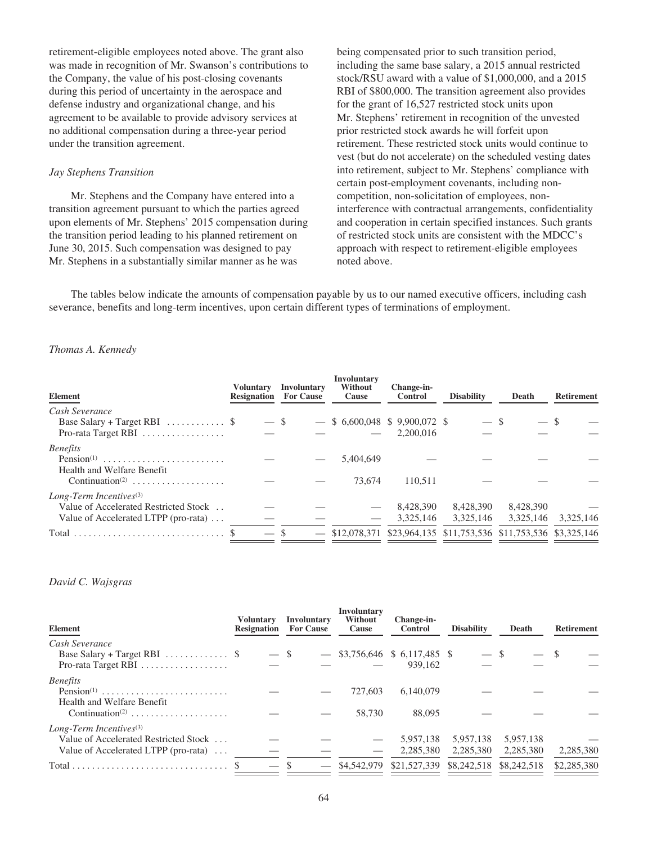retirement-eligible employees noted above. The grant also was made in recognition of Mr. Swanson's contributions to the Company, the value of his post-closing covenants during this period of uncertainty in the aerospace and defense industry and organizational change, and his agreement to be available to provide advisory services at no additional compensation during a three-year period under the transition agreement.

### *Jay Stephens Transition*

Mr. Stephens and the Company have entered into a transition agreement pursuant to which the parties agreed upon elements of Mr. Stephens' 2015 compensation during the transition period leading to his planned retirement on June 30, 2015. Such compensation was designed to pay Mr. Stephens in a substantially similar manner as he was

being compensated prior to such transition period, including the same base salary, a 2015 annual restricted stock/RSU award with a value of \$1,000,000, and a 2015 RBI of \$800,000. The transition agreement also provides for the grant of 16,527 restricted stock units upon Mr. Stephens' retirement in recognition of the unvested prior restricted stock awards he will forfeit upon retirement. These restricted stock units would continue to vest (but do not accelerate) on the scheduled vesting dates into retirement, subject to Mr. Stephens' compliance with certain post-employment covenants, including noncompetition, non-solicitation of employees, noninterference with contractual arrangements, confidentiality and cooperation in certain specified instances. Such grants of restricted stock units are consistent with the MDCC's approach with respect to retirement-eligible employees noted above.

The tables below indicate the amounts of compensation payable by us to our named executive officers, including cash severance, benefits and long-term incentives, upon certain different types of terminations of employment.

### *Thomas A. Kennedy*

| Element                                                                   | Voluntarv |        | <b>Involuntary</b><br><b>Resignation</b> For Cause | Involuntary<br><b>Without</b><br><b>Cause</b> | Change-in-<br><b>Control</b>                  | <b>Disability</b>                                               | Death     | <b>Retirement</b> |
|---------------------------------------------------------------------------|-----------|--------|----------------------------------------------------|-----------------------------------------------|-----------------------------------------------|-----------------------------------------------------------------|-----------|-------------------|
| Cash Severance                                                            |           |        |                                                    |                                               |                                               |                                                                 |           |                   |
| Base Salary + Target RBI $\ldots \ldots \ldots$ \$<br>Pro-rata Target RBI |           | $-$ \$ |                                                    |                                               | $-$ \$ 6,600,048 \$ 9,900,072 \$<br>2,200,016 | $-$ \$                                                          |           |                   |
| <b>Benefits</b>                                                           |           |        |                                                    |                                               |                                               |                                                                 |           |                   |
| $Pension(1)$<br>Health and Welfare Benefit                                |           |        |                                                    | 5.404.649                                     |                                               |                                                                 |           |                   |
| Continuation <sup>(2)</sup>                                               |           |        |                                                    | 73,674                                        | 110.511                                       |                                                                 |           |                   |
| Long-Term Incentives $(3)$                                                |           |        |                                                    |                                               |                                               |                                                                 |           |                   |
| Value of Accelerated Restricted Stock                                     |           |        |                                                    |                                               | 8.428.390                                     | 8.428.390                                                       | 8,428,390 |                   |
| Value of Accelerated LTPP (pro-rata)                                      |           |        |                                                    |                                               | 3.325.146                                     | 3,325,146                                                       | 3.325.146 | 3.325.146         |
|                                                                           |           |        | $\overline{\phantom{a}}$                           |                                               |                                               | \$12,078,371 \$23,964,135 \$11,753,536 \$11,753,536 \$3,325,146 |           |                   |

#### *David C. Wajsgras*

| Element                                            | <b>Voluntary</b><br><b>Resignation</b> | Involuntary<br><b>For Cause</b> | Involuntary<br>Without<br>Cause | Change-in-<br><b>Control</b>    | <b>Disability</b> | Death       | <b>Retirement</b> |
|----------------------------------------------------|----------------------------------------|---------------------------------|---------------------------------|---------------------------------|-------------------|-------------|-------------------|
| Cash Severance                                     |                                        |                                 |                                 |                                 |                   |             |                   |
| Base Salary + Target RBI $\ldots \ldots \ldots$ \$ |                                        | $-$ \$                          |                                 | $-$ \$3,756,646 \$ 6,117,485 \$ | $-$ \$            |             |                   |
| Pro-rata Target RBI                                |                                        |                                 |                                 | 939.162                         |                   |             |                   |
| <b>Benefits</b>                                    |                                        |                                 |                                 |                                 |                   |             |                   |
|                                                    |                                        |                                 | 727,603                         | 6.140.079                       |                   |             |                   |
| Health and Welfare Benefit                         |                                        |                                 |                                 |                                 |                   |             |                   |
| Continuation <sup>(2)</sup>                        |                                        |                                 | 58,730                          | 88,095                          |                   |             |                   |
| Long-Term Incentives $(3)$                         |                                        |                                 |                                 |                                 |                   |             |                   |
| Value of Accelerated Restricted Stock              |                                        |                                 |                                 | 5.957.138                       | 5.957.138         | 5,957,138   |                   |
| Value of Accelerated LTPP (pro-rata)               |                                        |                                 |                                 | 2.285.380                       | 2,285,380         | 2,285,380   | 2,285,380         |
|                                                    |                                        |                                 | \$4,542,979                     | \$21,527,339                    | \$8,242,518       | \$8,242,518 | \$2,285,380       |
|                                                    |                                        |                                 |                                 |                                 |                   |             |                   |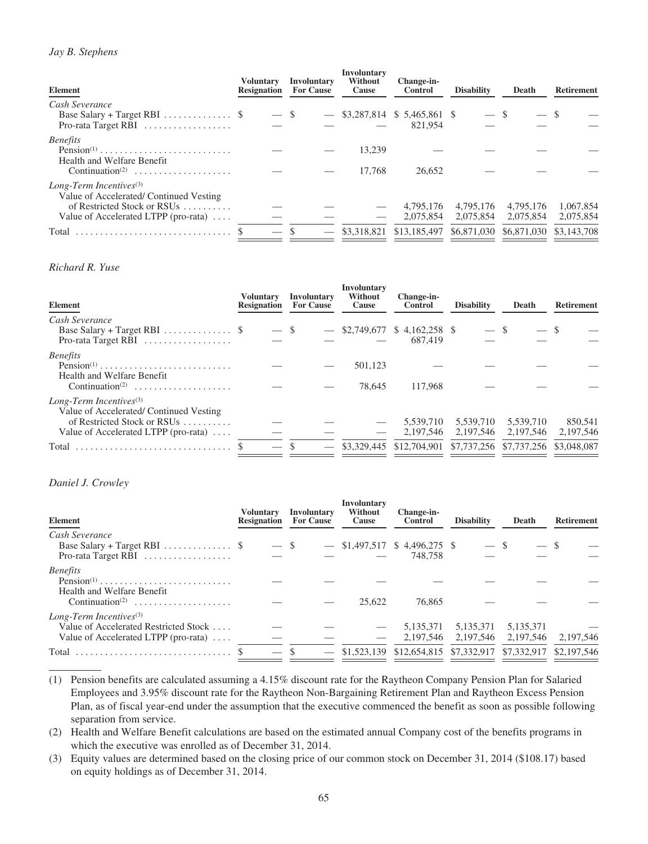# *Jay B. Stephens*

| Element                                                                                                                                             | <b>Voluntary</b><br><b>Resignation</b> | <b>Involuntary</b><br><b>For Cause</b> | <b>Involuntary</b><br>Without<br>Cause | Change-in-<br><b>Control</b>               | <b>Disability</b>      | Death                               | <b>Retirement</b>      |
|-----------------------------------------------------------------------------------------------------------------------------------------------------|----------------------------------------|----------------------------------------|----------------------------------------|--------------------------------------------|------------------------|-------------------------------------|------------------------|
| Cash Severance<br>Base Salary + Target RBI $\ldots \ldots \ldots$ \$<br>Pro-rata Target RBI                                                         | $-$ \$                                 |                                        |                                        | $-$ \$3,287,814 \$ 5,465,861 \$<br>821,954 | $-$ \$                 |                                     |                        |
| <b>Benefits</b><br>Health and Welfare Benefit<br>$Continuation^{(2)} \dots \dots \dots \dots \dots \dots \dots$                                     |                                        |                                        | 13.239<br>17.768                       | 26,652                                     |                        |                                     |                        |
| Long-Term Incentives $(3)$<br>Value of Accelerated/Continued Vesting<br>of Restricted Stock or RSUs<br>Value of Accelerated LTPP (pro-rata) $\dots$ |                                        |                                        |                                        | 4.795.176<br>2.075.854                     | 4.795.176<br>2,075,854 | 4.795.176<br>2.075.854              | 1,067,854<br>2,075,854 |
| Total                                                                                                                                               |                                        |                                        |                                        | \$3,318,821 \$13,185,497                   |                        | \$6,871,030 \$6,871,030 \$3,143,708 |                        |

# *Richard R. Yuse*

| Element                                                                                                                                             | Voluntary<br><b>Resignation</b> | <b>Involuntary</b><br><b>For Cause</b> | Involuntary<br>Without<br>Cause | Change-in-<br><b>Control</b>              | <b>Disability</b>      | Death                   | <b>Retirement</b>    |
|-----------------------------------------------------------------------------------------------------------------------------------------------------|---------------------------------|----------------------------------------|---------------------------------|-------------------------------------------|------------------------|-------------------------|----------------------|
| Cash Severance<br>Base Salary + Target RBI $\$<br>Pro-rata Target RBI $\dots\dots\dots\dots\dots\dots$                                              | $-$ \$                          |                                        |                                 | $-$ \$2,749,677 \$4,162,258 \$<br>687,419 |                        |                         |                      |
| <i>Benefits</i><br>Health and Welfare Benefit<br>Continuation <sup>(2)</sup>                                                                        |                                 |                                        | 501,123<br>78.645               | 117.968                                   |                        |                         |                      |
| Long-Term Incentives $(3)$<br>Value of Accelerated/Continued Vesting<br>of Restricted Stock or RSUs<br>Value of Accelerated LTPP (pro-rata) $\dots$ |                                 |                                        |                                 | 5,539,710<br>2.197.546                    | 5,539,710<br>2,197,546 | 5,539,710<br>2,197,546  | 850,541<br>2,197,546 |
| Total                                                                                                                                               |                                 |                                        |                                 | \$3,329,445 \$12,704,901                  |                        | \$7,737,256 \$7,737,256 | \$3,048,087          |

## *Daniel J. Crowley*

| <b>Element</b>                                                                                                               | Voluntarv<br><b>Resignation</b> | Involuntary<br><b>For Cause</b> | <b>Involuntary</b><br>Without<br>Cause | Change-in-<br>Control                      | <b>Disability</b>        | Death                  | <b>Retirement</b> |
|------------------------------------------------------------------------------------------------------------------------------|---------------------------------|---------------------------------|----------------------------------------|--------------------------------------------|--------------------------|------------------------|-------------------|
| Cash Severance<br>Base Salary + Target RBI $\ldots \ldots \ldots$ \$<br>Pro-rata Target RBI $\dots\dots\dots\dots\dots\dots$ | $-$ \$                          |                                 |                                        | $-$ \$1,497,517 \$ 4,496,275 \$<br>748.758 | $-$ \$                   |                        |                   |
| <b>Benefits</b><br>$Pension(1)$<br>Health and Welfare Benefit<br>Continuation <sup>(2)</sup>                                 |                                 |                                 | 25.622                                 | 76,865                                     |                          |                        |                   |
| Long-Term Incentives $(3)$<br>Value of Accelerated Restricted Stock<br>Value of Accelerated LTPP (pro-rata) $\dots$          |                                 |                                 |                                        | 5,135,371<br>2.197.546                     | 5, 135, 371<br>2,197,546 | 5,135,371<br>2.197.546 | 2,197,546         |
| Total                                                                                                                        | $\overline{\phantom{a}}$        |                                 | \$1,523,139                            | \$12,654,815 \$7,332,917 \$7,332,917       |                          |                        | \$2,197,546       |

<sup>(1)</sup> Pension benefits are calculated assuming a 4.15% discount rate for the Raytheon Company Pension Plan for Salaried Employees and 3.95% discount rate for the Raytheon Non-Bargaining Retirement Plan and Raytheon Excess Pension Plan, as of fiscal year-end under the assumption that the executive commenced the benefit as soon as possible following separation from service.

(2) Health and Welfare Benefit calculations are based on the estimated annual Company cost of the benefits programs in which the executive was enrolled as of December 31, 2014.

(3) Equity values are determined based on the closing price of our common stock on December 31, 2014 (\$108.17) based on equity holdings as of December 31, 2014.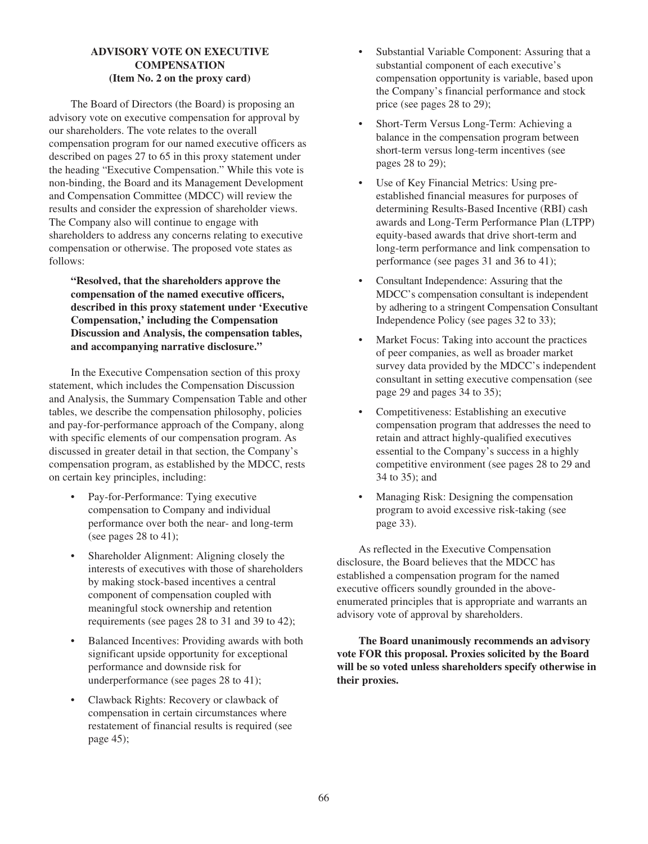# **ADVISORY VOTE ON EXECUTIVE COMPENSATION (Item No. 2 on the proxy card)**

The Board of Directors (the Board) is proposing an advisory vote on executive compensation for approval by our shareholders. The vote relates to the overall compensation program for our named executive officers as described on pages 27 to 65 in this proxy statement under the heading "Executive Compensation." While this vote is non-binding, the Board and its Management Development and Compensation Committee (MDCC) will review the results and consider the expression of shareholder views. The Company also will continue to engage with shareholders to address any concerns relating to executive compensation or otherwise. The proposed vote states as follows:

**"Resolved, that the shareholders approve the compensation of the named executive officers, described in this proxy statement under 'Executive Compensation,' including the Compensation Discussion and Analysis, the compensation tables, and accompanying narrative disclosure."**

In the Executive Compensation section of this proxy statement, which includes the Compensation Discussion and Analysis, the Summary Compensation Table and other tables, we describe the compensation philosophy, policies and pay-for-performance approach of the Company, along with specific elements of our compensation program. As discussed in greater detail in that section, the Company's compensation program, as established by the MDCC, rests on certain key principles, including:

- Pay-for-Performance: Tying executive compensation to Company and individual performance over both the near- and long-term (see pages 28 to 41);
- Shareholder Alignment: Aligning closely the interests of executives with those of shareholders by making stock-based incentives a central component of compensation coupled with meaningful stock ownership and retention requirements (see pages 28 to 31 and 39 to 42);
- Balanced Incentives: Providing awards with both significant upside opportunity for exceptional performance and downside risk for underperformance (see pages 28 to 41);
- Clawback Rights: Recovery or clawback of compensation in certain circumstances where restatement of financial results is required (see page 45);
- Substantial Variable Component: Assuring that a substantial component of each executive's compensation opportunity is variable, based upon the Company's financial performance and stock price (see pages 28 to 29);
- Short-Term Versus Long-Term: Achieving a balance in the compensation program between short-term versus long-term incentives (see pages 28 to 29);
- Use of Key Financial Metrics: Using preestablished financial measures for purposes of determining Results-Based Incentive (RBI) cash awards and Long-Term Performance Plan (LTPP) equity-based awards that drive short-term and long-term performance and link compensation to performance (see pages 31 and 36 to 41);
- Consultant Independence: Assuring that the MDCC's compensation consultant is independent by adhering to a stringent Compensation Consultant Independence Policy (see pages 32 to 33);
- Market Focus: Taking into account the practices of peer companies, as well as broader market survey data provided by the MDCC's independent consultant in setting executive compensation (see page 29 and pages 34 to 35);
- Competitiveness: Establishing an executive compensation program that addresses the need to retain and attract highly-qualified executives essential to the Company's success in a highly competitive environment (see pages 28 to 29 and 34 to 35); and
- Managing Risk: Designing the compensation program to avoid excessive risk-taking (see page 33).

As reflected in the Executive Compensation disclosure, the Board believes that the MDCC has established a compensation program for the named executive officers soundly grounded in the aboveenumerated principles that is appropriate and warrants an advisory vote of approval by shareholders.

**The Board unanimously recommends an advisory vote FOR this proposal. Proxies solicited by the Board will be so voted unless shareholders specify otherwise in their proxies.**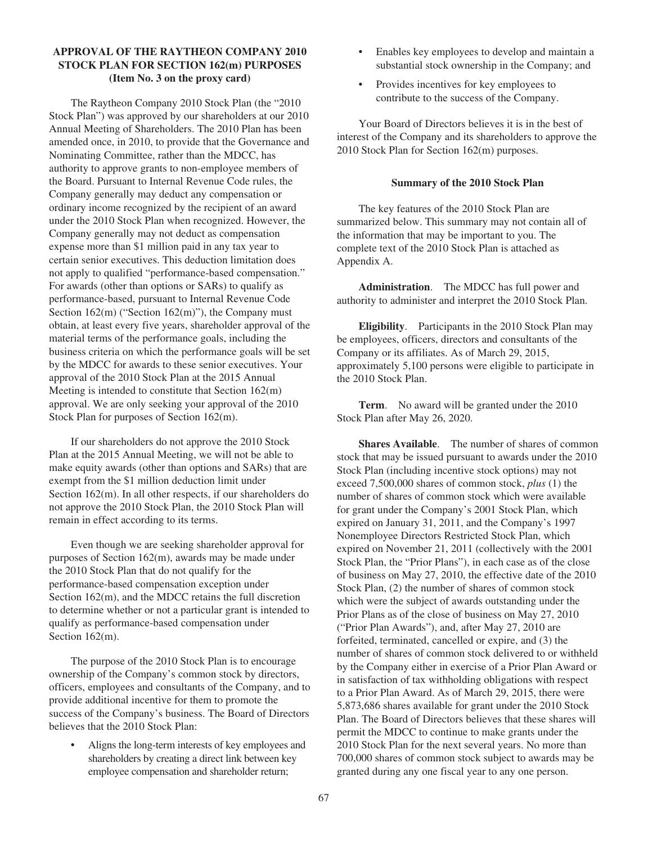# **APPROVAL OF THE RAYTHEON COMPANY 2010 STOCK PLAN FOR SECTION 162(m) PURPOSES (Item No. 3 on the proxy card)**

The Raytheon Company 2010 Stock Plan (the "2010 Stock Plan") was approved by our shareholders at our 2010 Annual Meeting of Shareholders. The 2010 Plan has been amended once, in 2010, to provide that the Governance and Nominating Committee, rather than the MDCC, has authority to approve grants to non-employee members of the Board. Pursuant to Internal Revenue Code rules, the Company generally may deduct any compensation or ordinary income recognized by the recipient of an award under the 2010 Stock Plan when recognized. However, the Company generally may not deduct as compensation expense more than \$1 million paid in any tax year to certain senior executives. This deduction limitation does not apply to qualified "performance-based compensation." For awards (other than options or SARs) to qualify as performance-based, pursuant to Internal Revenue Code Section 162(m) ("Section 162(m)"), the Company must obtain, at least every five years, shareholder approval of the material terms of the performance goals, including the business criteria on which the performance goals will be set by the MDCC for awards to these senior executives. Your approval of the 2010 Stock Plan at the 2015 Annual Meeting is intended to constitute that Section 162(m) approval. We are only seeking your approval of the 2010 Stock Plan for purposes of Section 162(m).

If our shareholders do not approve the 2010 Stock Plan at the 2015 Annual Meeting, we will not be able to make equity awards (other than options and SARs) that are exempt from the \$1 million deduction limit under Section 162(m). In all other respects, if our shareholders do not approve the 2010 Stock Plan, the 2010 Stock Plan will remain in effect according to its terms.

Even though we are seeking shareholder approval for purposes of Section 162(m), awards may be made under the 2010 Stock Plan that do not qualify for the performance-based compensation exception under Section 162(m), and the MDCC retains the full discretion to determine whether or not a particular grant is intended to qualify as performance-based compensation under Section 162(m).

The purpose of the 2010 Stock Plan is to encourage ownership of the Company's common stock by directors, officers, employees and consultants of the Company, and to provide additional incentive for them to promote the success of the Company's business. The Board of Directors believes that the 2010 Stock Plan:

• Aligns the long-term interests of key employees and shareholders by creating a direct link between key employee compensation and shareholder return;

- Enables key employees to develop and maintain a substantial stock ownership in the Company; and
- Provides incentives for key employees to contribute to the success of the Company.

Your Board of Directors believes it is in the best of interest of the Company and its shareholders to approve the 2010 Stock Plan for Section 162(m) purposes.

### **Summary of the 2010 Stock Plan**

The key features of the 2010 Stock Plan are summarized below. This summary may not contain all of the information that may be important to you. The complete text of the 2010 Stock Plan is attached as Appendix A.

**Administration**. The MDCC has full power and authority to administer and interpret the 2010 Stock Plan.

**Eligibility**. Participants in the 2010 Stock Plan may be employees, officers, directors and consultants of the Company or its affiliates. As of March 29, 2015, approximately 5,100 persons were eligible to participate in the 2010 Stock Plan.

**Term**. No award will be granted under the 2010 Stock Plan after May 26, 2020.

**Shares Available**. The number of shares of common stock that may be issued pursuant to awards under the 2010 Stock Plan (including incentive stock options) may not exceed 7,500,000 shares of common stock, *plus* (1) the number of shares of common stock which were available for grant under the Company's 2001 Stock Plan, which expired on January 31, 2011, and the Company's 1997 Nonemployee Directors Restricted Stock Plan, which expired on November 21, 2011 (collectively with the 2001 Stock Plan, the "Prior Plans"), in each case as of the close of business on May 27, 2010, the effective date of the 2010 Stock Plan, (2) the number of shares of common stock which were the subject of awards outstanding under the Prior Plans as of the close of business on May 27, 2010 ("Prior Plan Awards"), and, after May 27, 2010 are forfeited, terminated, cancelled or expire, and (3) the number of shares of common stock delivered to or withheld by the Company either in exercise of a Prior Plan Award or in satisfaction of tax withholding obligations with respect to a Prior Plan Award. As of March 29, 2015, there were 5,873,686 shares available for grant under the 2010 Stock Plan. The Board of Directors believes that these shares will permit the MDCC to continue to make grants under the 2010 Stock Plan for the next several years. No more than 700,000 shares of common stock subject to awards may be granted during any one fiscal year to any one person.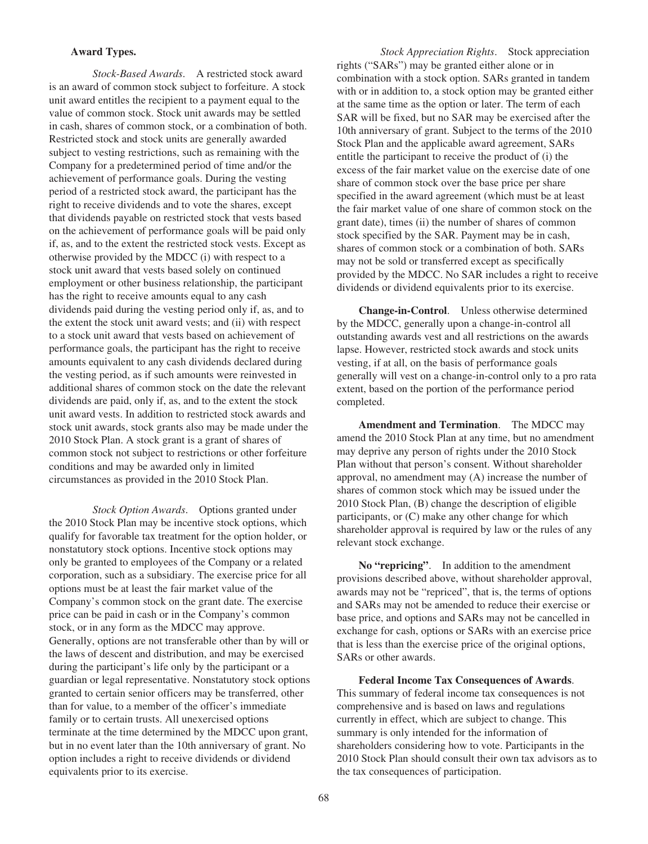### **Award Types.**

*Stock-Based Awards*. A restricted stock award is an award of common stock subject to forfeiture. A stock unit award entitles the recipient to a payment equal to the value of common stock. Stock unit awards may be settled in cash, shares of common stock, or a combination of both. Restricted stock and stock units are generally awarded subject to vesting restrictions, such as remaining with the Company for a predetermined period of time and/or the achievement of performance goals. During the vesting period of a restricted stock award, the participant has the right to receive dividends and to vote the shares, except that dividends payable on restricted stock that vests based on the achievement of performance goals will be paid only if, as, and to the extent the restricted stock vests. Except as otherwise provided by the MDCC (i) with respect to a stock unit award that vests based solely on continued employment or other business relationship, the participant has the right to receive amounts equal to any cash dividends paid during the vesting period only if, as, and to the extent the stock unit award vests; and (ii) with respect to a stock unit award that vests based on achievement of performance goals, the participant has the right to receive amounts equivalent to any cash dividends declared during the vesting period, as if such amounts were reinvested in additional shares of common stock on the date the relevant dividends are paid, only if, as, and to the extent the stock unit award vests. In addition to restricted stock awards and stock unit awards, stock grants also may be made under the 2010 Stock Plan. A stock grant is a grant of shares of common stock not subject to restrictions or other forfeiture conditions and may be awarded only in limited circumstances as provided in the 2010 Stock Plan.

*Stock Option Awards*. Options granted under the 2010 Stock Plan may be incentive stock options, which qualify for favorable tax treatment for the option holder, or nonstatutory stock options. Incentive stock options may only be granted to employees of the Company or a related corporation, such as a subsidiary. The exercise price for all options must be at least the fair market value of the Company's common stock on the grant date. The exercise price can be paid in cash or in the Company's common stock, or in any form as the MDCC may approve. Generally, options are not transferable other than by will or the laws of descent and distribution, and may be exercised during the participant's life only by the participant or a guardian or legal representative. Nonstatutory stock options granted to certain senior officers may be transferred, other than for value, to a member of the officer's immediate family or to certain trusts. All unexercised options terminate at the time determined by the MDCC upon grant, but in no event later than the 10th anniversary of grant. No option includes a right to receive dividends or dividend equivalents prior to its exercise.

*Stock Appreciation Rights*. Stock appreciation rights ("SARs") may be granted either alone or in combination with a stock option. SARs granted in tandem with or in addition to, a stock option may be granted either at the same time as the option or later. The term of each SAR will be fixed, but no SAR may be exercised after the 10th anniversary of grant. Subject to the terms of the 2010 Stock Plan and the applicable award agreement, SARs entitle the participant to receive the product of (i) the excess of the fair market value on the exercise date of one share of common stock over the base price per share specified in the award agreement (which must be at least the fair market value of one share of common stock on the grant date), times (ii) the number of shares of common stock specified by the SAR. Payment may be in cash, shares of common stock or a combination of both. SARs may not be sold or transferred except as specifically provided by the MDCC. No SAR includes a right to receive dividends or dividend equivalents prior to its exercise.

**Change-in-Control**. Unless otherwise determined by the MDCC, generally upon a change-in-control all outstanding awards vest and all restrictions on the awards lapse. However, restricted stock awards and stock units vesting, if at all, on the basis of performance goals generally will vest on a change-in-control only to a pro rata extent, based on the portion of the performance period completed.

**Amendment and Termination**. The MDCC may amend the 2010 Stock Plan at any time, but no amendment may deprive any person of rights under the 2010 Stock Plan without that person's consent. Without shareholder approval, no amendment may (A) increase the number of shares of common stock which may be issued under the 2010 Stock Plan, (B) change the description of eligible participants, or (C) make any other change for which shareholder approval is required by law or the rules of any relevant stock exchange.

**No "repricing"**. In addition to the amendment provisions described above, without shareholder approval, awards may not be "repriced", that is, the terms of options and SARs may not be amended to reduce their exercise or base price, and options and SARs may not be cancelled in exchange for cash, options or SARs with an exercise price that is less than the exercise price of the original options, SARs or other awards.

**Federal Income Tax Consequences of Awards**. This summary of federal income tax consequences is not comprehensive and is based on laws and regulations currently in effect, which are subject to change. This summary is only intended for the information of shareholders considering how to vote. Participants in the 2010 Stock Plan should consult their own tax advisors as to the tax consequences of participation.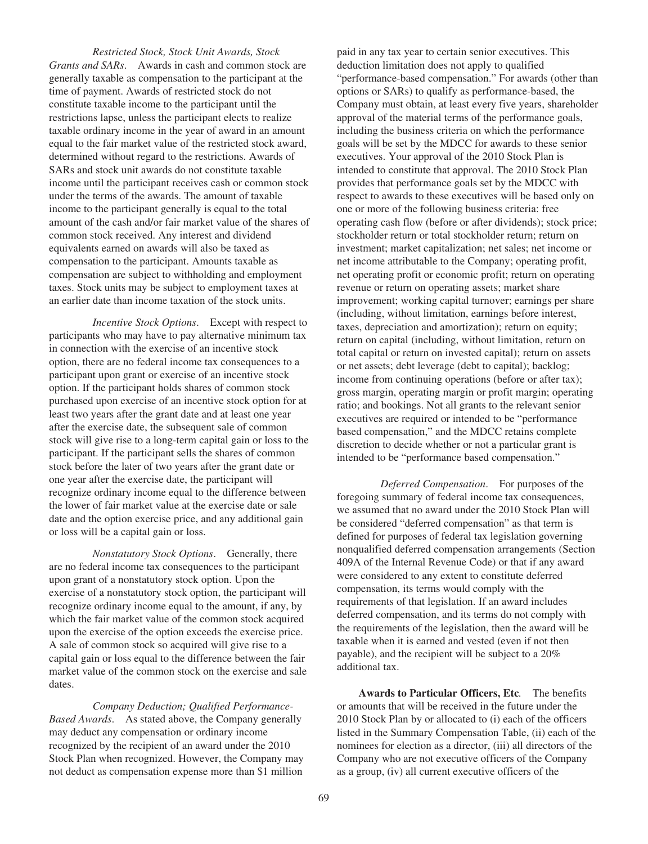*Restricted Stock, Stock Unit Awards, Stock Grants and SARs*. Awards in cash and common stock are generally taxable as compensation to the participant at the time of payment. Awards of restricted stock do not constitute taxable income to the participant until the restrictions lapse, unless the participant elects to realize taxable ordinary income in the year of award in an amount equal to the fair market value of the restricted stock award, determined without regard to the restrictions. Awards of SARs and stock unit awards do not constitute taxable income until the participant receives cash or common stock under the terms of the awards. The amount of taxable income to the participant generally is equal to the total amount of the cash and/or fair market value of the shares of common stock received. Any interest and dividend equivalents earned on awards will also be taxed as compensation to the participant. Amounts taxable as compensation are subject to withholding and employment taxes. Stock units may be subject to employment taxes at an earlier date than income taxation of the stock units.

*Incentive Stock Options*. Except with respect to participants who may have to pay alternative minimum tax in connection with the exercise of an incentive stock option, there are no federal income tax consequences to a participant upon grant or exercise of an incentive stock option. If the participant holds shares of common stock purchased upon exercise of an incentive stock option for at least two years after the grant date and at least one year after the exercise date, the subsequent sale of common stock will give rise to a long-term capital gain or loss to the participant. If the participant sells the shares of common stock before the later of two years after the grant date or one year after the exercise date, the participant will recognize ordinary income equal to the difference between the lower of fair market value at the exercise date or sale date and the option exercise price, and any additional gain or loss will be a capital gain or loss.

*Nonstatutory Stock Options*. Generally, there are no federal income tax consequences to the participant upon grant of a nonstatutory stock option. Upon the exercise of a nonstatutory stock option, the participant will recognize ordinary income equal to the amount, if any, by which the fair market value of the common stock acquired upon the exercise of the option exceeds the exercise price. A sale of common stock so acquired will give rise to a capital gain or loss equal to the difference between the fair market value of the common stock on the exercise and sale dates.

*Company Deduction; Qualified Performance-Based Awards*. As stated above, the Company generally may deduct any compensation or ordinary income recognized by the recipient of an award under the 2010 Stock Plan when recognized. However, the Company may not deduct as compensation expense more than \$1 million

paid in any tax year to certain senior executives. This deduction limitation does not apply to qualified "performance-based compensation." For awards (other than options or SARs) to qualify as performance-based, the Company must obtain, at least every five years, shareholder approval of the material terms of the performance goals, including the business criteria on which the performance goals will be set by the MDCC for awards to these senior executives. Your approval of the 2010 Stock Plan is intended to constitute that approval. The 2010 Stock Plan provides that performance goals set by the MDCC with respect to awards to these executives will be based only on one or more of the following business criteria: free operating cash flow (before or after dividends); stock price; stockholder return or total stockholder return; return on investment; market capitalization; net sales; net income or net income attributable to the Company; operating profit, net operating profit or economic profit; return on operating revenue or return on operating assets; market share improvement; working capital turnover; earnings per share (including, without limitation, earnings before interest, taxes, depreciation and amortization); return on equity; return on capital (including, without limitation, return on total capital or return on invested capital); return on assets or net assets; debt leverage (debt to capital); backlog; income from continuing operations (before or after tax); gross margin, operating margin or profit margin; operating ratio; and bookings. Not all grants to the relevant senior executives are required or intended to be "performance based compensation," and the MDCC retains complete discretion to decide whether or not a particular grant is intended to be "performance based compensation."

*Deferred Compensation*. For purposes of the foregoing summary of federal income tax consequences, we assumed that no award under the 2010 Stock Plan will be considered "deferred compensation" as that term is defined for purposes of federal tax legislation governing nonqualified deferred compensation arrangements (Section 409A of the Internal Revenue Code) or that if any award were considered to any extent to constitute deferred compensation, its terms would comply with the requirements of that legislation. If an award includes deferred compensation, and its terms do not comply with the requirements of the legislation, then the award will be taxable when it is earned and vested (even if not then payable), and the recipient will be subject to a 20% additional tax.

**Awards to Particular Officers, Etc***.* The benefits or amounts that will be received in the future under the 2010 Stock Plan by or allocated to (i) each of the officers listed in the Summary Compensation Table, (ii) each of the nominees for election as a director, (iii) all directors of the Company who are not executive officers of the Company as a group, (iv) all current executive officers of the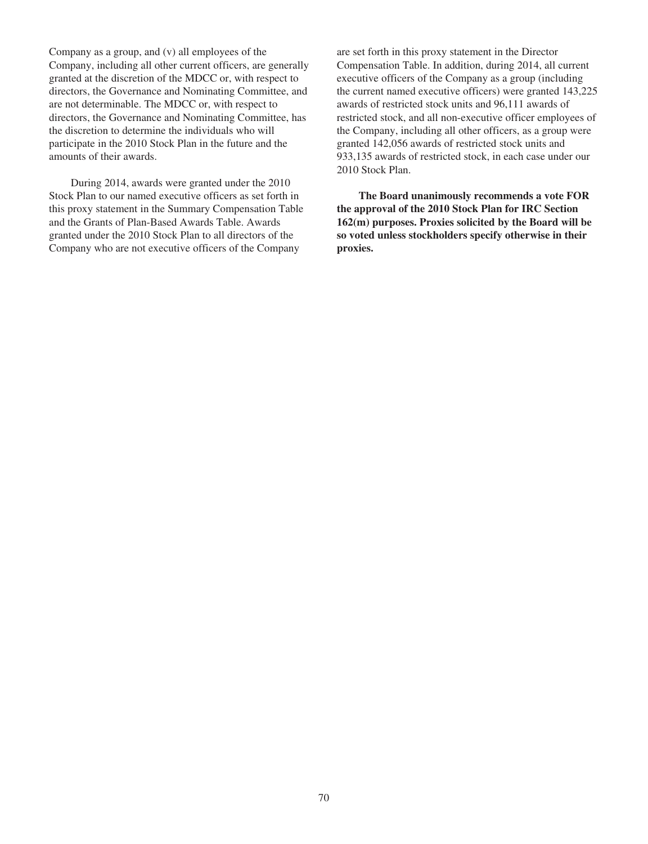Company as a group, and (v) all employees of the Company, including all other current officers, are generally granted at the discretion of the MDCC or, with respect to directors, the Governance and Nominating Committee, and are not determinable. The MDCC or, with respect to directors, the Governance and Nominating Committee, has the discretion to determine the individuals who will participate in the 2010 Stock Plan in the future and the amounts of their awards.

During 2014, awards were granted under the 2010 Stock Plan to our named executive officers as set forth in this proxy statement in the Summary Compensation Table and the Grants of Plan-Based Awards Table. Awards granted under the 2010 Stock Plan to all directors of the Company who are not executive officers of the Company

are set forth in this proxy statement in the Director Compensation Table. In addition, during 2014, all current executive officers of the Company as a group (including the current named executive officers) were granted 143,225 awards of restricted stock units and 96,111 awards of restricted stock, and all non-executive officer employees of the Company, including all other officers, as a group were granted 142,056 awards of restricted stock units and 933,135 awards of restricted stock, in each case under our 2010 Stock Plan.

**The Board unanimously recommends a vote FOR the approval of the 2010 Stock Plan for IRC Section 162(m) purposes. Proxies solicited by the Board will be so voted unless stockholders specify otherwise in their proxies.**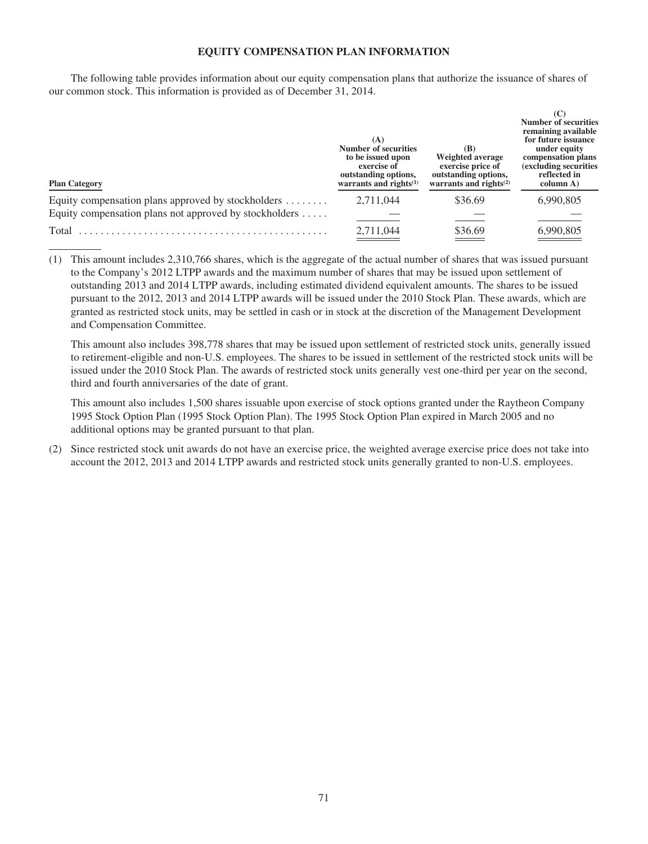## **EQUITY COMPENSATION PLAN INFORMATION**

The following table provides information about our equity compensation plans that authorize the issuance of shares of our common stock. This information is provided as of December 31, 2014.

| <b>Plan Category</b>                                             | (A)<br><b>Number of securities</b><br>to be issued upon<br>exercise of<br>outstanding options,<br>warrants and rights $(1)$ | (B)<br>Weighted average<br>exercise price of<br>outstanding options,<br>warrants and rights <sup>(2)</sup> | <b>Number of securities</b><br>remaining available<br>for future issuance<br>under equity<br>compensation plans<br>(excluding securities)<br>reflected in<br>column A) |
|------------------------------------------------------------------|-----------------------------------------------------------------------------------------------------------------------------|------------------------------------------------------------------------------------------------------------|------------------------------------------------------------------------------------------------------------------------------------------------------------------------|
| Equity compensation plans approved by stockholders               | 2,711,044                                                                                                                   | \$36.69                                                                                                    | 6,990,805                                                                                                                                                              |
| Equity compensation plans not approved by stockholders $\dots$ . |                                                                                                                             |                                                                                                            |                                                                                                                                                                        |
| Total                                                            | 2,711,044                                                                                                                   | \$36.69                                                                                                    | 6,990,805                                                                                                                                                              |

(1) This amount includes 2,310,766 shares, which is the aggregate of the actual number of shares that was issued pursuant to the Company's 2012 LTPP awards and the maximum number of shares that may be issued upon settlement of outstanding 2013 and 2014 LTPP awards, including estimated dividend equivalent amounts. The shares to be issued pursuant to the 2012, 2013 and 2014 LTPP awards will be issued under the 2010 Stock Plan. These awards, which are granted as restricted stock units, may be settled in cash or in stock at the discretion of the Management Development and Compensation Committee.

This amount also includes 398,778 shares that may be issued upon settlement of restricted stock units, generally issued to retirement-eligible and non-U.S. employees. The shares to be issued in settlement of the restricted stock units will be issued under the 2010 Stock Plan. The awards of restricted stock units generally vest one-third per year on the second, third and fourth anniversaries of the date of grant.

This amount also includes 1,500 shares issuable upon exercise of stock options granted under the Raytheon Company 1995 Stock Option Plan (1995 Stock Option Plan). The 1995 Stock Option Plan expired in March 2005 and no additional options may be granted pursuant to that plan.

(2) Since restricted stock unit awards do not have an exercise price, the weighted average exercise price does not take into account the 2012, 2013 and 2014 LTPP awards and restricted stock units generally granted to non-U.S. employees.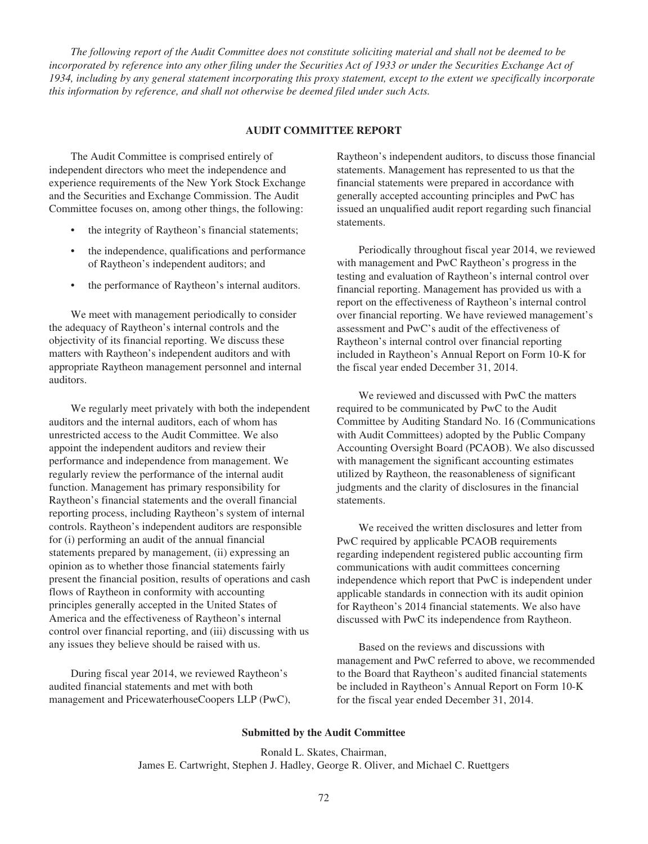*The following report of the Audit Committee does not constitute soliciting material and shall not be deemed to be incorporated by reference into any other filing under the Securities Act of 1933 or under the Securities Exchange Act of 1934, including by any general statement incorporating this proxy statement, except to the extent we specifically incorporate this information by reference, and shall not otherwise be deemed filed under such Acts.*

### **AUDIT COMMITTEE REPORT**

The Audit Committee is comprised entirely of independent directors who meet the independence and experience requirements of the New York Stock Exchange and the Securities and Exchange Commission. The Audit Committee focuses on, among other things, the following:

- the integrity of Raytheon's financial statements;
- the independence, qualifications and performance of Raytheon's independent auditors; and
- the performance of Raytheon's internal auditors.

We meet with management periodically to consider the adequacy of Raytheon's internal controls and the objectivity of its financial reporting. We discuss these matters with Raytheon's independent auditors and with appropriate Raytheon management personnel and internal auditors.

We regularly meet privately with both the independent auditors and the internal auditors, each of whom has unrestricted access to the Audit Committee. We also appoint the independent auditors and review their performance and independence from management. We regularly review the performance of the internal audit function. Management has primary responsibility for Raytheon's financial statements and the overall financial reporting process, including Raytheon's system of internal controls. Raytheon's independent auditors are responsible for (i) performing an audit of the annual financial statements prepared by management, (ii) expressing an opinion as to whether those financial statements fairly present the financial position, results of operations and cash flows of Raytheon in conformity with accounting principles generally accepted in the United States of America and the effectiveness of Raytheon's internal control over financial reporting, and (iii) discussing with us any issues they believe should be raised with us.

During fiscal year 2014, we reviewed Raytheon's audited financial statements and met with both management and PricewaterhouseCoopers LLP (PwC), Raytheon's independent auditors, to discuss those financial statements. Management has represented to us that the financial statements were prepared in accordance with generally accepted accounting principles and PwC has issued an unqualified audit report regarding such financial statements.

Periodically throughout fiscal year 2014, we reviewed with management and PwC Raytheon's progress in the testing and evaluation of Raytheon's internal control over financial reporting. Management has provided us with a report on the effectiveness of Raytheon's internal control over financial reporting. We have reviewed management's assessment and PwC's audit of the effectiveness of Raytheon's internal control over financial reporting included in Raytheon's Annual Report on Form 10-K for the fiscal year ended December 31, 2014.

We reviewed and discussed with PwC the matters required to be communicated by PwC to the Audit Committee by Auditing Standard No. 16 (Communications with Audit Committees) adopted by the Public Company Accounting Oversight Board (PCAOB). We also discussed with management the significant accounting estimates utilized by Raytheon, the reasonableness of significant judgments and the clarity of disclosures in the financial statements.

We received the written disclosures and letter from PwC required by applicable PCAOB requirements regarding independent registered public accounting firm communications with audit committees concerning independence which report that PwC is independent under applicable standards in connection with its audit opinion for Raytheon's 2014 financial statements. We also have discussed with PwC its independence from Raytheon.

Based on the reviews and discussions with management and PwC referred to above, we recommended to the Board that Raytheon's audited financial statements be included in Raytheon's Annual Report on Form 10-K for the fiscal year ended December 31, 2014.

#### **Submitted by the Audit Committee**

Ronald L. Skates, Chairman, James E. Cartwright, Stephen J. Hadley, George R. Oliver, and Michael C. Ruettgers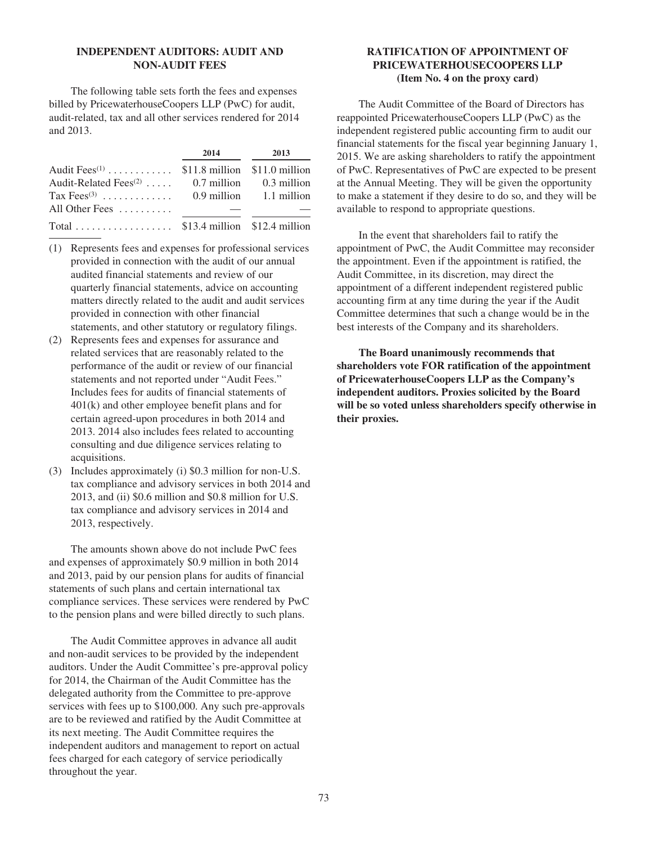# **INDEPENDENT AUDITORS: AUDIT AND NON-AUDIT FEES**

The following table sets forth the fees and expenses billed by PricewaterhouseCoopers LLP (PwC) for audit, audit-related, tax and all other services rendered for 2014 and 2013.

|                                                           | 2014 – 2014 – 2014 – 2014 – 2014 – 2014 – 2014 – 2014 – 2014 – 2014 – 2014 – 2014 – 2014 – 2014 – 2014 – 2014 – 2014 – 2014 – 2014 – 2014 – 2014 – 2014 – 2014 – 2014 – 2014 – 2014 – 2014 – 2014 – 2014 – 2014 – 2014 – 2014 – | 2013 |
|-----------------------------------------------------------|---------------------------------------------------------------------------------------------------------------------------------------------------------------------------------------------------------------------------------|------|
| Audit Fees <sup>(1)</sup> \$11.8 million \$11.0 million   |                                                                                                                                                                                                                                 |      |
| Audit-Related Fees <sup>(2)</sup> 0.7 million 0.3 million |                                                                                                                                                                                                                                 |      |
| Tax Fees <sup>(3)</sup> 0.9 million 1.1 million           |                                                                                                                                                                                                                                 |      |
| All Other Fees $\dots\dots\dots$                          |                                                                                                                                                                                                                                 |      |
|                                                           |                                                                                                                                                                                                                                 |      |

- (1) Represents fees and expenses for professional services provided in connection with the audit of our annual audited financial statements and review of our quarterly financial statements, advice on accounting matters directly related to the audit and audit services provided in connection with other financial statements, and other statutory or regulatory filings.
- (2) Represents fees and expenses for assurance and related services that are reasonably related to the performance of the audit or review of our financial statements and not reported under "Audit Fees." Includes fees for audits of financial statements of 401(k) and other employee benefit plans and for certain agreed-upon procedures in both 2014 and 2013. 2014 also includes fees related to accounting consulting and due diligence services relating to acquisitions.
- (3) Includes approximately (i) \$0.3 million for non-U.S. tax compliance and advisory services in both 2014 and 2013, and (ii) \$0.6 million and \$0.8 million for U.S. tax compliance and advisory services in 2014 and 2013, respectively.

The amounts shown above do not include PwC fees and expenses of approximately \$0.9 million in both 2014 and 2013, paid by our pension plans for audits of financial statements of such plans and certain international tax compliance services. These services were rendered by PwC to the pension plans and were billed directly to such plans.

The Audit Committee approves in advance all audit and non-audit services to be provided by the independent auditors. Under the Audit Committee's pre-approval policy for 2014, the Chairman of the Audit Committee has the delegated authority from the Committee to pre-approve services with fees up to \$100,000. Any such pre-approvals are to be reviewed and ratified by the Audit Committee at its next meeting. The Audit Committee requires the independent auditors and management to report on actual fees charged for each category of service periodically throughout the year.

# **RATIFICATION OF APPOINTMENT OF PRICEWATERHOUSECOOPERS LLP (Item No. 4 on the proxy card)**

The Audit Committee of the Board of Directors has reappointed PricewaterhouseCoopers LLP (PwC) as the independent registered public accounting firm to audit our financial statements for the fiscal year beginning January 1, 2015. We are asking shareholders to ratify the appointment of PwC. Representatives of PwC are expected to be present at the Annual Meeting. They will be given the opportunity to make a statement if they desire to do so, and they will be available to respond to appropriate questions.

In the event that shareholders fail to ratify the appointment of PwC, the Audit Committee may reconsider the appointment. Even if the appointment is ratified, the Audit Committee, in its discretion, may direct the appointment of a different independent registered public accounting firm at any time during the year if the Audit Committee determines that such a change would be in the best interests of the Company and its shareholders.

**The Board unanimously recommends that shareholders vote FOR ratification of the appointment of PricewaterhouseCoopers LLP as the Company's independent auditors. Proxies solicited by the Board will be so voted unless shareholders specify otherwise in their proxies.**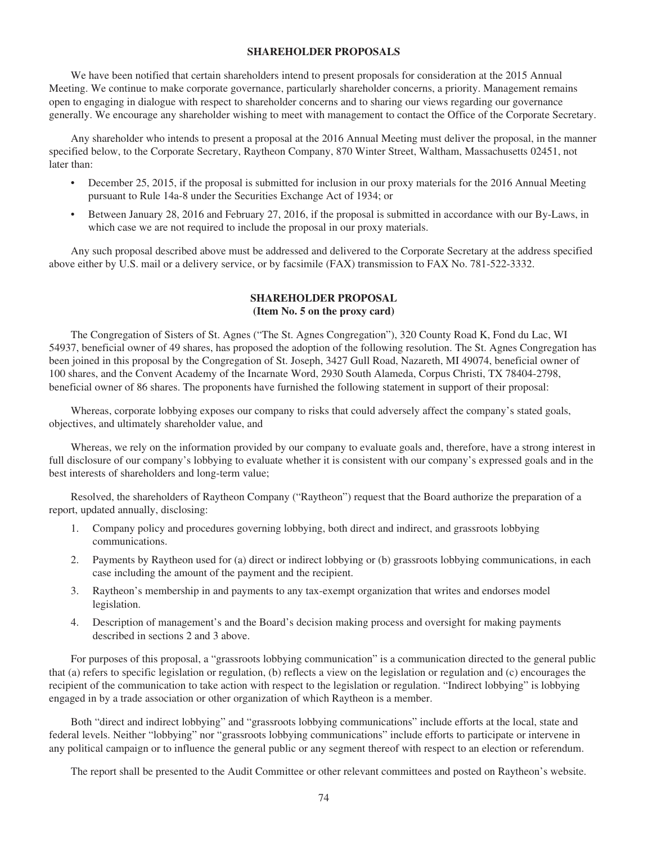## **SHAREHOLDER PROPOSALS**

We have been notified that certain shareholders intend to present proposals for consideration at the 2015 Annual Meeting. We continue to make corporate governance, particularly shareholder concerns, a priority. Management remains open to engaging in dialogue with respect to shareholder concerns and to sharing our views regarding our governance generally. We encourage any shareholder wishing to meet with management to contact the Office of the Corporate Secretary.

Any shareholder who intends to present a proposal at the 2016 Annual Meeting must deliver the proposal, in the manner specified below, to the Corporate Secretary, Raytheon Company, 870 Winter Street, Waltham, Massachusetts 02451, not later than:

- December 25, 2015, if the proposal is submitted for inclusion in our proxy materials for the 2016 Annual Meeting pursuant to Rule 14a-8 under the Securities Exchange Act of 1934; or
- Between January 28, 2016 and February 27, 2016, if the proposal is submitted in accordance with our By-Laws, in which case we are not required to include the proposal in our proxy materials.

Any such proposal described above must be addressed and delivered to the Corporate Secretary at the address specified above either by U.S. mail or a delivery service, or by facsimile (FAX) transmission to FAX No. 781-522-3332.

# **SHAREHOLDER PROPOSAL (Item No. 5 on the proxy card)**

The Congregation of Sisters of St. Agnes ("The St. Agnes Congregation"), 320 County Road K, Fond du Lac, WI 54937, beneficial owner of 49 shares, has proposed the adoption of the following resolution. The St. Agnes Congregation has been joined in this proposal by the Congregation of St. Joseph, 3427 Gull Road, Nazareth, MI 49074, beneficial owner of 100 shares, and the Convent Academy of the Incarnate Word, 2930 South Alameda, Corpus Christi, TX 78404-2798, beneficial owner of 86 shares. The proponents have furnished the following statement in support of their proposal:

Whereas, corporate lobbying exposes our company to risks that could adversely affect the company's stated goals, objectives, and ultimately shareholder value, and

Whereas, we rely on the information provided by our company to evaluate goals and, therefore, have a strong interest in full disclosure of our company's lobbying to evaluate whether it is consistent with our company's expressed goals and in the best interests of shareholders and long-term value;

Resolved, the shareholders of Raytheon Company ("Raytheon") request that the Board authorize the preparation of a report, updated annually, disclosing:

- 1. Company policy and procedures governing lobbying, both direct and indirect, and grassroots lobbying communications.
- 2. Payments by Raytheon used for (a) direct or indirect lobbying or (b) grassroots lobbying communications, in each case including the amount of the payment and the recipient.
- 3. Raytheon's membership in and payments to any tax-exempt organization that writes and endorses model legislation.
- 4. Description of management's and the Board's decision making process and oversight for making payments described in sections 2 and 3 above.

For purposes of this proposal, a "grassroots lobbying communication" is a communication directed to the general public that (a) refers to specific legislation or regulation, (b) reflects a view on the legislation or regulation and (c) encourages the recipient of the communication to take action with respect to the legislation or regulation. "Indirect lobbying" is lobbying engaged in by a trade association or other organization of which Raytheon is a member.

Both "direct and indirect lobbying" and "grassroots lobbying communications" include efforts at the local, state and federal levels. Neither "lobbying" nor "grassroots lobbying communications" include efforts to participate or intervene in any political campaign or to influence the general public or any segment thereof with respect to an election or referendum.

The report shall be presented to the Audit Committee or other relevant committees and posted on Raytheon's website.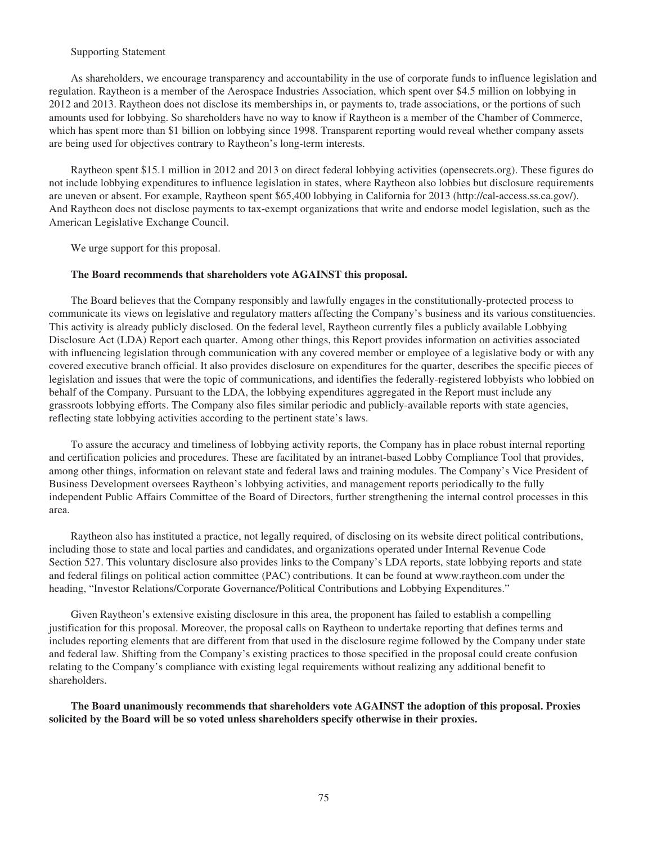### Supporting Statement

As shareholders, we encourage transparency and accountability in the use of corporate funds to influence legislation and regulation. Raytheon is a member of the Aerospace Industries Association, which spent over \$4.5 million on lobbying in 2012 and 2013. Raytheon does not disclose its memberships in, or payments to, trade associations, or the portions of such amounts used for lobbying. So shareholders have no way to know if Raytheon is a member of the Chamber of Commerce, which has spent more than \$1 billion on lobbying since 1998. Transparent reporting would reveal whether company assets are being used for objectives contrary to Raytheon's long-term interests.

Raytheon spent \$15.1 million in 2012 and 2013 on direct federal lobbying activities (opensecrets.org). These figures do not include lobbying expenditures to influence legislation in states, where Raytheon also lobbies but disclosure requirements are uneven or absent. For example, Raytheon spent \$65,400 lobbying in California for 2013 (http://cal-access.ss.ca.gov/). And Raytheon does not disclose payments to tax-exempt organizations that write and endorse model legislation, such as the American Legislative Exchange Council.

We urge support for this proposal.

#### **The Board recommends that shareholders vote AGAINST this proposal.**

The Board believes that the Company responsibly and lawfully engages in the constitutionally-protected process to communicate its views on legislative and regulatory matters affecting the Company's business and its various constituencies. This activity is already publicly disclosed. On the federal level, Raytheon currently files a publicly available Lobbying Disclosure Act (LDA) Report each quarter. Among other things, this Report provides information on activities associated with influencing legislation through communication with any covered member or employee of a legislative body or with any covered executive branch official. It also provides disclosure on expenditures for the quarter, describes the specific pieces of legislation and issues that were the topic of communications, and identifies the federally-registered lobbyists who lobbied on behalf of the Company. Pursuant to the LDA, the lobbying expenditures aggregated in the Report must include any grassroots lobbying efforts. The Company also files similar periodic and publicly-available reports with state agencies, reflecting state lobbying activities according to the pertinent state's laws.

To assure the accuracy and timeliness of lobbying activity reports, the Company has in place robust internal reporting and certification policies and procedures. These are facilitated by an intranet-based Lobby Compliance Tool that provides, among other things, information on relevant state and federal laws and training modules. The Company's Vice President of Business Development oversees Raytheon's lobbying activities, and management reports periodically to the fully independent Public Affairs Committee of the Board of Directors, further strengthening the internal control processes in this area.

Raytheon also has instituted a practice, not legally required, of disclosing on its website direct political contributions, including those to state and local parties and candidates, and organizations operated under Internal Revenue Code Section 527. This voluntary disclosure also provides links to the Company's LDA reports, state lobbying reports and state and federal filings on political action committee (PAC) contributions. It can be found at www.raytheon.com under the heading, "Investor Relations/Corporate Governance/Political Contributions and Lobbying Expenditures."

Given Raytheon's extensive existing disclosure in this area, the proponent has failed to establish a compelling justification for this proposal. Moreover, the proposal calls on Raytheon to undertake reporting that defines terms and includes reporting elements that are different from that used in the disclosure regime followed by the Company under state and federal law. Shifting from the Company's existing practices to those specified in the proposal could create confusion relating to the Company's compliance with existing legal requirements without realizing any additional benefit to shareholders.

**The Board unanimously recommends that shareholders vote AGAINST the adoption of this proposal. Proxies solicited by the Board will be so voted unless shareholders specify otherwise in their proxies.**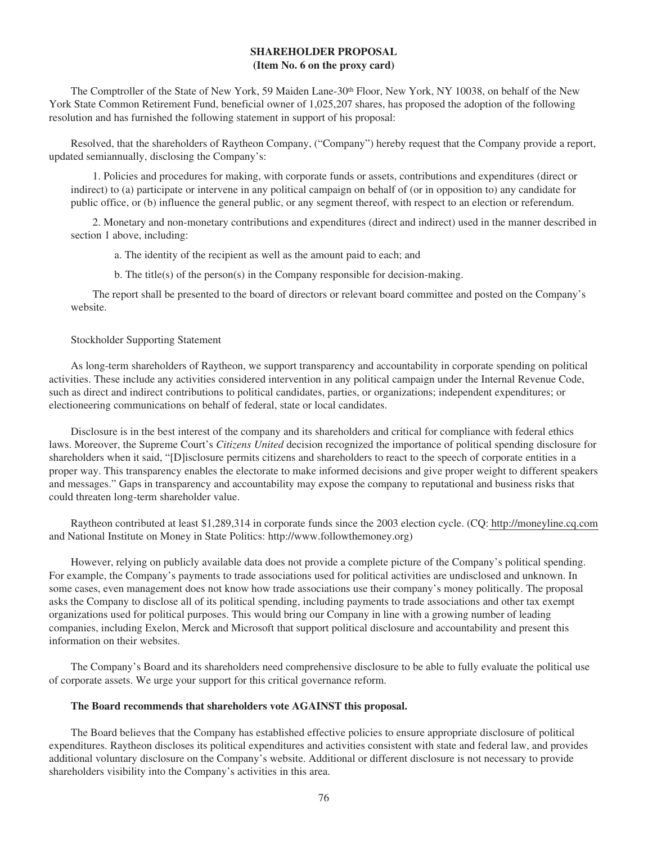# **SHAREHOLDER PROPOSAL (Item No. 6 on the proxy card)**

The Comptroller of the State of New York, 59 Maiden Lane-30th Floor, New York, NY 10038, on behalf of the New York State Common Retirement Fund, beneficial owner of 1,025,207 shares, has proposed the adoption of the following resolution and has furnished the following statement in support of his proposal:

Resolved, that the shareholders of Raytheon Company, ("Company") hereby request that the Company provide a report, updated semiannually, disclosing the Company's:

1. Policies and procedures for making, with corporate funds or assets, contributions and expenditures (direct or indirect) to (a) participate or intervene in any political campaign on behalf of (or in opposition to) any candidate for public office, or (b) influence the general public, or any segment thereof, with respect to an election or referendum.

2. Monetary and non-monetary contributions and expenditures (direct and indirect) used in the manner described in section 1 above, including:

a. The identity of the recipient as well as the amount paid to each; and

b. The title(s) of the person(s) in the Company responsible for decision-making.

The report shall be presented to the board of directors or relevant board committee and posted on the Company's website.

#### Stockholder Supporting Statement

As long-term shareholders of Raytheon, we support transparency and accountability in corporate spending on political activities. These include any activities considered intervention in any political campaign under the Internal Revenue Code, such as direct and indirect contributions to political candidates, parties, or organizations; independent expenditures; or electioneering communications on behalf of federal, state or local candidates.

Disclosure is in the best interest of the company and its shareholders and critical for compliance with federal ethics laws. Moreover, the Supreme Court's *Citizens United* decision recognized the importance of political spending disclosure for shareholders when it said, "[D]isclosure permits citizens and shareholders to react to the speech of corporate entities in a proper way. This transparency enables the electorate to make informed decisions and give proper weight to different speakers and messages." Gaps in transparency and accountability may expose the company to reputational and business risks that could threaten long-term shareholder value.

Raytheon contributed at least \$1,289,314 in corporate funds since the 2003 election cycle. (CQ: http://moneyline.cq.com and National Institute on Money in State Politics: http://www.followthemoney.org)

However, relying on publicly available data does not provide a complete picture of the Company's political spending. For example, the Company's payments to trade associations used for political activities are undisclosed and unknown. In some cases, even management does not know how trade associations use their company's money politically. The proposal asks the Company to disclose all of its political spending, including payments to trade associations and other tax exempt organizations used for political purposes. This would bring our Company in line with a growing number of leading companies, including Exelon, Merck and Microsoft that support political disclosure and accountability and present this information on their websites.

The Company's Board and its shareholders need comprehensive disclosure to be able to fully evaluate the political use of corporate assets. We urge your support for this critical governance reform.

#### **The Board recommends that shareholders vote AGAINST this proposal.**

The Board believes that the Company has established effective policies to ensure appropriate disclosure of political expenditures. Raytheon discloses its political expenditures and activities consistent with state and federal law, and provides additional voluntary disclosure on the Company's website. Additional or different disclosure is not necessary to provide shareholders visibility into the Company's activities in this area.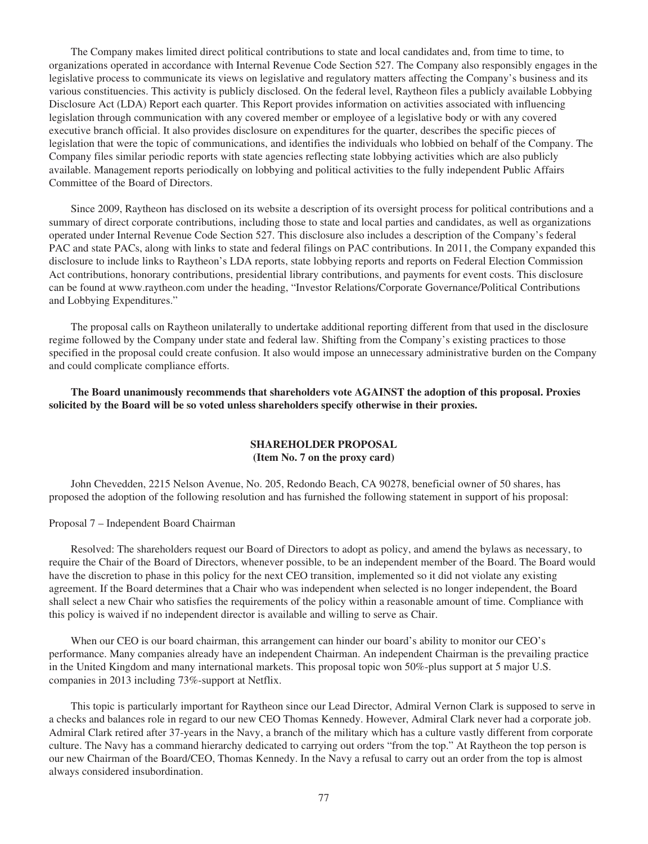The Company makes limited direct political contributions to state and local candidates and, from time to time, to organizations operated in accordance with Internal Revenue Code Section 527. The Company also responsibly engages in the legislative process to communicate its views on legislative and regulatory matters affecting the Company's business and its various constituencies. This activity is publicly disclosed. On the federal level, Raytheon files a publicly available Lobbying Disclosure Act (LDA) Report each quarter. This Report provides information on activities associated with influencing legislation through communication with any covered member or employee of a legislative body or with any covered executive branch official. It also provides disclosure on expenditures for the quarter, describes the specific pieces of legislation that were the topic of communications, and identifies the individuals who lobbied on behalf of the Company. The Company files similar periodic reports with state agencies reflecting state lobbying activities which are also publicly available. Management reports periodically on lobbying and political activities to the fully independent Public Affairs Committee of the Board of Directors.

Since 2009, Raytheon has disclosed on its website a description of its oversight process for political contributions and a summary of direct corporate contributions, including those to state and local parties and candidates, as well as organizations operated under Internal Revenue Code Section 527. This disclosure also includes a description of the Company's federal PAC and state PACs, along with links to state and federal filings on PAC contributions. In 2011, the Company expanded this disclosure to include links to Raytheon's LDA reports, state lobbying reports and reports on Federal Election Commission Act contributions, honorary contributions, presidential library contributions, and payments for event costs. This disclosure can be found at www.raytheon.com under the heading, "Investor Relations/Corporate Governance/Political Contributions and Lobbying Expenditures."

The proposal calls on Raytheon unilaterally to undertake additional reporting different from that used in the disclosure regime followed by the Company under state and federal law. Shifting from the Company's existing practices to those specified in the proposal could create confusion. It also would impose an unnecessary administrative burden on the Company and could complicate compliance efforts.

**The Board unanimously recommends that shareholders vote AGAINST the adoption of this proposal. Proxies solicited by the Board will be so voted unless shareholders specify otherwise in their proxies.**

## **SHAREHOLDER PROPOSAL (Item No. 7 on the proxy card)**

John Chevedden, 2215 Nelson Avenue, No. 205, Redondo Beach, CA 90278, beneficial owner of 50 shares, has proposed the adoption of the following resolution and has furnished the following statement in support of his proposal:

Proposal 7 – Independent Board Chairman

Resolved: The shareholders request our Board of Directors to adopt as policy, and amend the bylaws as necessary, to require the Chair of the Board of Directors, whenever possible, to be an independent member of the Board. The Board would have the discretion to phase in this policy for the next CEO transition, implemented so it did not violate any existing agreement. If the Board determines that a Chair who was independent when selected is no longer independent, the Board shall select a new Chair who satisfies the requirements of the policy within a reasonable amount of time. Compliance with this policy is waived if no independent director is available and willing to serve as Chair.

When our CEO is our board chairman, this arrangement can hinder our board's ability to monitor our CEO's performance. Many companies already have an independent Chairman. An independent Chairman is the prevailing practice in the United Kingdom and many international markets. This proposal topic won 50%-plus support at 5 major U.S. companies in 2013 including 73%-support at Netflix.

This topic is particularly important for Raytheon since our Lead Director, Admiral Vernon Clark is supposed to serve in a checks and balances role in regard to our new CEO Thomas Kennedy. However, Admiral Clark never had a corporate job. Admiral Clark retired after 37-years in the Navy, a branch of the military which has a culture vastly different from corporate culture. The Navy has a command hierarchy dedicated to carrying out orders "from the top." At Raytheon the top person is our new Chairman of the Board/CEO, Thomas Kennedy. In the Navy a refusal to carry out an order from the top is almost always considered insubordination.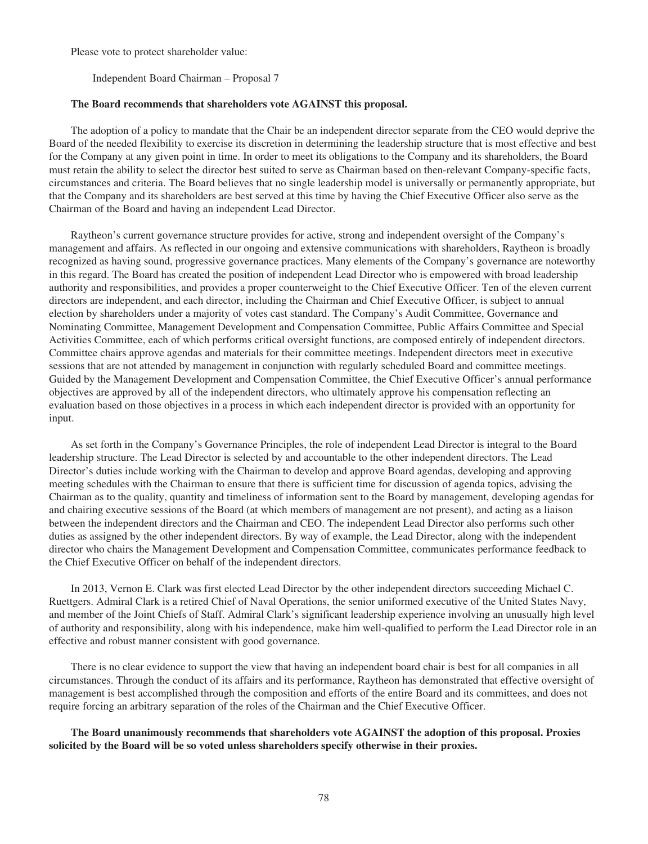Please vote to protect shareholder value:

Independent Board Chairman – Proposal 7

#### **The Board recommends that shareholders vote AGAINST this proposal.**

The adoption of a policy to mandate that the Chair be an independent director separate from the CEO would deprive the Board of the needed flexibility to exercise its discretion in determining the leadership structure that is most effective and best for the Company at any given point in time. In order to meet its obligations to the Company and its shareholders, the Board must retain the ability to select the director best suited to serve as Chairman based on then-relevant Company-specific facts, circumstances and criteria. The Board believes that no single leadership model is universally or permanently appropriate, but that the Company and its shareholders are best served at this time by having the Chief Executive Officer also serve as the Chairman of the Board and having an independent Lead Director.

Raytheon's current governance structure provides for active, strong and independent oversight of the Company's management and affairs. As reflected in our ongoing and extensive communications with shareholders, Raytheon is broadly recognized as having sound, progressive governance practices. Many elements of the Company's governance are noteworthy in this regard. The Board has created the position of independent Lead Director who is empowered with broad leadership authority and responsibilities, and provides a proper counterweight to the Chief Executive Officer. Ten of the eleven current directors are independent, and each director, including the Chairman and Chief Executive Officer, is subject to annual election by shareholders under a majority of votes cast standard. The Company's Audit Committee, Governance and Nominating Committee, Management Development and Compensation Committee, Public Affairs Committee and Special Activities Committee, each of which performs critical oversight functions, are composed entirely of independent directors. Committee chairs approve agendas and materials for their committee meetings. Independent directors meet in executive sessions that are not attended by management in conjunction with regularly scheduled Board and committee meetings. Guided by the Management Development and Compensation Committee, the Chief Executive Officer's annual performance objectives are approved by all of the independent directors, who ultimately approve his compensation reflecting an evaluation based on those objectives in a process in which each independent director is provided with an opportunity for input.

As set forth in the Company's Governance Principles, the role of independent Lead Director is integral to the Board leadership structure. The Lead Director is selected by and accountable to the other independent directors. The Lead Director's duties include working with the Chairman to develop and approve Board agendas, developing and approving meeting schedules with the Chairman to ensure that there is sufficient time for discussion of agenda topics, advising the Chairman as to the quality, quantity and timeliness of information sent to the Board by management, developing agendas for and chairing executive sessions of the Board (at which members of management are not present), and acting as a liaison between the independent directors and the Chairman and CEO. The independent Lead Director also performs such other duties as assigned by the other independent directors. By way of example, the Lead Director, along with the independent director who chairs the Management Development and Compensation Committee, communicates performance feedback to the Chief Executive Officer on behalf of the independent directors.

In 2013, Vernon E. Clark was first elected Lead Director by the other independent directors succeeding Michael C. Ruettgers. Admiral Clark is a retired Chief of Naval Operations, the senior uniformed executive of the United States Navy, and member of the Joint Chiefs of Staff. Admiral Clark's significant leadership experience involving an unusually high level of authority and responsibility, along with his independence, make him well-qualified to perform the Lead Director role in an effective and robust manner consistent with good governance.

There is no clear evidence to support the view that having an independent board chair is best for all companies in all circumstances. Through the conduct of its affairs and its performance, Raytheon has demonstrated that effective oversight of management is best accomplished through the composition and efforts of the entire Board and its committees, and does not require forcing an arbitrary separation of the roles of the Chairman and the Chief Executive Officer.

**The Board unanimously recommends that shareholders vote AGAINST the adoption of this proposal. Proxies solicited by the Board will be so voted unless shareholders specify otherwise in their proxies.**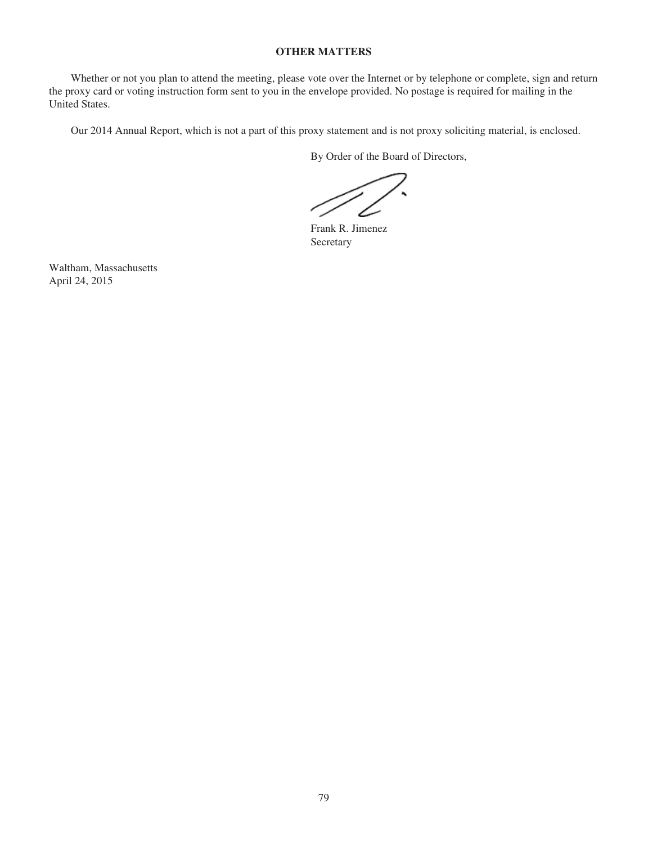# **OTHER MATTERS**

Whether or not you plan to attend the meeting, please vote over the Internet or by telephone or complete, sign and return the proxy card or voting instruction form sent to you in the envelope provided. No postage is required for mailing in the United States.

Our 2014 Annual Report, which is not a part of this proxy statement and is not proxy soliciting material, is enclosed.

By Order of the Board of Directors,

Frank R. Jimenez Secretary

Waltham, Massachusetts April 24, 2015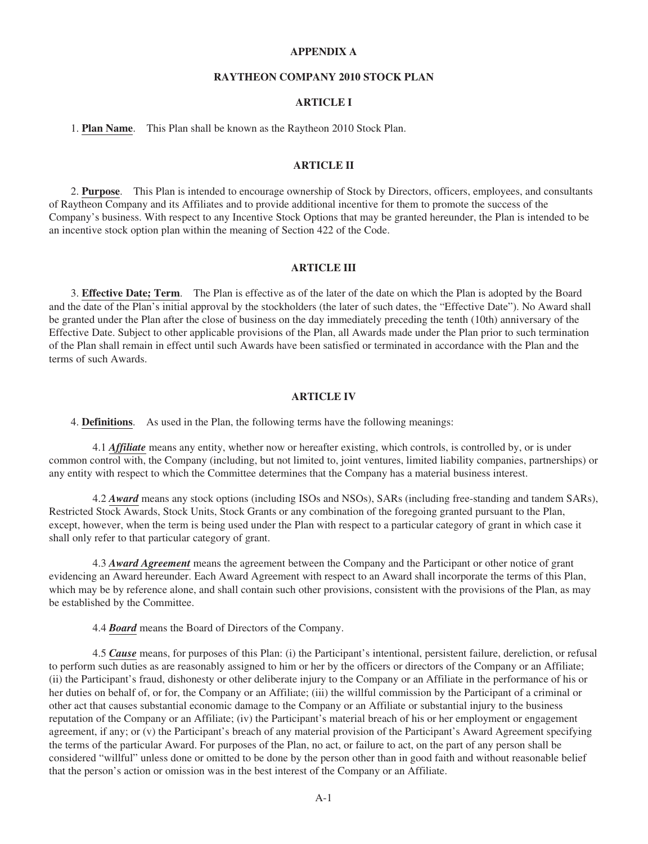## **APPENDIX A**

## **RAYTHEON COMPANY 2010 STOCK PLAN**

# **ARTICLE I**

1. **Plan Name**. This Plan shall be known as the Raytheon 2010 Stock Plan.

## **ARTICLE II**

2. **Purpose**. This Plan is intended to encourage ownership of Stock by Directors, officers, employees, and consultants of Raytheon Company and its Affiliates and to provide additional incentive for them to promote the success of the Company's business. With respect to any Incentive Stock Options that may be granted hereunder, the Plan is intended to be an incentive stock option plan within the meaning of Section 422 of the Code.

### **ARTICLE III**

3. **Effective Date; Term**. The Plan is effective as of the later of the date on which the Plan is adopted by the Board and the date of the Plan's initial approval by the stockholders (the later of such dates, the "Effective Date"). No Award shall be granted under the Plan after the close of business on the day immediately preceding the tenth (10th) anniversary of the Effective Date. Subject to other applicable provisions of the Plan, all Awards made under the Plan prior to such termination of the Plan shall remain in effect until such Awards have been satisfied or terminated in accordance with the Plan and the terms of such Awards.

#### **ARTICLE IV**

4. **Definitions**. As used in the Plan, the following terms have the following meanings:

4.1 *Affiliate* means any entity, whether now or hereafter existing, which controls, is controlled by, or is under common control with, the Company (including, but not limited to, joint ventures, limited liability companies, partnerships) or any entity with respect to which the Committee determines that the Company has a material business interest.

4.2 *Award* means any stock options (including ISOs and NSOs), SARs (including free-standing and tandem SARs), Restricted Stock Awards, Stock Units, Stock Grants or any combination of the foregoing granted pursuant to the Plan, except, however, when the term is being used under the Plan with respect to a particular category of grant in which case it shall only refer to that particular category of grant.

4.3 *Award Agreement* means the agreement between the Company and the Participant or other notice of grant evidencing an Award hereunder. Each Award Agreement with respect to an Award shall incorporate the terms of this Plan, which may be by reference alone, and shall contain such other provisions, consistent with the provisions of the Plan, as may be established by the Committee.

4.4 *Board* means the Board of Directors of the Company.

4.5 *Cause* means, for purposes of this Plan: (i) the Participant's intentional, persistent failure, dereliction, or refusal to perform such duties as are reasonably assigned to him or her by the officers or directors of the Company or an Affiliate; (ii) the Participant's fraud, dishonesty or other deliberate injury to the Company or an Affiliate in the performance of his or her duties on behalf of, or for, the Company or an Affiliate; (iii) the willful commission by the Participant of a criminal or other act that causes substantial economic damage to the Company or an Affiliate or substantial injury to the business reputation of the Company or an Affiliate; (iv) the Participant's material breach of his or her employment or engagement agreement, if any; or (v) the Participant's breach of any material provision of the Participant's Award Agreement specifying the terms of the particular Award. For purposes of the Plan, no act, or failure to act, on the part of any person shall be considered "willful" unless done or omitted to be done by the person other than in good faith and without reasonable belief that the person's action or omission was in the best interest of the Company or an Affiliate.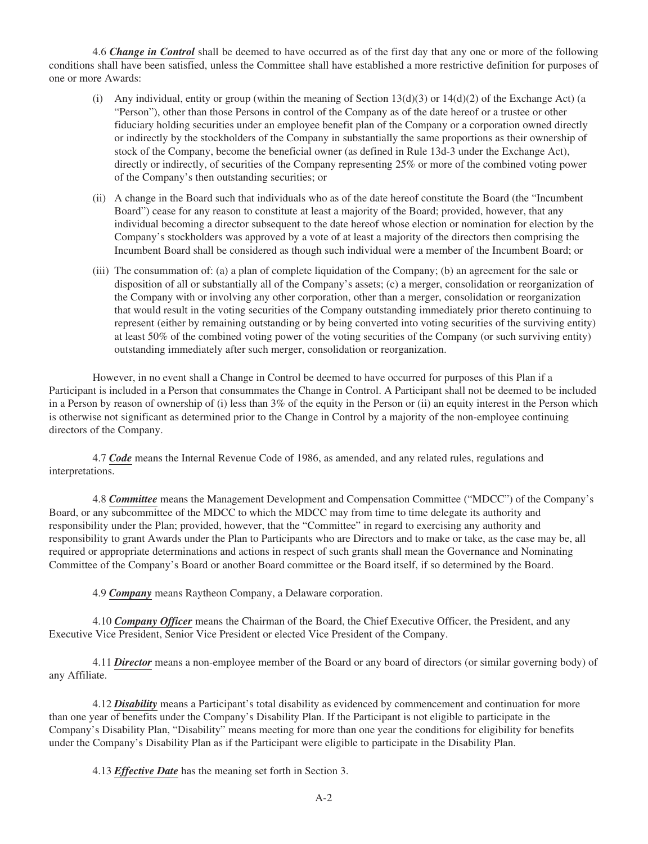4.6 *Change in Control* shall be deemed to have occurred as of the first day that any one or more of the following conditions shall have been satisfied, unless the Committee shall have established a more restrictive definition for purposes of one or more Awards:

- (i) Any individual, entity or group (within the meaning of Section  $13(d)(3)$  or  $14(d)(2)$  of the Exchange Act) (a "Person"), other than those Persons in control of the Company as of the date hereof or a trustee or other fiduciary holding securities under an employee benefit plan of the Company or a corporation owned directly or indirectly by the stockholders of the Company in substantially the same proportions as their ownership of stock of the Company, become the beneficial owner (as defined in Rule 13d-3 under the Exchange Act), directly or indirectly, of securities of the Company representing 25% or more of the combined voting power of the Company's then outstanding securities; or
- (ii) A change in the Board such that individuals who as of the date hereof constitute the Board (the "Incumbent Board") cease for any reason to constitute at least a majority of the Board; provided, however, that any individual becoming a director subsequent to the date hereof whose election or nomination for election by the Company's stockholders was approved by a vote of at least a majority of the directors then comprising the Incumbent Board shall be considered as though such individual were a member of the Incumbent Board; or
- (iii) The consummation of: (a) a plan of complete liquidation of the Company; (b) an agreement for the sale or disposition of all or substantially all of the Company's assets; (c) a merger, consolidation or reorganization of the Company with or involving any other corporation, other than a merger, consolidation or reorganization that would result in the voting securities of the Company outstanding immediately prior thereto continuing to represent (either by remaining outstanding or by being converted into voting securities of the surviving entity) at least 50% of the combined voting power of the voting securities of the Company (or such surviving entity) outstanding immediately after such merger, consolidation or reorganization.

However, in no event shall a Change in Control be deemed to have occurred for purposes of this Plan if a Participant is included in a Person that consummates the Change in Control. A Participant shall not be deemed to be included in a Person by reason of ownership of (i) less than 3% of the equity in the Person or (ii) an equity interest in the Person which is otherwise not significant as determined prior to the Change in Control by a majority of the non-employee continuing directors of the Company.

4.7 *Code* means the Internal Revenue Code of 1986, as amended, and any related rules, regulations and interpretations.

4.8 *Committee* means the Management Development and Compensation Committee ("MDCC") of the Company's Board, or any subcommittee of the MDCC to which the MDCC may from time to time delegate its authority and responsibility under the Plan; provided, however, that the "Committee" in regard to exercising any authority and responsibility to grant Awards under the Plan to Participants who are Directors and to make or take, as the case may be, all required or appropriate determinations and actions in respect of such grants shall mean the Governance and Nominating Committee of the Company's Board or another Board committee or the Board itself, if so determined by the Board.

4.9 *Company* means Raytheon Company, a Delaware corporation.

4.10 *Company Officer* means the Chairman of the Board, the Chief Executive Officer, the President, and any Executive Vice President, Senior Vice President or elected Vice President of the Company.

4.11 *Director* means a non-employee member of the Board or any board of directors (or similar governing body) of any Affiliate.

4.12 *Disability* means a Participant's total disability as evidenced by commencement and continuation for more than one year of benefits under the Company's Disability Plan. If the Participant is not eligible to participate in the Company's Disability Plan, "Disability" means meeting for more than one year the conditions for eligibility for benefits under the Company's Disability Plan as if the Participant were eligible to participate in the Disability Plan.

4.13 *Effective Date* has the meaning set forth in Section 3.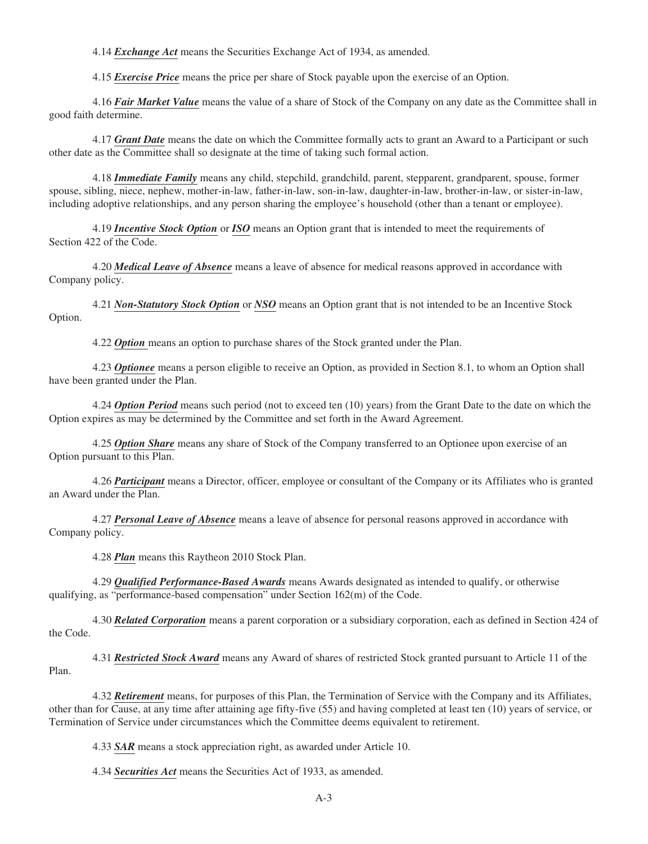4.14 *Exchange Act* means the Securities Exchange Act of 1934, as amended.

4.15 *Exercise Price* means the price per share of Stock payable upon the exercise of an Option.

4.16 *Fair Market Value* means the value of a share of Stock of the Company on any date as the Committee shall in good faith determine.

4.17 *Grant Date* means the date on which the Committee formally acts to grant an Award to a Participant or such other date as the Committee shall so designate at the time of taking such formal action.

4.18 *Immediate Family* means any child, stepchild, grandchild, parent, stepparent, grandparent, spouse, former spouse, sibling, niece, nephew, mother-in-law, father-in-law, son-in-law, daughter-in-law, brother-in-law, or sister-in-law, including adoptive relationships, and any person sharing the employee's household (other than a tenant or employee).

4.19 *Incentive Stock Option* or *ISO* means an Option grant that is intended to meet the requirements of Section 422 of the Code.

4.20 *Medical Leave of Absence* means a leave of absence for medical reasons approved in accordance with Company policy.

4.21 *Non-Statutory Stock Option* or *NSO* means an Option grant that is not intended to be an Incentive Stock Option.

4.22 *Option* means an option to purchase shares of the Stock granted under the Plan.

4.23 *Optionee* means a person eligible to receive an Option, as provided in Section 8.1, to whom an Option shall have been granted under the Plan.

4.24 *Option Period* means such period (not to exceed ten (10) years) from the Grant Date to the date on which the Option expires as may be determined by the Committee and set forth in the Award Agreement.

4.25 *Option Share* means any share of Stock of the Company transferred to an Optionee upon exercise of an Option pursuant to this Plan.

4.26 *Participant* means a Director, officer, employee or consultant of the Company or its Affiliates who is granted an Award under the Plan.

4.27 *Personal Leave of Absence* means a leave of absence for personal reasons approved in accordance with Company policy.

4.28 *Plan* means this Raytheon 2010 Stock Plan.

4.29 *Qualified Performance-Based Awards* means Awards designated as intended to qualify, or otherwise qualifying, as "performance-based compensation" under Section 162(m) of the Code.

4.30 *Related Corporation* means a parent corporation or a subsidiary corporation, each as defined in Section 424 of the Code.

4.31 *Restricted Stock Award* means any Award of shares of restricted Stock granted pursuant to Article 11 of the Plan.

4.32 *Retirement* means, for purposes of this Plan, the Termination of Service with the Company and its Affiliates, other than for Cause, at any time after attaining age fifty-five (55) and having completed at least ten (10) years of service, or Termination of Service under circumstances which the Committee deems equivalent to retirement.

4.33 *SAR* means a stock appreciation right, as awarded under Article 10.

4.34 *Securities Act* means the Securities Act of 1933, as amended.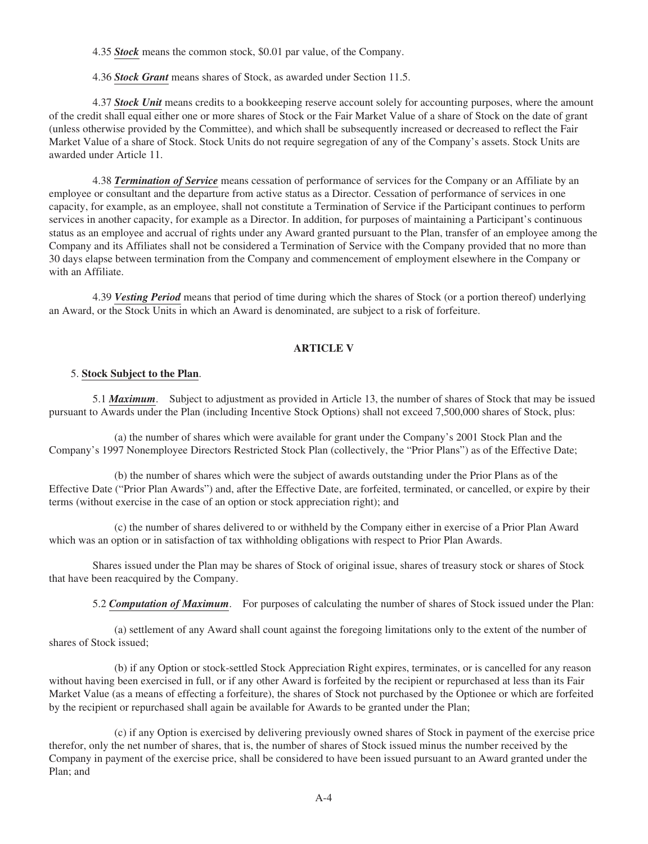4.35 *Stock* means the common stock, \$0.01 par value, of the Company.

4.36 *Stock Grant* means shares of Stock, as awarded under Section 11.5.

4.37 *Stock Unit* means credits to a bookkeeping reserve account solely for accounting purposes, where the amount of the credit shall equal either one or more shares of Stock or the Fair Market Value of a share of Stock on the date of grant (unless otherwise provided by the Committee), and which shall be subsequently increased or decreased to reflect the Fair Market Value of a share of Stock. Stock Units do not require segregation of any of the Company's assets. Stock Units are awarded under Article 11.

4.38 *Termination of Service* means cessation of performance of services for the Company or an Affiliate by an employee or consultant and the departure from active status as a Director. Cessation of performance of services in one capacity, for example, as an employee, shall not constitute a Termination of Service if the Participant continues to perform services in another capacity, for example as a Director. In addition, for purposes of maintaining a Participant's continuous status as an employee and accrual of rights under any Award granted pursuant to the Plan, transfer of an employee among the Company and its Affiliates shall not be considered a Termination of Service with the Company provided that no more than 30 days elapse between termination from the Company and commencement of employment elsewhere in the Company or with an Affiliate.

4.39 *Vesting Period* means that period of time during which the shares of Stock (or a portion thereof) underlying an Award, or the Stock Units in which an Award is denominated, are subject to a risk of forfeiture.

## **ARTICLE V**

### 5. **Stock Subject to the Plan**.

5.1 *Maximum*. Subject to adjustment as provided in Article 13, the number of shares of Stock that may be issued pursuant to Awards under the Plan (including Incentive Stock Options) shall not exceed 7,500,000 shares of Stock, plus:

(a) the number of shares which were available for grant under the Company's 2001 Stock Plan and the Company's 1997 Nonemployee Directors Restricted Stock Plan (collectively, the "Prior Plans") as of the Effective Date;

(b) the number of shares which were the subject of awards outstanding under the Prior Plans as of the Effective Date ("Prior Plan Awards") and, after the Effective Date, are forfeited, terminated, or cancelled, or expire by their terms (without exercise in the case of an option or stock appreciation right); and

(c) the number of shares delivered to or withheld by the Company either in exercise of a Prior Plan Award which was an option or in satisfaction of tax withholding obligations with respect to Prior Plan Awards.

Shares issued under the Plan may be shares of Stock of original issue, shares of treasury stock or shares of Stock that have been reacquired by the Company.

5.2 *Computation of Maximum*. For purposes of calculating the number of shares of Stock issued under the Plan:

(a) settlement of any Award shall count against the foregoing limitations only to the extent of the number of shares of Stock issued;

(b) if any Option or stock-settled Stock Appreciation Right expires, terminates, or is cancelled for any reason without having been exercised in full, or if any other Award is forfeited by the recipient or repurchased at less than its Fair Market Value (as a means of effecting a forfeiture), the shares of Stock not purchased by the Optionee or which are forfeited by the recipient or repurchased shall again be available for Awards to be granted under the Plan;

(c) if any Option is exercised by delivering previously owned shares of Stock in payment of the exercise price therefor, only the net number of shares, that is, the number of shares of Stock issued minus the number received by the Company in payment of the exercise price, shall be considered to have been issued pursuant to an Award granted under the Plan; and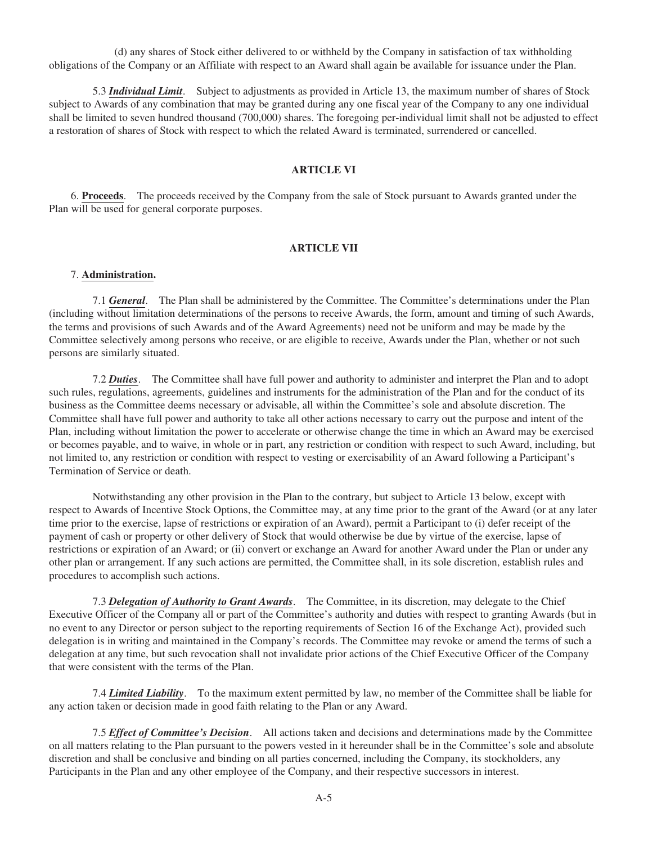(d) any shares of Stock either delivered to or withheld by the Company in satisfaction of tax withholding obligations of the Company or an Affiliate with respect to an Award shall again be available for issuance under the Plan.

5.3 *Individual Limit*. Subject to adjustments as provided in Article 13, the maximum number of shares of Stock subject to Awards of any combination that may be granted during any one fiscal year of the Company to any one individual shall be limited to seven hundred thousand (700,000) shares. The foregoing per-individual limit shall not be adjusted to effect a restoration of shares of Stock with respect to which the related Award is terminated, surrendered or cancelled.

### **ARTICLE VI**

6. **Proceeds**. The proceeds received by the Company from the sale of Stock pursuant to Awards granted under the Plan will be used for general corporate purposes.

## **ARTICLE VII**

### 7. **Administration.**

7.1 *General*. The Plan shall be administered by the Committee. The Committee's determinations under the Plan (including without limitation determinations of the persons to receive Awards, the form, amount and timing of such Awards, the terms and provisions of such Awards and of the Award Agreements) need not be uniform and may be made by the Committee selectively among persons who receive, or are eligible to receive, Awards under the Plan, whether or not such persons are similarly situated.

7.2 *Duties*. The Committee shall have full power and authority to administer and interpret the Plan and to adopt such rules, regulations, agreements, guidelines and instruments for the administration of the Plan and for the conduct of its business as the Committee deems necessary or advisable, all within the Committee's sole and absolute discretion. The Committee shall have full power and authority to take all other actions necessary to carry out the purpose and intent of the Plan, including without limitation the power to accelerate or otherwise change the time in which an Award may be exercised or becomes payable, and to waive, in whole or in part, any restriction or condition with respect to such Award, including, but not limited to, any restriction or condition with respect to vesting or exercisability of an Award following a Participant's Termination of Service or death.

Notwithstanding any other provision in the Plan to the contrary, but subject to Article 13 below, except with respect to Awards of Incentive Stock Options, the Committee may, at any time prior to the grant of the Award (or at any later time prior to the exercise, lapse of restrictions or expiration of an Award), permit a Participant to (i) defer receipt of the payment of cash or property or other delivery of Stock that would otherwise be due by virtue of the exercise, lapse of restrictions or expiration of an Award; or (ii) convert or exchange an Award for another Award under the Plan or under any other plan or arrangement. If any such actions are permitted, the Committee shall, in its sole discretion, establish rules and procedures to accomplish such actions.

7.3 *Delegation of Authority to Grant Awards*. The Committee, in its discretion, may delegate to the Chief Executive Officer of the Company all or part of the Committee's authority and duties with respect to granting Awards (but in no event to any Director or person subject to the reporting requirements of Section 16 of the Exchange Act), provided such delegation is in writing and maintained in the Company's records. The Committee may revoke or amend the terms of such a delegation at any time, but such revocation shall not invalidate prior actions of the Chief Executive Officer of the Company that were consistent with the terms of the Plan.

7.4 *Limited Liability*. To the maximum extent permitted by law, no member of the Committee shall be liable for any action taken or decision made in good faith relating to the Plan or any Award.

7.5 *Effect of Committee's Decision*. All actions taken and decisions and determinations made by the Committee on all matters relating to the Plan pursuant to the powers vested in it hereunder shall be in the Committee's sole and absolute discretion and shall be conclusive and binding on all parties concerned, including the Company, its stockholders, any Participants in the Plan and any other employee of the Company, and their respective successors in interest.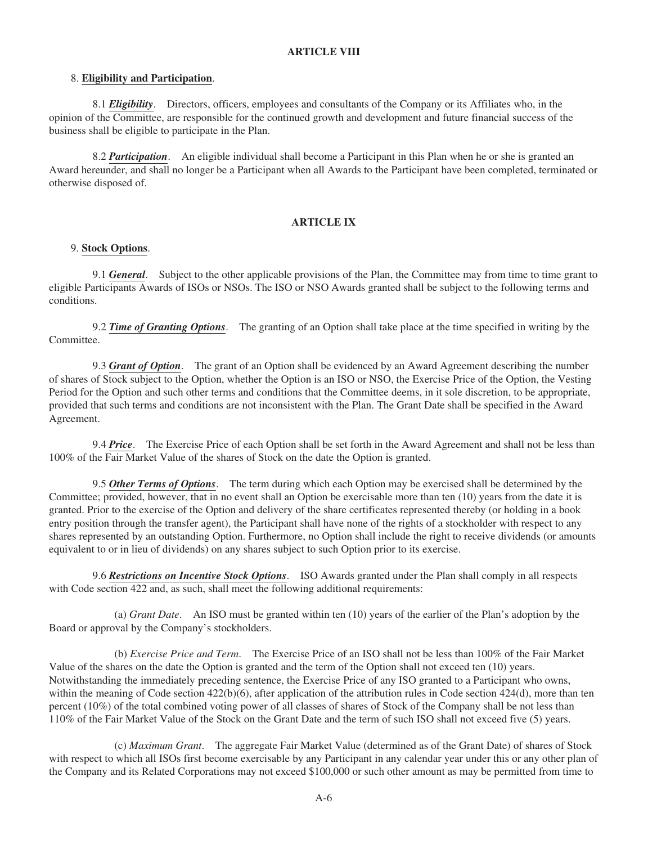## **ARTICLE VIII**

### 8. **Eligibility and Participation**.

8.1 *Eligibility*. Directors, officers, employees and consultants of the Company or its Affiliates who, in the opinion of the Committee, are responsible for the continued growth and development and future financial success of the business shall be eligible to participate in the Plan.

8.2 *Participation*. An eligible individual shall become a Participant in this Plan when he or she is granted an Award hereunder, and shall no longer be a Participant when all Awards to the Participant have been completed, terminated or otherwise disposed of.

## **ARTICLE IX**

### 9. **Stock Options**.

9.1 *General*. Subject to the other applicable provisions of the Plan, the Committee may from time to time grant to eligible Participants Awards of ISOs or NSOs. The ISO or NSO Awards granted shall be subject to the following terms and conditions.

9.2 *Time of Granting Options*. The granting of an Option shall take place at the time specified in writing by the Committee.

9.3 *Grant of Option*. The grant of an Option shall be evidenced by an Award Agreement describing the number of shares of Stock subject to the Option, whether the Option is an ISO or NSO, the Exercise Price of the Option, the Vesting Period for the Option and such other terms and conditions that the Committee deems, in it sole discretion, to be appropriate, provided that such terms and conditions are not inconsistent with the Plan. The Grant Date shall be specified in the Award Agreement.

9.4 *Price*. The Exercise Price of each Option shall be set forth in the Award Agreement and shall not be less than 100% of the Fair Market Value of the shares of Stock on the date the Option is granted.

9.5 *Other Terms of Options*. The term during which each Option may be exercised shall be determined by the Committee; provided, however, that in no event shall an Option be exercisable more than ten (10) years from the date it is granted. Prior to the exercise of the Option and delivery of the share certificates represented thereby (or holding in a book entry position through the transfer agent), the Participant shall have none of the rights of a stockholder with respect to any shares represented by an outstanding Option. Furthermore, no Option shall include the right to receive dividends (or amounts equivalent to or in lieu of dividends) on any shares subject to such Option prior to its exercise.

9.6 *Restrictions on Incentive Stock Options*. ISO Awards granted under the Plan shall comply in all respects with Code section 422 and, as such, shall meet the following additional requirements:

(a) *Grant Date*. An ISO must be granted within ten (10) years of the earlier of the Plan's adoption by the Board or approval by the Company's stockholders.

(b) *Exercise Price and Term*. The Exercise Price of an ISO shall not be less than 100% of the Fair Market Value of the shares on the date the Option is granted and the term of the Option shall not exceed ten (10) years. Notwithstanding the immediately preceding sentence, the Exercise Price of any ISO granted to a Participant who owns, within the meaning of Code section 422(b)(6), after application of the attribution rules in Code section 424(d), more than ten percent (10%) of the total combined voting power of all classes of shares of Stock of the Company shall be not less than 110% of the Fair Market Value of the Stock on the Grant Date and the term of such ISO shall not exceed five (5) years.

(c) *Maximum Grant*. The aggregate Fair Market Value (determined as of the Grant Date) of shares of Stock with respect to which all ISOs first become exercisable by any Participant in any calendar year under this or any other plan of the Company and its Related Corporations may not exceed \$100,000 or such other amount as may be permitted from time to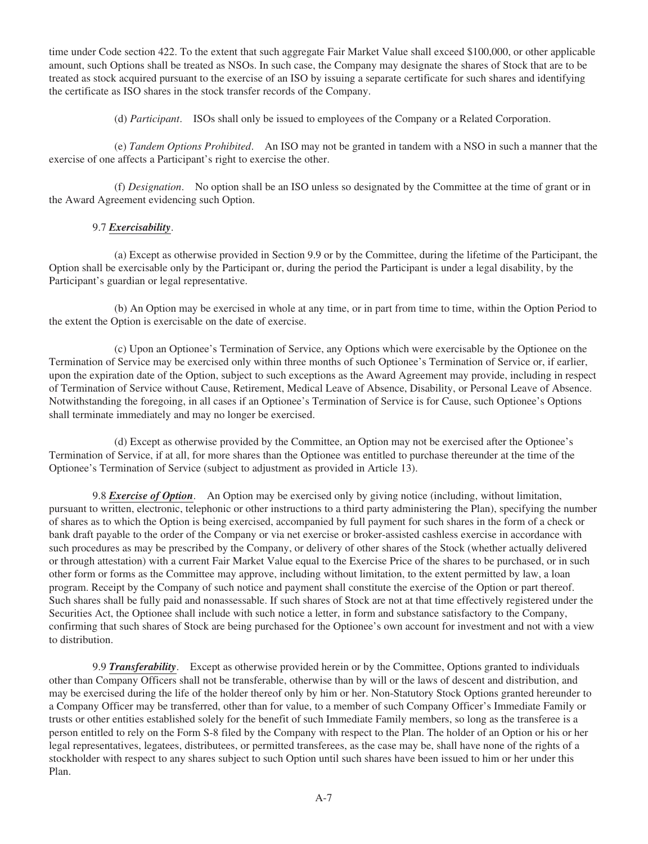time under Code section 422. To the extent that such aggregate Fair Market Value shall exceed \$100,000, or other applicable amount, such Options shall be treated as NSOs. In such case, the Company may designate the shares of Stock that are to be treated as stock acquired pursuant to the exercise of an ISO by issuing a separate certificate for such shares and identifying the certificate as ISO shares in the stock transfer records of the Company.

(d) *Participant*. ISOs shall only be issued to employees of the Company or a Related Corporation.

(e) *Tandem Options Prohibited*. An ISO may not be granted in tandem with a NSO in such a manner that the exercise of one affects a Participant's right to exercise the other.

(f) *Designation*. No option shall be an ISO unless so designated by the Committee at the time of grant or in the Award Agreement evidencing such Option.

# 9.7 *Exercisability*.

(a) Except as otherwise provided in Section 9.9 or by the Committee, during the lifetime of the Participant, the Option shall be exercisable only by the Participant or, during the period the Participant is under a legal disability, by the Participant's guardian or legal representative.

(b) An Option may be exercised in whole at any time, or in part from time to time, within the Option Period to the extent the Option is exercisable on the date of exercise.

(c) Upon an Optionee's Termination of Service, any Options which were exercisable by the Optionee on the Termination of Service may be exercised only within three months of such Optionee's Termination of Service or, if earlier, upon the expiration date of the Option, subject to such exceptions as the Award Agreement may provide, including in respect of Termination of Service without Cause, Retirement, Medical Leave of Absence, Disability, or Personal Leave of Absence. Notwithstanding the foregoing, in all cases if an Optionee's Termination of Service is for Cause, such Optionee's Options shall terminate immediately and may no longer be exercised.

(d) Except as otherwise provided by the Committee, an Option may not be exercised after the Optionee's Termination of Service, if at all, for more shares than the Optionee was entitled to purchase thereunder at the time of the Optionee's Termination of Service (subject to adjustment as provided in Article 13).

9.8 *Exercise of Option*. An Option may be exercised only by giving notice (including, without limitation, pursuant to written, electronic, telephonic or other instructions to a third party administering the Plan), specifying the number of shares as to which the Option is being exercised, accompanied by full payment for such shares in the form of a check or bank draft payable to the order of the Company or via net exercise or broker-assisted cashless exercise in accordance with such procedures as may be prescribed by the Company, or delivery of other shares of the Stock (whether actually delivered or through attestation) with a current Fair Market Value equal to the Exercise Price of the shares to be purchased, or in such other form or forms as the Committee may approve, including without limitation, to the extent permitted by law, a loan program. Receipt by the Company of such notice and payment shall constitute the exercise of the Option or part thereof. Such shares shall be fully paid and nonassessable. If such shares of Stock are not at that time effectively registered under the Securities Act, the Optionee shall include with such notice a letter, in form and substance satisfactory to the Company, confirming that such shares of Stock are being purchased for the Optionee's own account for investment and not with a view to distribution.

9.9 *Transferability*. Except as otherwise provided herein or by the Committee, Options granted to individuals other than Company Officers shall not be transferable, otherwise than by will or the laws of descent and distribution, and may be exercised during the life of the holder thereof only by him or her. Non-Statutory Stock Options granted hereunder to a Company Officer may be transferred, other than for value, to a member of such Company Officer's Immediate Family or trusts or other entities established solely for the benefit of such Immediate Family members, so long as the transferee is a person entitled to rely on the Form S-8 filed by the Company with respect to the Plan. The holder of an Option or his or her legal representatives, legatees, distributees, or permitted transferees, as the case may be, shall have none of the rights of a stockholder with respect to any shares subject to such Option until such shares have been issued to him or her under this Plan.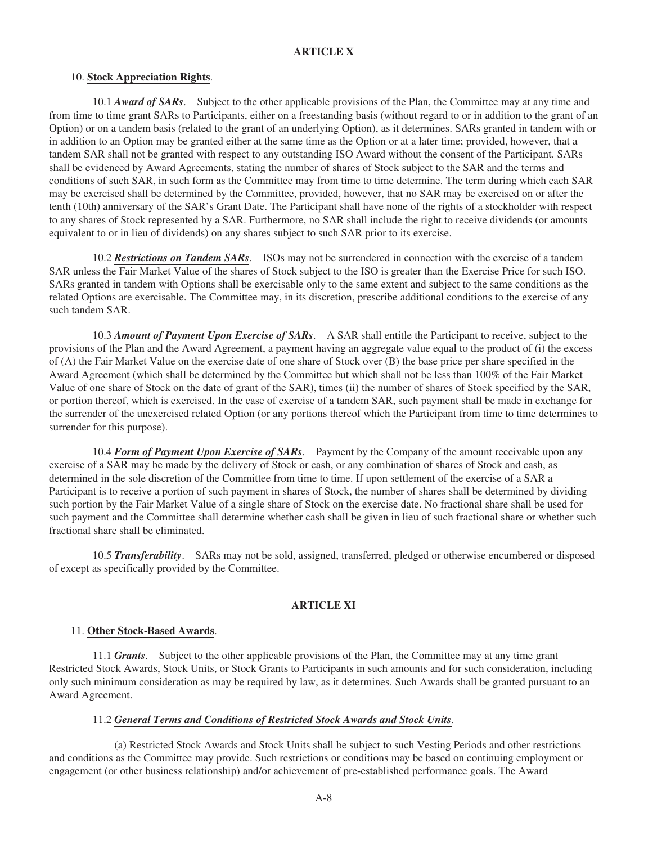# **ARTICLE X**

#### 10. **Stock Appreciation Rights**.

10.1 *Award of SARs*. Subject to the other applicable provisions of the Plan, the Committee may at any time and from time to time grant SARs to Participants, either on a freestanding basis (without regard to or in addition to the grant of an Option) or on a tandem basis (related to the grant of an underlying Option), as it determines. SARs granted in tandem with or in addition to an Option may be granted either at the same time as the Option or at a later time; provided, however, that a tandem SAR shall not be granted with respect to any outstanding ISO Award without the consent of the Participant. SARs shall be evidenced by Award Agreements, stating the number of shares of Stock subject to the SAR and the terms and conditions of such SAR, in such form as the Committee may from time to time determine. The term during which each SAR may be exercised shall be determined by the Committee, provided, however, that no SAR may be exercised on or after the tenth (10th) anniversary of the SAR's Grant Date. The Participant shall have none of the rights of a stockholder with respect to any shares of Stock represented by a SAR. Furthermore, no SAR shall include the right to receive dividends (or amounts equivalent to or in lieu of dividends) on any shares subject to such SAR prior to its exercise.

10.2 *Restrictions on Tandem SARs*. ISOs may not be surrendered in connection with the exercise of a tandem SAR unless the Fair Market Value of the shares of Stock subject to the ISO is greater than the Exercise Price for such ISO. SARs granted in tandem with Options shall be exercisable only to the same extent and subject to the same conditions as the related Options are exercisable. The Committee may, in its discretion, prescribe additional conditions to the exercise of any such tandem SAR.

10.3 *Amount of Payment Upon Exercise of SARs*. A SAR shall entitle the Participant to receive, subject to the provisions of the Plan and the Award Agreement, a payment having an aggregate value equal to the product of (i) the excess of (A) the Fair Market Value on the exercise date of one share of Stock over (B) the base price per share specified in the Award Agreement (which shall be determined by the Committee but which shall not be less than 100% of the Fair Market Value of one share of Stock on the date of grant of the SAR), times (ii) the number of shares of Stock specified by the SAR, or portion thereof, which is exercised. In the case of exercise of a tandem SAR, such payment shall be made in exchange for the surrender of the unexercised related Option (or any portions thereof which the Participant from time to time determines to surrender for this purpose).

10.4 *Form of Payment Upon Exercise of SARs*. Payment by the Company of the amount receivable upon any exercise of a SAR may be made by the delivery of Stock or cash, or any combination of shares of Stock and cash, as determined in the sole discretion of the Committee from time to time. If upon settlement of the exercise of a SAR a Participant is to receive a portion of such payment in shares of Stock, the number of shares shall be determined by dividing such portion by the Fair Market Value of a single share of Stock on the exercise date. No fractional share shall be used for such payment and the Committee shall determine whether cash shall be given in lieu of such fractional share or whether such fractional share shall be eliminated.

10.5 *Transferability*. SARs may not be sold, assigned, transferred, pledged or otherwise encumbered or disposed of except as specifically provided by the Committee.

# **ARTICLE XI**

#### 11. **Other Stock-Based Awards**.

11.1 *Grants*. Subject to the other applicable provisions of the Plan, the Committee may at any time grant Restricted Stock Awards, Stock Units, or Stock Grants to Participants in such amounts and for such consideration, including only such minimum consideration as may be required by law, as it determines. Such Awards shall be granted pursuant to an Award Agreement.

#### 11.2 *General Terms and Conditions of Restricted Stock Awards and Stock Units*.

(a) Restricted Stock Awards and Stock Units shall be subject to such Vesting Periods and other restrictions and conditions as the Committee may provide. Such restrictions or conditions may be based on continuing employment or engagement (or other business relationship) and/or achievement of pre-established performance goals. The Award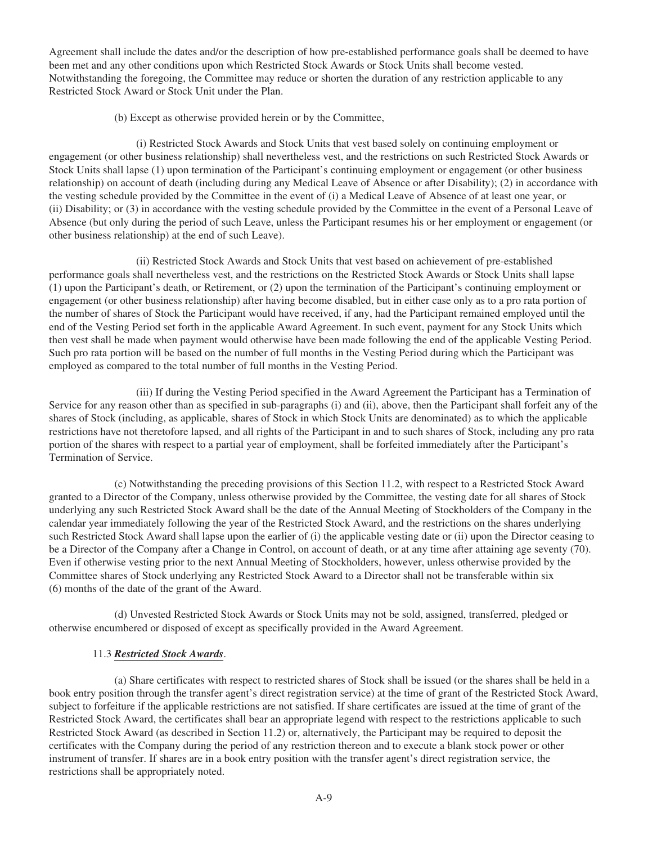Agreement shall include the dates and/or the description of how pre-established performance goals shall be deemed to have been met and any other conditions upon which Restricted Stock Awards or Stock Units shall become vested. Notwithstanding the foregoing, the Committee may reduce or shorten the duration of any restriction applicable to any Restricted Stock Award or Stock Unit under the Plan.

(b) Except as otherwise provided herein or by the Committee,

(i) Restricted Stock Awards and Stock Units that vest based solely on continuing employment or engagement (or other business relationship) shall nevertheless vest, and the restrictions on such Restricted Stock Awards or Stock Units shall lapse (1) upon termination of the Participant's continuing employment or engagement (or other business relationship) on account of death (including during any Medical Leave of Absence or after Disability); (2) in accordance with the vesting schedule provided by the Committee in the event of (i) a Medical Leave of Absence of at least one year, or (ii) Disability; or (3) in accordance with the vesting schedule provided by the Committee in the event of a Personal Leave of Absence (but only during the period of such Leave, unless the Participant resumes his or her employment or engagement (or other business relationship) at the end of such Leave).

(ii) Restricted Stock Awards and Stock Units that vest based on achievement of pre-established performance goals shall nevertheless vest, and the restrictions on the Restricted Stock Awards or Stock Units shall lapse (1) upon the Participant's death, or Retirement, or (2) upon the termination of the Participant's continuing employment or engagement (or other business relationship) after having become disabled, but in either case only as to a pro rata portion of the number of shares of Stock the Participant would have received, if any, had the Participant remained employed until the end of the Vesting Period set forth in the applicable Award Agreement. In such event, payment for any Stock Units which then vest shall be made when payment would otherwise have been made following the end of the applicable Vesting Period. Such pro rata portion will be based on the number of full months in the Vesting Period during which the Participant was employed as compared to the total number of full months in the Vesting Period.

(iii) If during the Vesting Period specified in the Award Agreement the Participant has a Termination of Service for any reason other than as specified in sub-paragraphs (i) and (ii), above, then the Participant shall forfeit any of the shares of Stock (including, as applicable, shares of Stock in which Stock Units are denominated) as to which the applicable restrictions have not theretofore lapsed, and all rights of the Participant in and to such shares of Stock, including any pro rata portion of the shares with respect to a partial year of employment, shall be forfeited immediately after the Participant's Termination of Service.

(c) Notwithstanding the preceding provisions of this Section 11.2, with respect to a Restricted Stock Award granted to a Director of the Company, unless otherwise provided by the Committee, the vesting date for all shares of Stock underlying any such Restricted Stock Award shall be the date of the Annual Meeting of Stockholders of the Company in the calendar year immediately following the year of the Restricted Stock Award, and the restrictions on the shares underlying such Restricted Stock Award shall lapse upon the earlier of (i) the applicable vesting date or (ii) upon the Director ceasing to be a Director of the Company after a Change in Control, on account of death, or at any time after attaining age seventy (70). Even if otherwise vesting prior to the next Annual Meeting of Stockholders, however, unless otherwise provided by the Committee shares of Stock underlying any Restricted Stock Award to a Director shall not be transferable within six (6) months of the date of the grant of the Award.

(d) Unvested Restricted Stock Awards or Stock Units may not be sold, assigned, transferred, pledged or otherwise encumbered or disposed of except as specifically provided in the Award Agreement.

# 11.3 *Restricted Stock Awards*.

(a) Share certificates with respect to restricted shares of Stock shall be issued (or the shares shall be held in a book entry position through the transfer agent's direct registration service) at the time of grant of the Restricted Stock Award, subject to forfeiture if the applicable restrictions are not satisfied. If share certificates are issued at the time of grant of the Restricted Stock Award, the certificates shall bear an appropriate legend with respect to the restrictions applicable to such Restricted Stock Award (as described in Section 11.2) or, alternatively, the Participant may be required to deposit the certificates with the Company during the period of any restriction thereon and to execute a blank stock power or other instrument of transfer. If shares are in a book entry position with the transfer agent's direct registration service, the restrictions shall be appropriately noted.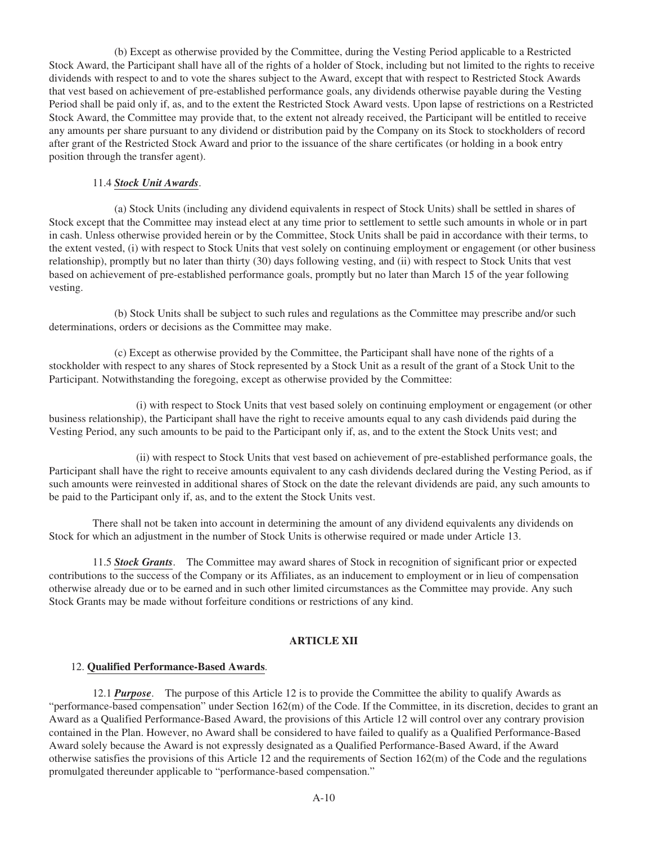(b) Except as otherwise provided by the Committee, during the Vesting Period applicable to a Restricted Stock Award, the Participant shall have all of the rights of a holder of Stock, including but not limited to the rights to receive dividends with respect to and to vote the shares subject to the Award, except that with respect to Restricted Stock Awards that vest based on achievement of pre-established performance goals, any dividends otherwise payable during the Vesting Period shall be paid only if, as, and to the extent the Restricted Stock Award vests. Upon lapse of restrictions on a Restricted Stock Award, the Committee may provide that, to the extent not already received, the Participant will be entitled to receive any amounts per share pursuant to any dividend or distribution paid by the Company on its Stock to stockholders of record after grant of the Restricted Stock Award and prior to the issuance of the share certificates (or holding in a book entry position through the transfer agent).

### 11.4 *Stock Unit Awards*.

(a) Stock Units (including any dividend equivalents in respect of Stock Units) shall be settled in shares of Stock except that the Committee may instead elect at any time prior to settlement to settle such amounts in whole or in part in cash. Unless otherwise provided herein or by the Committee, Stock Units shall be paid in accordance with their terms, to the extent vested, (i) with respect to Stock Units that vest solely on continuing employment or engagement (or other business relationship), promptly but no later than thirty (30) days following vesting, and (ii) with respect to Stock Units that vest based on achievement of pre-established performance goals, promptly but no later than March 15 of the year following vesting.

(b) Stock Units shall be subject to such rules and regulations as the Committee may prescribe and/or such determinations, orders or decisions as the Committee may make.

(c) Except as otherwise provided by the Committee, the Participant shall have none of the rights of a stockholder with respect to any shares of Stock represented by a Stock Unit as a result of the grant of a Stock Unit to the Participant. Notwithstanding the foregoing, except as otherwise provided by the Committee:

(i) with respect to Stock Units that vest based solely on continuing employment or engagement (or other business relationship), the Participant shall have the right to receive amounts equal to any cash dividends paid during the Vesting Period, any such amounts to be paid to the Participant only if, as, and to the extent the Stock Units vest; and

(ii) with respect to Stock Units that vest based on achievement of pre-established performance goals, the Participant shall have the right to receive amounts equivalent to any cash dividends declared during the Vesting Period, as if such amounts were reinvested in additional shares of Stock on the date the relevant dividends are paid, any such amounts to be paid to the Participant only if, as, and to the extent the Stock Units vest.

There shall not be taken into account in determining the amount of any dividend equivalents any dividends on Stock for which an adjustment in the number of Stock Units is otherwise required or made under Article 13.

11.5 *Stock Grants*. The Committee may award shares of Stock in recognition of significant prior or expected contributions to the success of the Company or its Affiliates, as an inducement to employment or in lieu of compensation otherwise already due or to be earned and in such other limited circumstances as the Committee may provide. Any such Stock Grants may be made without forfeiture conditions or restrictions of any kind.

### **ARTICLE XII**

### 12. **Qualified Performance-Based Awards**.

12.1 *Purpose*. The purpose of this Article 12 is to provide the Committee the ability to qualify Awards as "performance-based compensation" under Section 162(m) of the Code. If the Committee, in its discretion, decides to grant an Award as a Qualified Performance-Based Award, the provisions of this Article 12 will control over any contrary provision contained in the Plan. However, no Award shall be considered to have failed to qualify as a Qualified Performance-Based Award solely because the Award is not expressly designated as a Qualified Performance-Based Award, if the Award otherwise satisfies the provisions of this Article 12 and the requirements of Section  $162(m)$  of the Code and the regulations promulgated thereunder applicable to "performance-based compensation."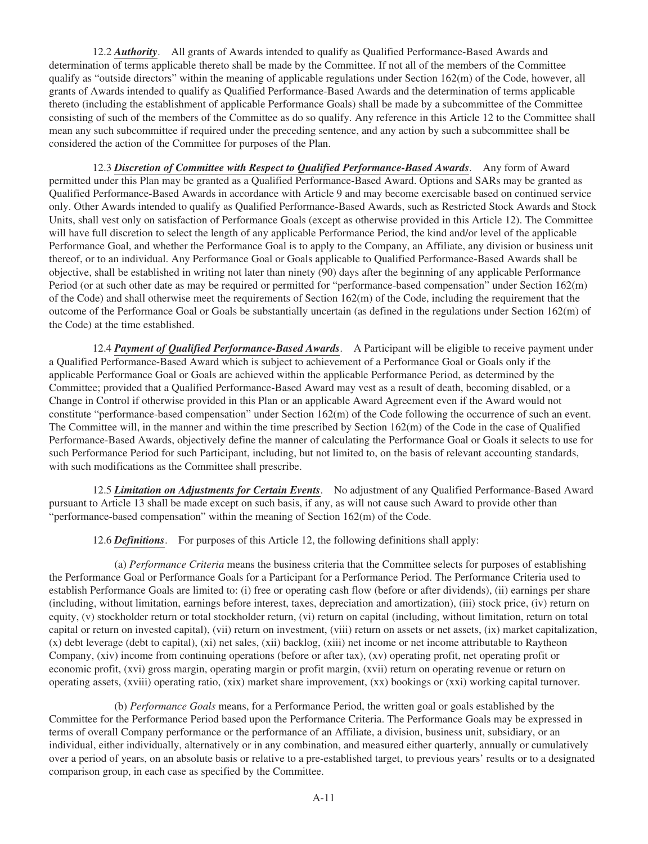12.2 *Authority*. All grants of Awards intended to qualify as Qualified Performance-Based Awards and determination of terms applicable thereto shall be made by the Committee. If not all of the members of the Committee qualify as "outside directors" within the meaning of applicable regulations under Section 162(m) of the Code, however, all grants of Awards intended to qualify as Qualified Performance-Based Awards and the determination of terms applicable thereto (including the establishment of applicable Performance Goals) shall be made by a subcommittee of the Committee consisting of such of the members of the Committee as do so qualify. Any reference in this Article 12 to the Committee shall mean any such subcommittee if required under the preceding sentence, and any action by such a subcommittee shall be considered the action of the Committee for purposes of the Plan.

12.3 *Discretion of Committee with Respect to Qualified Performance-Based Awards*. Any form of Award permitted under this Plan may be granted as a Qualified Performance-Based Award. Options and SARs may be granted as Qualified Performance-Based Awards in accordance with Article 9 and may become exercisable based on continued service only. Other Awards intended to qualify as Qualified Performance-Based Awards, such as Restricted Stock Awards and Stock Units, shall vest only on satisfaction of Performance Goals (except as otherwise provided in this Article 12). The Committee will have full discretion to select the length of any applicable Performance Period, the kind and/or level of the applicable Performance Goal, and whether the Performance Goal is to apply to the Company, an Affiliate, any division or business unit thereof, or to an individual. Any Performance Goal or Goals applicable to Qualified Performance-Based Awards shall be objective, shall be established in writing not later than ninety (90) days after the beginning of any applicable Performance Period (or at such other date as may be required or permitted for "performance-based compensation" under Section 162(m) of the Code) and shall otherwise meet the requirements of Section  $162(m)$  of the Code, including the requirement that the outcome of the Performance Goal or Goals be substantially uncertain (as defined in the regulations under Section 162(m) of the Code) at the time established.

12.4 *Payment of Qualified Performance-Based Awards*. A Participant will be eligible to receive payment under a Qualified Performance-Based Award which is subject to achievement of a Performance Goal or Goals only if the applicable Performance Goal or Goals are achieved within the applicable Performance Period, as determined by the Committee; provided that a Qualified Performance-Based Award may vest as a result of death, becoming disabled, or a Change in Control if otherwise provided in this Plan or an applicable Award Agreement even if the Award would not constitute "performance-based compensation" under Section 162(m) of the Code following the occurrence of such an event. The Committee will, in the manner and within the time prescribed by Section 162(m) of the Code in the case of Qualified Performance-Based Awards, objectively define the manner of calculating the Performance Goal or Goals it selects to use for such Performance Period for such Participant, including, but not limited to, on the basis of relevant accounting standards, with such modifications as the Committee shall prescribe.

12.5 *Limitation on Adjustments for Certain Events*. No adjustment of any Qualified Performance-Based Award pursuant to Article 13 shall be made except on such basis, if any, as will not cause such Award to provide other than "performance-based compensation" within the meaning of Section 162(m) of the Code.

12.6 *Definitions*. For purposes of this Article 12, the following definitions shall apply:

(a) *Performance Criteria* means the business criteria that the Committee selects for purposes of establishing the Performance Goal or Performance Goals for a Participant for a Performance Period. The Performance Criteria used to establish Performance Goals are limited to: (i) free or operating cash flow (before or after dividends), (ii) earnings per share (including, without limitation, earnings before interest, taxes, depreciation and amortization), (iii) stock price, (iv) return on equity, (v) stockholder return or total stockholder return, (vi) return on capital (including, without limitation, return on total capital or return on invested capital), (vii) return on investment, (viii) return on assets or net assets, (ix) market capitalization, (x) debt leverage (debt to capital), (xi) net sales, (xii) backlog, (xiii) net income or net income attributable to Raytheon Company, (xiv) income from continuing operations (before or after tax), (xv) operating profit, net operating profit or economic profit, (xvi) gross margin, operating margin or profit margin, (xvii) return on operating revenue or return on operating assets, (xviii) operating ratio, (xix) market share improvement, (xx) bookings or (xxi) working capital turnover.

(b) *Performance Goals* means, for a Performance Period, the written goal or goals established by the Committee for the Performance Period based upon the Performance Criteria. The Performance Goals may be expressed in terms of overall Company performance or the performance of an Affiliate, a division, business unit, subsidiary, or an individual, either individually, alternatively or in any combination, and measured either quarterly, annually or cumulatively over a period of years, on an absolute basis or relative to a pre-established target, to previous years' results or to a designated comparison group, in each case as specified by the Committee.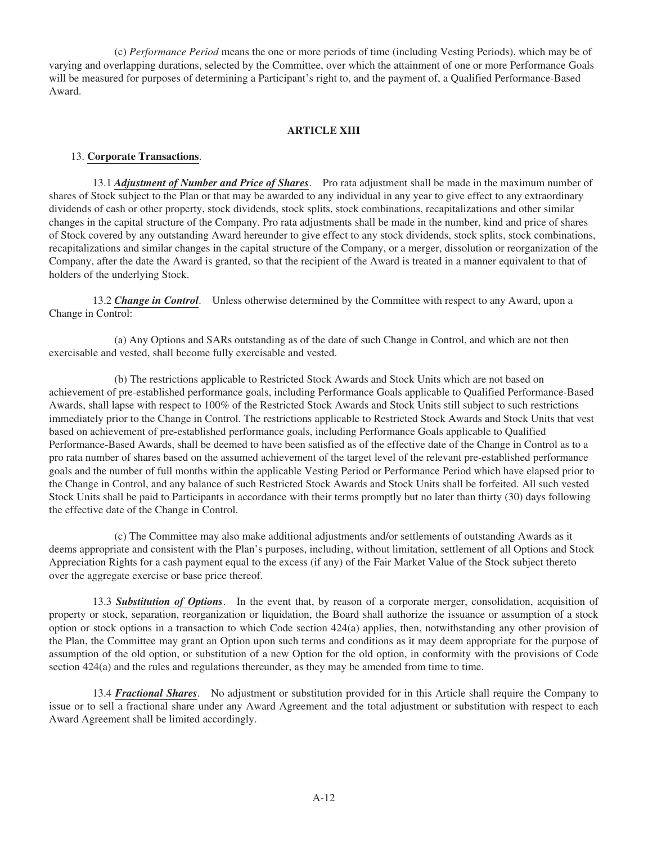(c) *Performance Period* means the one or more periods of time (including Vesting Periods), which may be of varying and overlapping durations, selected by the Committee, over which the attainment of one or more Performance Goals will be measured for purposes of determining a Participant's right to, and the payment of, a Qualified Performance-Based Award.

## **ARTICLE XIII**

### 13. **Corporate Transactions**.

13.1 *Adjustment of Number and Price of Shares*. Pro rata adjustment shall be made in the maximum number of shares of Stock subject to the Plan or that may be awarded to any individual in any year to give effect to any extraordinary dividends of cash or other property, stock dividends, stock splits, stock combinations, recapitalizations and other similar changes in the capital structure of the Company. Pro rata adjustments shall be made in the number, kind and price of shares of Stock covered by any outstanding Award hereunder to give effect to any stock dividends, stock splits, stock combinations, recapitalizations and similar changes in the capital structure of the Company, or a merger, dissolution or reorganization of the Company, after the date the Award is granted, so that the recipient of the Award is treated in a manner equivalent to that of holders of the underlying Stock.

13.2 *Change in Control*. Unless otherwise determined by the Committee with respect to any Award, upon a Change in Control:

(a) Any Options and SARs outstanding as of the date of such Change in Control, and which are not then exercisable and vested, shall become fully exercisable and vested.

(b) The restrictions applicable to Restricted Stock Awards and Stock Units which are not based on achievement of pre-established performance goals, including Performance Goals applicable to Qualified Performance-Based Awards, shall lapse with respect to 100% of the Restricted Stock Awards and Stock Units still subject to such restrictions immediately prior to the Change in Control. The restrictions applicable to Restricted Stock Awards and Stock Units that vest based on achievement of pre-established performance goals, including Performance Goals applicable to Qualified Performance-Based Awards, shall be deemed to have been satisfied as of the effective date of the Change in Control as to a pro rata number of shares based on the assumed achievement of the target level of the relevant pre-established performance goals and the number of full months within the applicable Vesting Period or Performance Period which have elapsed prior to the Change in Control, and any balance of such Restricted Stock Awards and Stock Units shall be forfeited. All such vested Stock Units shall be paid to Participants in accordance with their terms promptly but no later than thirty (30) days following the effective date of the Change in Control.

(c) The Committee may also make additional adjustments and/or settlements of outstanding Awards as it deems appropriate and consistent with the Plan's purposes, including, without limitation, settlement of all Options and Stock Appreciation Rights for a cash payment equal to the excess (if any) of the Fair Market Value of the Stock subject thereto over the aggregate exercise or base price thereof.

13.3 *Substitution of Options*. In the event that, by reason of a corporate merger, consolidation, acquisition of property or stock, separation, reorganization or liquidation, the Board shall authorize the issuance or assumption of a stock option or stock options in a transaction to which Code section 424(a) applies, then, notwithstanding any other provision of the Plan, the Committee may grant an Option upon such terms and conditions as it may deem appropriate for the purpose of assumption of the old option, or substitution of a new Option for the old option, in conformity with the provisions of Code section 424(a) and the rules and regulations thereunder, as they may be amended from time to time.

13.4 *Fractional Shares*. No adjustment or substitution provided for in this Article shall require the Company to issue or to sell a fractional share under any Award Agreement and the total adjustment or substitution with respect to each Award Agreement shall be limited accordingly.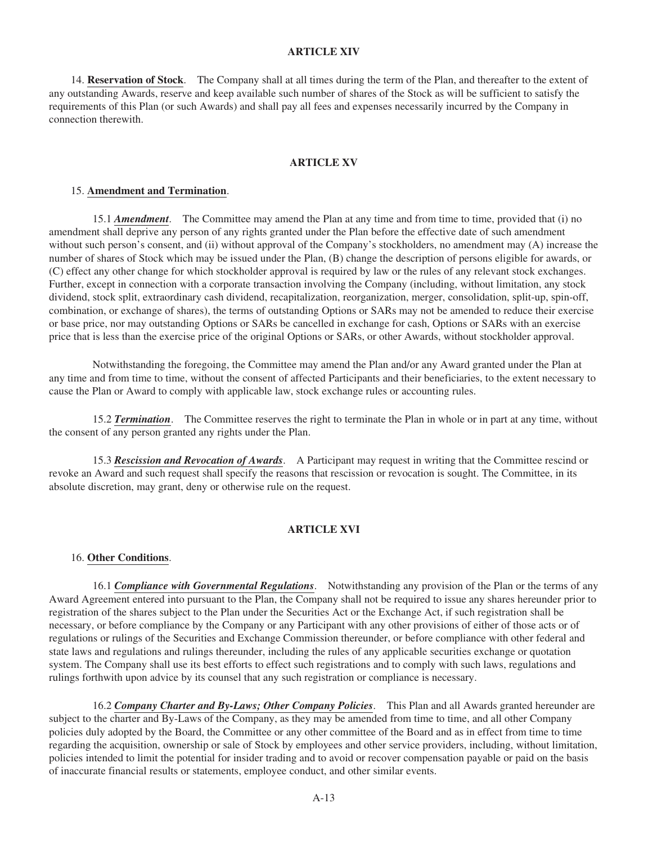# **ARTICLE XIV**

14. **Reservation of Stock**. The Company shall at all times during the term of the Plan, and thereafter to the extent of any outstanding Awards, reserve and keep available such number of shares of the Stock as will be sufficient to satisfy the requirements of this Plan (or such Awards) and shall pay all fees and expenses necessarily incurred by the Company in connection therewith.

## **ARTICLE XV**

#### 15. **Amendment and Termination**.

15.1 *Amendment*. The Committee may amend the Plan at any time and from time to time, provided that (i) no amendment shall deprive any person of any rights granted under the Plan before the effective date of such amendment without such person's consent, and (ii) without approval of the Company's stockholders, no amendment may (A) increase the number of shares of Stock which may be issued under the Plan, (B) change the description of persons eligible for awards, or (C) effect any other change for which stockholder approval is required by law or the rules of any relevant stock exchanges. Further, except in connection with a corporate transaction involving the Company (including, without limitation, any stock dividend, stock split, extraordinary cash dividend, recapitalization, reorganization, merger, consolidation, split-up, spin-off, combination, or exchange of shares), the terms of outstanding Options or SARs may not be amended to reduce their exercise or base price, nor may outstanding Options or SARs be cancelled in exchange for cash, Options or SARs with an exercise price that is less than the exercise price of the original Options or SARs, or other Awards, without stockholder approval.

Notwithstanding the foregoing, the Committee may amend the Plan and/or any Award granted under the Plan at any time and from time to time, without the consent of affected Participants and their beneficiaries, to the extent necessary to cause the Plan or Award to comply with applicable law, stock exchange rules or accounting rules.

15.2 *Termination*. The Committee reserves the right to terminate the Plan in whole or in part at any time, without the consent of any person granted any rights under the Plan.

15.3 *Rescission and Revocation of Awards*. A Participant may request in writing that the Committee rescind or revoke an Award and such request shall specify the reasons that rescission or revocation is sought. The Committee, in its absolute discretion, may grant, deny or otherwise rule on the request.

### **ARTICLE XVI**

### 16. **Other Conditions**.

16.1 *Compliance with Governmental Regulations*. Notwithstanding any provision of the Plan or the terms of any Award Agreement entered into pursuant to the Plan, the Company shall not be required to issue any shares hereunder prior to registration of the shares subject to the Plan under the Securities Act or the Exchange Act, if such registration shall be necessary, or before compliance by the Company or any Participant with any other provisions of either of those acts or of regulations or rulings of the Securities and Exchange Commission thereunder, or before compliance with other federal and state laws and regulations and rulings thereunder, including the rules of any applicable securities exchange or quotation system. The Company shall use its best efforts to effect such registrations and to comply with such laws, regulations and rulings forthwith upon advice by its counsel that any such registration or compliance is necessary.

16.2 *Company Charter and By-Laws; Other Company Policies*. This Plan and all Awards granted hereunder are subject to the charter and By-Laws of the Company, as they may be amended from time to time, and all other Company policies duly adopted by the Board, the Committee or any other committee of the Board and as in effect from time to time regarding the acquisition, ownership or sale of Stock by employees and other service providers, including, without limitation, policies intended to limit the potential for insider trading and to avoid or recover compensation payable or paid on the basis of inaccurate financial results or statements, employee conduct, and other similar events.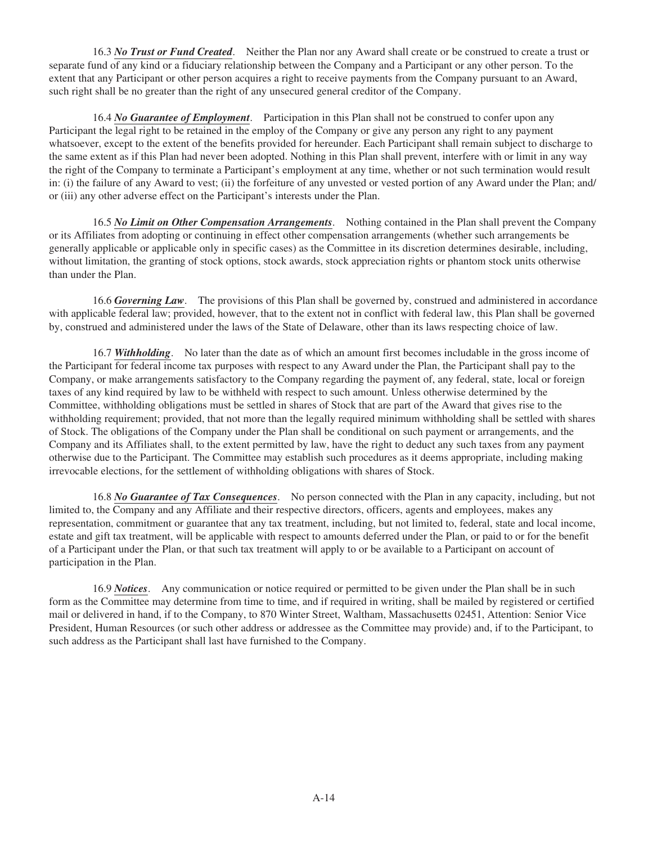16.3 *No Trust or Fund Created*. Neither the Plan nor any Award shall create or be construed to create a trust or separate fund of any kind or a fiduciary relationship between the Company and a Participant or any other person. To the extent that any Participant or other person acquires a right to receive payments from the Company pursuant to an Award, such right shall be no greater than the right of any unsecured general creditor of the Company.

16.4 *No Guarantee of Employment*. Participation in this Plan shall not be construed to confer upon any Participant the legal right to be retained in the employ of the Company or give any person any right to any payment whatsoever, except to the extent of the benefits provided for hereunder. Each Participant shall remain subject to discharge to the same extent as if this Plan had never been adopted. Nothing in this Plan shall prevent, interfere with or limit in any way the right of the Company to terminate a Participant's employment at any time, whether or not such termination would result in: (i) the failure of any Award to vest; (ii) the forfeiture of any unvested or vested portion of any Award under the Plan; and/ or (iii) any other adverse effect on the Participant's interests under the Plan.

16.5 *No Limit on Other Compensation Arrangements*. Nothing contained in the Plan shall prevent the Company or its Affiliates from adopting or continuing in effect other compensation arrangements (whether such arrangements be generally applicable or applicable only in specific cases) as the Committee in its discretion determines desirable, including, without limitation, the granting of stock options, stock awards, stock appreciation rights or phantom stock units otherwise than under the Plan.

16.6 *Governing Law*. The provisions of this Plan shall be governed by, construed and administered in accordance with applicable federal law; provided, however, that to the extent not in conflict with federal law, this Plan shall be governed by, construed and administered under the laws of the State of Delaware, other than its laws respecting choice of law.

16.7 **Withholding**. No later than the date as of which an amount first becomes includable in the gross income of the Participant for federal income tax purposes with respect to any Award under the Plan, the Participant shall pay to the Company, or make arrangements satisfactory to the Company regarding the payment of, any federal, state, local or foreign taxes of any kind required by law to be withheld with respect to such amount. Unless otherwise determined by the Committee, withholding obligations must be settled in shares of Stock that are part of the Award that gives rise to the withholding requirement; provided, that not more than the legally required minimum withholding shall be settled with shares of Stock. The obligations of the Company under the Plan shall be conditional on such payment or arrangements, and the Company and its Affiliates shall, to the extent permitted by law, have the right to deduct any such taxes from any payment otherwise due to the Participant. The Committee may establish such procedures as it deems appropriate, including making irrevocable elections, for the settlement of withholding obligations with shares of Stock.

16.8 *No Guarantee of Tax Consequences*. No person connected with the Plan in any capacity, including, but not limited to, the Company and any Affiliate and their respective directors, officers, agents and employees, makes any representation, commitment or guarantee that any tax treatment, including, but not limited to, federal, state and local income, estate and gift tax treatment, will be applicable with respect to amounts deferred under the Plan, or paid to or for the benefit of a Participant under the Plan, or that such tax treatment will apply to or be available to a Participant on account of participation in the Plan.

16.9 *Notices*. Any communication or notice required or permitted to be given under the Plan shall be in such form as the Committee may determine from time to time, and if required in writing, shall be mailed by registered or certified mail or delivered in hand, if to the Company, to 870 Winter Street, Waltham, Massachusetts 02451, Attention: Senior Vice President, Human Resources (or such other address or addressee as the Committee may provide) and, if to the Participant, to such address as the Participant shall last have furnished to the Company.